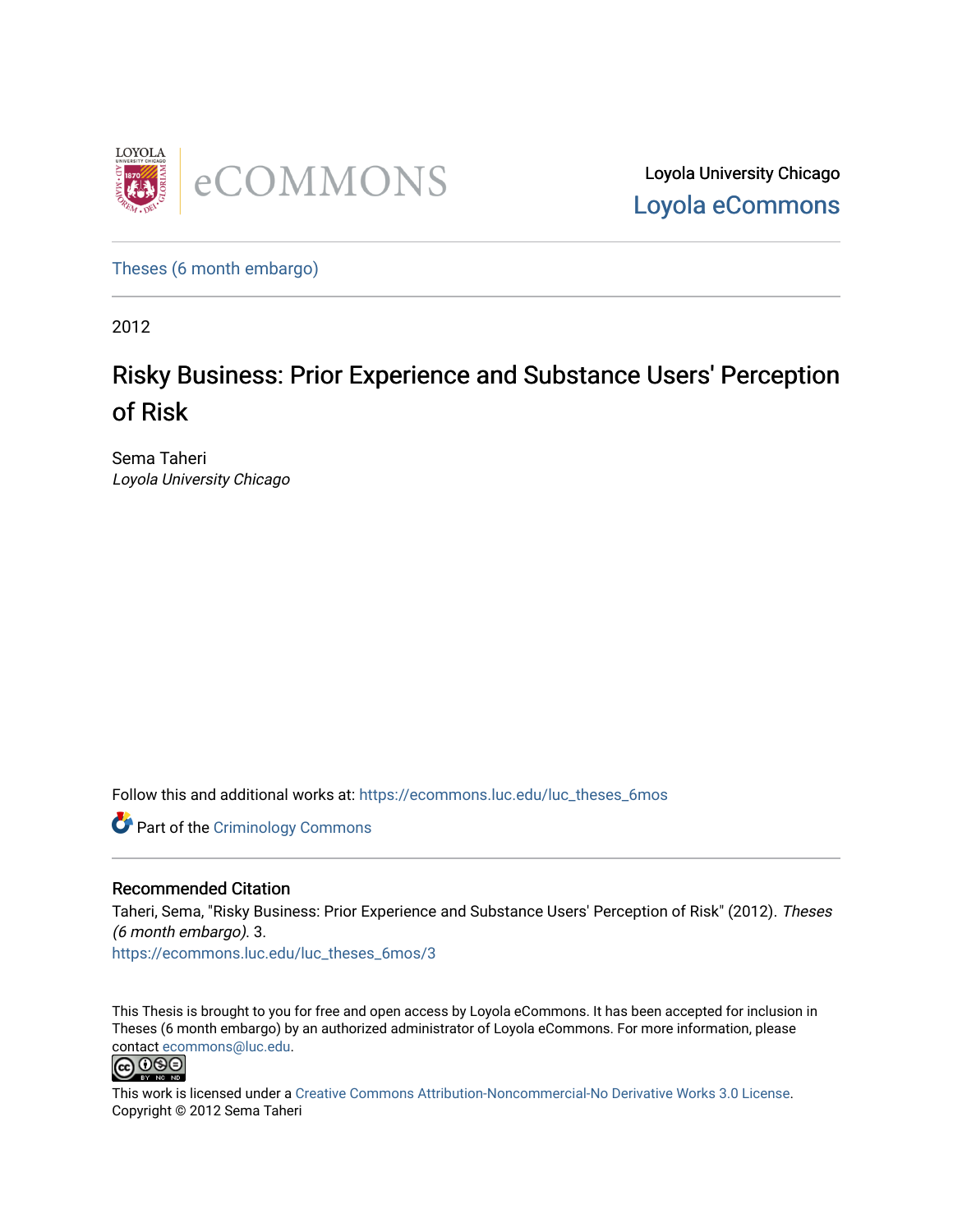

Loyola University Chicago [Loyola eCommons](https://ecommons.luc.edu/) 

[Theses \(6 month embargo\)](https://ecommons.luc.edu/luc_theses_6mos) 

2012

# Risky Business: Prior Experience and Substance Users' Perception of Risk

Sema Taheri Loyola University Chicago

Follow this and additional works at: [https://ecommons.luc.edu/luc\\_theses\\_6mos](https://ecommons.luc.edu/luc_theses_6mos?utm_source=ecommons.luc.edu%2Fluc_theses_6mos%2F3&utm_medium=PDF&utm_campaign=PDFCoverPages) 

Part of the [Criminology Commons](http://network.bepress.com/hgg/discipline/417?utm_source=ecommons.luc.edu%2Fluc_theses_6mos%2F3&utm_medium=PDF&utm_campaign=PDFCoverPages) 

# Recommended Citation

Taheri, Sema, "Risky Business: Prior Experience and Substance Users' Perception of Risk" (2012). Theses (6 month embargo). 3. [https://ecommons.luc.edu/luc\\_theses\\_6mos/3](https://ecommons.luc.edu/luc_theses_6mos/3?utm_source=ecommons.luc.edu%2Fluc_theses_6mos%2F3&utm_medium=PDF&utm_campaign=PDFCoverPages)

This Thesis is brought to you for free and open access by Loyola eCommons. It has been accepted for inclusion in Theses (6 month embargo) by an authorized administrator of Loyola eCommons. For more information, please contact [ecommons@luc.edu.](mailto:ecommons@luc.edu)



This work is licensed under a [Creative Commons Attribution-Noncommercial-No Derivative Works 3.0 License.](https://creativecommons.org/licenses/by-nc-nd/3.0/) Copyright © 2012 Sema Taheri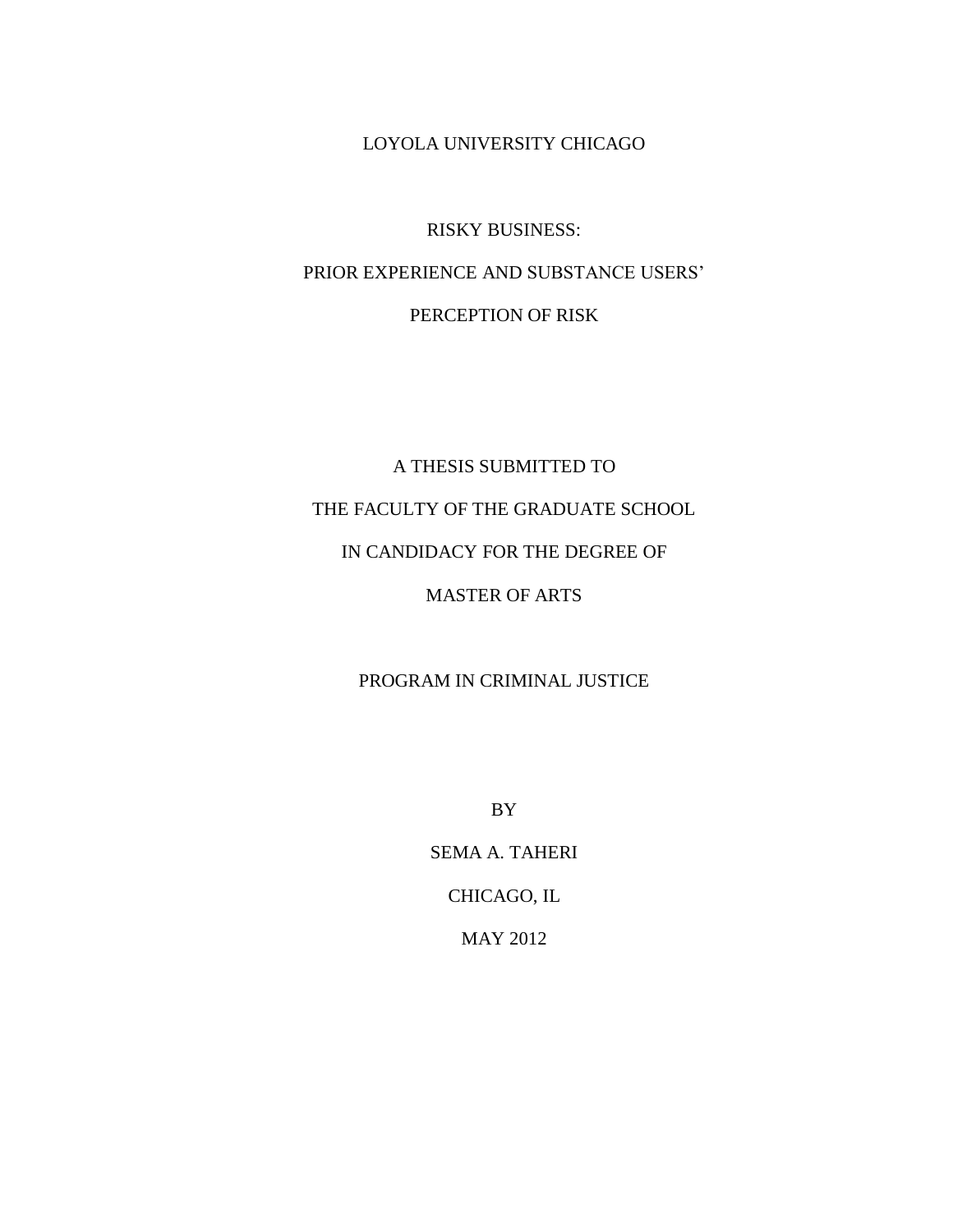LOYOLA UNIVERSITY CHICAGO

RISKY BUSINESS: PRIOR EXPERIENCE AND SUBSTANCE USERS' PERCEPTION OF RISK

A THESIS SUBMITTED TO THE FACULTY OF THE GRADUATE SCHOOL IN CANDIDACY FOR THE DEGREE OF MASTER OF ARTS

PROGRAM IN CRIMINAL JUSTICE

BY

SEMA A. TAHERI CHICAGO, IL MAY 2012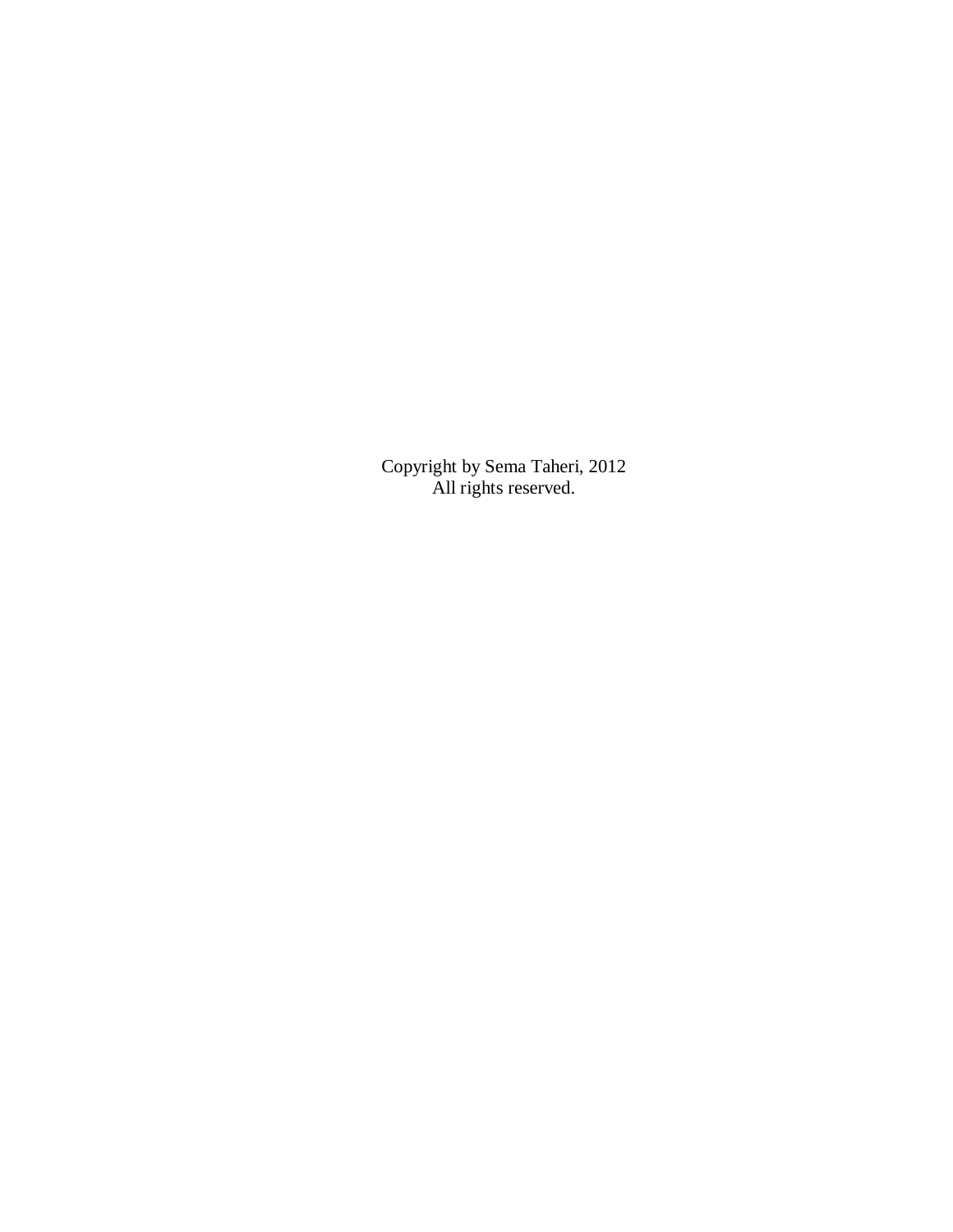Copyright by Sema Taheri, 2012 All rights reserved.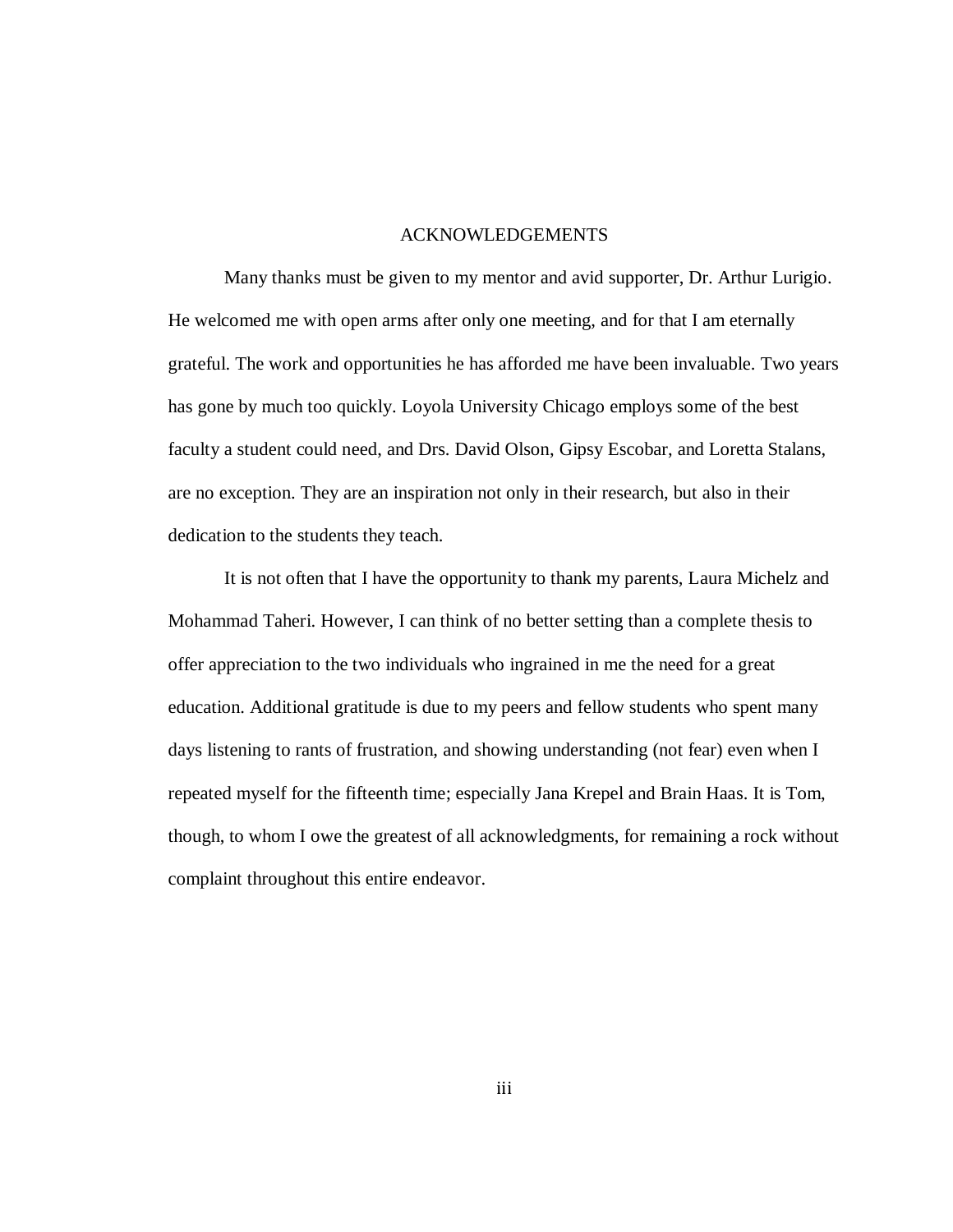## ACKNOWLEDGEMENTS

Many thanks must be given to my mentor and avid supporter, Dr. Arthur Lurigio. He welcomed me with open arms after only one meeting, and for that I am eternally grateful. The work and opportunities he has afforded me have been invaluable. Two years has gone by much too quickly. Loyola University Chicago employs some of the best faculty a student could need, and Drs. David Olson, Gipsy Escobar, and Loretta Stalans, are no exception. They are an inspiration not only in their research, but also in their dedication to the students they teach.

It is not often that I have the opportunity to thank my parents, Laura Michelz and Mohammad Taheri. However, I can think of no better setting than a complete thesis to offer appreciation to the two individuals who ingrained in me the need for a great education. Additional gratitude is due to my peers and fellow students who spent many days listening to rants of frustration, and showing understanding (not fear) even when I repeated myself for the fifteenth time; especially Jana Krepel and Brain Haas. It is Tom, though, to whom I owe the greatest of all acknowledgments, for remaining a rock without complaint throughout this entire endeavor.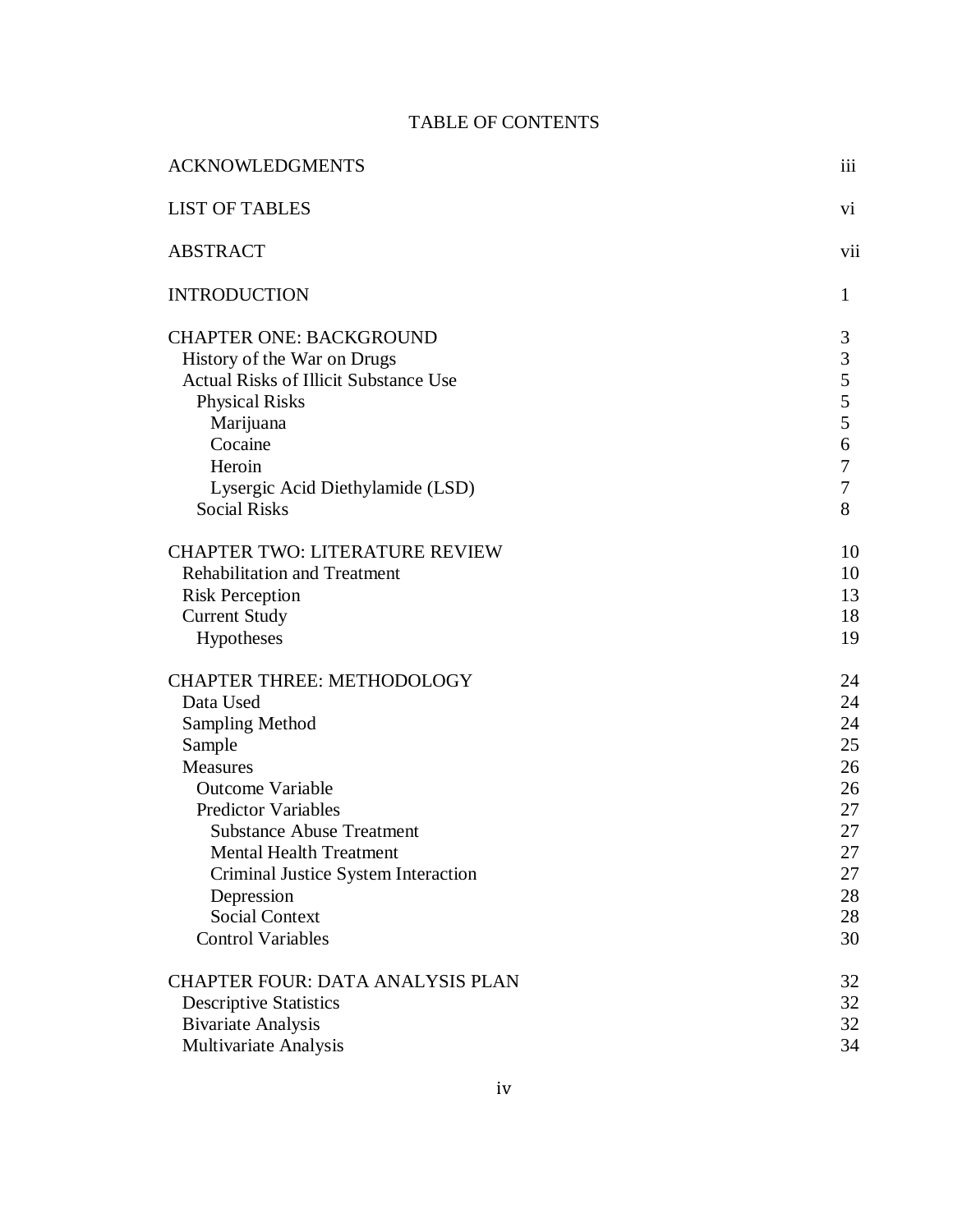# TABLE OF CONTENTS

| <b>ACKNOWLEDGMENTS</b>                       | iii          |
|----------------------------------------------|--------------|
| <b>LIST OF TABLES</b>                        | vi           |
| <b>ABSTRACT</b>                              | vii          |
| <b>INTRODUCTION</b>                          | $\mathbf{1}$ |
| <b>CHAPTER ONE: BACKGROUND</b>               | 3            |
| History of the War on Drugs                  | 3            |
| <b>Actual Risks of Illicit Substance Use</b> | 5            |
| <b>Physical Risks</b>                        | 5            |
| Marijuana                                    | 5            |
| Cocaine                                      | 6            |
| Heroin                                       | 7            |
| Lysergic Acid Diethylamide (LSD)             | 7            |
| <b>Social Risks</b>                          | 8            |
| <b>CHAPTER TWO: LITERATURE REVIEW</b>        | 10           |
| <b>Rehabilitation and Treatment</b>          | 10           |
| <b>Risk Perception</b>                       | 13           |
| <b>Current Study</b>                         | 18           |
| Hypotheses                                   | 19           |
| <b>CHAPTER THREE: METHODOLOGY</b>            | 24           |
| Data Used                                    | 24           |
| Sampling Method                              | 24           |
| Sample                                       | 25           |
| Measures                                     | 26           |
| <b>Outcome Variable</b>                      | 26           |
| <b>Predictor Variables</b>                   | 27           |
| <b>Substance Abuse Treatment</b>             | 27           |
| <b>Mental Health Treatment</b>               | 27           |
| Criminal Justice System Interaction          | 27           |
| Depression                                   | 28           |
| <b>Social Context</b>                        | 28           |
| <b>Control Variables</b>                     | 30           |
| <b>CHAPTER FOUR: DATA ANALYSIS PLAN</b>      | 32           |
| <b>Descriptive Statistics</b>                | 32           |
| <b>Bivariate Analysis</b>                    | 32           |
| Multivariate Analysis                        | 34           |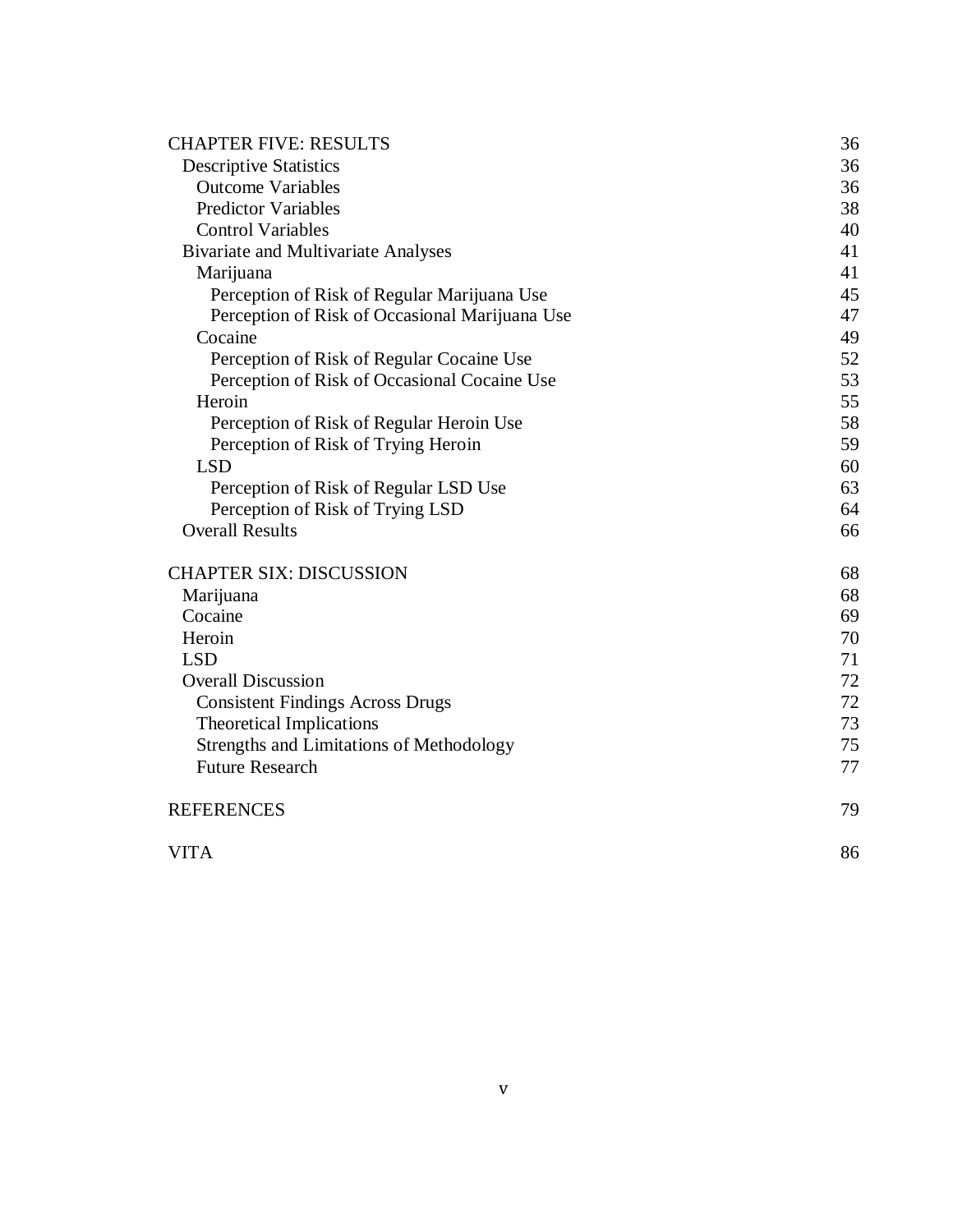| <b>CHAPTER FIVE: RESULTS</b>                    | 36 |
|-------------------------------------------------|----|
| <b>Descriptive Statistics</b>                   | 36 |
| <b>Outcome Variables</b>                        | 36 |
| <b>Predictor Variables</b>                      | 38 |
| <b>Control Variables</b>                        | 40 |
| <b>Bivariate and Multivariate Analyses</b>      | 41 |
| Marijuana                                       | 41 |
| Perception of Risk of Regular Marijuana Use     | 45 |
| Perception of Risk of Occasional Marijuana Use  | 47 |
| Cocaine                                         | 49 |
| Perception of Risk of Regular Cocaine Use       | 52 |
| Perception of Risk of Occasional Cocaine Use    | 53 |
| Heroin                                          | 55 |
| Perception of Risk of Regular Heroin Use        | 58 |
| Perception of Risk of Trying Heroin             | 59 |
| <b>LSD</b>                                      | 60 |
| Perception of Risk of Regular LSD Use           | 63 |
| Perception of Risk of Trying LSD                | 64 |
| <b>Overall Results</b>                          | 66 |
| <b>CHAPTER SIX: DISCUSSION</b>                  | 68 |
| Marijuana                                       | 68 |
| Cocaine                                         | 69 |
| Heroin                                          | 70 |
| <b>LSD</b>                                      | 71 |
| <b>Overall Discussion</b>                       | 72 |
| <b>Consistent Findings Across Drugs</b>         | 72 |
| <b>Theoretical Implications</b>                 | 73 |
| <b>Strengths and Limitations of Methodology</b> | 75 |
| <b>Future Research</b>                          | 77 |
| <b>REFERENCES</b>                               | 79 |
| <b>VITA</b>                                     | 86 |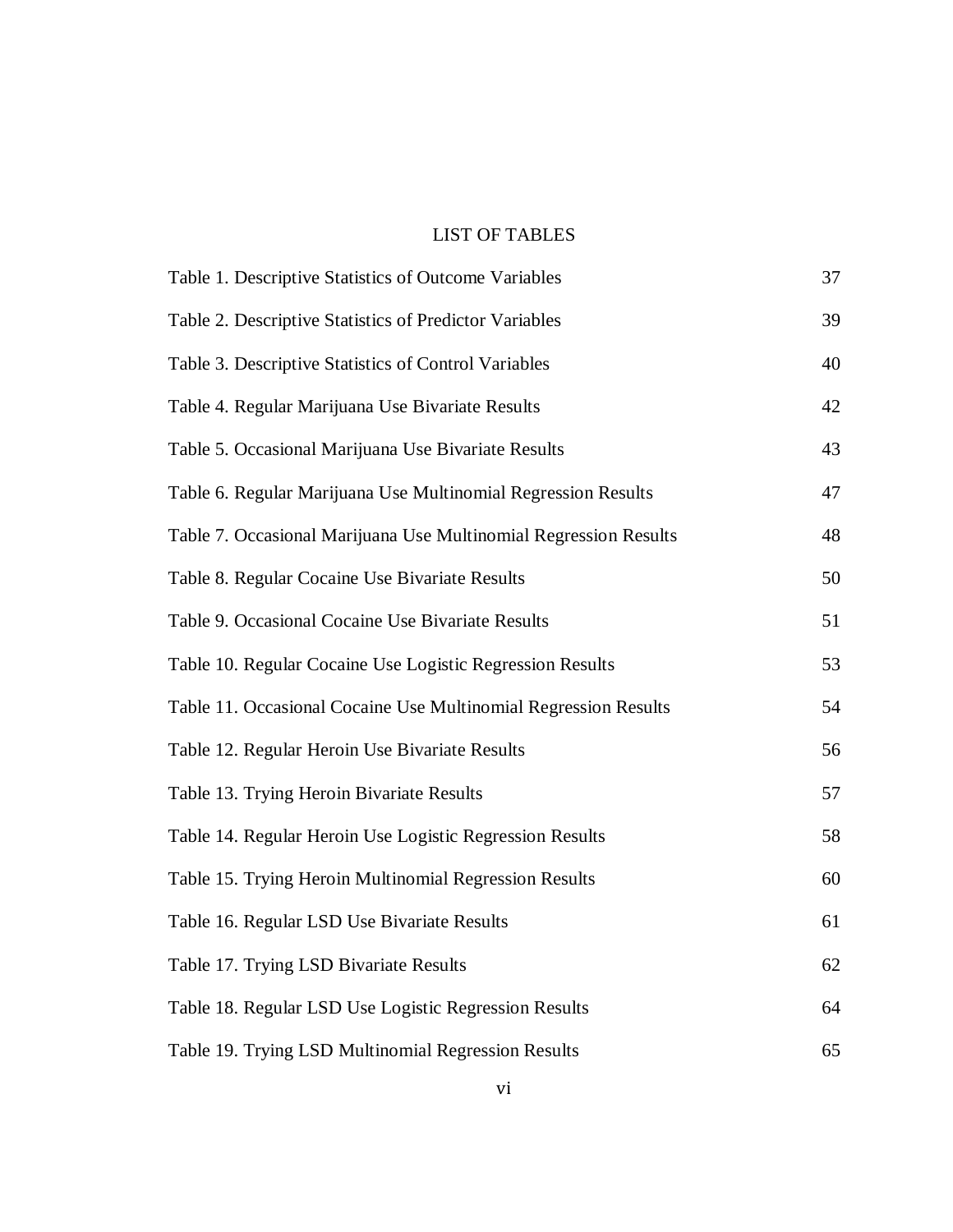# LIST OF TABLES

| Table 1. Descriptive Statistics of Outcome Variables             | 37 |
|------------------------------------------------------------------|----|
| Table 2. Descriptive Statistics of Predictor Variables           | 39 |
| Table 3. Descriptive Statistics of Control Variables             | 40 |
| Table 4. Regular Marijuana Use Bivariate Results                 | 42 |
| Table 5. Occasional Marijuana Use Bivariate Results              | 43 |
| Table 6. Regular Marijuana Use Multinomial Regression Results    | 47 |
| Table 7. Occasional Marijuana Use Multinomial Regression Results | 48 |
| Table 8. Regular Cocaine Use Bivariate Results                   | 50 |
| Table 9. Occasional Cocaine Use Bivariate Results                | 51 |
| Table 10. Regular Cocaine Use Logistic Regression Results        | 53 |
| Table 11. Occasional Cocaine Use Multinomial Regression Results  | 54 |
| Table 12. Regular Heroin Use Bivariate Results                   | 56 |
| Table 13. Trying Heroin Bivariate Results                        | 57 |
| Table 14. Regular Heroin Use Logistic Regression Results         | 58 |
| Table 15. Trying Heroin Multinomial Regression Results           | 60 |
| Table 16. Regular LSD Use Bivariate Results                      | 61 |
| Table 17. Trying LSD Bivariate Results                           | 62 |
| Table 18. Regular LSD Use Logistic Regression Results            | 64 |
| Table 19. Trying LSD Multinomial Regression Results              | 65 |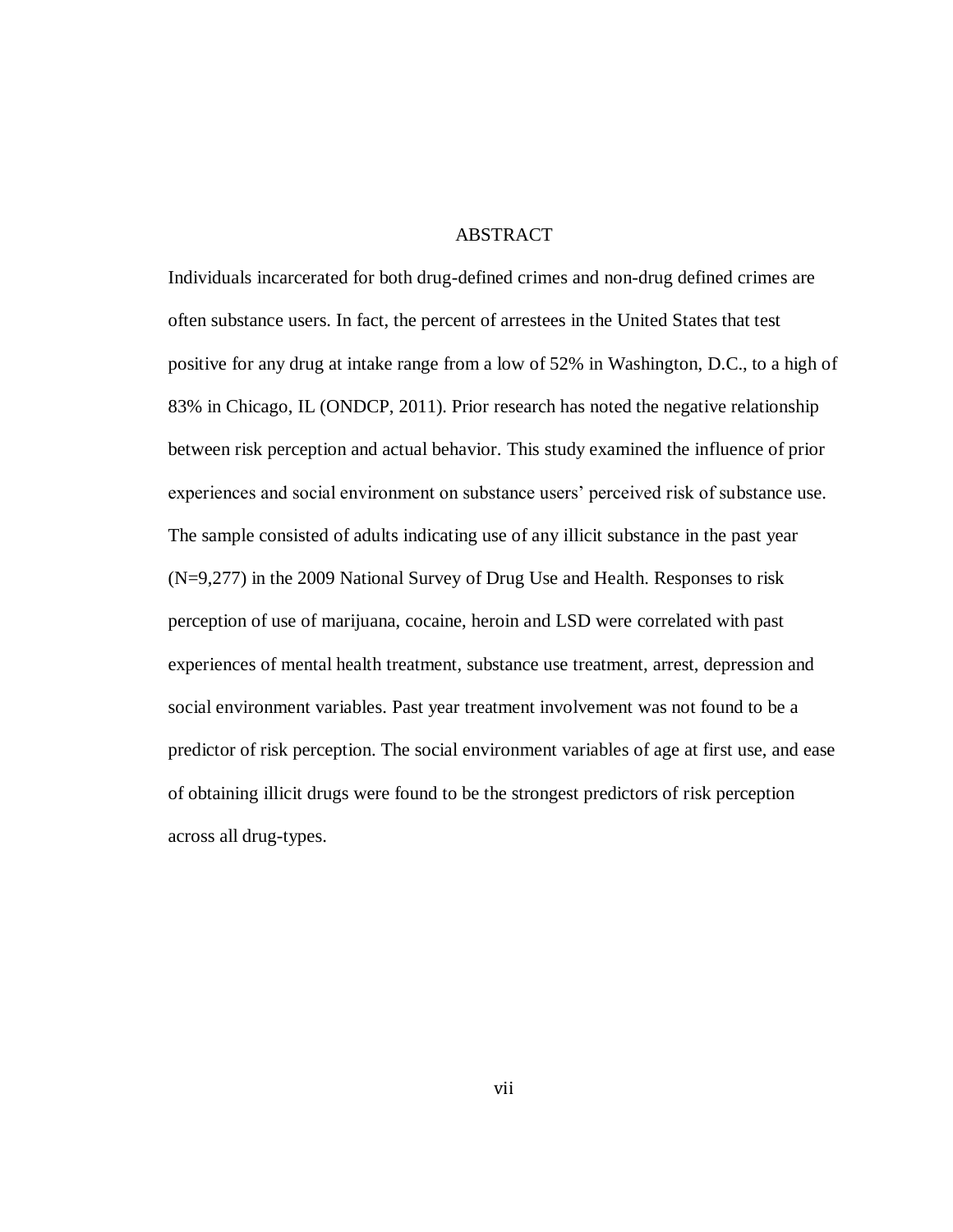# ABSTRACT

Individuals incarcerated for both drug-defined crimes and non-drug defined crimes are often substance users. In fact, the percent of arrestees in the United States that test positive for any drug at intake range from a low of 52% in Washington, D.C., to a high of 83% in Chicago, IL (ONDCP, 2011). Prior research has noted the negative relationship between risk perception and actual behavior. This study examined the influence of prior experiences and social environment on substance users' perceived risk of substance use. The sample consisted of adults indicating use of any illicit substance in the past year (N=9,277) in the 2009 National Survey of Drug Use and Health. Responses to risk perception of use of marijuana, cocaine, heroin and LSD were correlated with past experiences of mental health treatment, substance use treatment, arrest, depression and social environment variables. Past year treatment involvement was not found to be a predictor of risk perception. The social environment variables of age at first use, and ease of obtaining illicit drugs were found to be the strongest predictors of risk perception across all drug-types.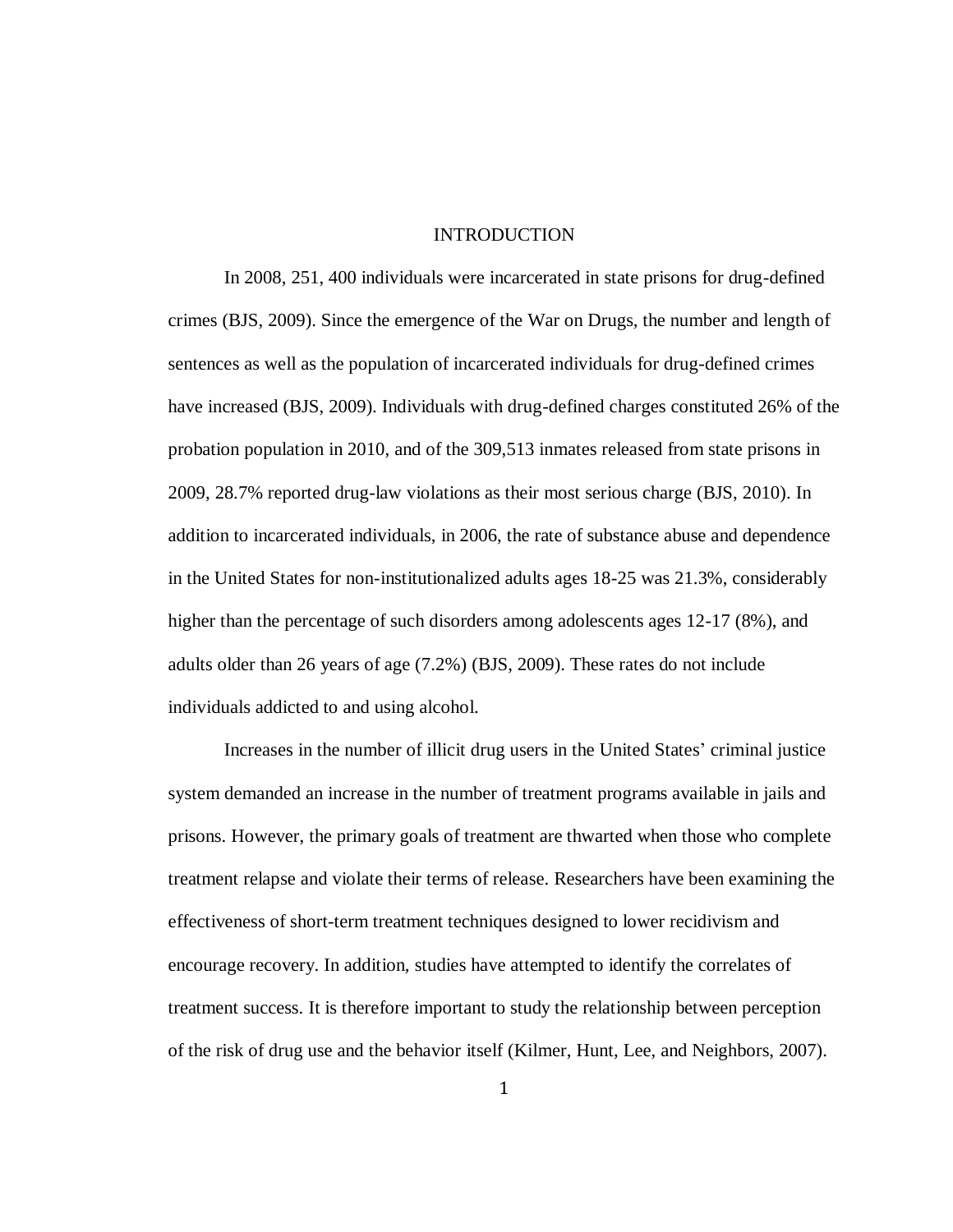## **INTRODUCTION**

In 2008, 251, 400 individuals were incarcerated in state prisons for drug-defined crimes (BJS, 2009). Since the emergence of the War on Drugs, the number and length of sentences as well as the population of incarcerated individuals for drug-defined crimes have increased (BJS, 2009). Individuals with drug-defined charges constituted 26% of the probation population in 2010, and of the 309,513 inmates released from state prisons in 2009, 28.7% reported drug-law violations as their most serious charge (BJS, 2010). In addition to incarcerated individuals, in 2006, the rate of substance abuse and dependence in the United States for non-institutionalized adults ages 18-25 was 21.3%, considerably higher than the percentage of such disorders among adolescents ages 12-17 (8%), and adults older than 26 years of age (7.2%) (BJS, 2009). These rates do not include individuals addicted to and using alcohol.

Increases in the number of illicit drug users in the United States' criminal justice system demanded an increase in the number of treatment programs available in jails and prisons. However, the primary goals of treatment are thwarted when those who complete treatment relapse and violate their terms of release. Researchers have been examining the effectiveness of short-term treatment techniques designed to lower recidivism and encourage recovery. In addition, studies have attempted to identify the correlates of treatment success. It is therefore important to study the relationship between perception of the risk of drug use and the behavior itself (Kilmer, Hunt, Lee, and Neighbors, 2007).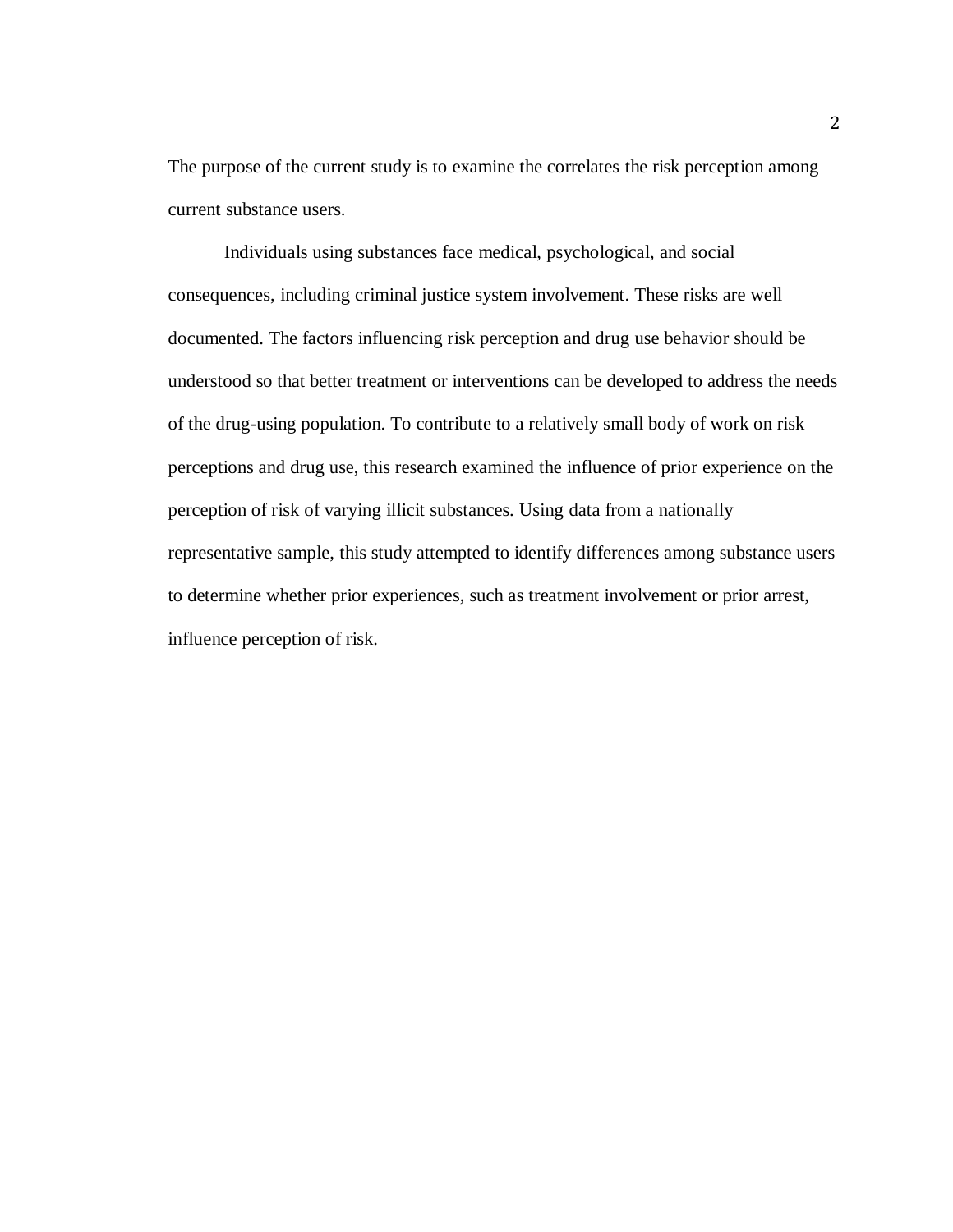The purpose of the current study is to examine the correlates the risk perception among current substance users.

Individuals using substances face medical, psychological, and social consequences, including criminal justice system involvement. These risks are well documented. The factors influencing risk perception and drug use behavior should be understood so that better treatment or interventions can be developed to address the needs of the drug-using population. To contribute to a relatively small body of work on risk perceptions and drug use, this research examined the influence of prior experience on the perception of risk of varying illicit substances. Using data from a nationally representative sample, this study attempted to identify differences among substance users to determine whether prior experiences, such as treatment involvement or prior arrest, influence perception of risk.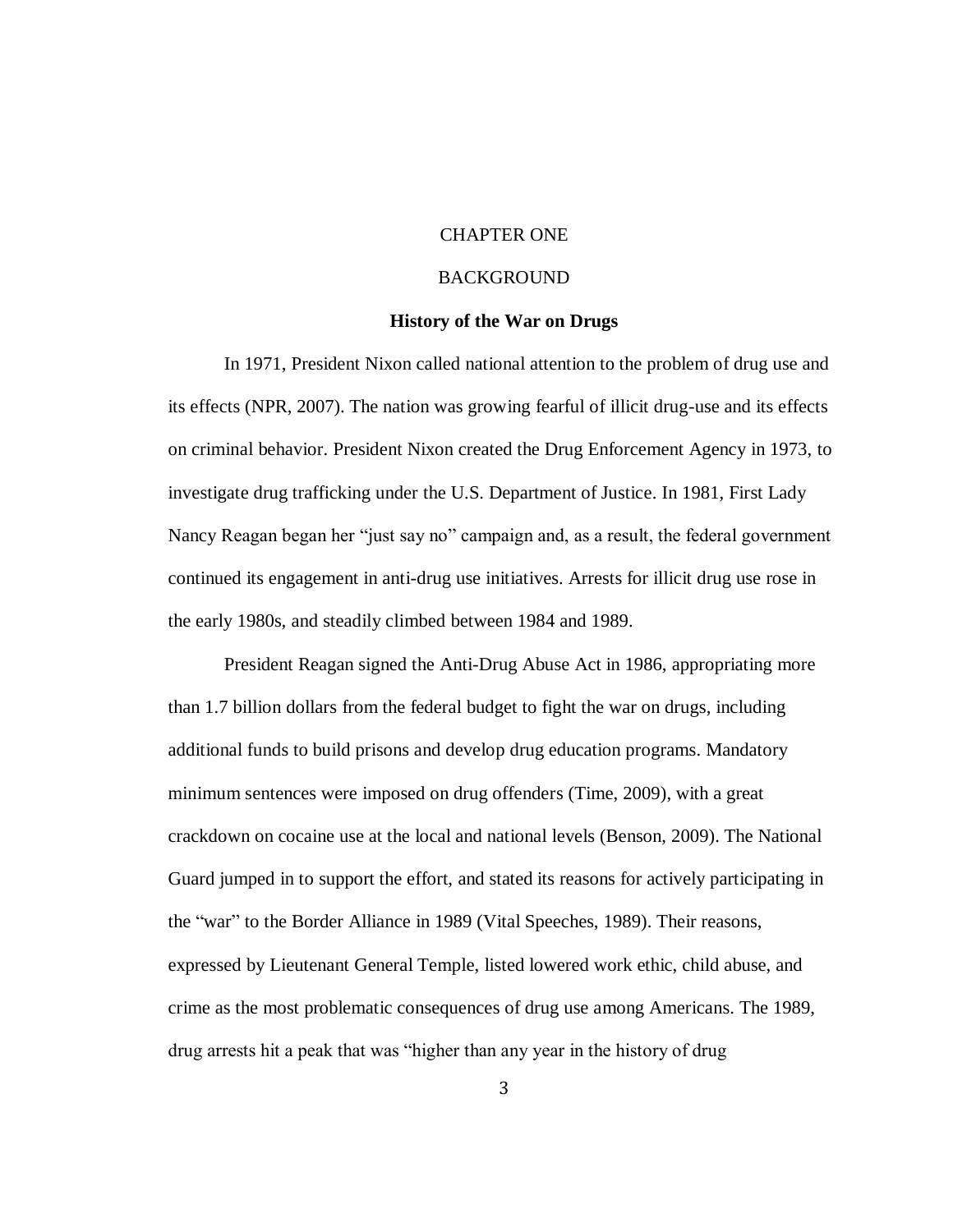# CHAPTER ONE

# BACKGROUND

#### **History of the War on Drugs**

In 1971, President Nixon called national attention to the problem of drug use and its effects (NPR, 2007). The nation was growing fearful of illicit drug-use and its effects on criminal behavior. President Nixon created the Drug Enforcement Agency in 1973, to investigate drug trafficking under the U.S. Department of Justice. In 1981, First Lady Nancy Reagan began her "just say no" campaign and, as a result, the federal government continued its engagement in anti-drug use initiatives. Arrests for illicit drug use rose in the early 1980s, and steadily climbed between 1984 and 1989.

President Reagan signed the Anti-Drug Abuse Act in 1986, appropriating more than 1.7 billion dollars from the federal budget to fight the war on drugs, including additional funds to build prisons and develop drug education programs. Mandatory minimum sentences were imposed on drug offenders (Time, 2009), with a great crackdown on cocaine use at the local and national levels (Benson, 2009). The National Guard jumped in to support the effort, and stated its reasons for actively participating in the "war" to the Border Alliance in 1989 (Vital Speeches, 1989). Their reasons, expressed by Lieutenant General Temple, listed lowered work ethic, child abuse, and crime as the most problematic consequences of drug use among Americans. The 1989, drug arrests hit a peak that was "higher than any year in the history of drug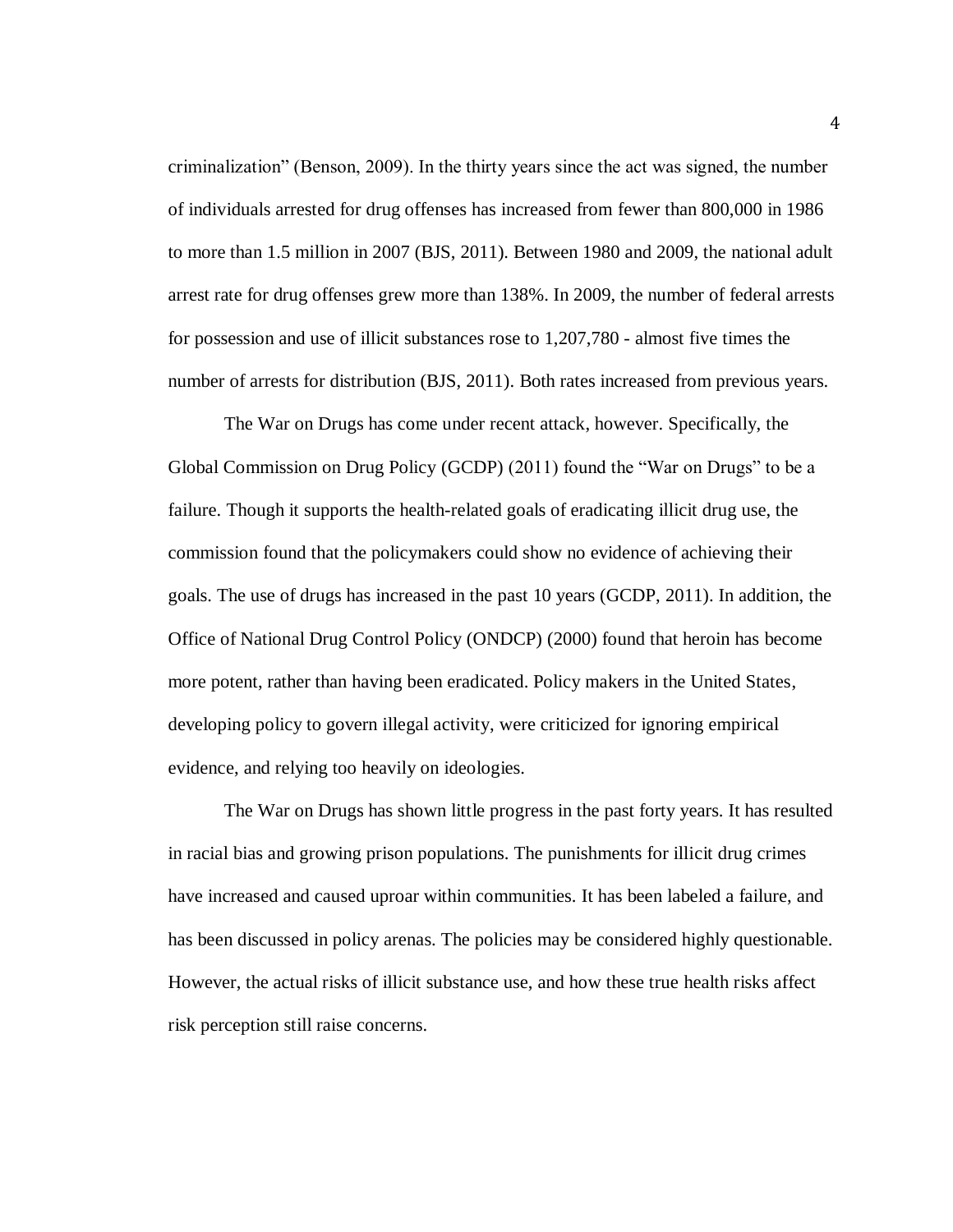criminalization" (Benson, 2009). In the thirty years since the act was signed, the number of individuals arrested for drug offenses has increased from fewer than 800,000 in 1986 to more than 1.5 million in 2007 (BJS, 2011). Between 1980 and 2009, the national adult arrest rate for drug offenses grew more than 138%. In 2009, the number of federal arrests for possession and use of illicit substances rose to 1,207,780 - almost five times the number of arrests for distribution (BJS, 2011). Both rates increased from previous years.

The War on Drugs has come under recent attack, however. Specifically, the Global Commission on Drug Policy (GCDP) (2011) found the "War on Drugs" to be a failure. Though it supports the health-related goals of eradicating illicit drug use, the commission found that the policymakers could show no evidence of achieving their goals. The use of drugs has increased in the past 10 years (GCDP, 2011). In addition, the Office of National Drug Control Policy (ONDCP) (2000) found that heroin has become more potent, rather than having been eradicated. Policy makers in the United States, developing policy to govern illegal activity, were criticized for ignoring empirical evidence, and relying too heavily on ideologies.

The War on Drugs has shown little progress in the past forty years. It has resulted in racial bias and growing prison populations. The punishments for illicit drug crimes have increased and caused uproar within communities. It has been labeled a failure, and has been discussed in policy arenas. The policies may be considered highly questionable. However, the actual risks of illicit substance use, and how these true health risks affect risk perception still raise concerns.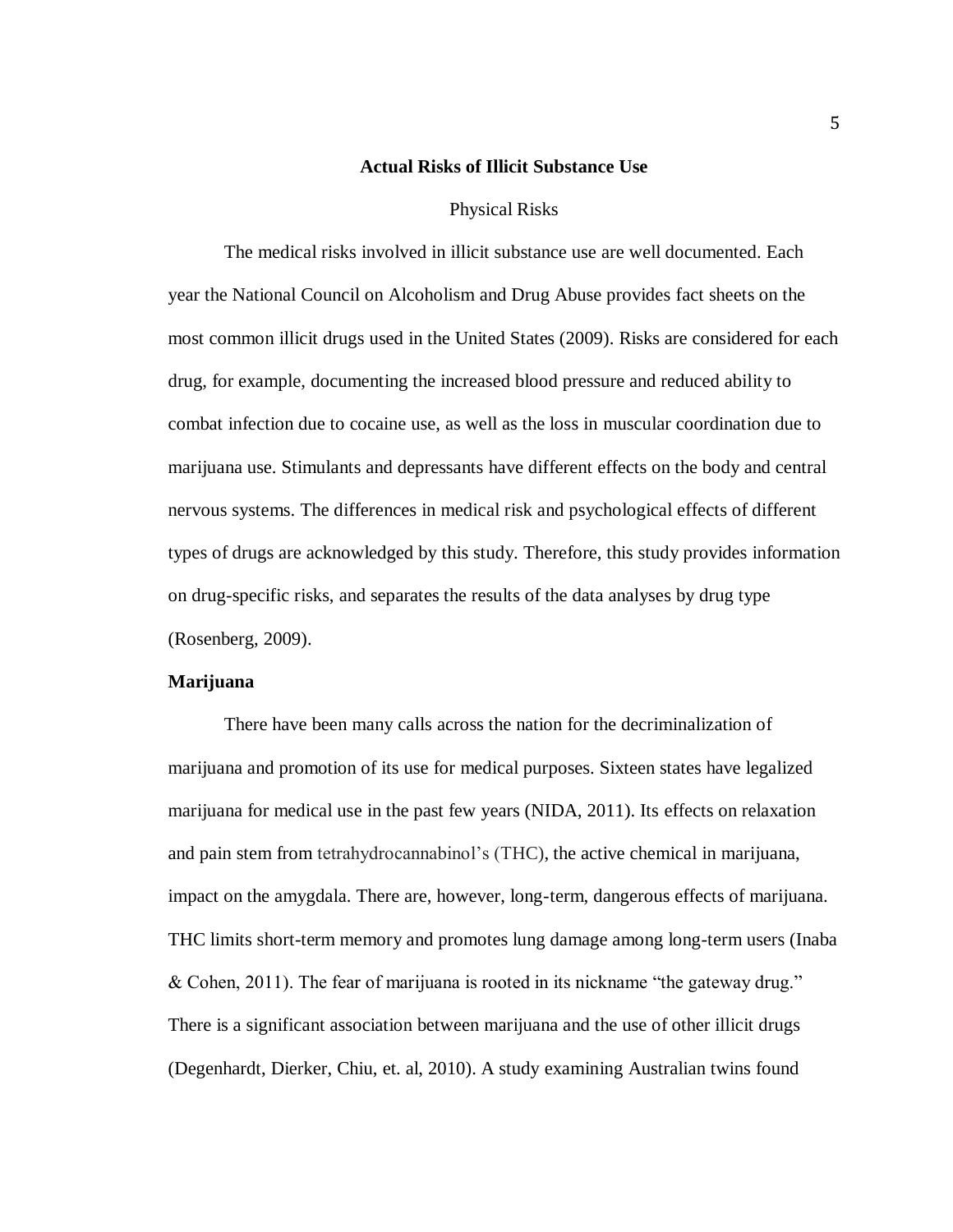#### **Actual Risks of Illicit Substance Use**

#### Physical Risks

The medical risks involved in illicit substance use are well documented. Each year the National Council on Alcoholism and Drug Abuse provides fact sheets on the most common illicit drugs used in the United States (2009). Risks are considered for each drug, for example, documenting the increased blood pressure and reduced ability to combat infection due to cocaine use, as well as the loss in muscular coordination due to marijuana use. Stimulants and depressants have different effects on the body and central nervous systems. The differences in medical risk and psychological effects of different types of drugs are acknowledged by this study. Therefore, this study provides information on drug-specific risks, and separates the results of the data analyses by drug type (Rosenberg, 2009).

#### **Marijuana**

There have been many calls across the nation for the decriminalization of marijuana and promotion of its use for medical purposes. Sixteen states have legalized marijuana for medical use in the past few years (NIDA, 2011). Its effects on relaxation and pain stem from tetrahydrocannabinol's (THC), the active chemical in marijuana, impact on the amygdala. There are, however, long-term, dangerous effects of marijuana. THC limits short-term memory and promotes lung damage among long-term users (Inaba & Cohen, 2011). The fear of marijuana is rooted in its nickname "the gateway drug." There is a significant association between marijuana and the use of other illicit drugs (Degenhardt, Dierker, Chiu, et. al, 2010). A study examining Australian twins found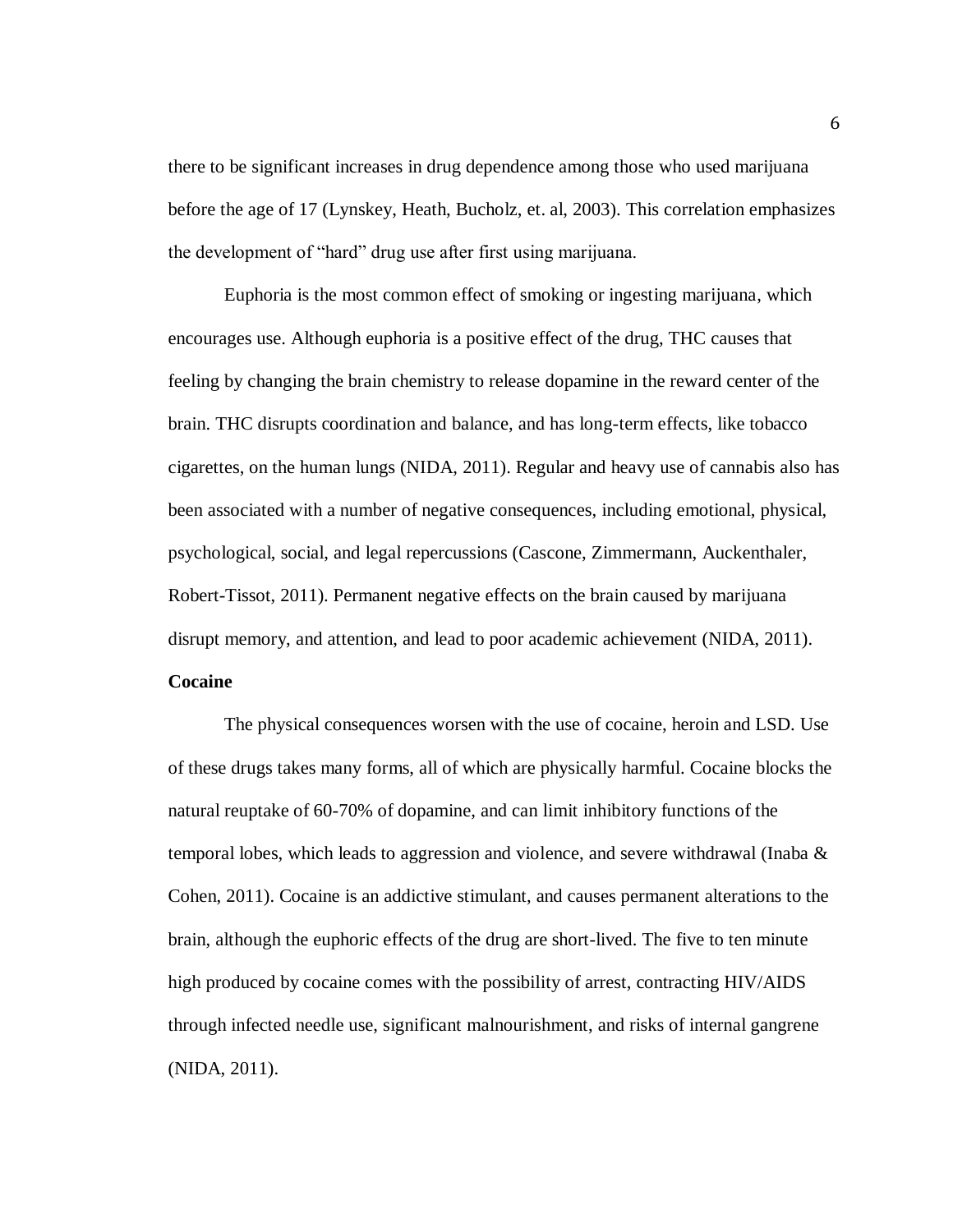there to be significant increases in drug dependence among those who used marijuana before the age of 17 (Lynskey, Heath, Bucholz, et. al, 2003). This correlation emphasizes the development of "hard" drug use after first using marijuana.

Euphoria is the most common effect of smoking or ingesting marijuana, which encourages use. Although euphoria is a positive effect of the drug, THC causes that feeling by changing the brain chemistry to release dopamine in the reward center of the brain. THC disrupts coordination and balance, and has long-term effects, like tobacco cigarettes, on the human lungs (NIDA, 2011). Regular and heavy use of cannabis also has been associated with a number of negative consequences, including emotional, physical, psychological, social, and legal repercussions (Cascone, Zimmermann, Auckenthaler, Robert-Tissot, 2011). Permanent negative effects on the brain caused by marijuana disrupt memory, and attention, and lead to poor academic achievement (NIDA, 2011). **Cocaine**

The physical consequences worsen with the use of cocaine, heroin and LSD. Use of these drugs takes many forms, all of which are physically harmful. Cocaine blocks the natural reuptake of 60-70% of dopamine, and can limit inhibitory functions of the temporal lobes, which leads to aggression and violence, and severe withdrawal (Inaba  $\&$ Cohen, 2011). Cocaine is an addictive stimulant, and causes permanent alterations to the brain, although the euphoric effects of the drug are short-lived. The five to ten minute high produced by cocaine comes with the possibility of arrest, contracting HIV/AIDS through infected needle use, significant malnourishment, and risks of internal gangrene (NIDA, 2011).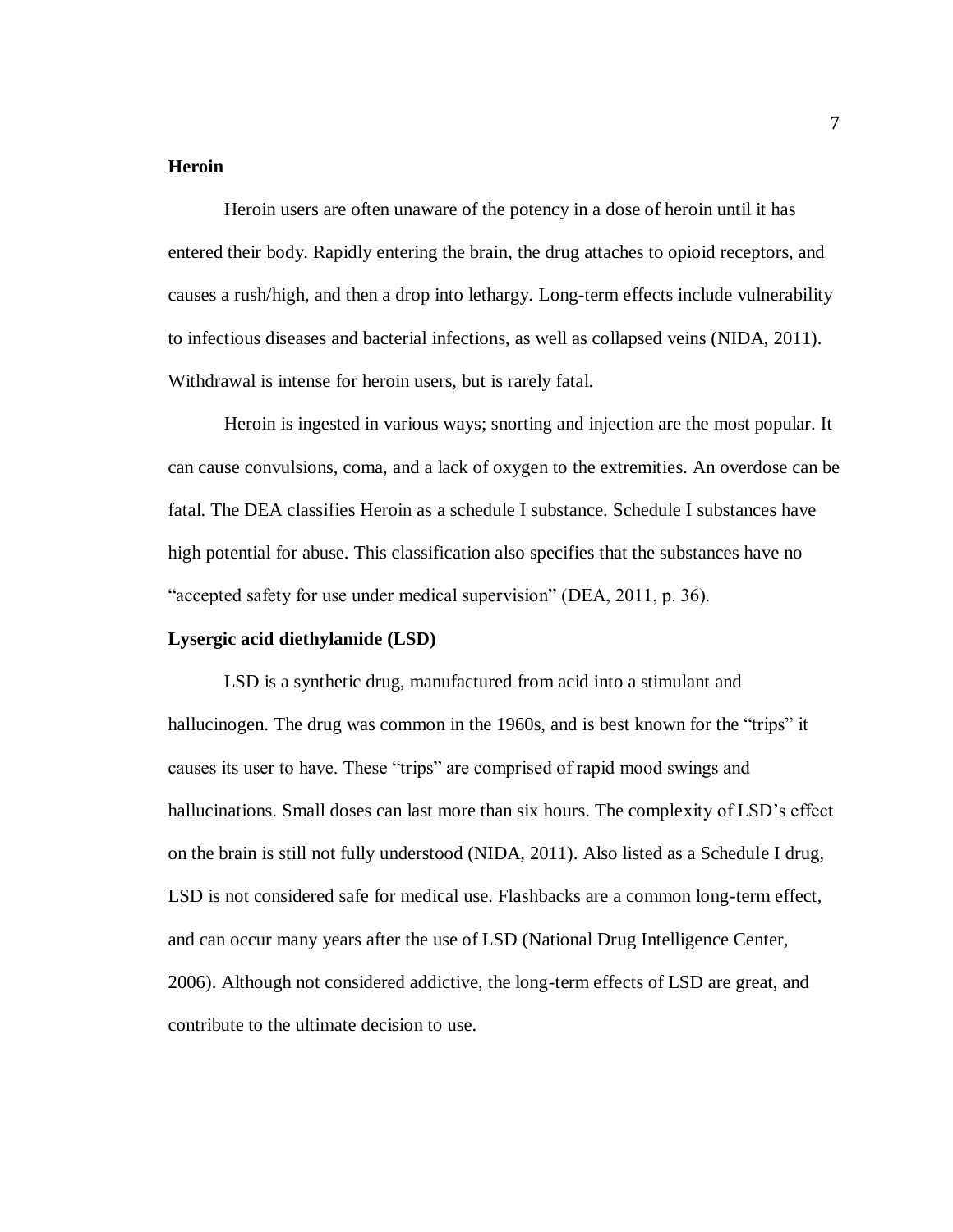# **Heroin**

Heroin users are often unaware of the potency in a dose of heroin until it has entered their body. Rapidly entering the brain, the drug attaches to opioid receptors, and causes a rush/high, and then a drop into lethargy. Long-term effects include vulnerability to infectious diseases and bacterial infections, as well as collapsed veins (NIDA, 2011). Withdrawal is intense for heroin users, but is rarely fatal.

Heroin is ingested in various ways; snorting and injection are the most popular. It can cause convulsions, coma, and a lack of oxygen to the extremities. An overdose can be fatal. The DEA classifies Heroin as a schedule I substance. Schedule I substances have high potential for abuse. This classification also specifies that the substances have no "accepted safety for use under medical supervision" (DEA, 2011, p. 36).

# **Lysergic acid diethylamide (LSD)**

LSD is a synthetic drug, manufactured from acid into a stimulant and hallucinogen. The drug was common in the 1960s, and is best known for the "trips" it causes its user to have. These "trips" are comprised of rapid mood swings and hallucinations. Small doses can last more than six hours. The complexity of LSD's effect on the brain is still not fully understood (NIDA, 2011). Also listed as a Schedule I drug, LSD is not considered safe for medical use. Flashbacks are a common long-term effect, and can occur many years after the use of LSD (National Drug Intelligence Center, 2006). Although not considered addictive, the long-term effects of LSD are great, and contribute to the ultimate decision to use.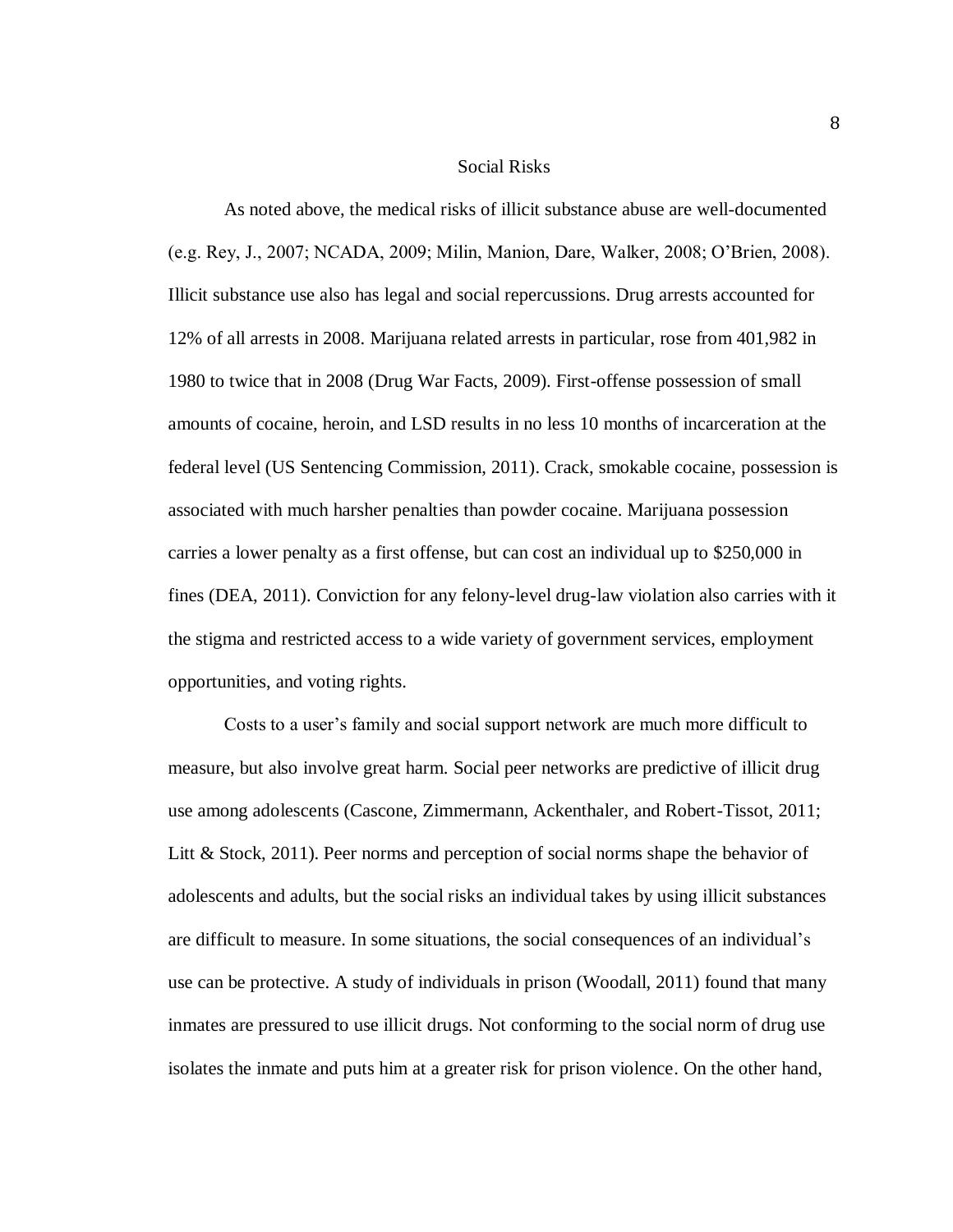#### Social Risks

As noted above, the medical risks of illicit substance abuse are well-documented (e.g. Rey, J., 2007; NCADA, 2009; Milin, Manion, Dare, Walker, 2008; O'Brien, 2008). Illicit substance use also has legal and social repercussions. Drug arrests accounted for 12% of all arrests in 2008. Marijuana related arrests in particular, rose from 401,982 in 1980 to twice that in 2008 (Drug War Facts, 2009). First-offense possession of small amounts of cocaine, heroin, and LSD results in no less 10 months of incarceration at the federal level (US Sentencing Commission, 2011). Crack, smokable cocaine, possession is associated with much harsher penalties than powder cocaine. Marijuana possession carries a lower penalty as a first offense, but can cost an individual up to \$250,000 in fines (DEA, 2011). Conviction for any felony-level drug-law violation also carries with it the stigma and restricted access to a wide variety of government services, employment opportunities, and voting rights.

Costs to a user's family and social support network are much more difficult to measure, but also involve great harm. Social peer networks are predictive of illicit drug use among adolescents (Cascone, Zimmermann, Ackenthaler, and Robert-Tissot, 2011; Litt & Stock, 2011). Peer norms and perception of social norms shape the behavior of adolescents and adults, but the social risks an individual takes by using illicit substances are difficult to measure. In some situations, the social consequences of an individual's use can be protective. A study of individuals in prison (Woodall, 2011) found that many inmates are pressured to use illicit drugs. Not conforming to the social norm of drug use isolates the inmate and puts him at a greater risk for prison violence. On the other hand,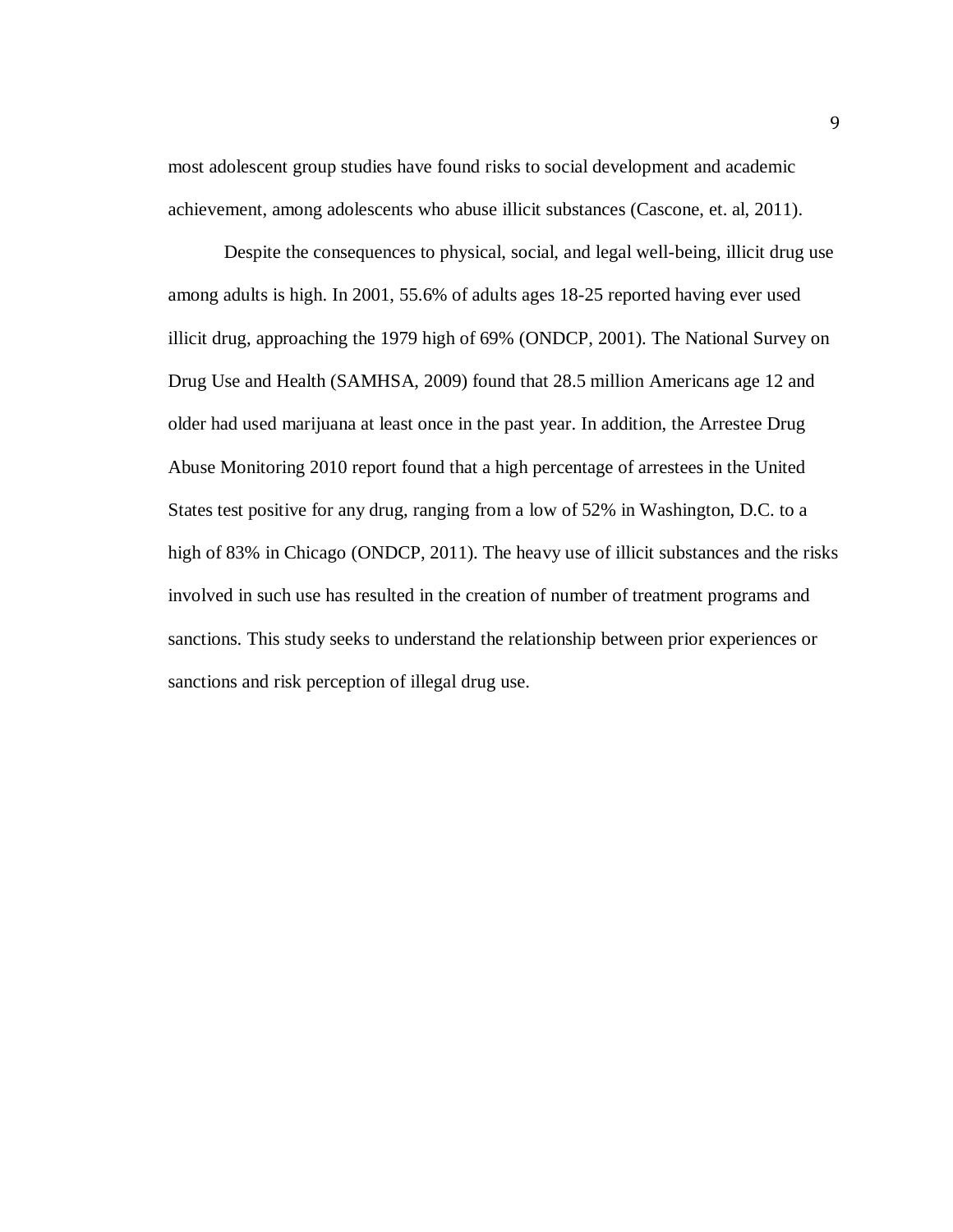most adolescent group studies have found risks to social development and academic achievement, among adolescents who abuse illicit substances (Cascone, et. al, 2011).

Despite the consequences to physical, social, and legal well-being, illicit drug use among adults is high. In 2001, 55.6% of adults ages 18-25 reported having ever used illicit drug, approaching the 1979 high of 69% (ONDCP, 2001). The National Survey on Drug Use and Health (SAMHSA, 2009) found that 28.5 million Americans age 12 and older had used marijuana at least once in the past year. In addition, the Arrestee Drug Abuse Monitoring 2010 report found that a high percentage of arrestees in the United States test positive for any drug, ranging from a low of 52% in Washington, D.C. to a high of 83% in Chicago (ONDCP, 2011). The heavy use of illicit substances and the risks involved in such use has resulted in the creation of number of treatment programs and sanctions. This study seeks to understand the relationship between prior experiences or sanctions and risk perception of illegal drug use.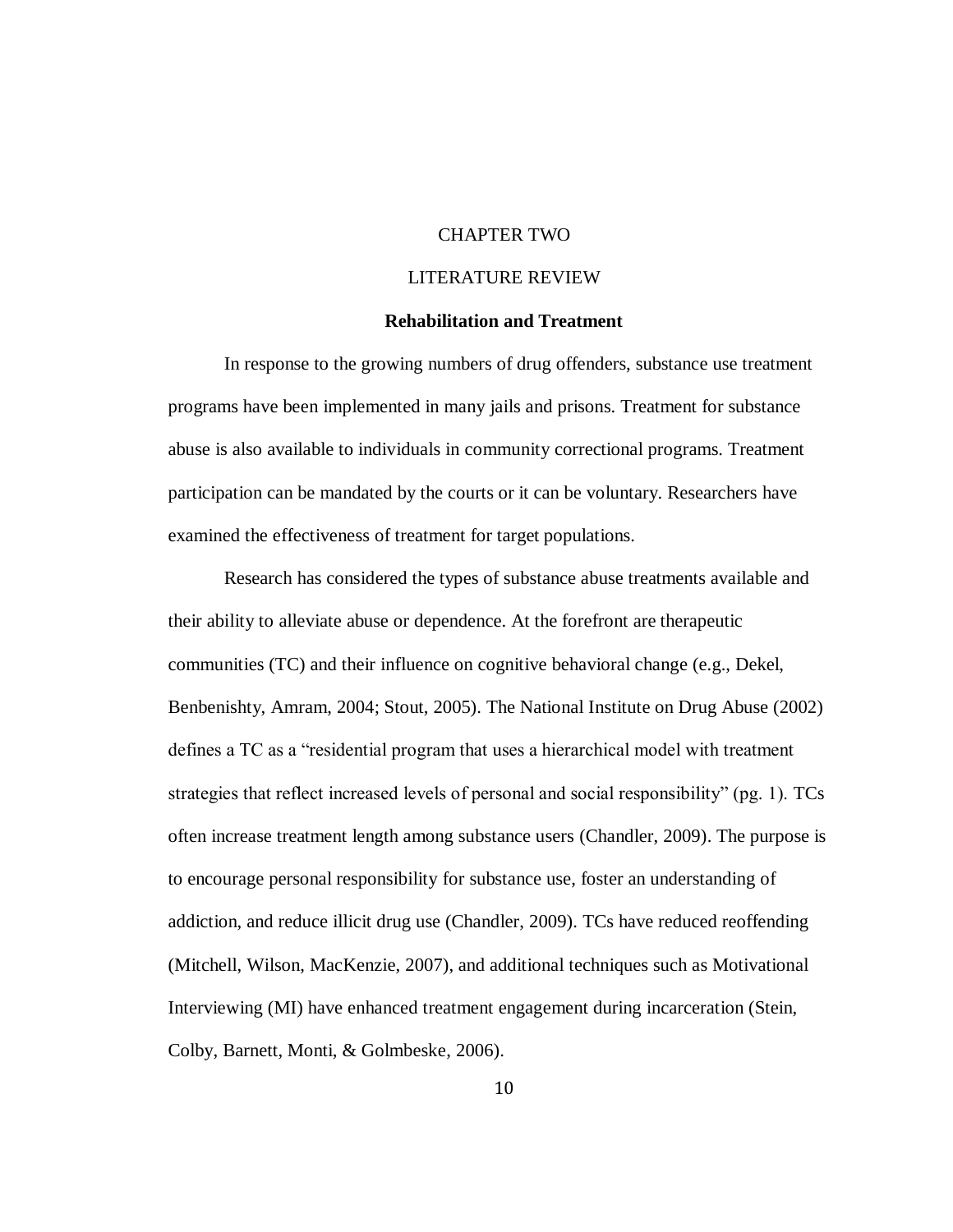# CHAPTER TWO

# LITERATURE REVIEW

# **Rehabilitation and Treatment**

In response to the growing numbers of drug offenders, substance use treatment programs have been implemented in many jails and prisons. Treatment for substance abuse is also available to individuals in community correctional programs. Treatment participation can be mandated by the courts or it can be voluntary. Researchers have examined the effectiveness of treatment for target populations.

Research has considered the types of substance abuse treatments available and their ability to alleviate abuse or dependence. At the forefront are therapeutic communities (TC) and their influence on cognitive behavioral change (e.g., Dekel, Benbenishty, Amram, 2004; Stout, 2005). The National Institute on Drug Abuse (2002) defines a TC as a "residential program that uses a hierarchical model with treatment strategies that reflect increased levels of personal and social responsibility" (pg. 1). TCs often increase treatment length among substance users (Chandler, 2009). The purpose is to encourage personal responsibility for substance use, foster an understanding of addiction, and reduce illicit drug use (Chandler, 2009). TCs have reduced reoffending (Mitchell, Wilson, MacKenzie, 2007), and additional techniques such as Motivational Interviewing (MI) have enhanced treatment engagement during incarceration (Stein, Colby, Barnett, Monti, & Golmbeske, 2006).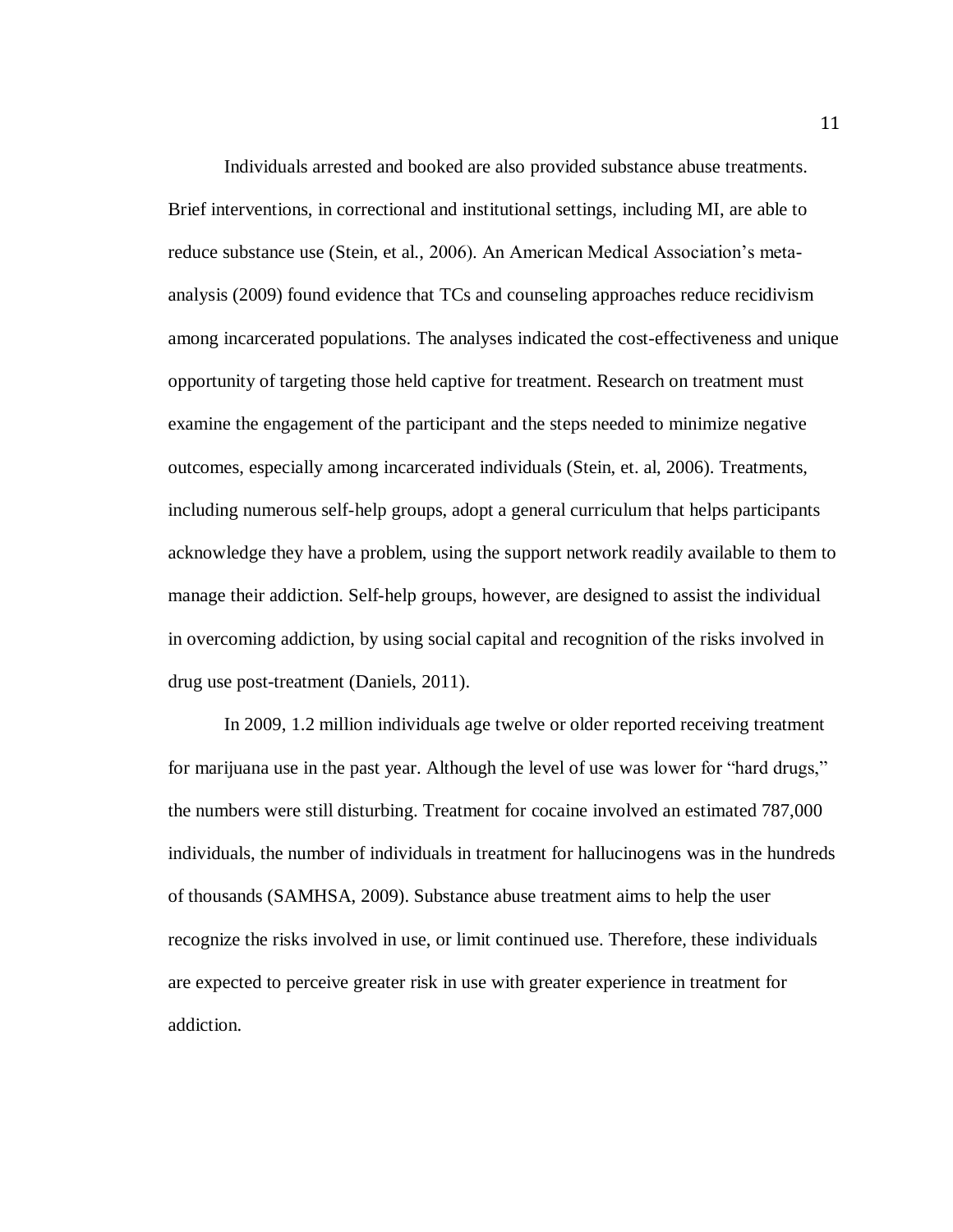Individuals arrested and booked are also provided substance abuse treatments. Brief interventions, in correctional and institutional settings, including MI, are able to reduce substance use (Stein, et al., 2006). An American Medical Association's metaanalysis (2009) found evidence that TCs and counseling approaches reduce recidivism among incarcerated populations. The analyses indicated the cost-effectiveness and unique opportunity of targeting those held captive for treatment. Research on treatment must examine the engagement of the participant and the steps needed to minimize negative outcomes, especially among incarcerated individuals (Stein, et. al, 2006). Treatments, including numerous self-help groups, adopt a general curriculum that helps participants acknowledge they have a problem, using the support network readily available to them to manage their addiction. Self-help groups, however, are designed to assist the individual in overcoming addiction, by using social capital and recognition of the risks involved in drug use post-treatment (Daniels, 2011).

In 2009, 1.2 million individuals age twelve or older reported receiving treatment for marijuana use in the past year. Although the level of use was lower for "hard drugs," the numbers were still disturbing. Treatment for cocaine involved an estimated 787,000 individuals, the number of individuals in treatment for hallucinogens was in the hundreds of thousands (SAMHSA, 2009). Substance abuse treatment aims to help the user recognize the risks involved in use, or limit continued use. Therefore, these individuals are expected to perceive greater risk in use with greater experience in treatment for addiction.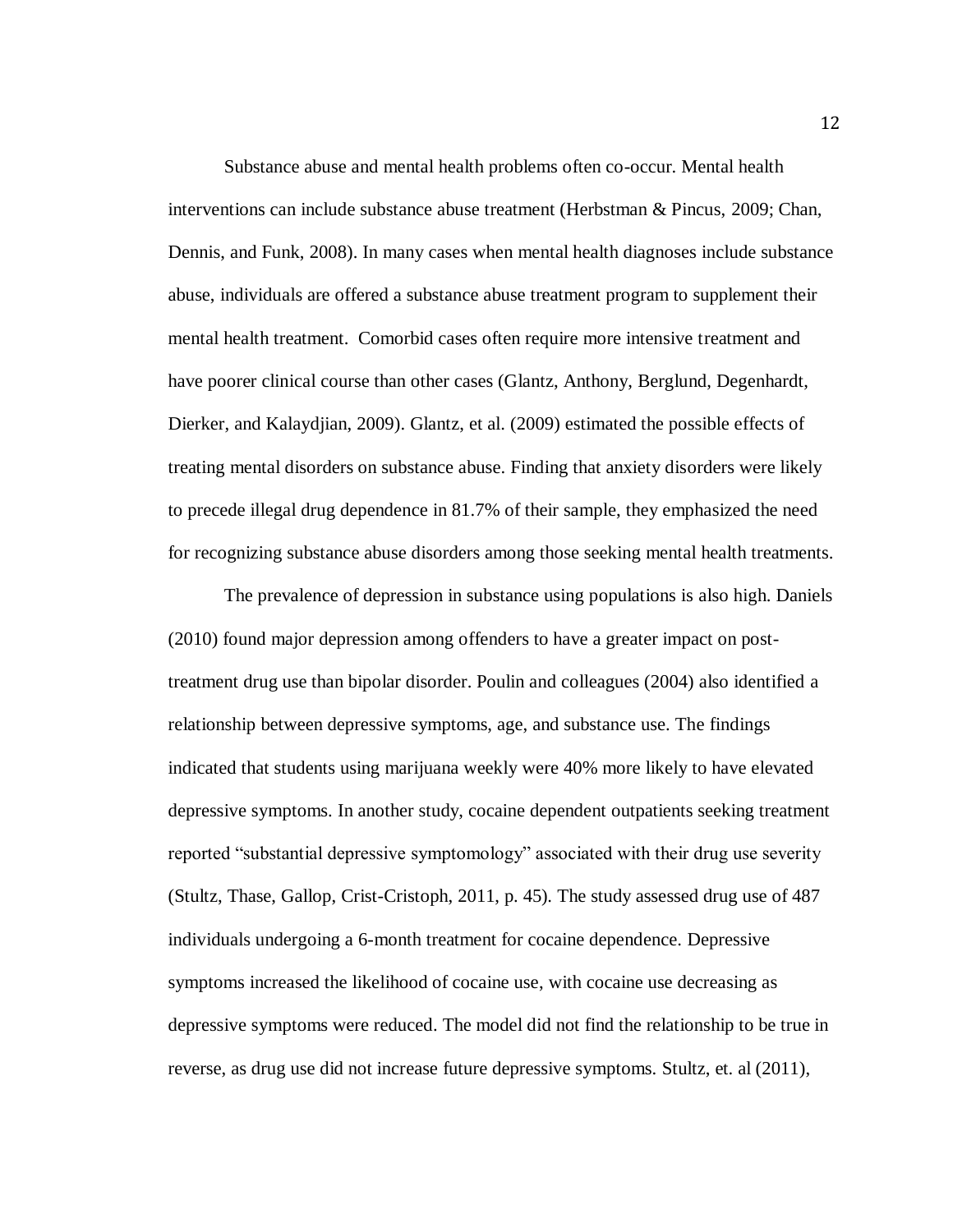Substance abuse and mental health problems often co-occur. Mental health interventions can include substance abuse treatment (Herbstman & Pincus, 2009; Chan, Dennis, and Funk, 2008). In many cases when mental health diagnoses include substance abuse, individuals are offered a substance abuse treatment program to supplement their mental health treatment. Comorbid cases often require more intensive treatment and have poorer clinical course than other cases (Glantz, Anthony, Berglund, Degenhardt, Dierker, and Kalaydjian, 2009). Glantz, et al. (2009) estimated the possible effects of treating mental disorders on substance abuse. Finding that anxiety disorders were likely to precede illegal drug dependence in 81.7% of their sample, they emphasized the need for recognizing substance abuse disorders among those seeking mental health treatments.

The prevalence of depression in substance using populations is also high. Daniels (2010) found major depression among offenders to have a greater impact on posttreatment drug use than bipolar disorder. Poulin and colleagues (2004) also identified a relationship between depressive symptoms, age, and substance use. The findings indicated that students using marijuana weekly were 40% more likely to have elevated depressive symptoms. In another study, cocaine dependent outpatients seeking treatment reported "substantial depressive symptomology" associated with their drug use severity (Stultz, Thase, Gallop, Crist-Cristoph, 2011, p. 45). The study assessed drug use of 487 individuals undergoing a 6-month treatment for cocaine dependence. Depressive symptoms increased the likelihood of cocaine use, with cocaine use decreasing as depressive symptoms were reduced. The model did not find the relationship to be true in reverse, as drug use did not increase future depressive symptoms. Stultz, et. al (2011),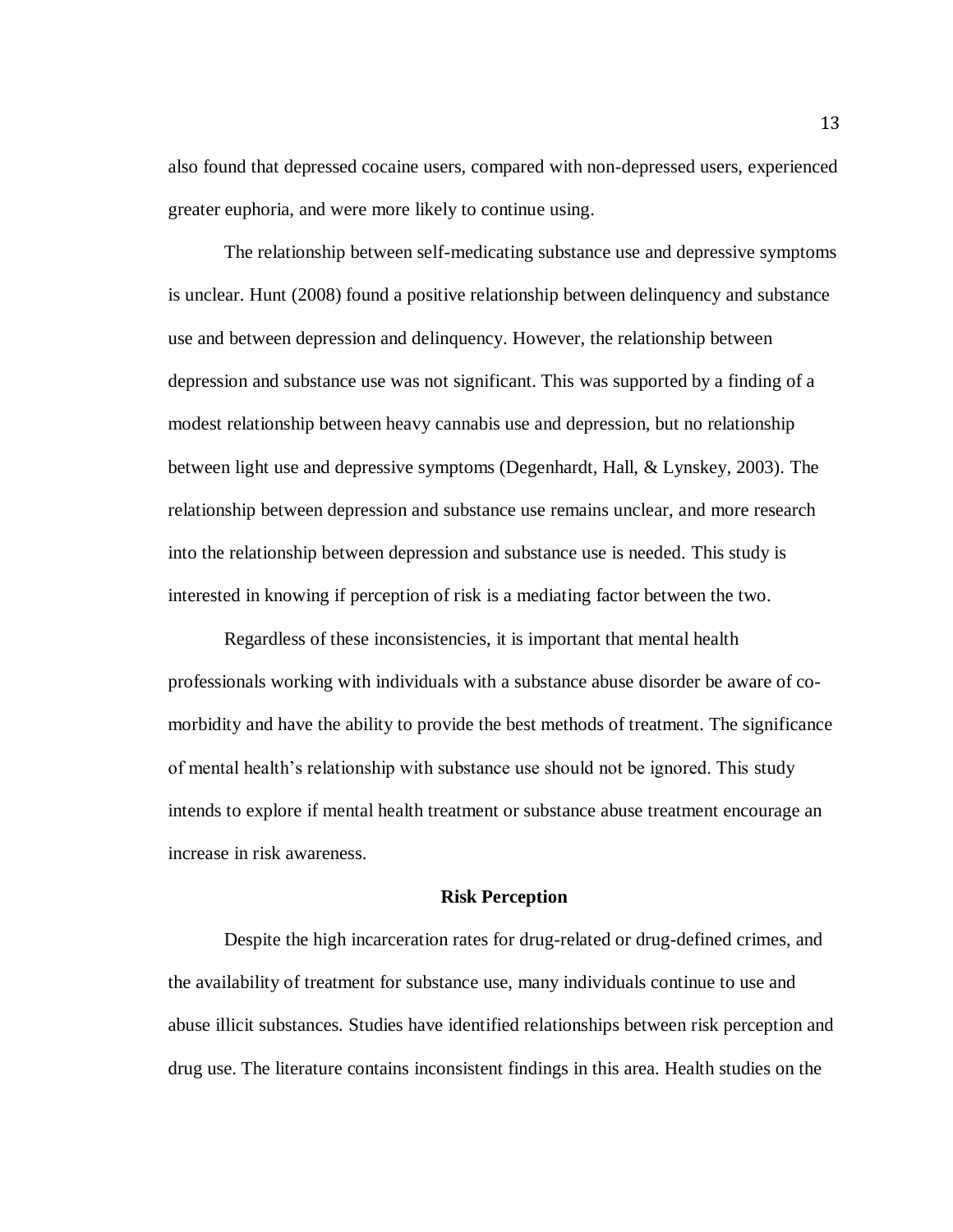also found that depressed cocaine users, compared with non-depressed users, experienced greater euphoria, and were more likely to continue using.

The relationship between self-medicating substance use and depressive symptoms is unclear. Hunt (2008) found a positive relationship between delinquency and substance use and between depression and delinquency. However, the relationship between depression and substance use was not significant. This was supported by a finding of a modest relationship between heavy cannabis use and depression, but no relationship between light use and depressive symptoms (Degenhardt, Hall, & Lynskey, 2003). The relationship between depression and substance use remains unclear, and more research into the relationship between depression and substance use is needed. This study is interested in knowing if perception of risk is a mediating factor between the two.

Regardless of these inconsistencies, it is important that mental health professionals working with individuals with a substance abuse disorder be aware of comorbidity and have the ability to provide the best methods of treatment. The significance of mental health's relationship with substance use should not be ignored. This study intends to explore if mental health treatment or substance abuse treatment encourage an increase in risk awareness.

# **Risk Perception**

Despite the high incarceration rates for drug-related or drug-defined crimes, and the availability of treatment for substance use, many individuals continue to use and abuse illicit substances. Studies have identified relationships between risk perception and drug use. The literature contains inconsistent findings in this area. Health studies on the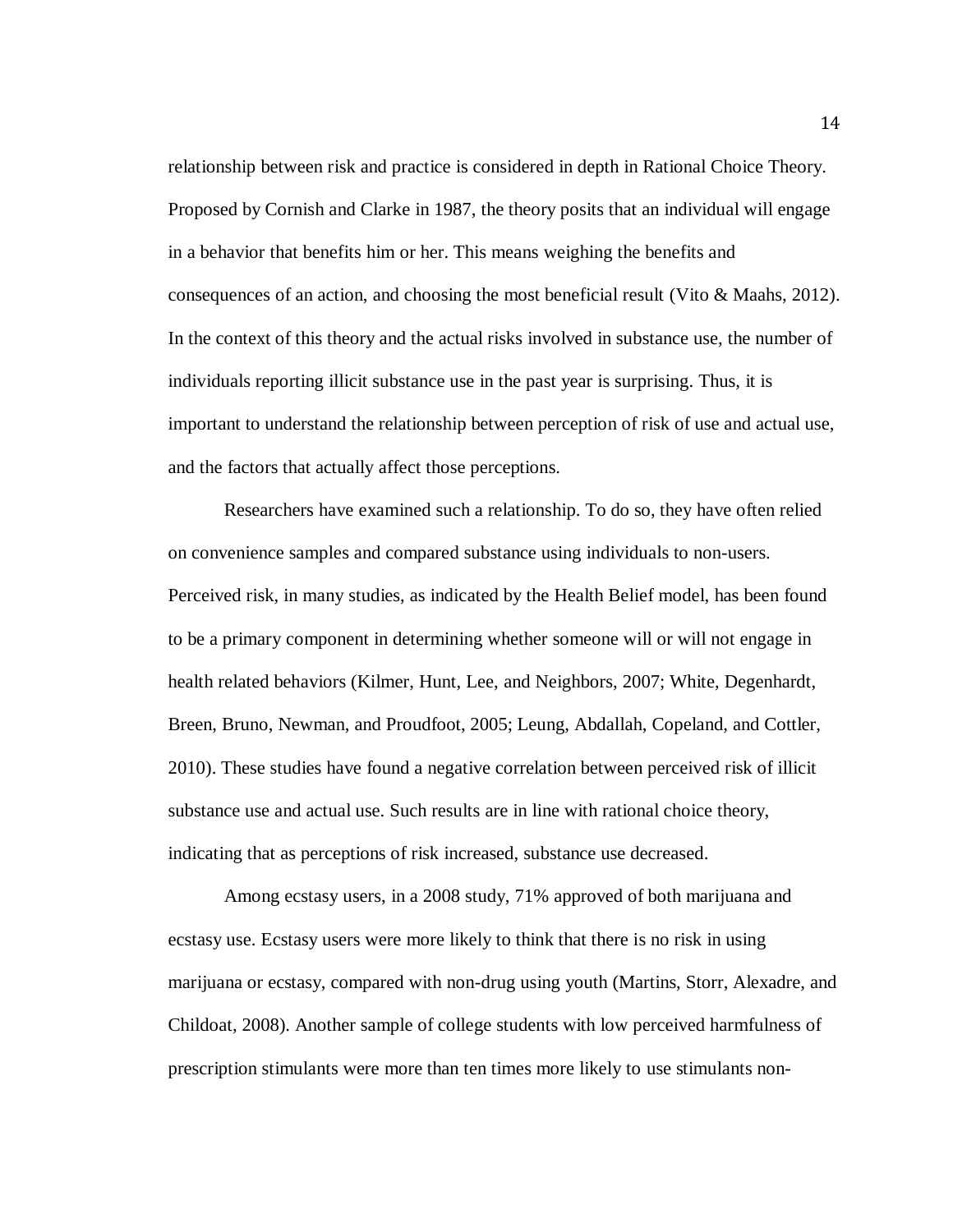relationship between risk and practice is considered in depth in Rational Choice Theory. Proposed by Cornish and Clarke in 1987, the theory posits that an individual will engage in a behavior that benefits him or her. This means weighing the benefits and consequences of an action, and choosing the most beneficial result (Vito & Maahs, 2012). In the context of this theory and the actual risks involved in substance use, the number of individuals reporting illicit substance use in the past year is surprising. Thus, it is important to understand the relationship between perception of risk of use and actual use, and the factors that actually affect those perceptions.

Researchers have examined such a relationship. To do so, they have often relied on convenience samples and compared substance using individuals to non-users. Perceived risk, in many studies, as indicated by the Health Belief model, has been found to be a primary component in determining whether someone will or will not engage in health related behaviors (Kilmer, Hunt, Lee, and Neighbors, 2007; White, Degenhardt, Breen, Bruno, Newman, and Proudfoot, 2005; Leung, Abdallah, Copeland, and Cottler, 2010). These studies have found a negative correlation between perceived risk of illicit substance use and actual use. Such results are in line with rational choice theory, indicating that as perceptions of risk increased, substance use decreased.

Among ecstasy users, in a 2008 study, 71% approved of both marijuana and ecstasy use. Ecstasy users were more likely to think that there is no risk in using marijuana or ecstasy, compared with non-drug using youth (Martins, Storr, Alexadre, and Childoat, 2008). Another sample of college students with low perceived harmfulness of prescription stimulants were more than ten times more likely to use stimulants non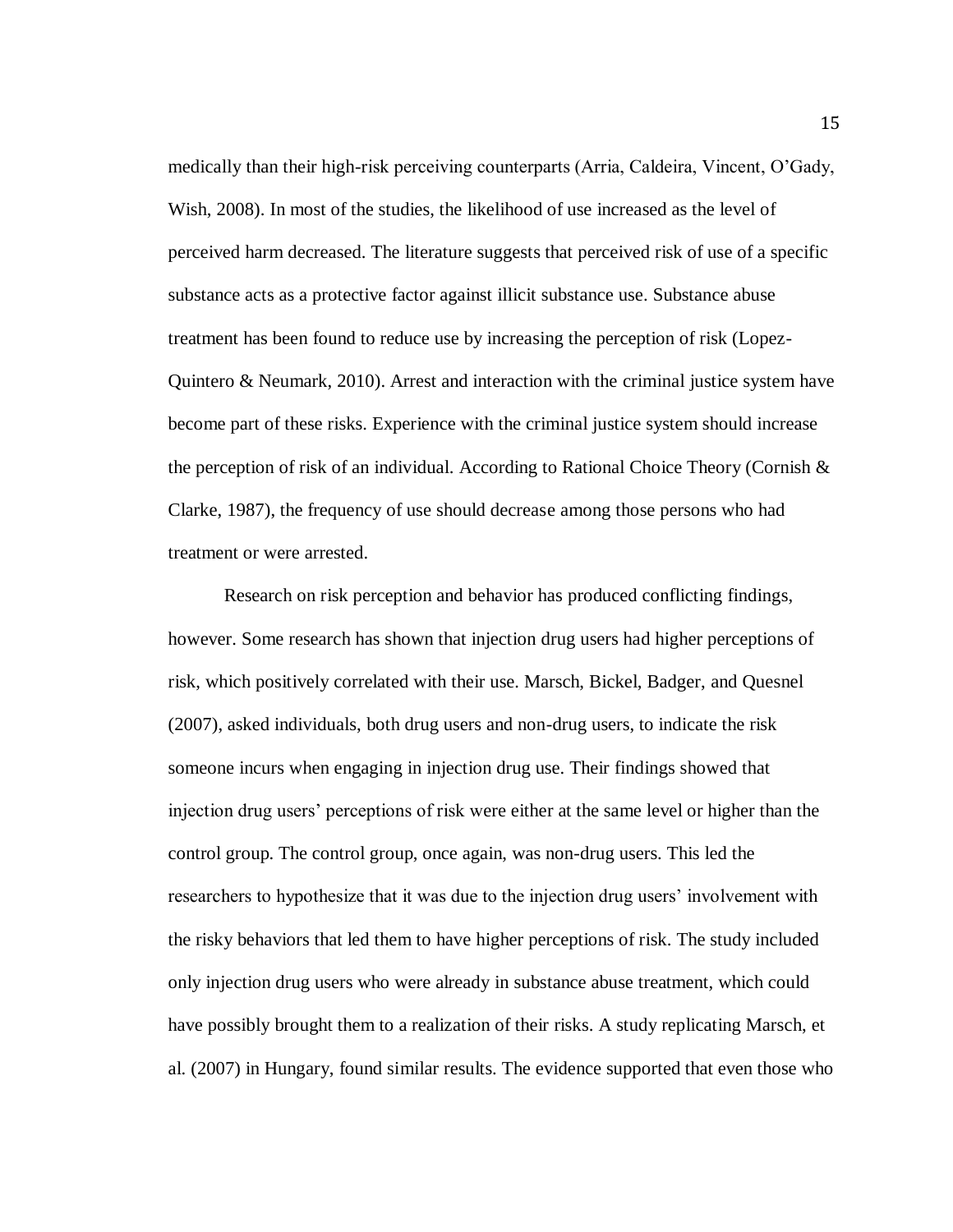medically than their high-risk perceiving counterparts (Arria, Caldeira, Vincent, O'Gady, Wish, 2008). In most of the studies, the likelihood of use increased as the level of perceived harm decreased. The literature suggests that perceived risk of use of a specific substance acts as a protective factor against illicit substance use. Substance abuse treatment has been found to reduce use by increasing the perception of risk (Lopez-Quintero & Neumark, 2010). Arrest and interaction with the criminal justice system have become part of these risks. Experience with the criminal justice system should increase the perception of risk of an individual. According to Rational Choice Theory (Cornish  $\&$ Clarke, 1987), the frequency of use should decrease among those persons who had treatment or were arrested.

Research on risk perception and behavior has produced conflicting findings, however. Some research has shown that injection drug users had higher perceptions of risk, which positively correlated with their use. Marsch, Bickel, Badger, and Quesnel (2007), asked individuals, both drug users and non-drug users, to indicate the risk someone incurs when engaging in injection drug use. Their findings showed that injection drug users' perceptions of risk were either at the same level or higher than the control group. The control group, once again, was non-drug users. This led the researchers to hypothesize that it was due to the injection drug users' involvement with the risky behaviors that led them to have higher perceptions of risk. The study included only injection drug users who were already in substance abuse treatment, which could have possibly brought them to a realization of their risks. A study replicating Marsch, et al. (2007) in Hungary, found similar results. The evidence supported that even those who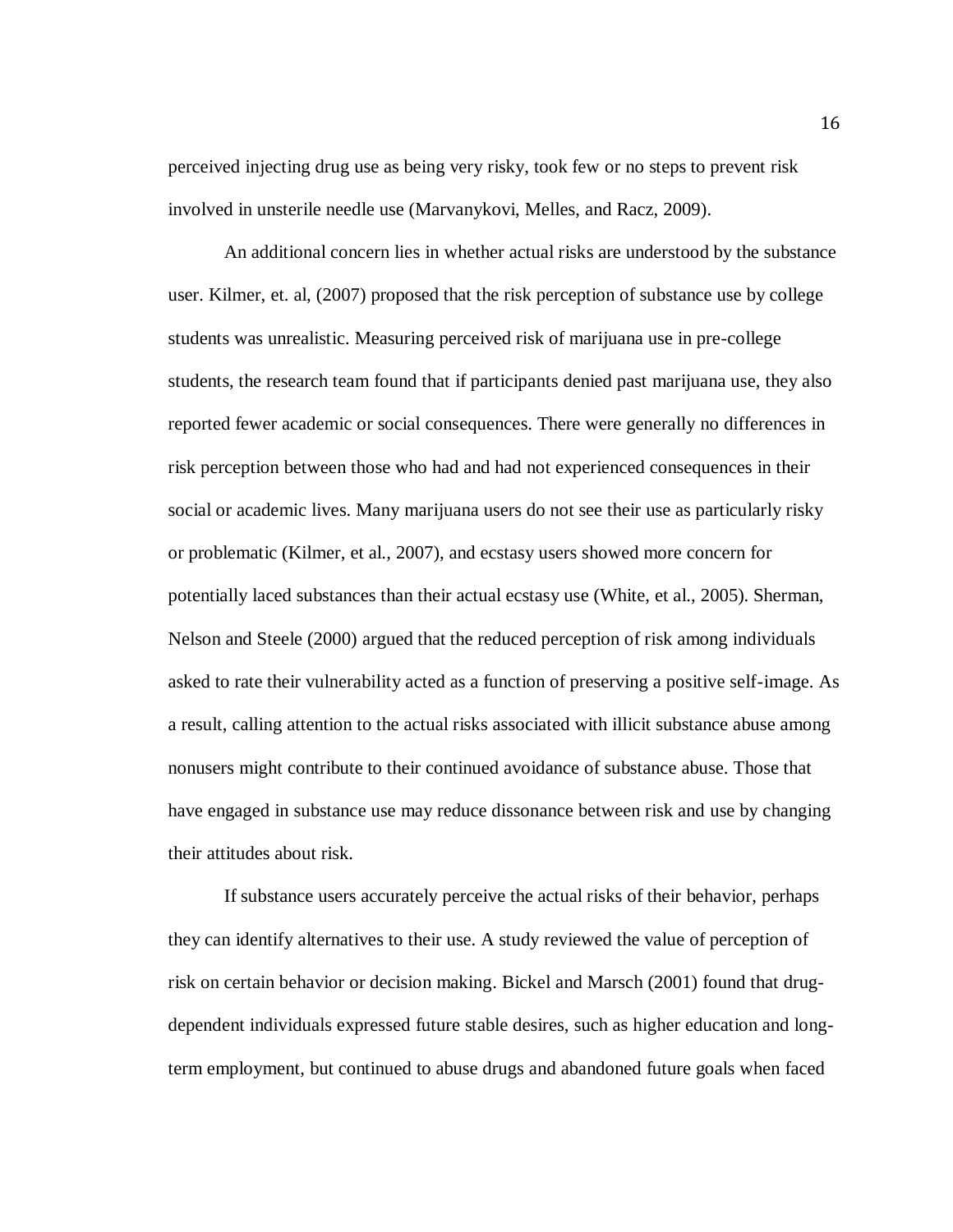perceived injecting drug use as being very risky, took few or no steps to prevent risk involved in unsterile needle use (Marvanykovi, Melles, and Racz, 2009).

An additional concern lies in whether actual risks are understood by the substance user. Kilmer, et. al, (2007) proposed that the risk perception of substance use by college students was unrealistic. Measuring perceived risk of marijuana use in pre-college students, the research team found that if participants denied past marijuana use, they also reported fewer academic or social consequences. There were generally no differences in risk perception between those who had and had not experienced consequences in their social or academic lives. Many marijuana users do not see their use as particularly risky or problematic (Kilmer, et al., 2007), and ecstasy users showed more concern for potentially laced substances than their actual ecstasy use (White, et al., 2005). Sherman, Nelson and Steele (2000) argued that the reduced perception of risk among individuals asked to rate their vulnerability acted as a function of preserving a positive self-image. As a result, calling attention to the actual risks associated with illicit substance abuse among nonusers might contribute to their continued avoidance of substance abuse. Those that have engaged in substance use may reduce dissonance between risk and use by changing their attitudes about risk.

If substance users accurately perceive the actual risks of their behavior, perhaps they can identify alternatives to their use. A study reviewed the value of perception of risk on certain behavior or decision making. Bickel and Marsch (2001) found that drugdependent individuals expressed future stable desires, such as higher education and longterm employment, but continued to abuse drugs and abandoned future goals when faced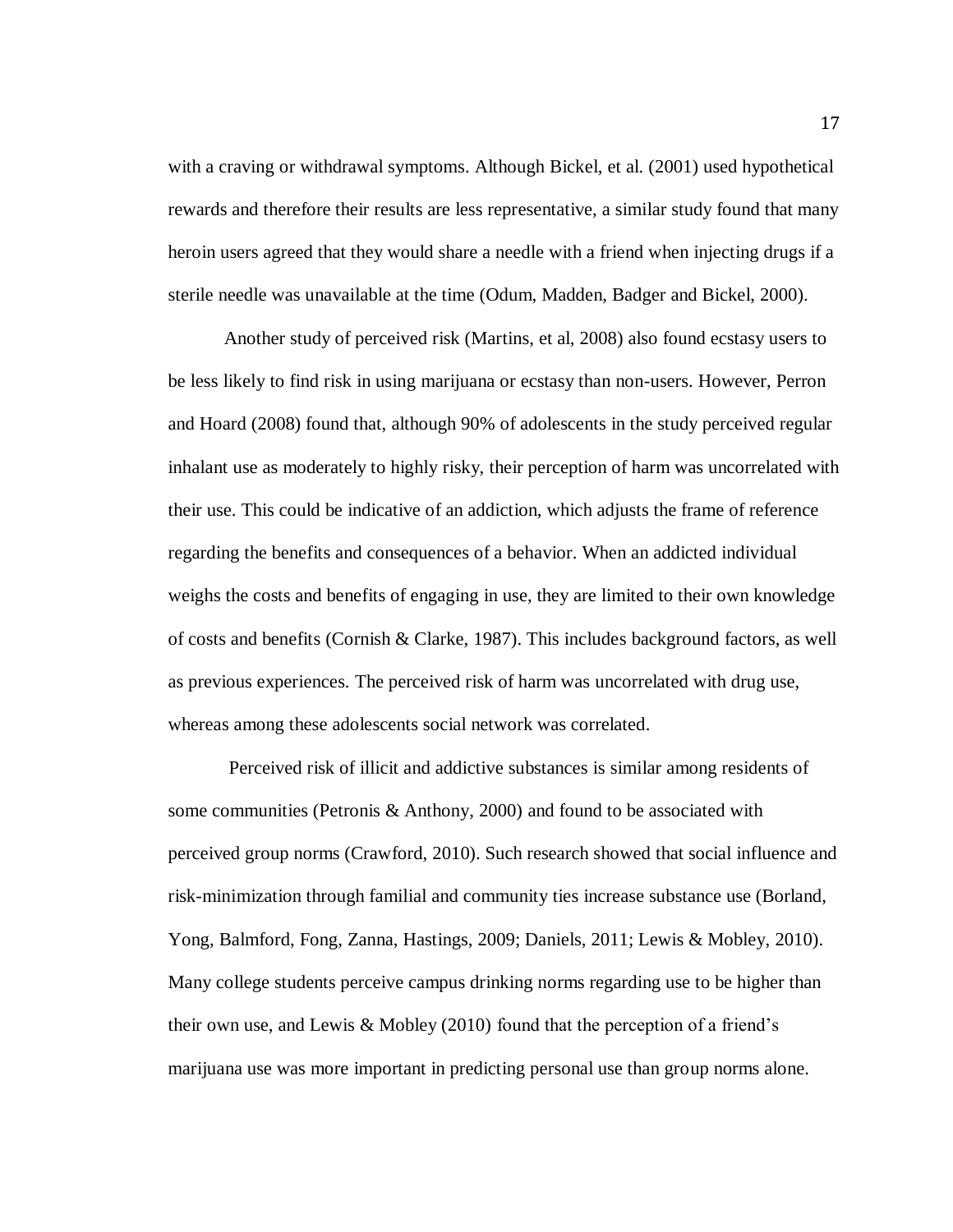with a craving or withdrawal symptoms. Although Bickel, et al. (2001) used hypothetical rewards and therefore their results are less representative, a similar study found that many heroin users agreed that they would share a needle with a friend when injecting drugs if a sterile needle was unavailable at the time (Odum, Madden, Badger and Bickel, 2000).

Another study of perceived risk (Martins, et al, 2008) also found ecstasy users to be less likely to find risk in using marijuana or ecstasy than non-users. However, Perron and Hoard (2008) found that, although 90% of adolescents in the study perceived regular inhalant use as moderately to highly risky, their perception of harm was uncorrelated with their use. This could be indicative of an addiction, which adjusts the frame of reference regarding the benefits and consequences of a behavior. When an addicted individual weighs the costs and benefits of engaging in use, they are limited to their own knowledge of costs and benefits (Cornish & Clarke, 1987). This includes background factors, as well as previous experiences. The perceived risk of harm was uncorrelated with drug use, whereas among these adolescents social network was correlated.

Perceived risk of illicit and addictive substances is similar among residents of some communities (Petronis & Anthony, 2000) and found to be associated with perceived group norms (Crawford, 2010). Such research showed that social influence and risk-minimization through familial and community ties increase substance use (Borland, Yong, Balmford, Fong, Zanna, Hastings, 2009; Daniels, 2011; Lewis & Mobley, 2010). Many college students perceive campus drinking norms regarding use to be higher than their own use, and Lewis & Mobley (2010) found that the perception of a friend's marijuana use was more important in predicting personal use than group norms alone.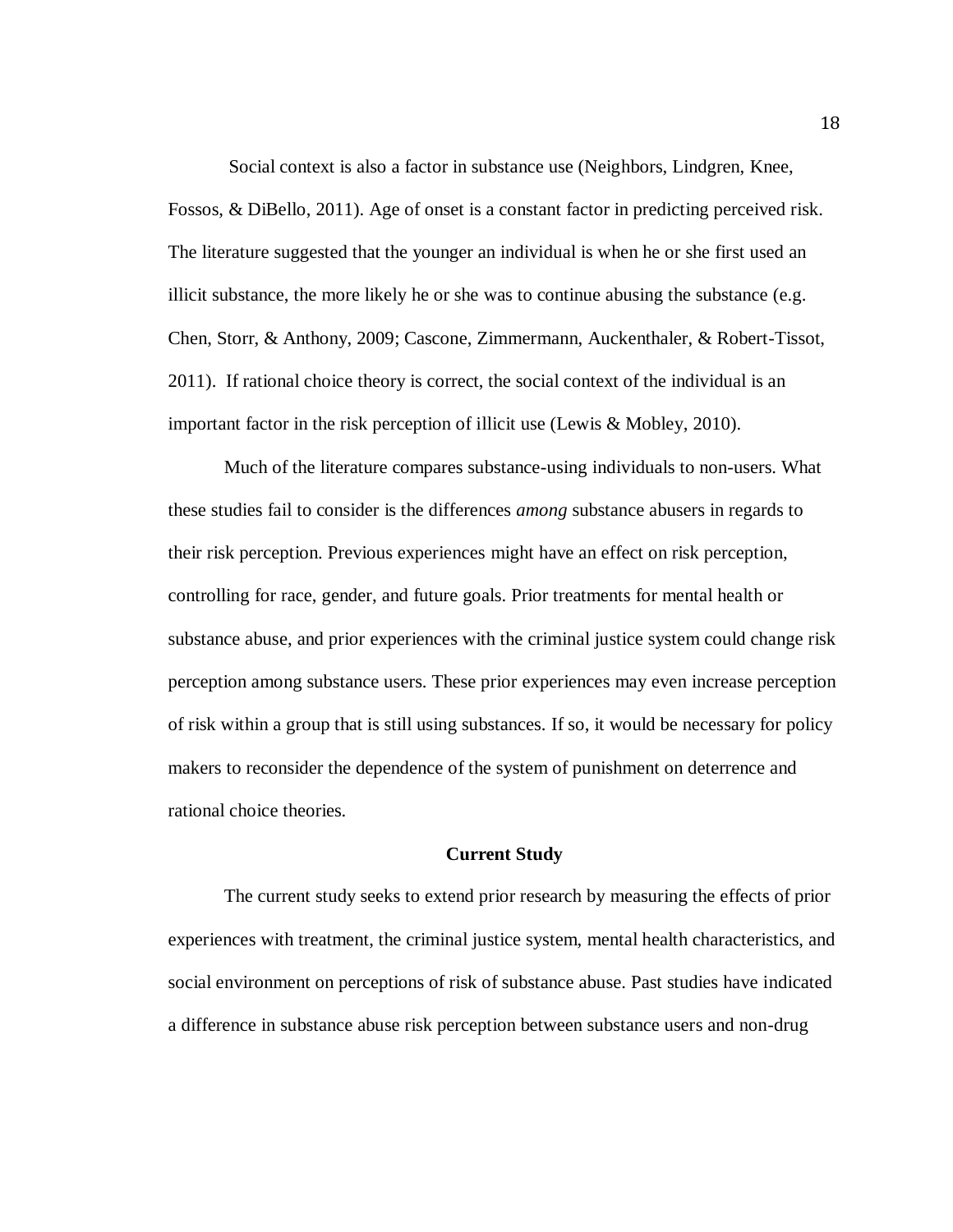Social context is also a factor in substance use (Neighbors, Lindgren, Knee, Fossos, & DiBello, 2011). Age of onset is a constant factor in predicting perceived risk. The literature suggested that the younger an individual is when he or she first used an illicit substance, the more likely he or she was to continue abusing the substance (e.g. Chen, Storr, & Anthony, 2009; Cascone, Zimmermann, Auckenthaler, & Robert-Tissot, 2011). If rational choice theory is correct, the social context of the individual is an important factor in the risk perception of illicit use (Lewis & Mobley, 2010).

Much of the literature compares substance-using individuals to non-users. What these studies fail to consider is the differences *among* substance abusers in regards to their risk perception. Previous experiences might have an effect on risk perception, controlling for race, gender, and future goals. Prior treatments for mental health or substance abuse, and prior experiences with the criminal justice system could change risk perception among substance users. These prior experiences may even increase perception of risk within a group that is still using substances. If so, it would be necessary for policy makers to reconsider the dependence of the system of punishment on deterrence and rational choice theories.

#### **Current Study**

The current study seeks to extend prior research by measuring the effects of prior experiences with treatment, the criminal justice system, mental health characteristics, and social environment on perceptions of risk of substance abuse. Past studies have indicated a difference in substance abuse risk perception between substance users and non-drug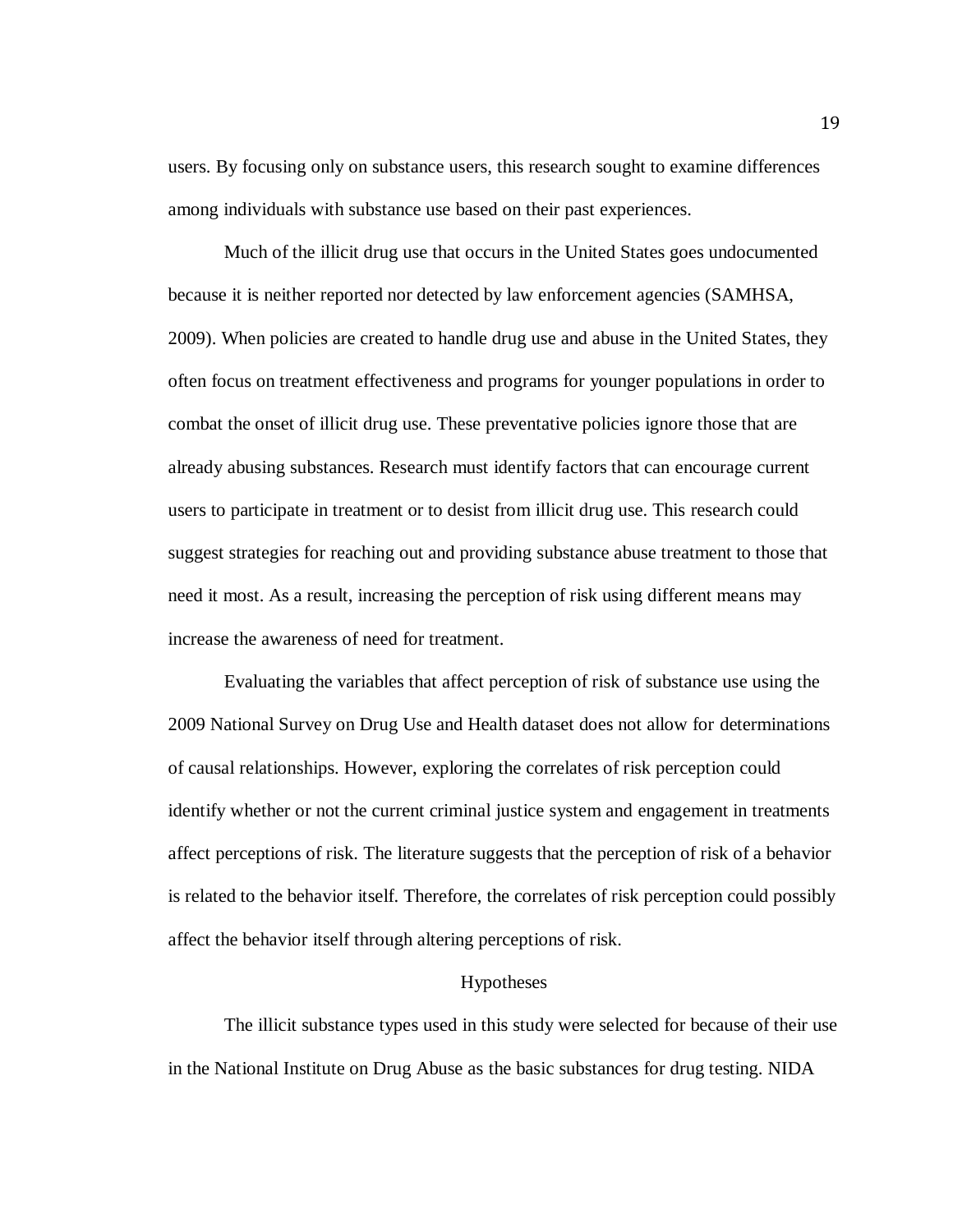users. By focusing only on substance users, this research sought to examine differences among individuals with substance use based on their past experiences.

Much of the illicit drug use that occurs in the United States goes undocumented because it is neither reported nor detected by law enforcement agencies (SAMHSA, 2009). When policies are created to handle drug use and abuse in the United States, they often focus on treatment effectiveness and programs for younger populations in order to combat the onset of illicit drug use. These preventative policies ignore those that are already abusing substances. Research must identify factors that can encourage current users to participate in treatment or to desist from illicit drug use. This research could suggest strategies for reaching out and providing substance abuse treatment to those that need it most. As a result, increasing the perception of risk using different means may increase the awareness of need for treatment.

Evaluating the variables that affect perception of risk of substance use using the 2009 National Survey on Drug Use and Health dataset does not allow for determinations of causal relationships. However, exploring the correlates of risk perception could identify whether or not the current criminal justice system and engagement in treatments affect perceptions of risk. The literature suggests that the perception of risk of a behavior is related to the behavior itself. Therefore, the correlates of risk perception could possibly affect the behavior itself through altering perceptions of risk.

# Hypotheses

The illicit substance types used in this study were selected for because of their use in the National Institute on Drug Abuse as the basic substances for drug testing. NIDA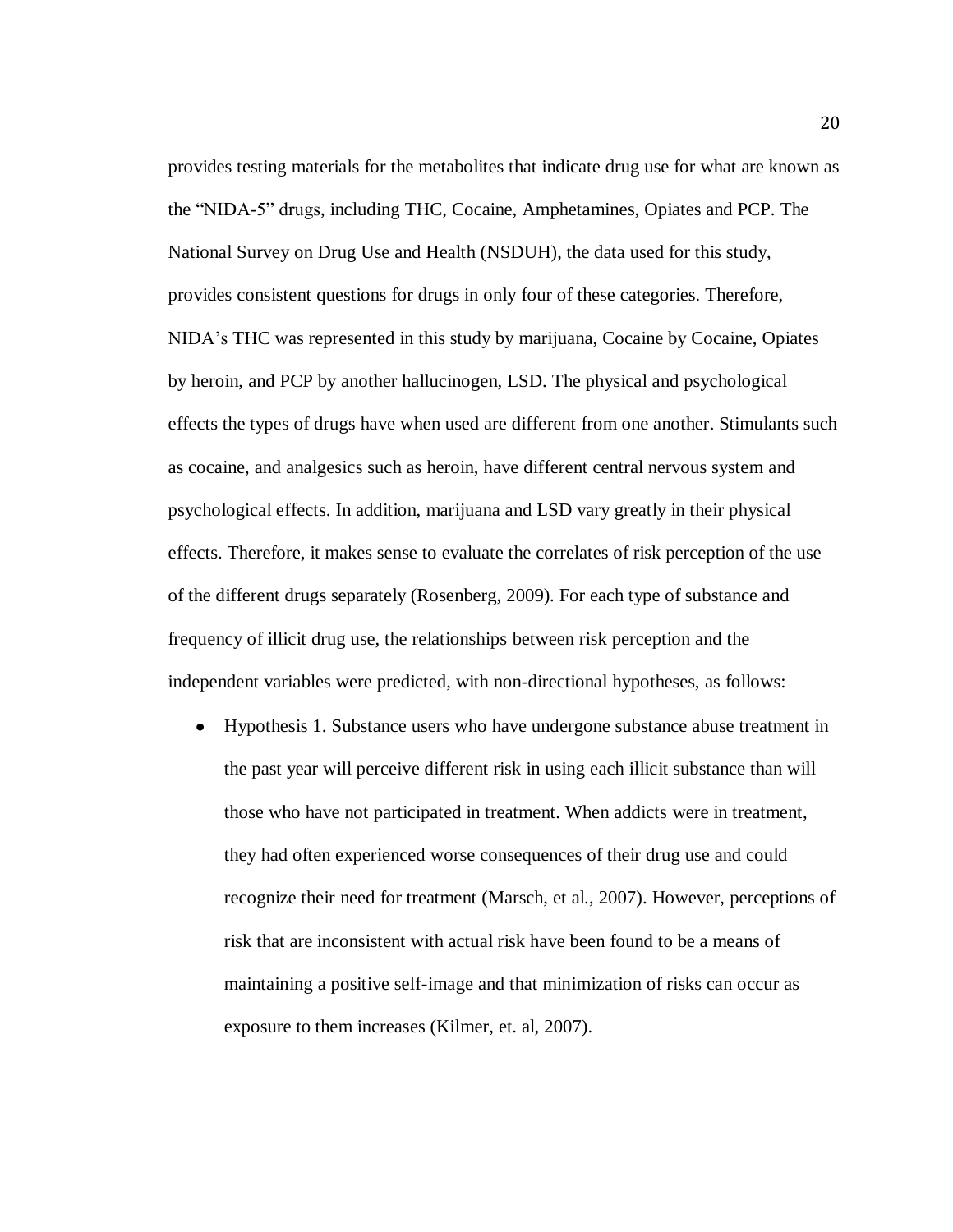provides testing materials for the metabolites that indicate drug use for what are known as the "NIDA-5" drugs, including THC, Cocaine, Amphetamines, Opiates and PCP. The National Survey on Drug Use and Health (NSDUH), the data used for this study, provides consistent questions for drugs in only four of these categories. Therefore, NIDA's THC was represented in this study by marijuana, Cocaine by Cocaine, Opiates by heroin, and PCP by another hallucinogen, LSD. The physical and psychological effects the types of drugs have when used are different from one another. Stimulants such as cocaine, and analgesics such as heroin, have different central nervous system and psychological effects. In addition, marijuana and LSD vary greatly in their physical effects. Therefore, it makes sense to evaluate the correlates of risk perception of the use of the different drugs separately (Rosenberg, 2009). For each type of substance and frequency of illicit drug use, the relationships between risk perception and the independent variables were predicted, with non-directional hypotheses, as follows:

Hypothesis 1. Substance users who have undergone substance abuse treatment in  $\bullet$ the past year will perceive different risk in using each illicit substance than will those who have not participated in treatment. When addicts were in treatment, they had often experienced worse consequences of their drug use and could recognize their need for treatment (Marsch, et al., 2007). However, perceptions of risk that are inconsistent with actual risk have been found to be a means of maintaining a positive self-image and that minimization of risks can occur as exposure to them increases (Kilmer, et. al, 2007).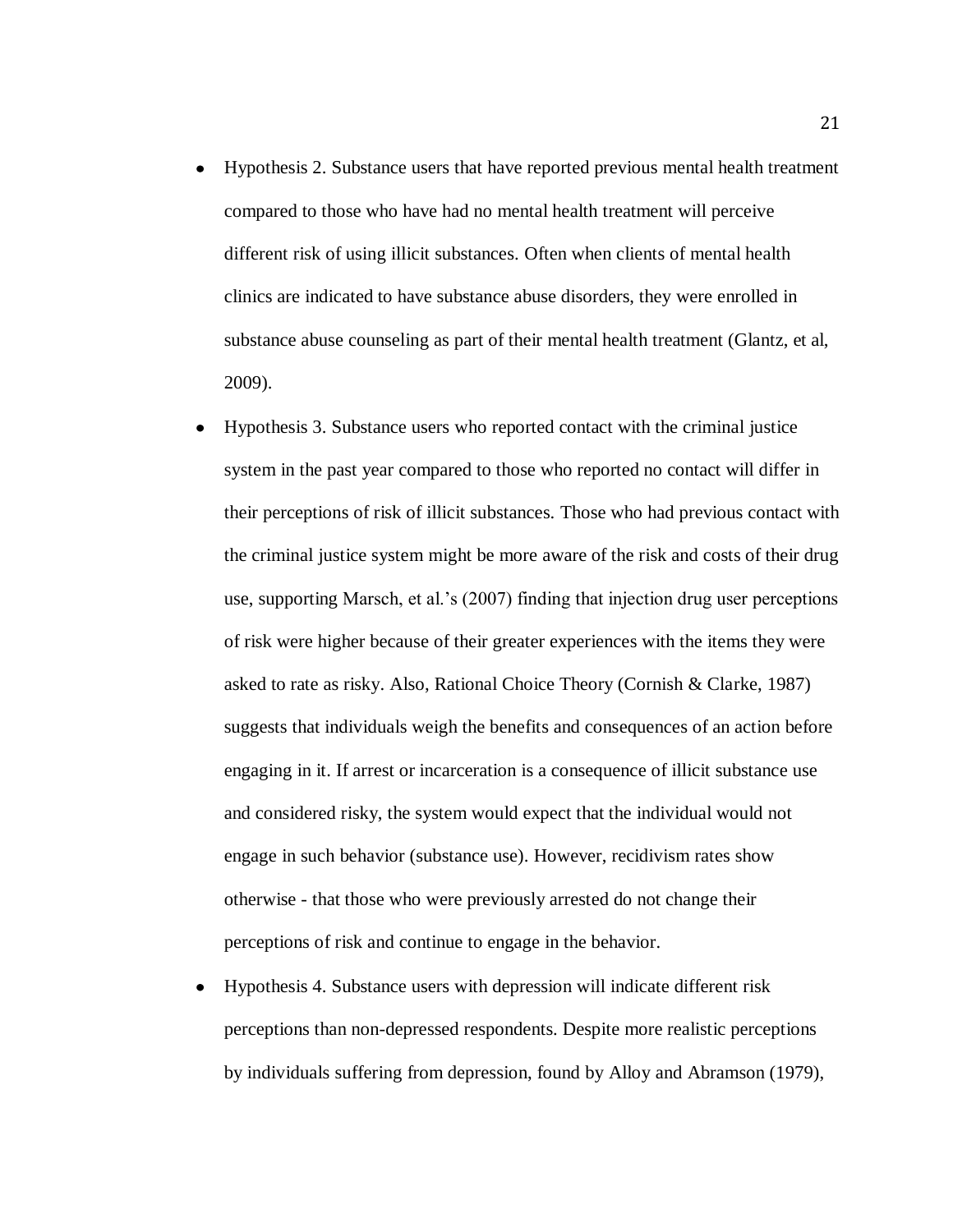- Hypothesis 2. Substance users that have reported previous mental health treatment  $\bullet$ compared to those who have had no mental health treatment will perceive different risk of using illicit substances. Often when clients of mental health clinics are indicated to have substance abuse disorders, they were enrolled in substance abuse counseling as part of their mental health treatment (Glantz, et al, 2009).
- Hypothesis 3. Substance users who reported contact with the criminal justice  $\bullet$ system in the past year compared to those who reported no contact will differ in their perceptions of risk of illicit substances. Those who had previous contact with the criminal justice system might be more aware of the risk and costs of their drug use, supporting Marsch, et al.'s (2007) finding that injection drug user perceptions of risk were higher because of their greater experiences with the items they were asked to rate as risky. Also, Rational Choice Theory (Cornish & Clarke, 1987) suggests that individuals weigh the benefits and consequences of an action before engaging in it. If arrest or incarceration is a consequence of illicit substance use and considered risky, the system would expect that the individual would not engage in such behavior (substance use). However, recidivism rates show otherwise - that those who were previously arrested do not change their perceptions of risk and continue to engage in the behavior.
- Hypothesis 4. Substance users with depression will indicate different risk perceptions than non-depressed respondents. Despite more realistic perceptions by individuals suffering from depression, found by Alloy and Abramson (1979),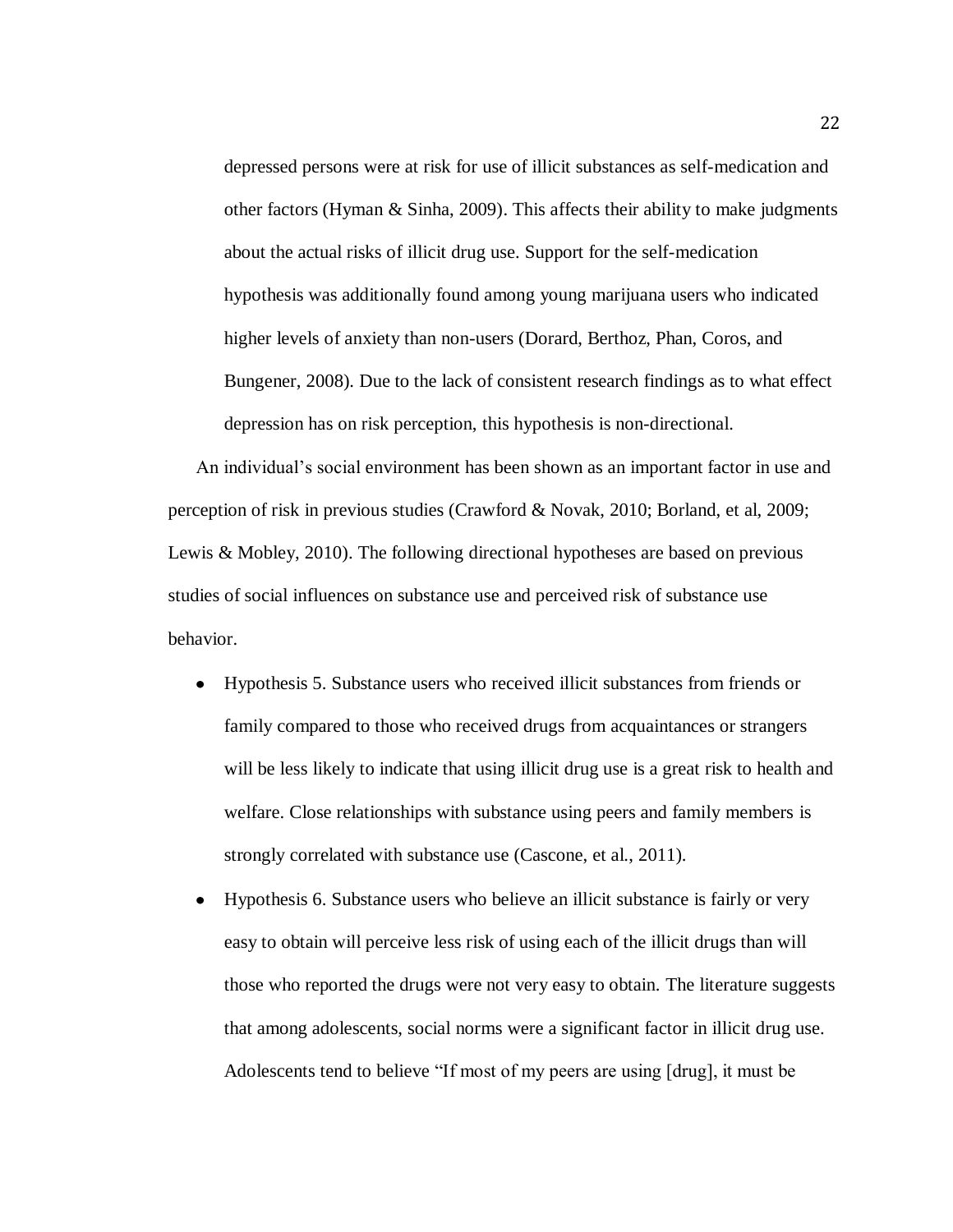depressed persons were at risk for use of illicit substances as self-medication and other factors (Hyman & Sinha, 2009). This affects their ability to make judgments about the actual risks of illicit drug use. Support for the self-medication hypothesis was additionally found among young marijuana users who indicated higher levels of anxiety than non-users (Dorard, Berthoz, Phan, Coros, and Bungener, 2008). Due to the lack of consistent research findings as to what effect depression has on risk perception, this hypothesis is non-directional.

An individual's social environment has been shown as an important factor in use and perception of risk in previous studies (Crawford & Novak, 2010; Borland, et al, 2009; Lewis & Mobley, 2010). The following directional hypotheses are based on previous studies of social influences on substance use and perceived risk of substance use behavior.

- Hypothesis 5. Substance users who received illicit substances from friends or family compared to those who received drugs from acquaintances or strangers will be less likely to indicate that using illicit drug use is a great risk to health and welfare. Close relationships with substance using peers and family members is strongly correlated with substance use (Cascone, et al., 2011).
- Hypothesis 6. Substance users who believe an illicit substance is fairly or very easy to obtain will perceive less risk of using each of the illicit drugs than will those who reported the drugs were not very easy to obtain. The literature suggests that among adolescents, social norms were a significant factor in illicit drug use. Adolescents tend to believe "If most of my peers are using [drug], it must be

22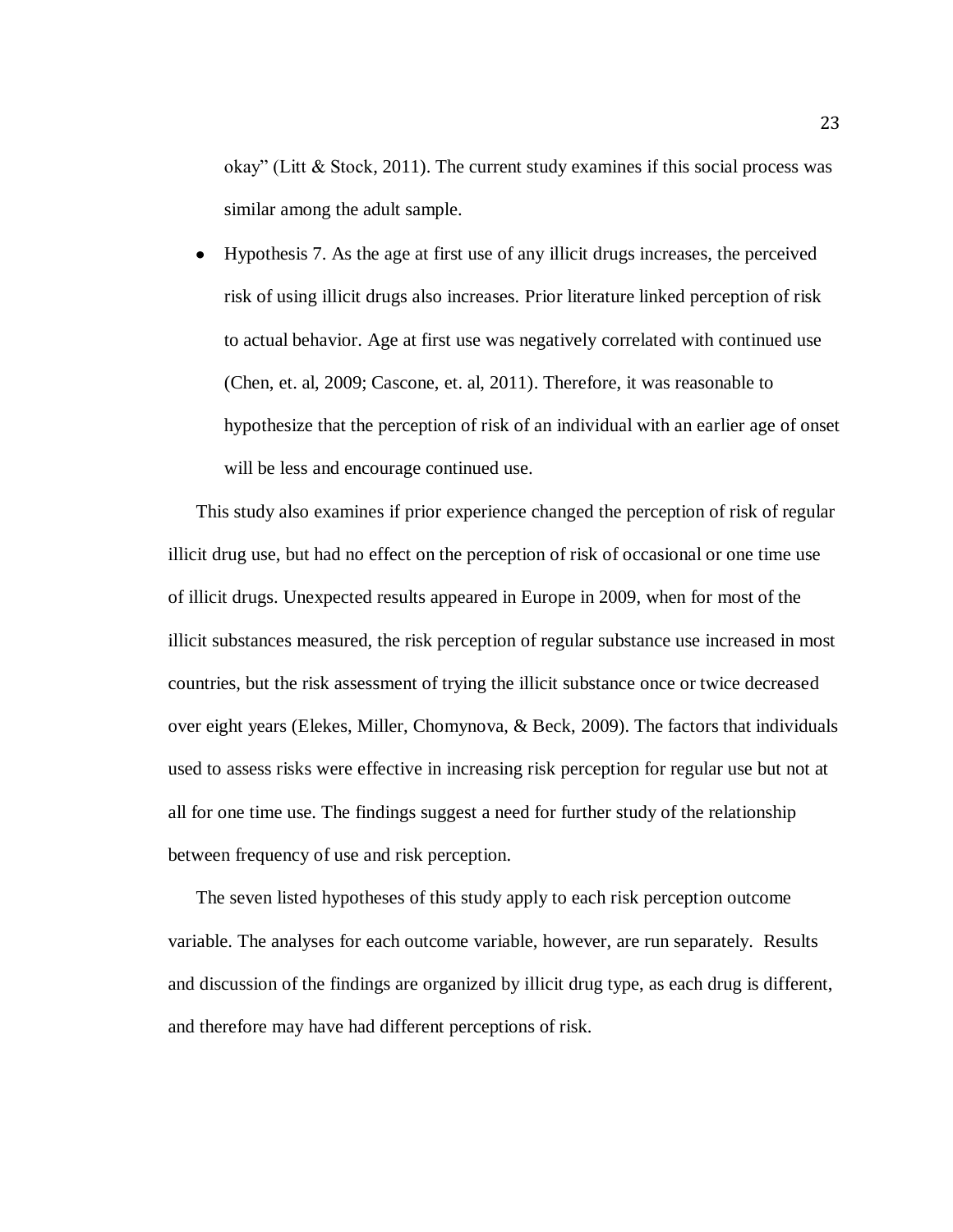okay" (Litt & Stock, 2011). The current study examines if this social process was similar among the adult sample.

Hypothesis 7. As the age at first use of any illicit drugs increases, the perceived  $\bullet$ risk of using illicit drugs also increases. Prior literature linked perception of risk to actual behavior. Age at first use was negatively correlated with continued use (Chen, et. al, 2009; Cascone, et. al, 2011). Therefore, it was reasonable to hypothesize that the perception of risk of an individual with an earlier age of onset will be less and encourage continued use.

This study also examines if prior experience changed the perception of risk of regular illicit drug use, but had no effect on the perception of risk of occasional or one time use of illicit drugs. Unexpected results appeared in Europe in 2009, when for most of the illicit substances measured, the risk perception of regular substance use increased in most countries, but the risk assessment of trying the illicit substance once or twice decreased over eight years (Elekes, Miller, Chomynova, & Beck, 2009). The factors that individuals used to assess risks were effective in increasing risk perception for regular use but not at all for one time use. The findings suggest a need for further study of the relationship between frequency of use and risk perception.

The seven listed hypotheses of this study apply to each risk perception outcome variable. The analyses for each outcome variable, however, are run separately. Results and discussion of the findings are organized by illicit drug type, as each drug is different, and therefore may have had different perceptions of risk.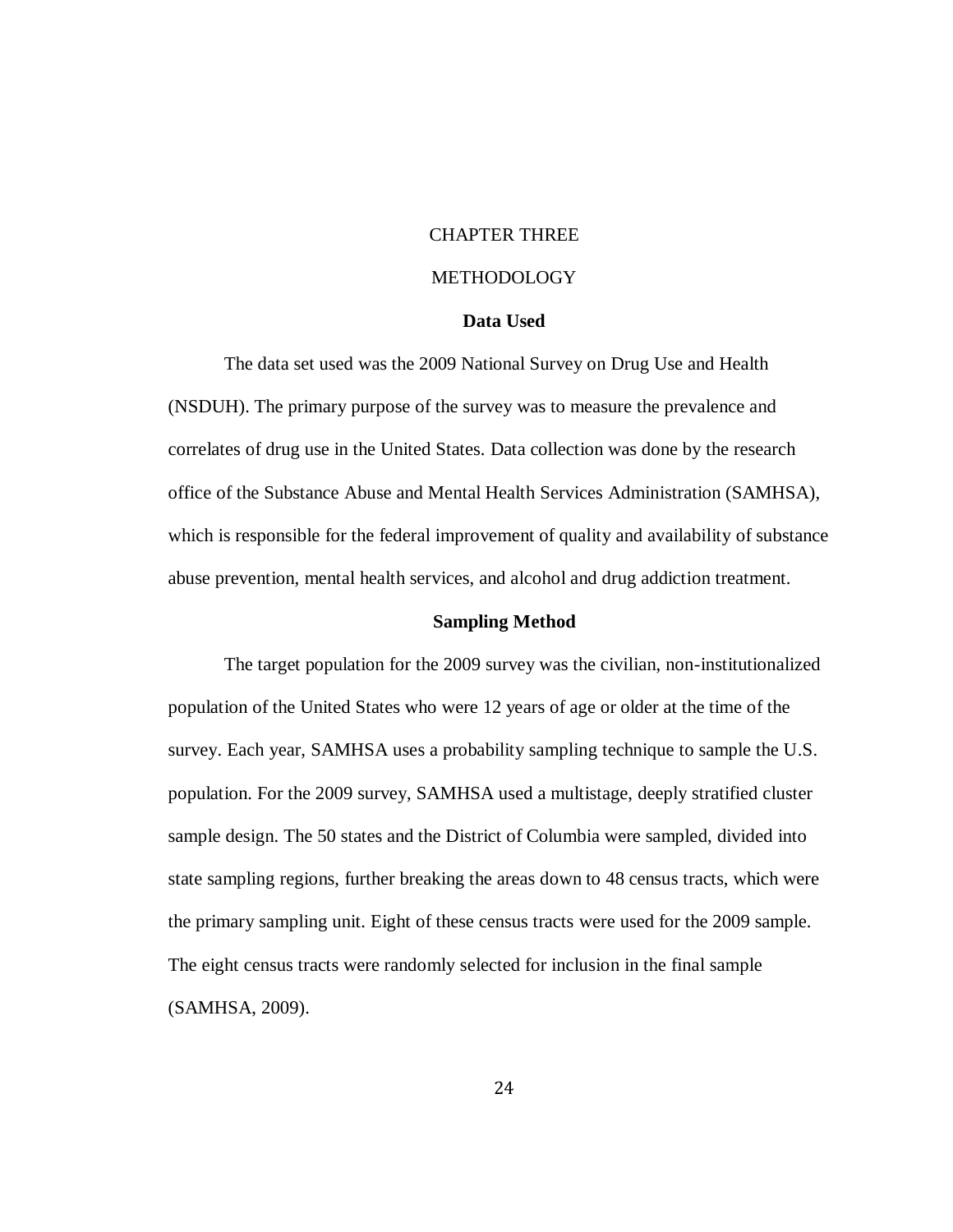# CHAPTER THREE

# METHODOLOGY

# **Data Used**

The data set used was the 2009 National Survey on Drug Use and Health (NSDUH). The primary purpose of the survey was to measure the prevalence and correlates of drug use in the United States. Data collection was done by the research office of the Substance Abuse and Mental Health Services Administration (SAMHSA), which is responsible for the federal improvement of quality and availability of substance abuse prevention, mental health services, and alcohol and drug addiction treatment.

# **Sampling Method**

The target population for the 2009 survey was the civilian, non-institutionalized population of the United States who were 12 years of age or older at the time of the survey. Each year, SAMHSA uses a probability sampling technique to sample the U.S. population. For the 2009 survey, SAMHSA used a multistage, deeply stratified cluster sample design. The 50 states and the District of Columbia were sampled, divided into state sampling regions, further breaking the areas down to 48 census tracts, which were the primary sampling unit. Eight of these census tracts were used for the 2009 sample. The eight census tracts were randomly selected for inclusion in the final sample (SAMHSA, 2009).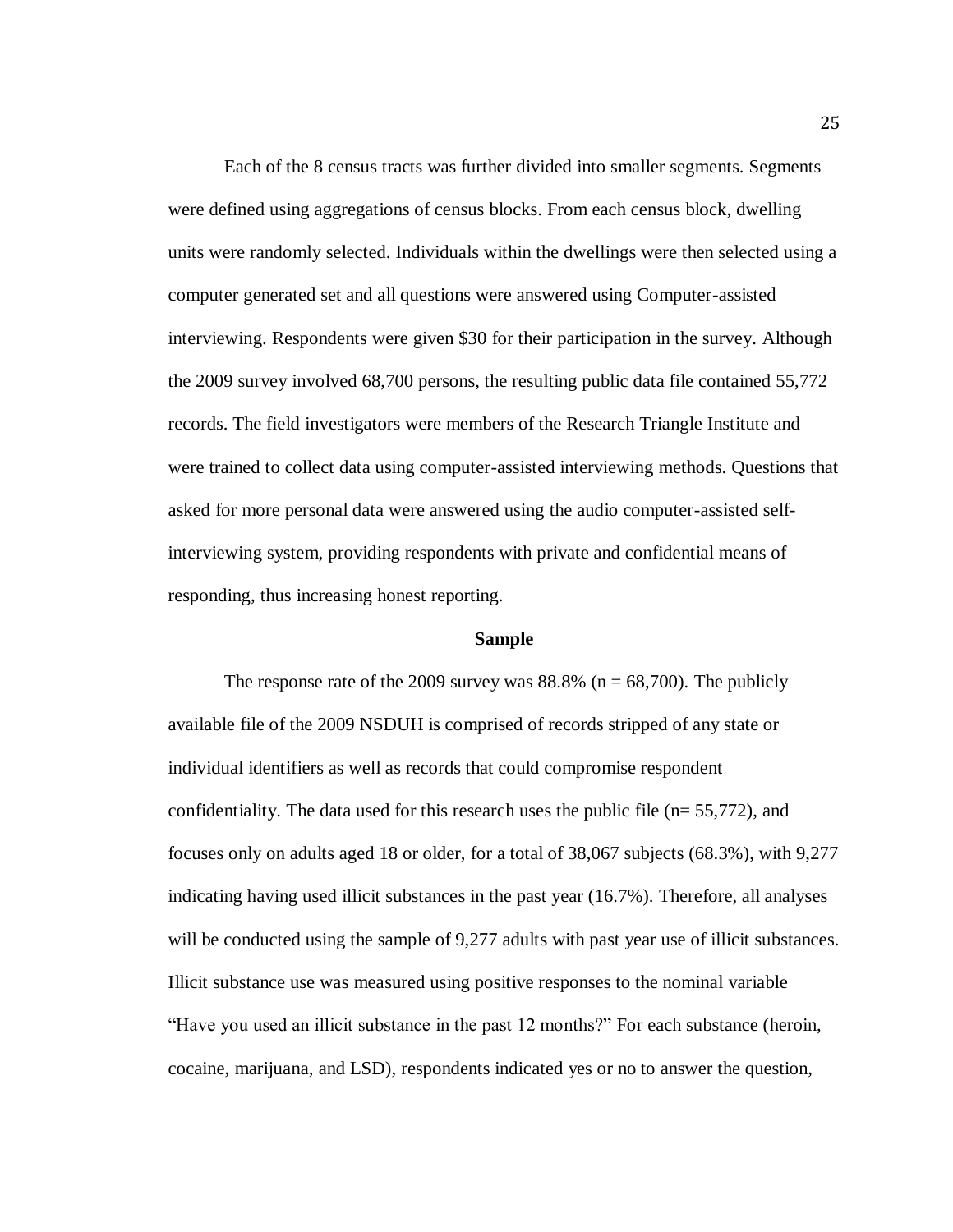Each of the 8 census tracts was further divided into smaller segments. Segments were defined using aggregations of census blocks. From each census block, dwelling units were randomly selected. Individuals within the dwellings were then selected using a computer generated set and all questions were answered using Computer-assisted interviewing. Respondents were given \$30 for their participation in the survey. Although the 2009 survey involved 68,700 persons, the resulting public data file contained 55,772 records. The field investigators were members of the Research Triangle Institute and were trained to collect data using computer-assisted interviewing methods. Questions that asked for more personal data were answered using the audio computer-assisted selfinterviewing system, providing respondents with private and confidential means of responding, thus increasing honest reporting.

# **Sample**

The response rate of the 2009 survey was  $88.8\%$  (n = 68,700). The publicly available file of the 2009 NSDUH is comprised of records stripped of any state or individual identifiers as well as records that could compromise respondent confidentiality. The data used for this research uses the public file ( $n= 55,772$ ), and focuses only on adults aged 18 or older, for a total of 38,067 subjects (68.3%), with 9,277 indicating having used illicit substances in the past year (16.7%). Therefore, all analyses will be conducted using the sample of 9,277 adults with past year use of illicit substances. Illicit substance use was measured using positive responses to the nominal variable "Have you used an illicit substance in the past 12 months?" For each substance (heroin, cocaine, marijuana, and LSD), respondents indicated yes or no to answer the question,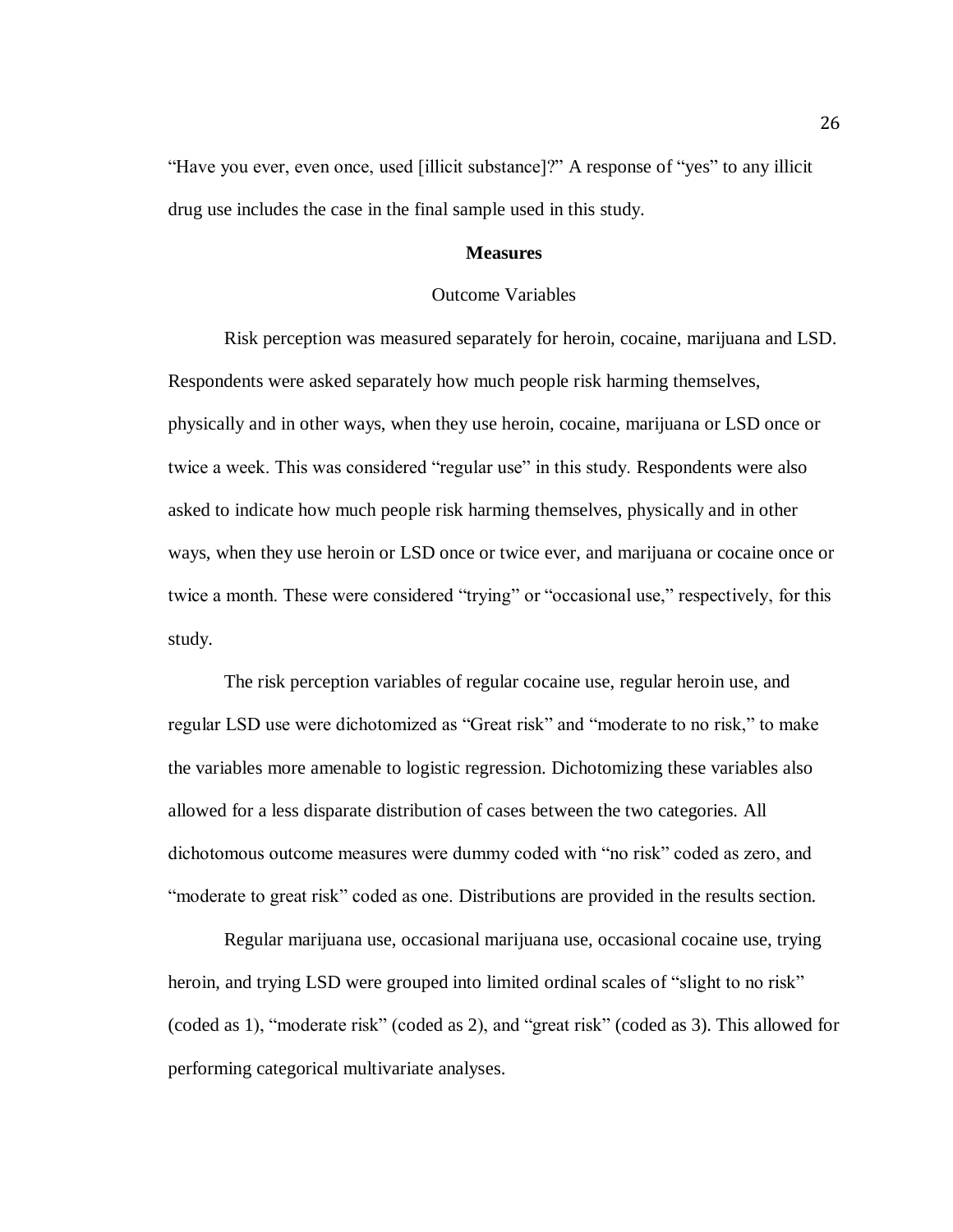"Have you ever, even once, used [illicit substance]?" A response of "yes" to any illicit drug use includes the case in the final sample used in this study.

# **Measures**

#### Outcome Variables

Risk perception was measured separately for heroin, cocaine, marijuana and LSD. Respondents were asked separately how much people risk harming themselves, physically and in other ways, when they use heroin, cocaine, marijuana or LSD once or twice a week. This was considered "regular use" in this study. Respondents were also asked to indicate how much people risk harming themselves, physically and in other ways, when they use heroin or LSD once or twice ever, and marijuana or cocaine once or twice a month. These were considered "trying" or "occasional use," respectively, for this study.

The risk perception variables of regular cocaine use, regular heroin use, and regular LSD use were dichotomized as "Great risk" and "moderate to no risk," to make the variables more amenable to logistic regression. Dichotomizing these variables also allowed for a less disparate distribution of cases between the two categories. All dichotomous outcome measures were dummy coded with "no risk" coded as zero, and "moderate to great risk" coded as one. Distributions are provided in the results section.

Regular marijuana use, occasional marijuana use, occasional cocaine use, trying heroin, and trying LSD were grouped into limited ordinal scales of "slight to no risk" (coded as 1), "moderate risk" (coded as 2), and "great risk" (coded as 3). This allowed for performing categorical multivariate analyses.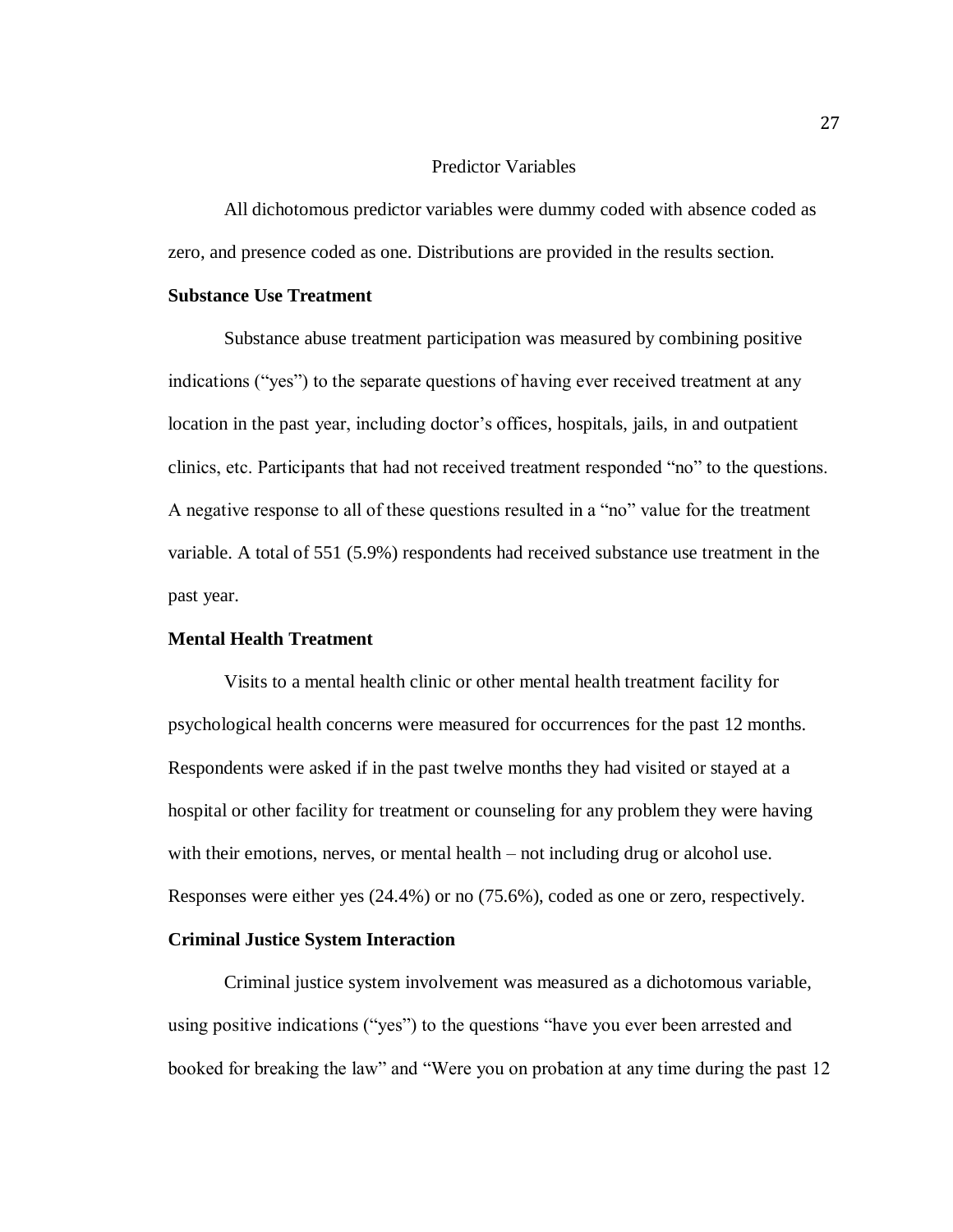## Predictor Variables

All dichotomous predictor variables were dummy coded with absence coded as zero, and presence coded as one. Distributions are provided in the results section.

# **Substance Use Treatment**

Substance abuse treatment participation was measured by combining positive indications ("yes") to the separate questions of having ever received treatment at any location in the past year, including doctor's offices, hospitals, jails, in and outpatient clinics, etc. Participants that had not received treatment responded "no" to the questions. A negative response to all of these questions resulted in a "no" value for the treatment variable. A total of 551 (5.9%) respondents had received substance use treatment in the past year.

# **Mental Health Treatment**

Visits to a mental health clinic or other mental health treatment facility for psychological health concerns were measured for occurrences for the past 12 months. Respondents were asked if in the past twelve months they had visited or stayed at a hospital or other facility for treatment or counseling for any problem they were having with their emotions, nerves, or mental health – not including drug or alcohol use. Responses were either yes (24.4%) or no (75.6%), coded as one or zero, respectively.

# **Criminal Justice System Interaction**

Criminal justice system involvement was measured as a dichotomous variable, using positive indications ("yes") to the questions "have you ever been arrested and booked for breaking the law" and "Were you on probation at any time during the past 12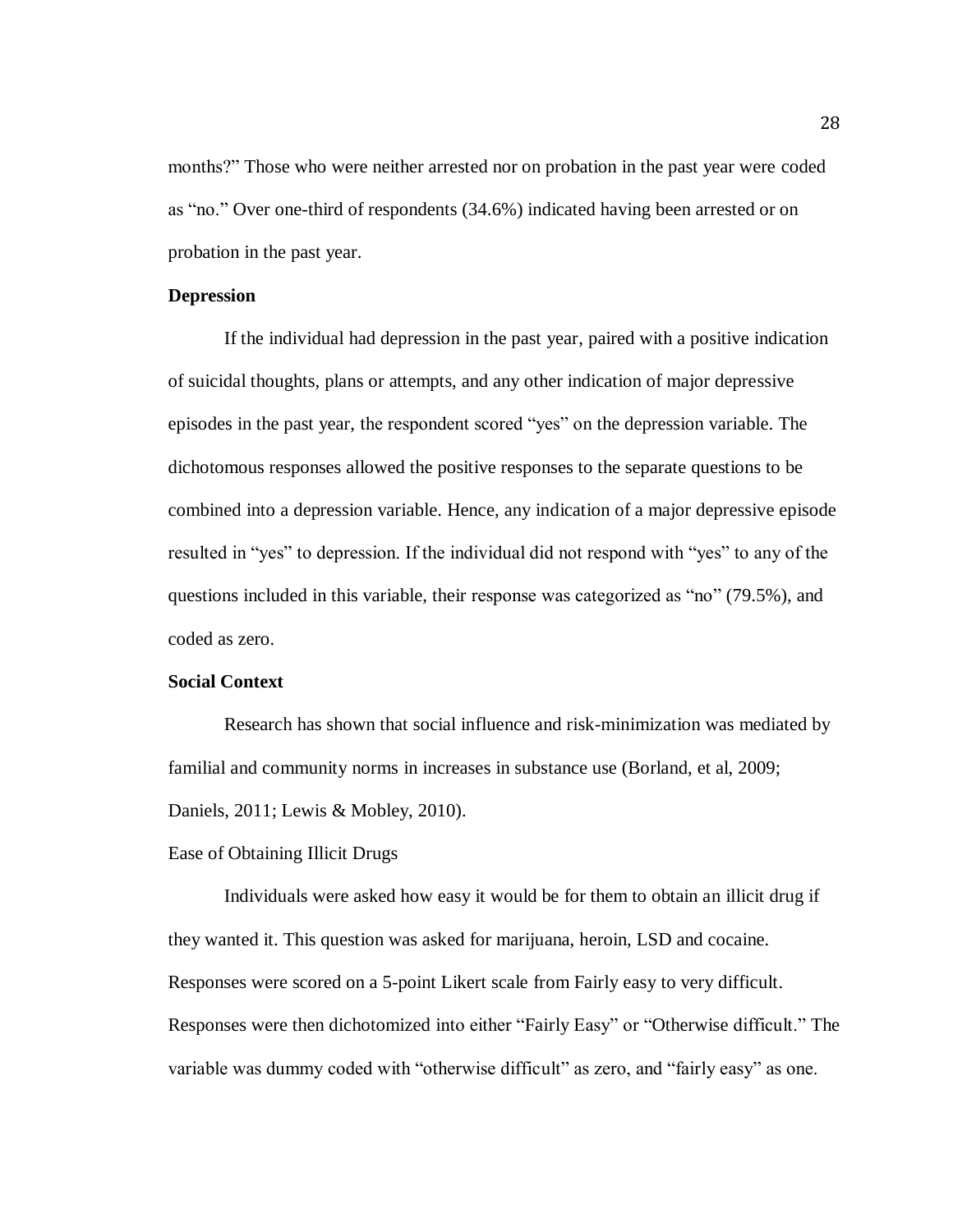months?" Those who were neither arrested nor on probation in the past year were coded as "no." Over one-third of respondents (34.6%) indicated having been arrested or on probation in the past year.

#### **Depression**

If the individual had depression in the past year, paired with a positive indication of suicidal thoughts, plans or attempts, and any other indication of major depressive episodes in the past year, the respondent scored "yes" on the depression variable. The dichotomous responses allowed the positive responses to the separate questions to be combined into a depression variable. Hence, any indication of a major depressive episode resulted in "yes" to depression. If the individual did not respond with "yes" to any of the questions included in this variable, their response was categorized as "no" (79.5%), and coded as zero.

# **Social Context**

Research has shown that social influence and risk-minimization was mediated by familial and community norms in increases in substance use (Borland, et al, 2009; Daniels, 2011; Lewis & Mobley, 2010).

#### Ease of Obtaining Illicit Drugs

Individuals were asked how easy it would be for them to obtain an illicit drug if they wanted it. This question was asked for marijuana, heroin, LSD and cocaine. Responses were scored on a 5-point Likert scale from Fairly easy to very difficult. Responses were then dichotomized into either "Fairly Easy" or "Otherwise difficult." The variable was dummy coded with "otherwise difficult" as zero, and "fairly easy" as one.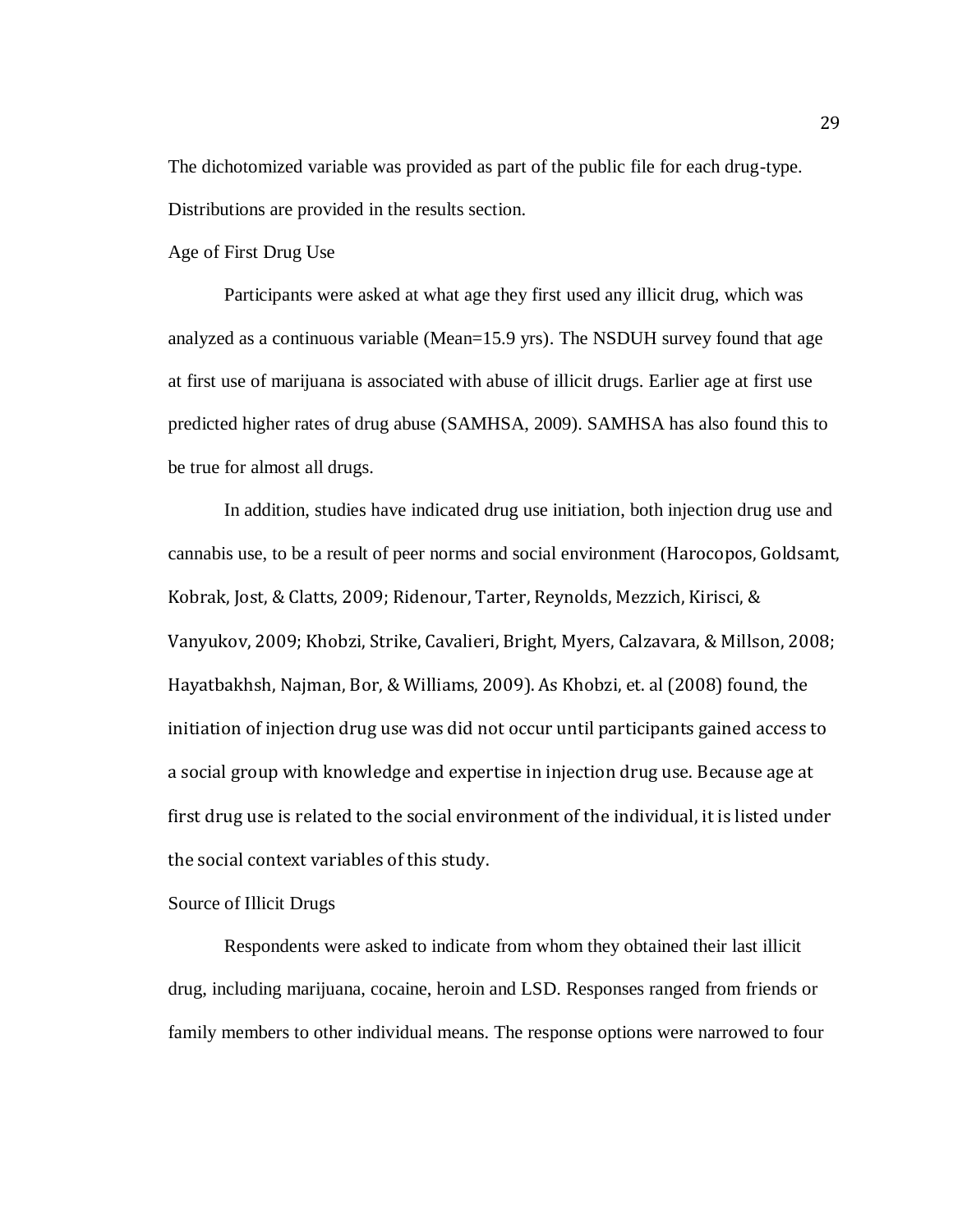The dichotomized variable was provided as part of the public file for each drug-type. Distributions are provided in the results section.

Age of First Drug Use

Participants were asked at what age they first used any illicit drug, which was analyzed as a continuous variable (Mean=15.9 yrs). The NSDUH survey found that age at first use of marijuana is associated with abuse of illicit drugs. Earlier age at first use predicted higher rates of drug abuse (SAMHSA, 2009). SAMHSA has also found this to be true for almost all drugs.

In addition, studies have indicated drug use initiation, both injection drug use and cannabis use, to be a result of peer norms and social environment (Harocopos, Goldsamt, Kobrak, Jost, & Clatts, 2009; Ridenour, Tarter, Reynolds, Mezzich, Kirisci, & Vanyukov, 2009; Khobzi, Strike, Cavalieri, Bright, Myers, Calzavara, & Millson, 2008; Hayatbakhsh, Najman, Bor, & Williams, 2009). As Khobzi, et. al (2008) found, the initiation of injection drug use was did not occur until participants gained access to a social group with knowledge and expertise in injection drug use. Because age at first drug use is related to the social environment of the individual, it is listed under the social context variables of this study.

Source of Illicit Drugs

Respondents were asked to indicate from whom they obtained their last illicit drug, including marijuana, cocaine, heroin and LSD. Responses ranged from friends or family members to other individual means. The response options were narrowed to four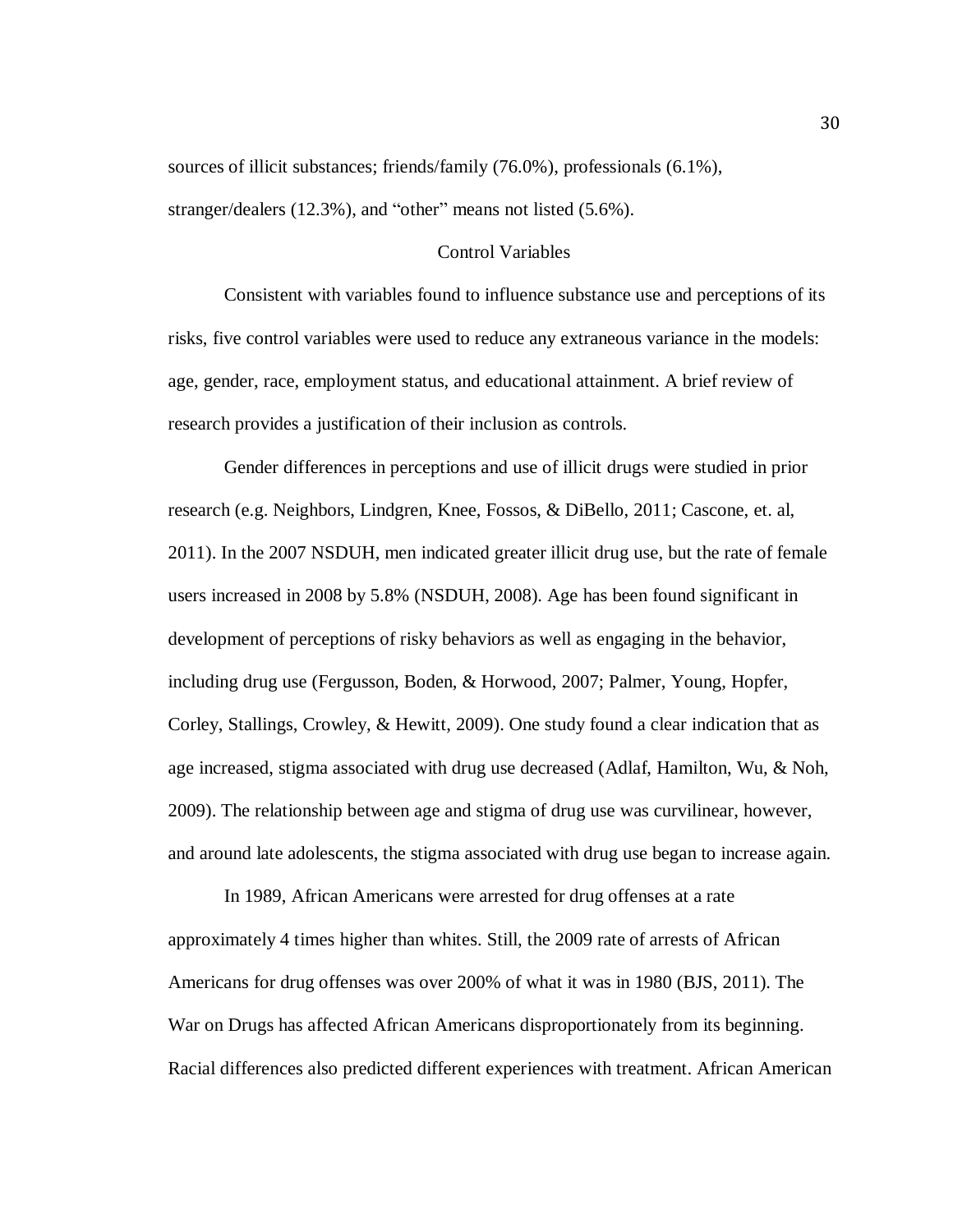sources of illicit substances; friends/family (76.0%), professionals (6.1%), stranger/dealers (12.3%), and "other" means not listed (5.6%).

### Control Variables

Consistent with variables found to influence substance use and perceptions of its risks, five control variables were used to reduce any extraneous variance in the models: age, gender, race, employment status, and educational attainment. A brief review of research provides a justification of their inclusion as controls.

Gender differences in perceptions and use of illicit drugs were studied in prior research (e.g. Neighbors, Lindgren, Knee, Fossos, & DiBello, 2011; Cascone, et. al, 2011). In the 2007 NSDUH, men indicated greater illicit drug use, but the rate of female users increased in 2008 by 5.8% (NSDUH, 2008). Age has been found significant in development of perceptions of risky behaviors as well as engaging in the behavior, including drug use (Fergusson, Boden, & Horwood, 2007; Palmer, Young, Hopfer, Corley, Stallings, Crowley, & Hewitt, 2009). One study found a clear indication that as age increased, stigma associated with drug use decreased (Adlaf, Hamilton, Wu, & Noh, 2009). The relationship between age and stigma of drug use was curvilinear, however, and around late adolescents, the stigma associated with drug use began to increase again.

In 1989, African Americans were arrested for drug offenses at a rate approximately 4 times higher than whites. Still, the 2009 rate of arrests of African Americans for drug offenses was over 200% of what it was in 1980 (BJS, 2011). The War on Drugs has affected African Americans disproportionately from its beginning. Racial differences also predicted different experiences with treatment. African American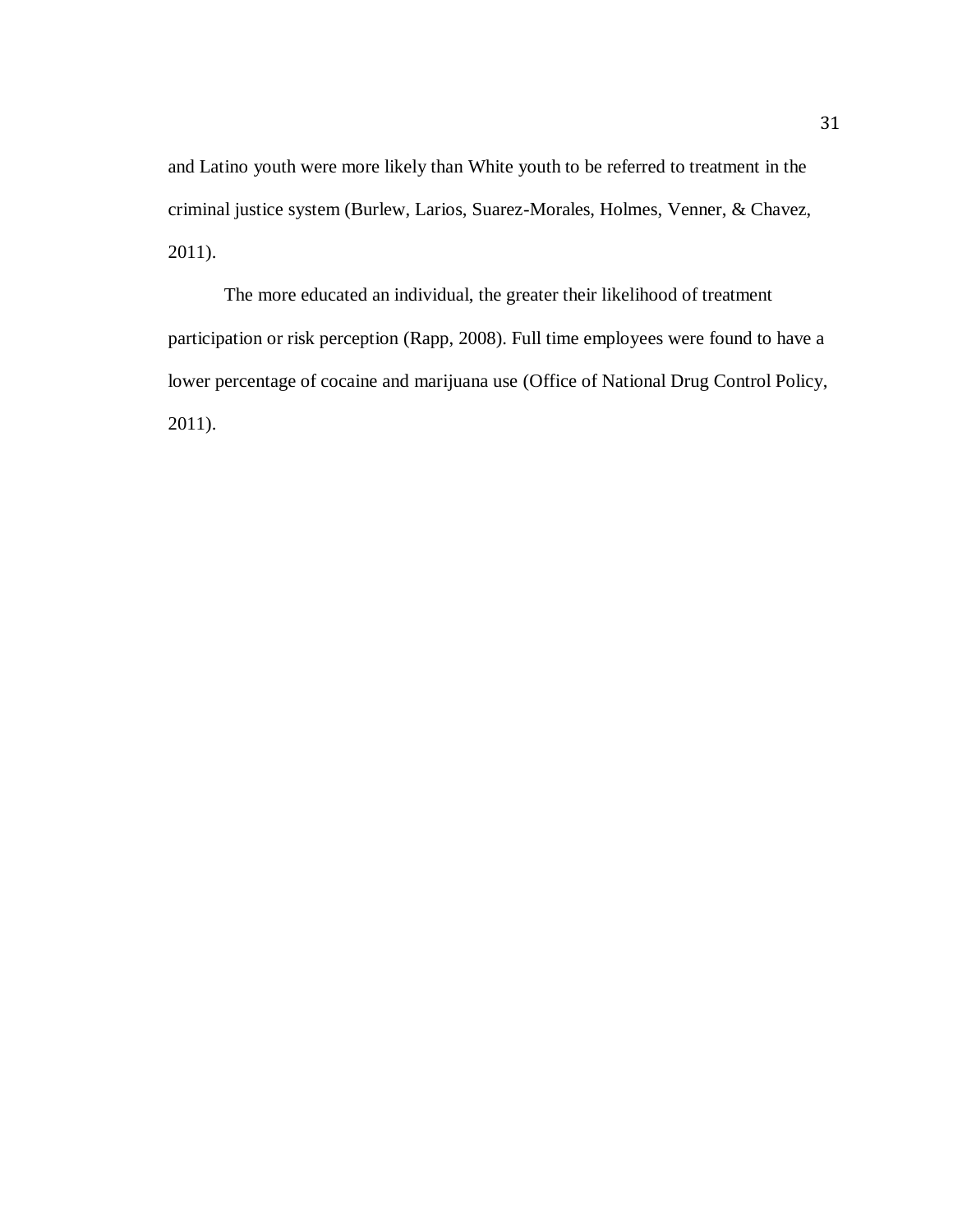and Latino youth were more likely than White youth to be referred to treatment in the criminal justice system (Burlew, Larios, Suarez-Morales, Holmes, Venner, & Chavez, 2011).

The more educated an individual, the greater their likelihood of treatment participation or risk perception (Rapp, 2008). Full time employees were found to have a lower percentage of cocaine and marijuana use (Office of National Drug Control Policy, 2011).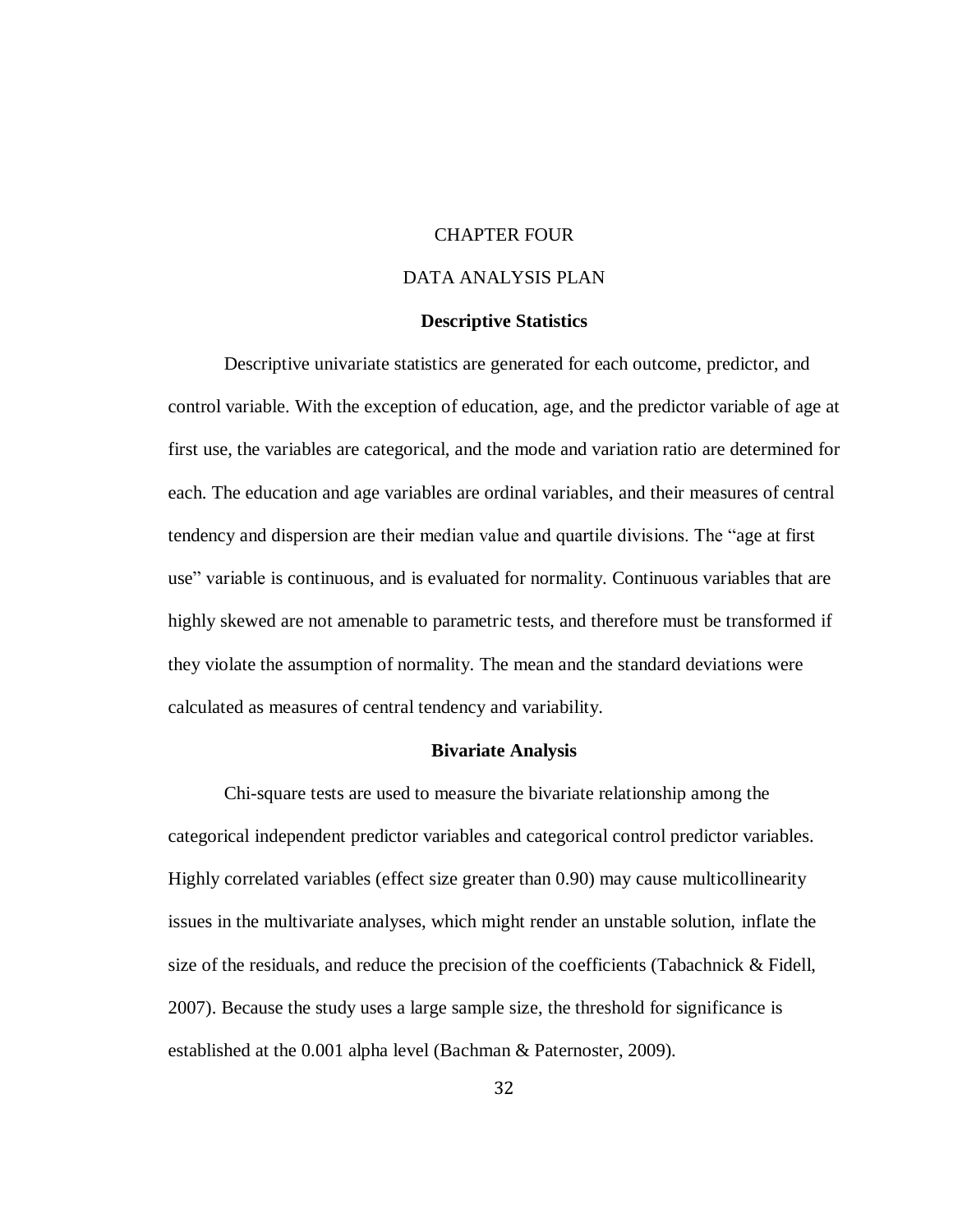# CHAPTER FOUR

# DATA ANALYSIS PLAN

#### **Descriptive Statistics**

Descriptive univariate statistics are generated for each outcome, predictor, and control variable. With the exception of education, age, and the predictor variable of age at first use, the variables are categorical, and the mode and variation ratio are determined for each. The education and age variables are ordinal variables, and their measures of central tendency and dispersion are their median value and quartile divisions. The "age at first use" variable is continuous, and is evaluated for normality. Continuous variables that are highly skewed are not amenable to parametric tests, and therefore must be transformed if they violate the assumption of normality. The mean and the standard deviations were calculated as measures of central tendency and variability.

#### **Bivariate Analysis**

Chi-square tests are used to measure the bivariate relationship among the categorical independent predictor variables and categorical control predictor variables. Highly correlated variables (effect size greater than 0.90) may cause multicollinearity issues in the multivariate analyses, which might render an unstable solution, inflate the size of the residuals, and reduce the precision of the coefficients (Tabachnick & Fidell, 2007). Because the study uses a large sample size, the threshold for significance is established at the 0.001 alpha level (Bachman & Paternoster, 2009).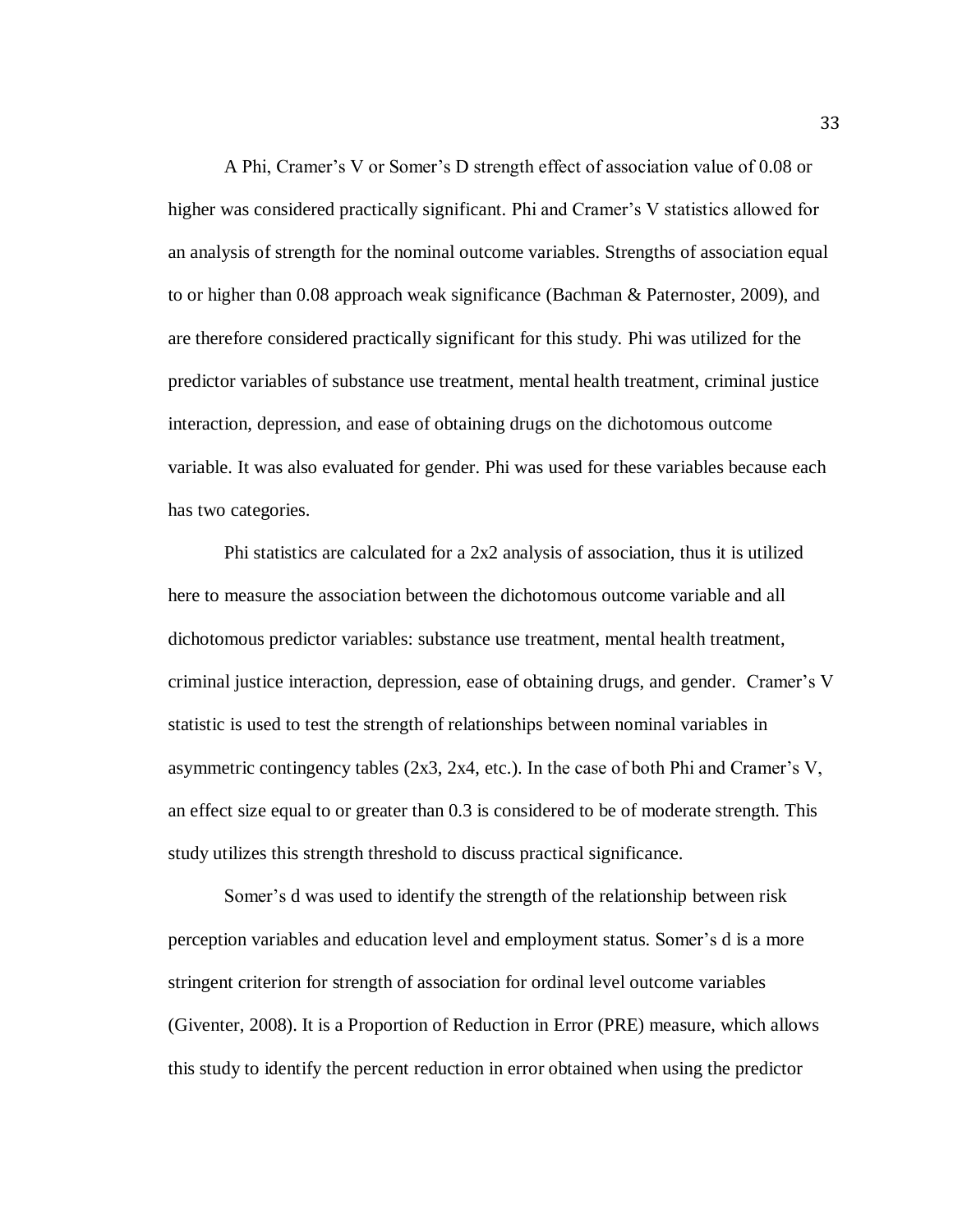A Phi, Cramer's V or Somer's D strength effect of association value of 0.08 or higher was considered practically significant. Phi and Cramer's V statistics allowed for an analysis of strength for the nominal outcome variables. Strengths of association equal to or higher than 0.08 approach weak significance (Bachman & Paternoster, 2009), and are therefore considered practically significant for this study. Phi was utilized for the predictor variables of substance use treatment, mental health treatment, criminal justice interaction, depression, and ease of obtaining drugs on the dichotomous outcome variable. It was also evaluated for gender. Phi was used for these variables because each has two categories.

Phi statistics are calculated for a 2x2 analysis of association, thus it is utilized here to measure the association between the dichotomous outcome variable and all dichotomous predictor variables: substance use treatment, mental health treatment, criminal justice interaction, depression, ease of obtaining drugs, and gender. Cramer's V statistic is used to test the strength of relationships between nominal variables in asymmetric contingency tables (2x3, 2x4, etc.). In the case of both Phi and Cramer's V, an effect size equal to or greater than 0.3 is considered to be of moderate strength. This study utilizes this strength threshold to discuss practical significance.

Somer's d was used to identify the strength of the relationship between risk perception variables and education level and employment status. Somer's d is a more stringent criterion for strength of association for ordinal level outcome variables (Giventer, 2008). It is a Proportion of Reduction in Error (PRE) measure, which allows this study to identify the percent reduction in error obtained when using the predictor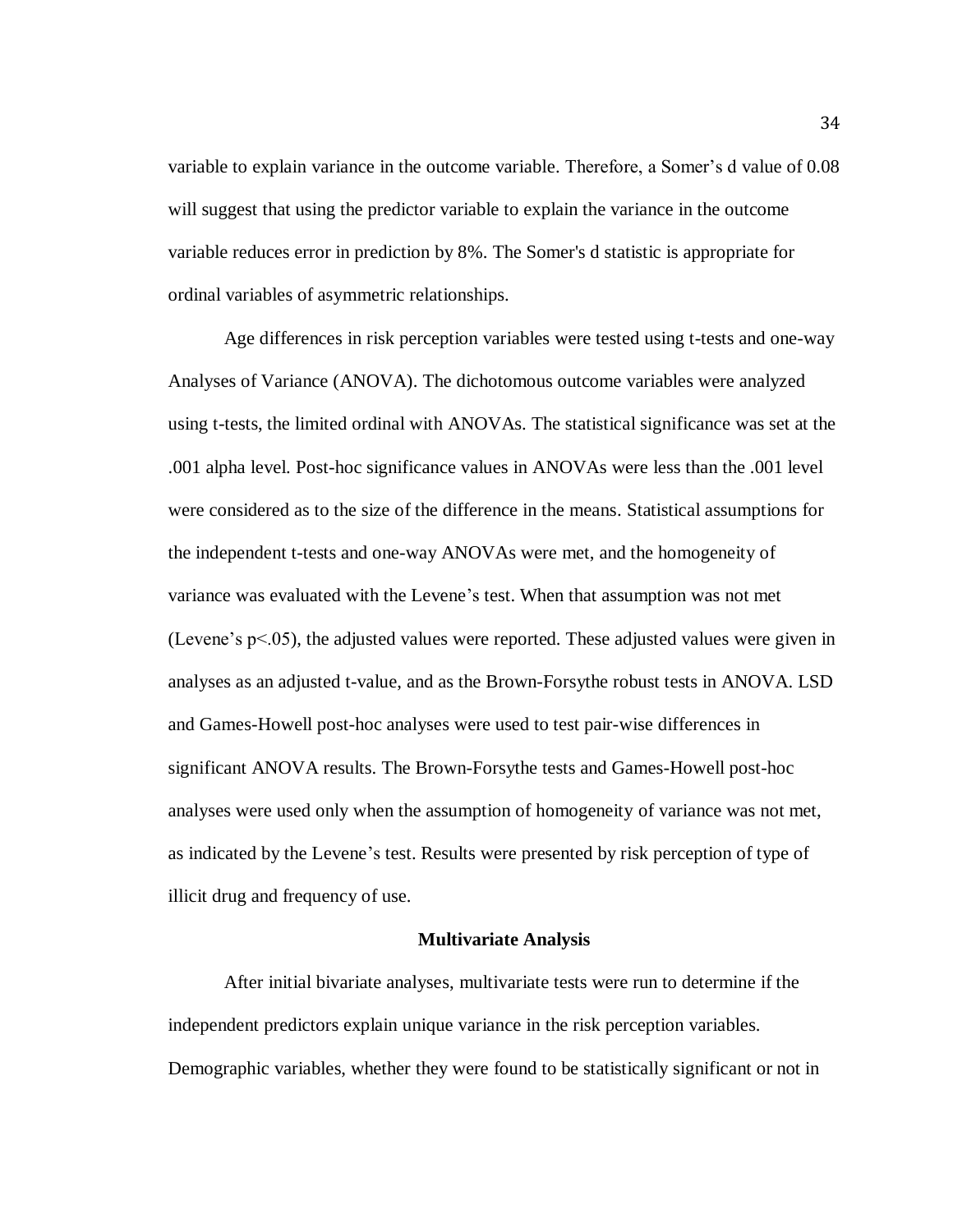variable to explain variance in the outcome variable. Therefore, a Somer's d value of 0.08 will suggest that using the predictor variable to explain the variance in the outcome variable reduces error in prediction by 8%. The Somer's d statistic is appropriate for ordinal variables of asymmetric relationships.

Age differences in risk perception variables were tested using t-tests and one-way Analyses of Variance (ANOVA). The dichotomous outcome variables were analyzed using t-tests, the limited ordinal with ANOVAs. The statistical significance was set at the .001 alpha level. Post-hoc significance values in ANOVAs were less than the .001 level were considered as to the size of the difference in the means. Statistical assumptions for the independent t-tests and one-way ANOVAs were met, and the homogeneity of variance was evaluated with the Levene's test. When that assumption was not met (Levene's  $p<05$ ), the adjusted values were reported. These adjusted values were given in analyses as an adjusted t-value, and as the Brown-Forsythe robust tests in ANOVA. LSD and Games-Howell post-hoc analyses were used to test pair-wise differences in significant ANOVA results. The Brown-Forsythe tests and Games-Howell post-hoc analyses were used only when the assumption of homogeneity of variance was not met, as indicated by the Levene's test. Results were presented by risk perception of type of illicit drug and frequency of use.

### **Multivariate Analysis**

After initial bivariate analyses, multivariate tests were run to determine if the independent predictors explain unique variance in the risk perception variables. Demographic variables, whether they were found to be statistically significant or not in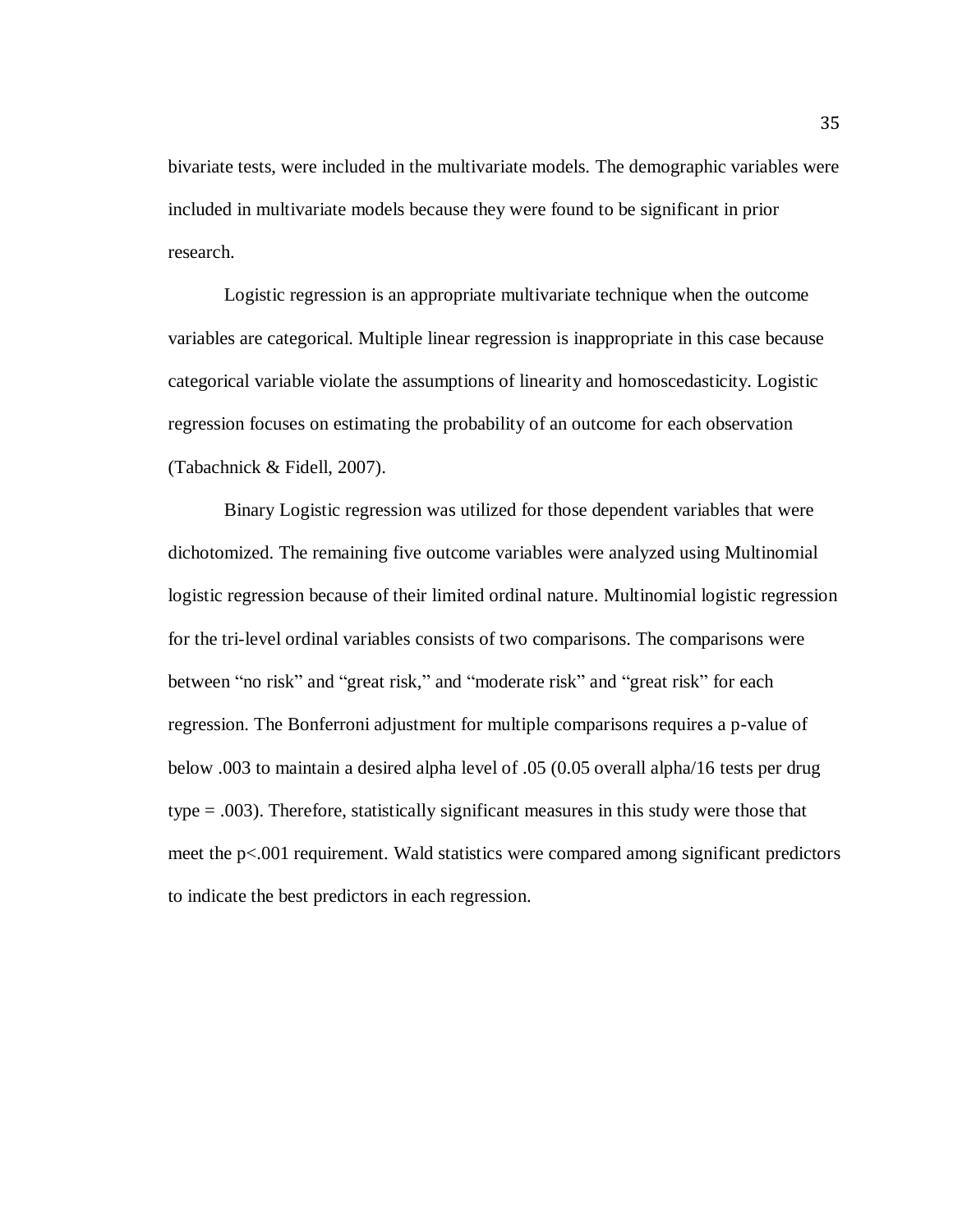bivariate tests, were included in the multivariate models. The demographic variables were included in multivariate models because they were found to be significant in prior research.

Logistic regression is an appropriate multivariate technique when the outcome variables are categorical. Multiple linear regression is inappropriate in this case because categorical variable violate the assumptions of linearity and homoscedasticity. Logistic regression focuses on estimating the probability of an outcome for each observation (Tabachnick & Fidell, 2007).

Binary Logistic regression was utilized for those dependent variables that were dichotomized. The remaining five outcome variables were analyzed using Multinomial logistic regression because of their limited ordinal nature. Multinomial logistic regression for the tri-level ordinal variables consists of two comparisons. The comparisons were between "no risk" and "great risk," and "moderate risk" and "great risk" for each regression. The Bonferroni adjustment for multiple comparisons requires a p-value of below .003 to maintain a desired alpha level of .05 (0.05 overall alpha/16 tests per drug type = .003). Therefore, statistically significant measures in this study were those that meet the p<.001 requirement. Wald statistics were compared among significant predictors to indicate the best predictors in each regression.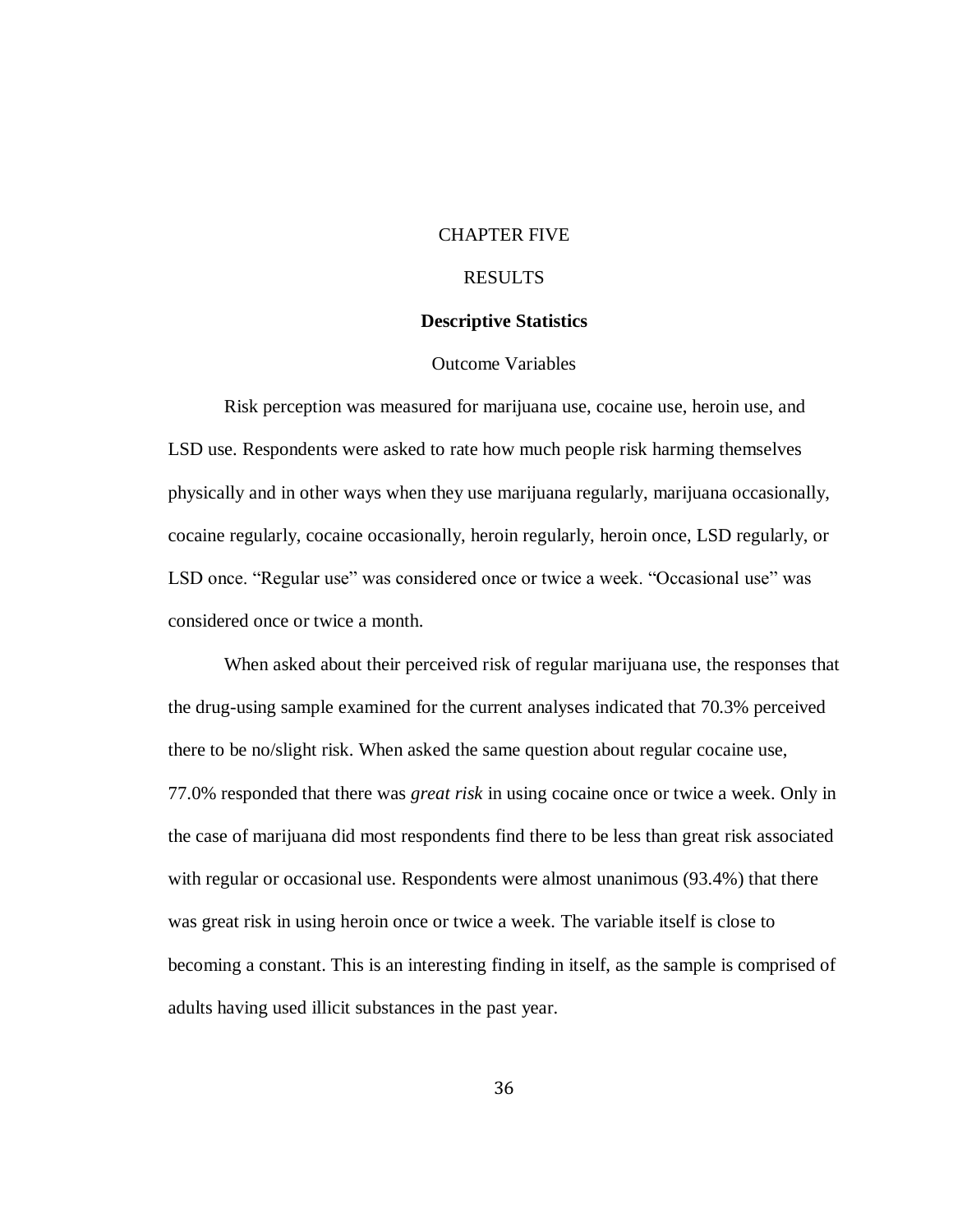### CHAPTER FIVE

## RESULTS

### **Descriptive Statistics**

### Outcome Variables

Risk perception was measured for marijuana use, cocaine use, heroin use, and LSD use. Respondents were asked to rate how much people risk harming themselves physically and in other ways when they use marijuana regularly, marijuana occasionally, cocaine regularly, cocaine occasionally, heroin regularly, heroin once, LSD regularly, or LSD once. "Regular use" was considered once or twice a week. "Occasional use" was considered once or twice a month.

When asked about their perceived risk of regular marijuana use, the responses that the drug-using sample examined for the current analyses indicated that 70.3% perceived there to be no/slight risk. When asked the same question about regular cocaine use, 77.0% responded that there was *great risk* in using cocaine once or twice a week. Only in the case of marijuana did most respondents find there to be less than great risk associated with regular or occasional use. Respondents were almost unanimous (93.4%) that there was great risk in using heroin once or twice a week. The variable itself is close to becoming a constant. This is an interesting finding in itself, as the sample is comprised of adults having used illicit substances in the past year.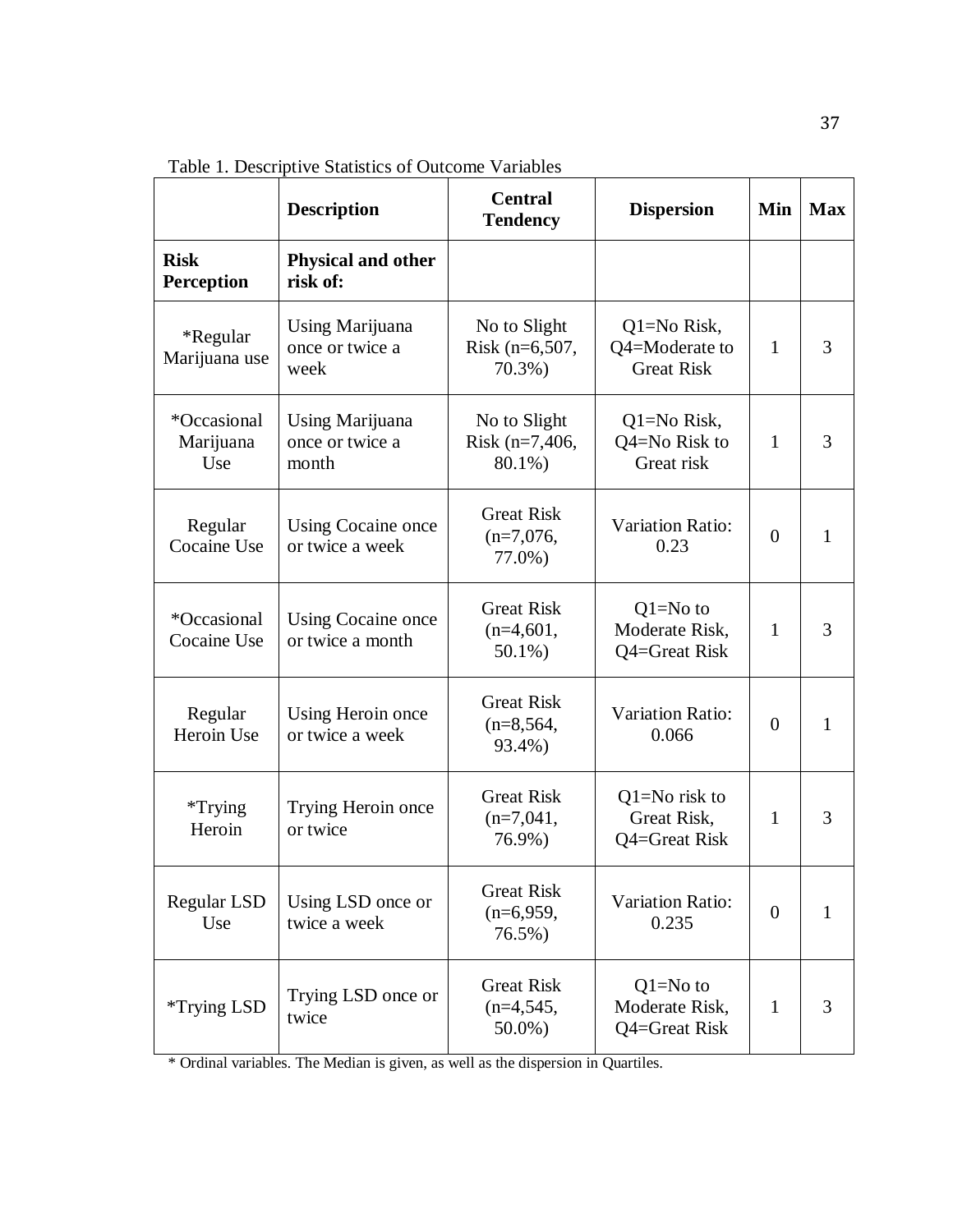Table 1. Descriptive Statistics of Outcome Variables

|                                  | <b>Description</b>                          | <b>Central</b><br><b>Tendency</b>               | <b>Dispersion</b>                                  | Min            | <b>Max</b> |
|----------------------------------|---------------------------------------------|-------------------------------------------------|----------------------------------------------------|----------------|------------|
| <b>Risk</b><br><b>Perception</b> | <b>Physical and other</b><br>risk of:       |                                                 |                                                    |                |            |
| *Regular<br>Marijuana use        | Using Marijuana<br>once or twice a<br>week  | No to Slight<br>Risk (n=6,507,<br>$70.3\%$ )    | Q1=No Risk,<br>Q4=Moderate to<br><b>Great Risk</b> | $\mathbf{1}$   | 3          |
| *Occasional<br>Marijuana<br>Use  | Using Marijuana<br>once or twice a<br>month | No to Slight<br>Risk (n=7,406,<br>80.1%)        | Q1=No Risk,<br>Q4=No Risk to<br>Great risk         | 1              | 3          |
| Regular<br>Cocaine Use           | Using Cocaine once<br>or twice a week       | <b>Great Risk</b><br>$(n=7,076,$<br>77.0%)      | <b>Variation Ratio:</b><br>0.23                    |                | 1          |
| *Occasional<br>Cocaine Use       | Using Cocaine once<br>or twice a month      | <b>Great Risk</b><br>$(n=4,601,$<br>50.1%)      | $Q1 = No$ to<br>Moderate Risk,<br>Q4=Great Risk    | 1              | 3          |
| Regular<br>Heroin Use            | Using Heroin once<br>or twice a week        | <b>Great Risk</b><br>$(n=8, 564,$<br>93.4%)     | <b>Variation Ratio:</b><br>0.066                   | $\theta$       | 1          |
| $*$ Trying<br>Heroin             | Trying Heroin once<br>or twice              | <b>Great Risk</b><br>$(n=7,041,$<br>76.9%)      | $Q1 = No$ risk to<br>Great Risk,<br>Q4=Great Risk  | 1              | 3          |
| Regular LSD<br>Use               | Using LSD once or<br>twice a week           | <b>Great Risk</b><br>$(n=6,959,$<br>76.5%)      | Variation Ratio:<br>0.235                          | $\overline{0}$ | 1          |
| <i><b>*Trying LSD</b></i>        | Trying LSD once or<br>twice                 | <b>Great Risk</b><br>$(n=4, 545,$<br>$50.0\%$ ) | $Q1 = No$ to<br>Moderate Risk,<br>Q4=Great Risk    | 1              | 3          |

\* Ordinal variables. The Median is given, as well as the dispersion in Quartiles.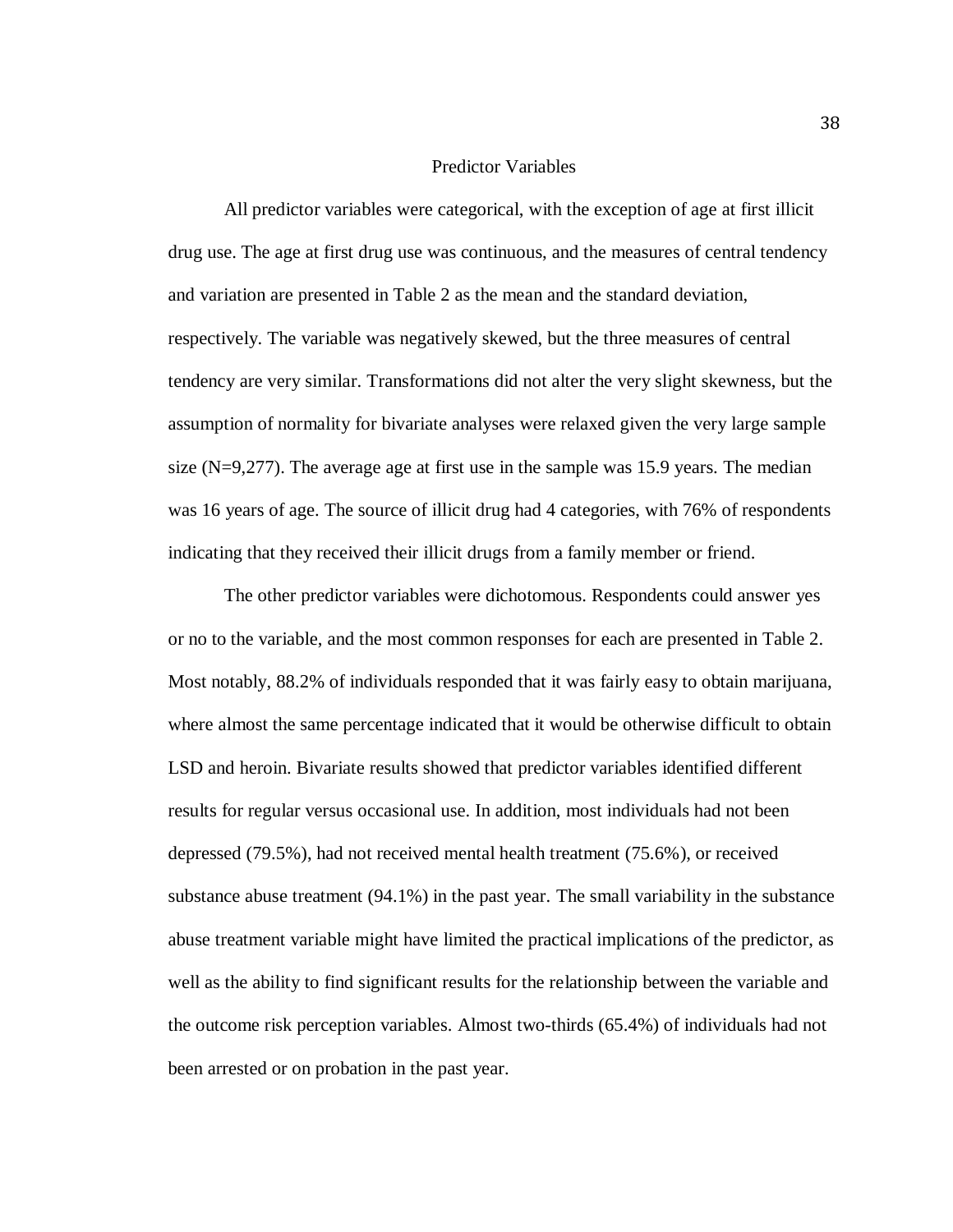### Predictor Variables

All predictor variables were categorical, with the exception of age at first illicit drug use. The age at first drug use was continuous, and the measures of central tendency and variation are presented in Table 2 as the mean and the standard deviation, respectively. The variable was negatively skewed, but the three measures of central tendency are very similar. Transformations did not alter the very slight skewness, but the assumption of normality for bivariate analyses were relaxed given the very large sample size  $(N=9,277)$ . The average age at first use in the sample was 15.9 years. The median was 16 years of age. The source of illicit drug had 4 categories, with 76% of respondents indicating that they received their illicit drugs from a family member or friend.

The other predictor variables were dichotomous. Respondents could answer yes or no to the variable, and the most common responses for each are presented in Table 2. Most notably, 88.2% of individuals responded that it was fairly easy to obtain marijuana, where almost the same percentage indicated that it would be otherwise difficult to obtain LSD and heroin. Bivariate results showed that predictor variables identified different results for regular versus occasional use. In addition, most individuals had not been depressed (79.5%), had not received mental health treatment (75.6%), or received substance abuse treatment (94.1%) in the past year. The small variability in the substance abuse treatment variable might have limited the practical implications of the predictor, as well as the ability to find significant results for the relationship between the variable and the outcome risk perception variables. Almost two-thirds (65.4%) of individuals had not been arrested or on probation in the past year.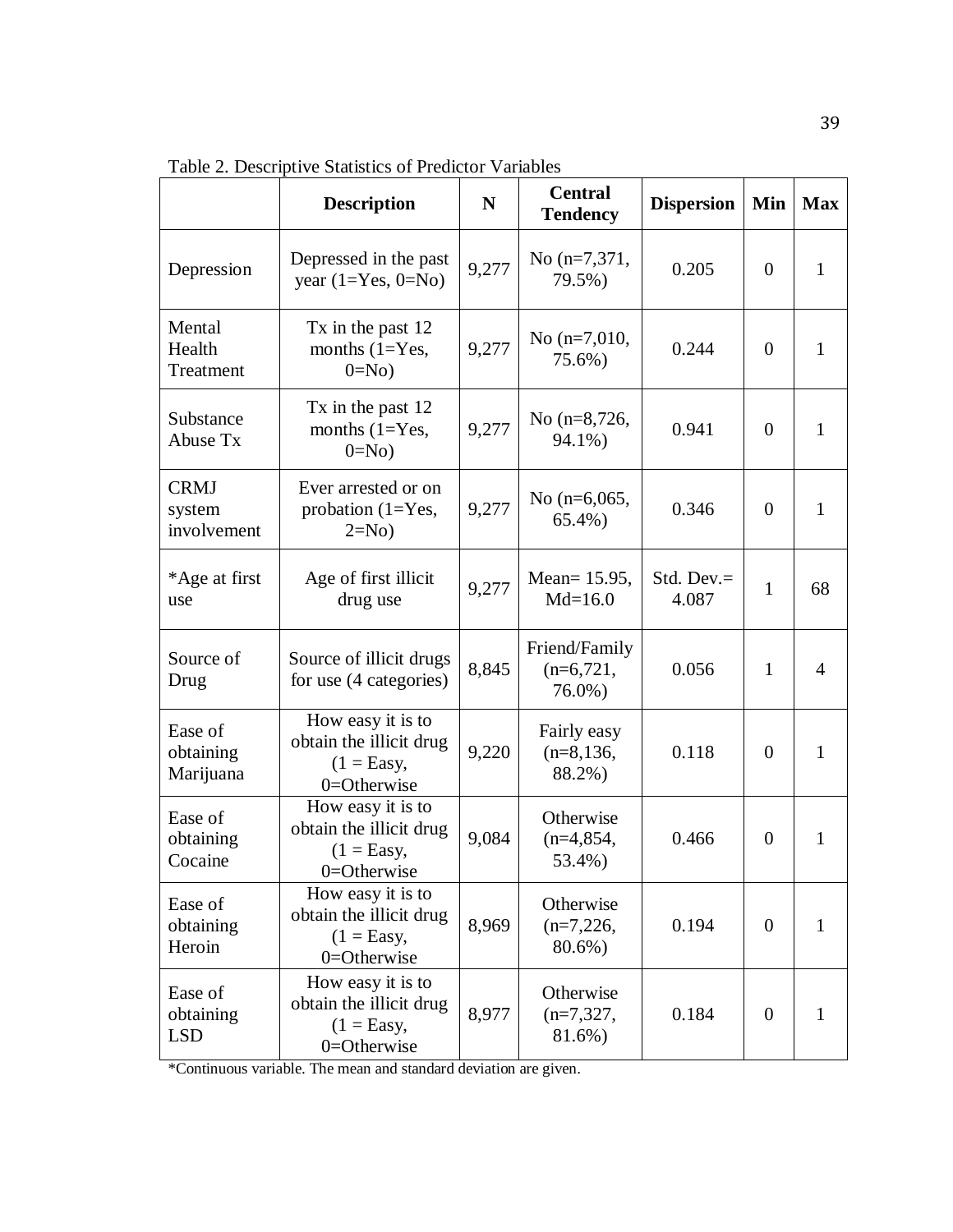|                                      | <b>Description</b>                                                                     | $\mathbf N$ | <b>Central</b><br><b>Tendency</b>      | <b>Dispersion</b>      | Min              | <b>Max</b>     |
|--------------------------------------|----------------------------------------------------------------------------------------|-------------|----------------------------------------|------------------------|------------------|----------------|
| Depression                           | Depressed in the past<br>year $(1=Yes, 0=No)$                                          | 9,277       | No $(n=7,371,$<br>79.5%)               | 0.205                  | $\overline{0}$   | $\mathbf{1}$   |
| Mental<br>Health<br>Treatment        | Tx in the past 12<br>months $(1=Yes,$<br>$0=N0$                                        | 9,277       | No $(n=7,010,$<br>75.6%)               | 0.244                  | $\overline{0}$   | $\mathbf{1}$   |
| Substance<br>Abuse Tx                | Tx in the past 12<br>months $(1=Yes,$<br>$0=No$                                        | 9,277       | No (n=8,726,<br>94.1%)                 | 0.941                  | $\overline{0}$   | $\mathbf{1}$   |
| <b>CRMJ</b><br>system<br>involvement | Ever arrested or on<br>probation $(1=Yes,$<br>$2=No$                                   | 9,277       | No $(n=6,065,$<br>$65.4\%$ )           | 0.346                  | $\boldsymbol{0}$ | $\mathbf{1}$   |
| *Age at first<br>use                 | Age of first illicit<br>drug use                                                       | 9,277       | Mean= 15.95,<br>$Md=16.0$              | Std. Dev. $=$<br>4.087 | $\mathbf{1}$     | 68             |
| Source of<br>Drug                    | Source of illicit drugs<br>for use (4 categories)                                      | 8,845       | Friend/Family<br>$(n=6,721,$<br>76.0%) | 0.056                  | $\mathbf{1}$     | $\overline{4}$ |
| Ease of<br>obtaining<br>Marijuana    | How easy it is to<br>obtain the illicit drug<br>$(1 = \text{Easy},$<br>0=Otherwise     | 9,220       | Fairly easy<br>$(n=8,136,$<br>88.2%)   | 0.118                  | $\boldsymbol{0}$ | $\mathbf{1}$   |
| Ease of<br>obtaining<br>Cocaine      | How easy it is to<br>obtain the illicit drug<br>$(1 = \text{Easy},$<br>$0 =$ Otherwise | 9,084       | Otherwise<br>$(n=4,854,$<br>53.4%)     | 0.466                  | $\boldsymbol{0}$ | 1              |
| Ease of<br>obtaining<br>Heroin       | How easy it is to<br>obtain the illicit drug<br>$(1 = Easy,$<br>0=Otherwise            | 8,969       | Otherwise<br>$(n=7,226,$<br>80.6%)     | 0.194                  | $\boldsymbol{0}$ | $\mathbf{1}$   |
| Ease of<br>obtaining<br><b>LSD</b>   | How easy it is to<br>obtain the illicit drug<br>$(1 = Easy,$<br>0=Otherwise            | 8,977       | Otherwise<br>$(n=7,327,$<br>81.6%)     | 0.184                  | $\boldsymbol{0}$ | $\mathbf{1}$   |

Table 2. Descriptive Statistics of Predictor Variables

\*Continuous variable. The mean and standard deviation are given.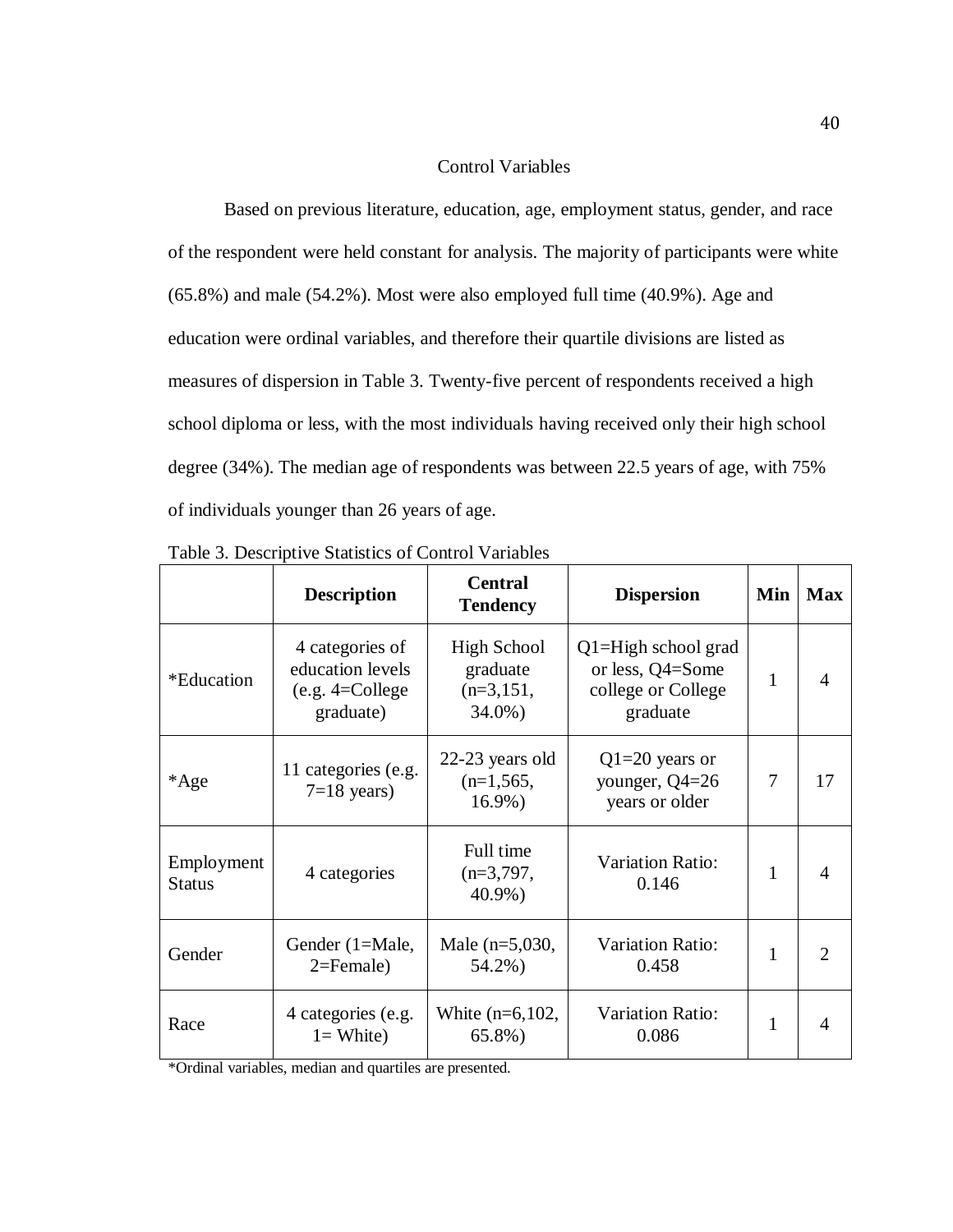# Control Variables

Based on previous literature, education, age, employment status, gender, and race of the respondent were held constant for analysis. The majority of participants were white (65.8%) and male (54.2%). Most were also employed full time (40.9%). Age and education were ordinal variables, and therefore their quartile divisions are listed as measures of dispersion in Table 3. Twenty-five percent of respondents received a high school diploma or less, with the most individuals having received only their high school degree (34%). The median age of respondents was between 22.5 years of age, with 75% of individuals younger than 26 years of age.

|                             | <b>Description</b>                                                     | <b>Central</b><br><b>Tendency</b>                       | <b>Dispersion</b>                                                             | Min | <b>Max</b>                  |
|-----------------------------|------------------------------------------------------------------------|---------------------------------------------------------|-------------------------------------------------------------------------------|-----|-----------------------------|
| *Education                  | 4 categories of<br>education levels<br>$(e.g. 4=College)$<br>graduate) | <b>High School</b><br>graduate<br>$(n=3,151,$<br>34.0%) | $Q1 = High school grad$<br>or less, Q4=Some<br>college or College<br>graduate | 1   | 4                           |
| *Age                        | 11 categories (e.g.<br>$7=18$ years)                                   | 22-23 years old<br>$(n=1, 565,$<br>$16.9\%)$            | $Q1=20$ years or<br>younger, $Q4=26$<br>years or older                        | 7   | 17                          |
| Employment<br><b>Status</b> | 4 categories                                                           | Full time<br>$(n=3,797,$<br>40.9%)                      | <b>Variation Ratio:</b><br>0.146                                              | 1   | 4                           |
| Gender                      | Gender (1=Male,<br>$2 =$ Female $)$                                    | Male $(n=5,030,$<br>54.2%)                              | <b>Variation Ratio:</b><br>0.458                                              | 1   | $\mathcal{D}_{\mathcal{A}}$ |
| Race                        | 4 categories (e.g.<br>$l = White$ )                                    | White $(n=6,102,$<br>65.8%)                             | <b>Variation Ratio:</b><br>0.086                                              | 1   |                             |

Table 3. Descriptive Statistics of Control Variables

\*Ordinal variables, median and quartiles are presented.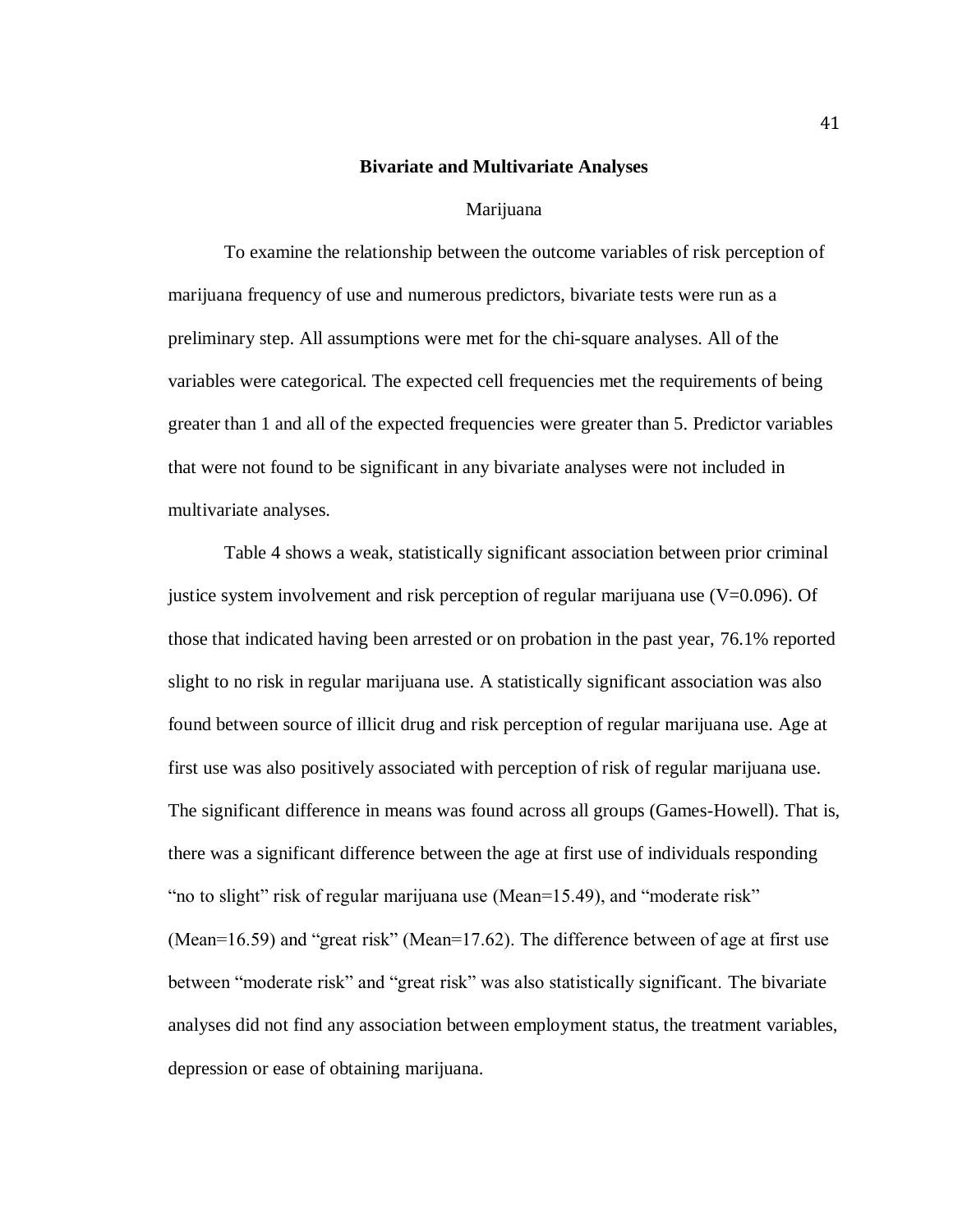### **Bivariate and Multivariate Analyses**

#### Marijuana

To examine the relationship between the outcome variables of risk perception of marijuana frequency of use and numerous predictors, bivariate tests were run as a preliminary step. All assumptions were met for the chi-square analyses. All of the variables were categorical. The expected cell frequencies met the requirements of being greater than 1 and all of the expected frequencies were greater than 5. Predictor variables that were not found to be significant in any bivariate analyses were not included in multivariate analyses.

Table 4 shows a weak, statistically significant association between prior criminal justice system involvement and risk perception of regular marijuana use (V=0.096). Of those that indicated having been arrested or on probation in the past year, 76.1% reported slight to no risk in regular marijuana use. A statistically significant association was also found between source of illicit drug and risk perception of regular marijuana use. Age at first use was also positively associated with perception of risk of regular marijuana use. The significant difference in means was found across all groups (Games-Howell). That is, there was a significant difference between the age at first use of individuals responding "no to slight" risk of regular marijuana use (Mean=15.49), and "moderate risk" (Mean=16.59) and "great risk" (Mean=17.62). The difference between of age at first use between "moderate risk" and "great risk" was also statistically significant. The bivariate analyses did not find any association between employment status, the treatment variables, depression or ease of obtaining marijuana.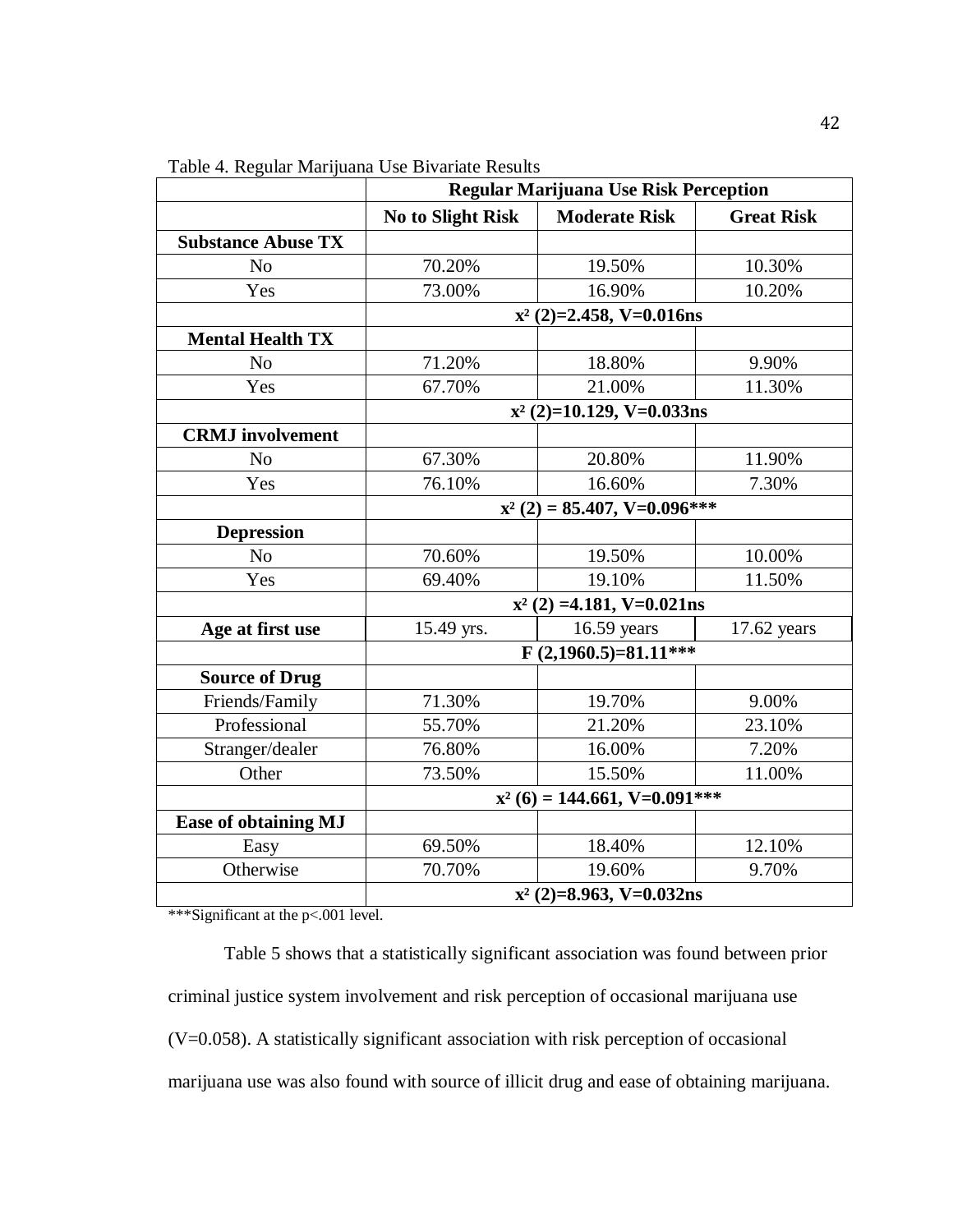|                           | <b>Regular Marijuana Use Risk Perception</b> |                                |                   |  |  |
|---------------------------|----------------------------------------------|--------------------------------|-------------------|--|--|
|                           | <b>No to Slight Risk</b>                     | <b>Moderate Risk</b>           | <b>Great Risk</b> |  |  |
| <b>Substance Abuse TX</b> |                                              |                                |                   |  |  |
| N <sub>o</sub>            | 70.20%                                       | 19.50%                         | 10.30%            |  |  |
| Yes                       | 73.00%                                       | 16.90%                         | 10.20%            |  |  |
|                           |                                              | $x^2$ (2)=2.458, V=0.016ns     |                   |  |  |
| <b>Mental Health TX</b>   |                                              |                                |                   |  |  |
| N <sub>0</sub>            | 71.20%                                       | 18.80%                         | 9.90%             |  |  |
| Yes                       | 67.70%                                       | 21.00%                         | 11.30%            |  |  |
|                           |                                              | $x^2$ (2)=10.129, V=0.033ns    |                   |  |  |
| <b>CRMJ</b> involvement   |                                              |                                |                   |  |  |
| N <sub>o</sub>            | 67.30%                                       | 20.80%                         | 11.90%            |  |  |
| Yes                       | 76.10%                                       | 16.60%                         | 7.30%             |  |  |
|                           |                                              | $x^2$ (2) = 85.407, V=0.096*** |                   |  |  |
| <b>Depression</b>         |                                              |                                |                   |  |  |
| N <sub>o</sub>            | 70.60%                                       | 19.50%                         | 10.00%            |  |  |
| Yes                       | 69.40%                                       | 19.10%                         | 11.50%            |  |  |
|                           |                                              | $x^2$ (2) =4.181, V=0.021ns    |                   |  |  |
| Age at first use          | 15.49 yrs.                                   | $16.59$ years                  | 17.62 years       |  |  |
|                           |                                              | $F(2,1960.5)=81.11***$         |                   |  |  |
| <b>Source of Drug</b>     |                                              |                                |                   |  |  |
| Friends/Family            | 71.30%                                       | 19.70%                         | 9.00%             |  |  |
| Professional              | 55.70%                                       | 21.20%                         | 23.10%            |  |  |
| Stranger/dealer           | 76.80%                                       | 16.00%                         | 7.20%             |  |  |
| Other                     | 73.50%                                       | 15.50%                         | 11.00%            |  |  |
|                           | $x^2$ (6) = 144.661, V=0.091***              |                                |                   |  |  |
| Ease of obtaining MJ      |                                              |                                |                   |  |  |
| Easy                      | 69.50%                                       | 18.40%                         | 12.10%            |  |  |
| Otherwise                 | 70.70%                                       | 19.60%                         | 9.70%             |  |  |
|                           | $x^2$ (2)=8.963, V=0.032ns                   |                                |                   |  |  |

Table 4. Regular Marijuana Use Bivariate Results

\*\*\*Significant at the p<.001 level.

Table 5 shows that a statistically significant association was found between prior criminal justice system involvement and risk perception of occasional marijuana use (V=0.058). A statistically significant association with risk perception of occasional marijuana use was also found with source of illicit drug and ease of obtaining marijuana.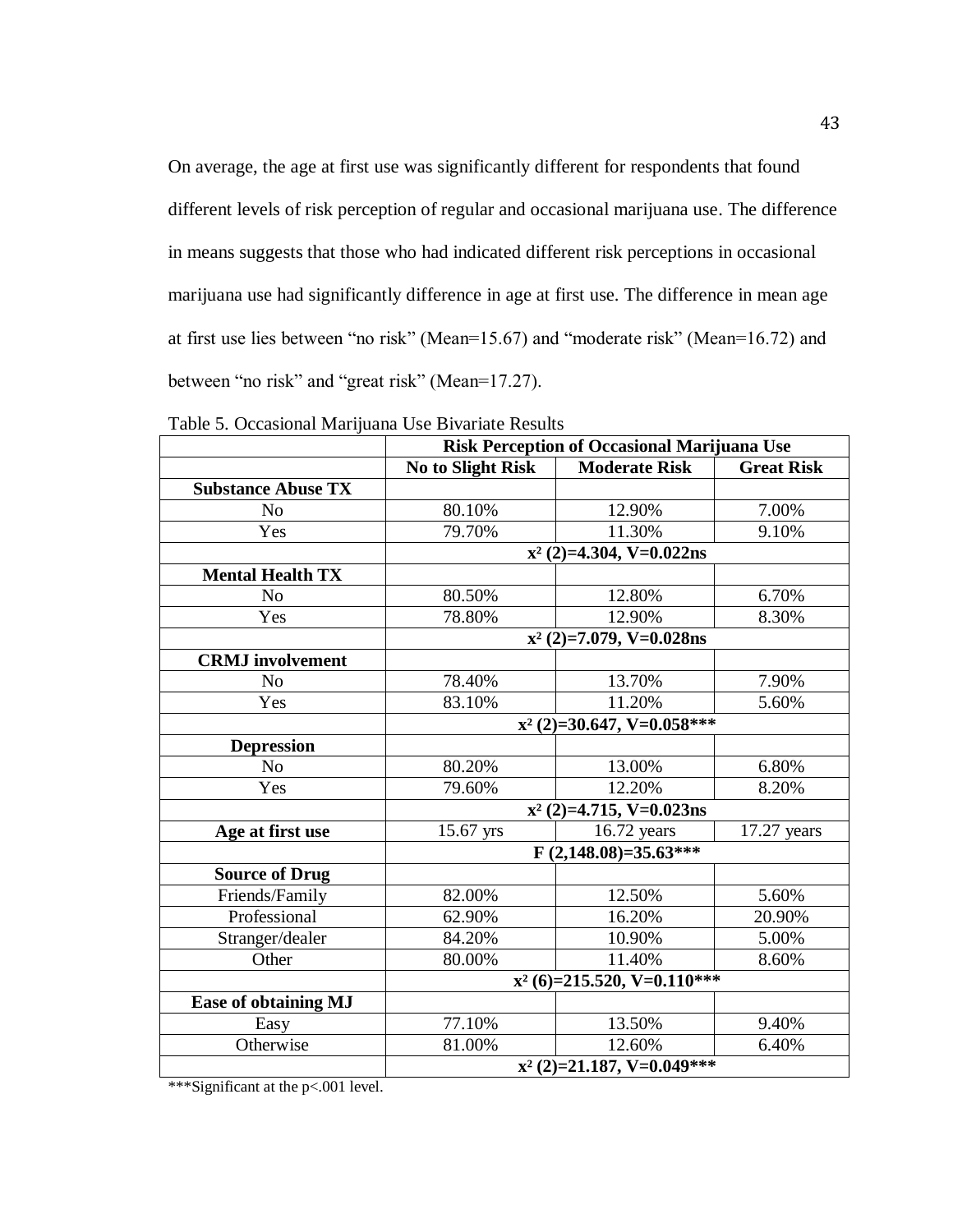On average, the age at first use was significantly different for respondents that found different levels of risk perception of regular and occasional marijuana use. The difference in means suggests that those who had indicated different risk perceptions in occasional marijuana use had significantly difference in age at first use. The difference in mean age at first use lies between "no risk" (Mean=15.67) and "moderate risk" (Mean=16.72) and between "no risk" and "great risk" (Mean=17.27).

|                             | <b>Risk Perception of Occasional Marijuana Use</b> |                              |                   |  |  |
|-----------------------------|----------------------------------------------------|------------------------------|-------------------|--|--|
|                             | <b>No to Slight Risk</b>                           | <b>Moderate Risk</b>         | <b>Great Risk</b> |  |  |
| <b>Substance Abuse TX</b>   |                                                    |                              |                   |  |  |
| No                          | 80.10%                                             | 12.90%                       | 7.00%             |  |  |
| Yes                         | 79.70%                                             | 11.30%                       | 9.10%             |  |  |
|                             |                                                    | $x^2$ (2)=4.304, V=0.022ns   |                   |  |  |
| <b>Mental Health TX</b>     |                                                    |                              |                   |  |  |
| No                          | 80.50%                                             | 12.80%                       | 6.70%             |  |  |
| Yes                         | 78.80%                                             | 12.90%                       | 8.30%             |  |  |
|                             |                                                    | $x^2$ (2)=7.079, V=0.028ns   |                   |  |  |
| <b>CRMJ</b> involvement     |                                                    |                              |                   |  |  |
| N <sub>o</sub>              | 78.40%                                             | 13.70%                       | 7.90%             |  |  |
| Yes                         | 83.10%                                             | 11.20%                       | 5.60%             |  |  |
|                             |                                                    | $x^2$ (2)=30.647, V=0.058*** |                   |  |  |
| <b>Depression</b>           |                                                    |                              |                   |  |  |
| No                          | 80.20%                                             | 13.00%                       | 6.80%             |  |  |
| Yes                         | 79.60%                                             | 12.20%                       | 8.20%             |  |  |
|                             |                                                    | $x^2$ (2)=4.715, V=0.023ns   |                   |  |  |
| Age at first use            | 15.67 yrs                                          | $16.72$ years                | $17.27$ years     |  |  |
|                             |                                                    | $F(2,148.08)=35.63***$       |                   |  |  |
| <b>Source of Drug</b>       |                                                    |                              |                   |  |  |
| Friends/Family              | 82.00%                                             | 12.50%                       | 5.60%             |  |  |
| Professional                | 62.90%                                             | 16.20%                       | 20.90%            |  |  |
| Stranger/dealer             | 84.20%                                             | 10.90%                       | 5.00%             |  |  |
| Other                       | 80.00%                                             | 11.40%                       | 8.60%             |  |  |
|                             | $x^2$ (6)=215.520, V=0.110***                      |                              |                   |  |  |
| <b>Ease of obtaining MJ</b> |                                                    |                              |                   |  |  |
| Easy                        | 77.10%                                             | 13.50%                       | 9.40%             |  |  |
| Otherwise                   | 81.00%                                             | 12.60%                       | 6.40%             |  |  |
|                             | $x^2$ (2)=21.187, V=0.049***                       |                              |                   |  |  |

Table 5. Occasional Marijuana Use Bivariate Results

\*\*\*Significant at the p<.001 level.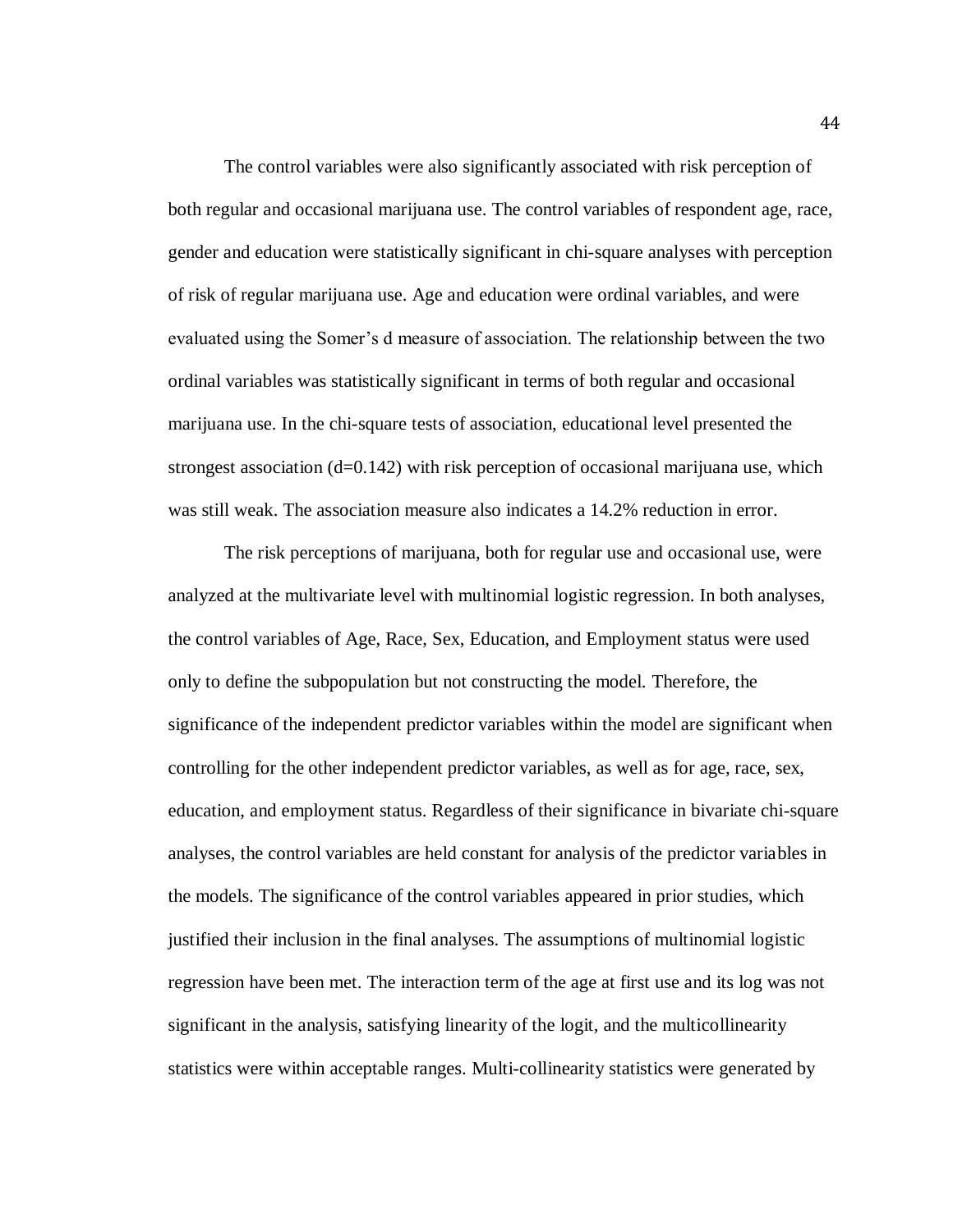The control variables were also significantly associated with risk perception of both regular and occasional marijuana use. The control variables of respondent age, race, gender and education were statistically significant in chi-square analyses with perception of risk of regular marijuana use. Age and education were ordinal variables, and were evaluated using the Somer's d measure of association. The relationship between the two ordinal variables was statistically significant in terms of both regular and occasional marijuana use. In the chi-square tests of association, educational level presented the strongest association  $(d=0.142)$  with risk perception of occasional marijuana use, which was still weak. The association measure also indicates a 14.2% reduction in error.

The risk perceptions of marijuana, both for regular use and occasional use, were analyzed at the multivariate level with multinomial logistic regression. In both analyses, the control variables of Age, Race, Sex, Education, and Employment status were used only to define the subpopulation but not constructing the model. Therefore, the significance of the independent predictor variables within the model are significant when controlling for the other independent predictor variables, as well as for age, race, sex, education, and employment status. Regardless of their significance in bivariate chi-square analyses, the control variables are held constant for analysis of the predictor variables in the models. The significance of the control variables appeared in prior studies, which justified their inclusion in the final analyses. The assumptions of multinomial logistic regression have been met. The interaction term of the age at first use and its log was not significant in the analysis, satisfying linearity of the logit, and the multicollinearity statistics were within acceptable ranges. Multi-collinearity statistics were generated by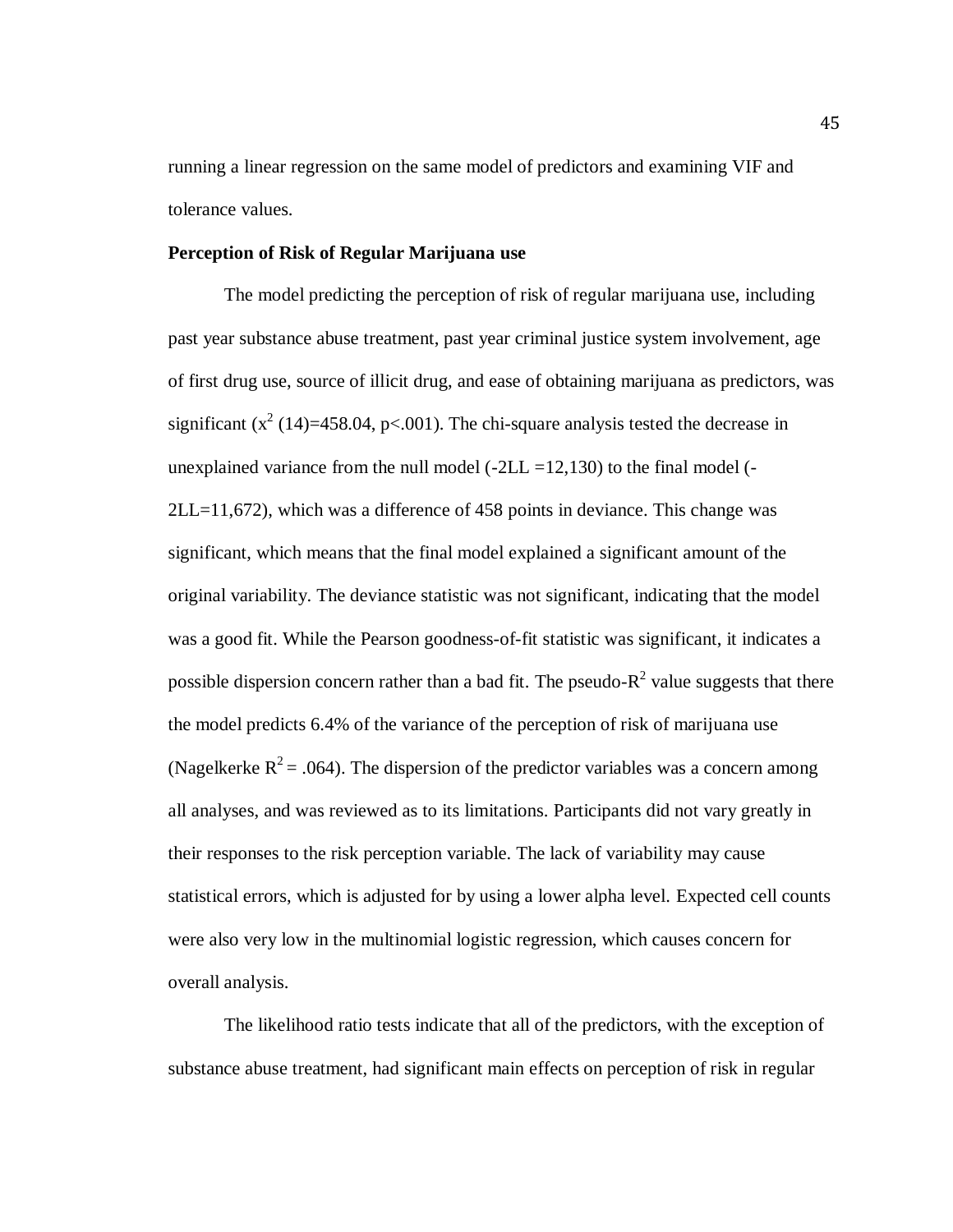running a linear regression on the same model of predictors and examining VIF and tolerance values.

### **Perception of Risk of Regular Marijuana use**

The model predicting the perception of risk of regular marijuana use, including past year substance abuse treatment, past year criminal justice system involvement, age of first drug use, source of illicit drug, and ease of obtaining marijuana as predictors, was significant  $(x^2 (14)=458.04, p<.001)$ . The chi-square analysis tested the decrease in unexplained variance from the null model  $(-2LL = 12,130)$  to the final model  $(-$ 2LL=11,672), which was a difference of 458 points in deviance. This change was significant, which means that the final model explained a significant amount of the original variability. The deviance statistic was not significant, indicating that the model was a good fit. While the Pearson goodness-of-fit statistic was significant, it indicates a possible dispersion concern rather than a bad fit. The pseudo- $R^2$  value suggests that there the model predicts 6.4% of the variance of the perception of risk of marijuana use (Nagelkerke  $R^2 = .064$ ). The dispersion of the predictor variables was a concern among all analyses, and was reviewed as to its limitations. Participants did not vary greatly in their responses to the risk perception variable. The lack of variability may cause statistical errors, which is adjusted for by using a lower alpha level. Expected cell counts were also very low in the multinomial logistic regression, which causes concern for overall analysis.

The likelihood ratio tests indicate that all of the predictors, with the exception of substance abuse treatment, had significant main effects on perception of risk in regular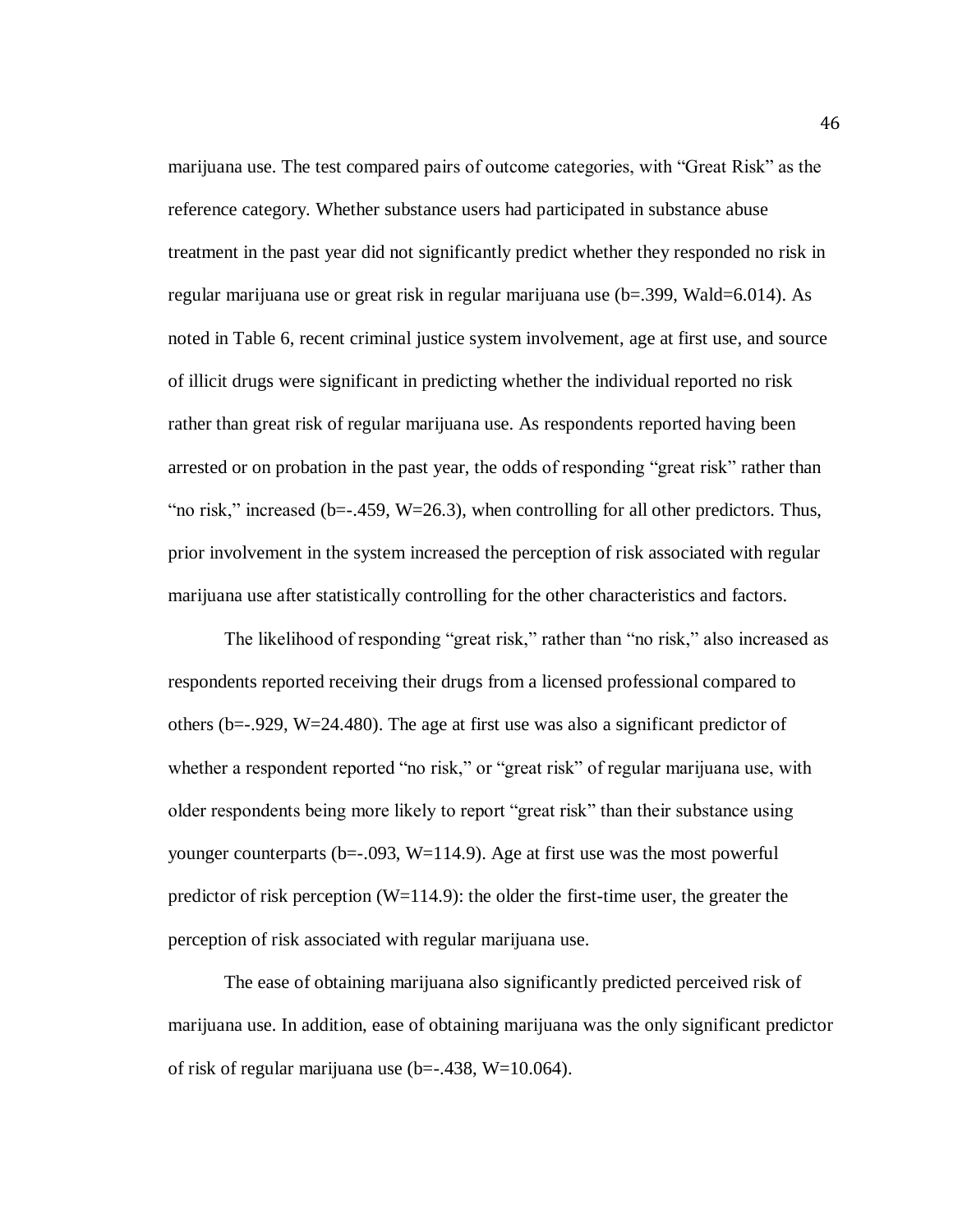marijuana use. The test compared pairs of outcome categories, with "Great Risk" as the reference category. Whether substance users had participated in substance abuse treatment in the past year did not significantly predict whether they responded no risk in regular marijuana use or great risk in regular marijuana use (b=.399, Wald=6.014). As noted in Table 6, recent criminal justice system involvement, age at first use, and source of illicit drugs were significant in predicting whether the individual reported no risk rather than great risk of regular marijuana use. As respondents reported having been arrested or on probation in the past year, the odds of responding "great risk" rather than "no risk," increased (b= $-459$ , W=26.3), when controlling for all other predictors. Thus, prior involvement in the system increased the perception of risk associated with regular marijuana use after statistically controlling for the other characteristics and factors.

The likelihood of responding "great risk," rather than "no risk," also increased as respondents reported receiving their drugs from a licensed professional compared to others (b= $-0.929$ , W=24.480). The age at first use was also a significant predictor of whether a respondent reported "no risk," or "great risk" of regular marijuana use, with older respondents being more likely to report "great risk" than their substance using younger counterparts ( $b=-.093$ ,  $W=114.9$ ). Age at first use was the most powerful predictor of risk perception (W=114.9): the older the first-time user, the greater the perception of risk associated with regular marijuana use.

The ease of obtaining marijuana also significantly predicted perceived risk of marijuana use. In addition, ease of obtaining marijuana was the only significant predictor of risk of regular marijuana use  $(b=-.438, W=10.064)$ .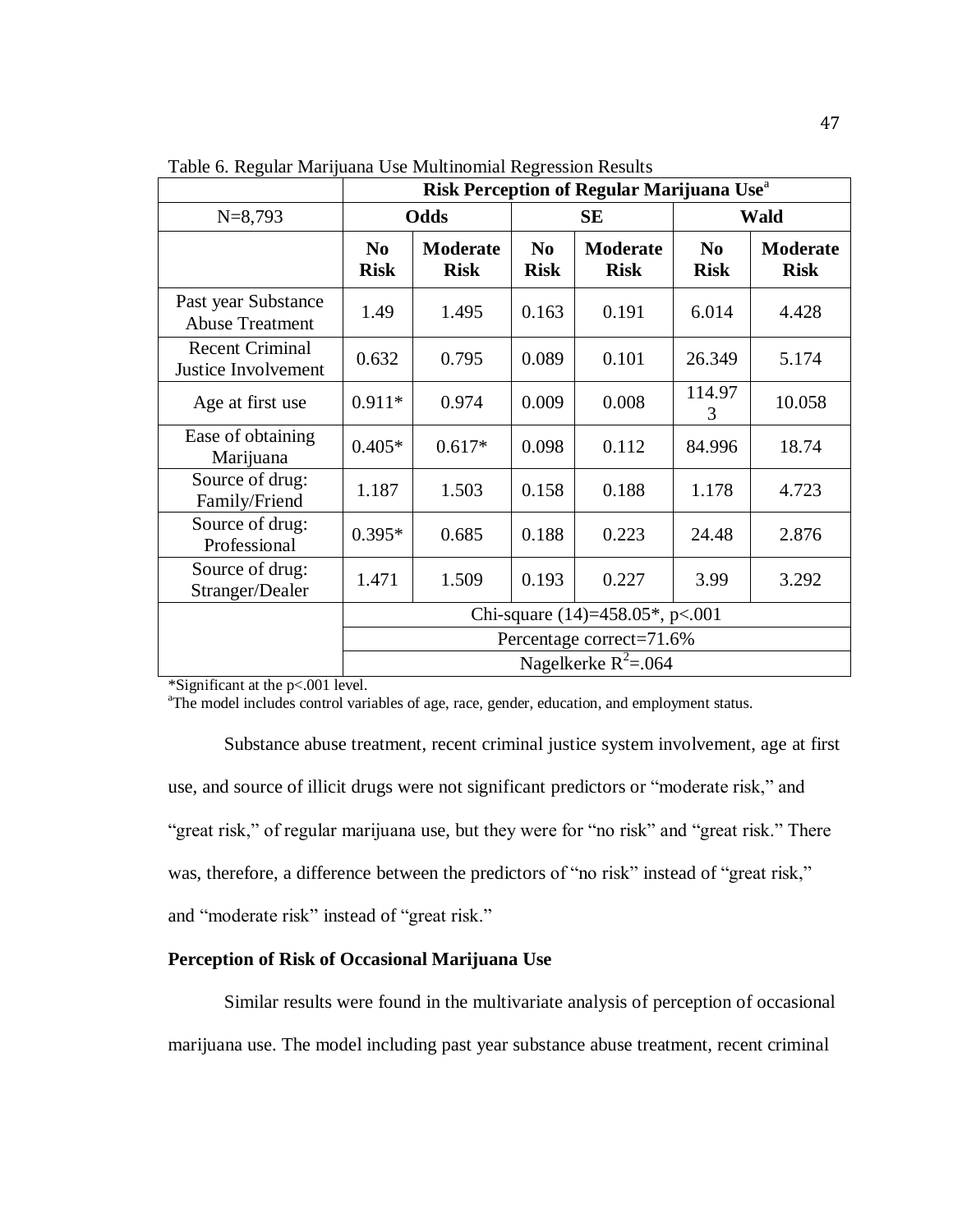|                                               | Risk Perception of Regular Marijuana Use <sup>a</sup> |                                |                               |                                |                               |                         |
|-----------------------------------------------|-------------------------------------------------------|--------------------------------|-------------------------------|--------------------------------|-------------------------------|-------------------------|
| $N=8,793$                                     |                                                       | Odds                           |                               | SЕ                             | <b>Wald</b>                   |                         |
|                                               | N <sub>0</sub><br><b>Risk</b>                         | <b>Moderate</b><br><b>Risk</b> | N <sub>0</sub><br><b>Risk</b> | <b>Moderate</b><br><b>Risk</b> | N <sub>0</sub><br><b>Risk</b> | Moderate<br><b>Risk</b> |
| Past year Substance<br><b>Abuse Treatment</b> | 1.49                                                  | 1.495                          | 0.163                         | 0.191                          | 6.014                         | 4.428                   |
| <b>Recent Criminal</b><br>Justice Involvement | 0.632                                                 | 0.795                          | 0.089                         | 0.101                          | 26.349                        | 5.174                   |
| Age at first use                              | $0.911*$                                              | 0.974                          | 0.009                         | 0.008                          | 114.97<br>3                   | 10.058                  |
| Ease of obtaining<br>Marijuana                | $0.405*$                                              | $0.617*$                       | 0.098                         | 0.112                          | 84.996                        | 18.74                   |
| Source of drug:<br>Family/Friend              | 1.187                                                 | 1.503                          | 0.158                         | 0.188                          | 1.178                         | 4.723                   |
| Source of drug:<br>Professional               | $0.395*$                                              | 0.685                          | 0.188                         | 0.223                          | 24.48                         | 2.876                   |
| Source of drug:<br>Stranger/Dealer            | 1.471                                                 | 1.509                          | 0.193                         | 0.227                          | 3.99                          | 3.292                   |
|                                               | Chi-square $(14)=458.05^*$ , p<.001                   |                                |                               |                                |                               |                         |
|                                               |                                                       |                                |                               | Percentage correct=71.6%       |                               |                         |
|                                               |                                                       |                                |                               | Nagelkerke $R^2$ =.064         |                               |                         |

Table 6. Regular Marijuana Use Multinomial Regression Results

\*Significant at the p<.001 level.

<sup>a</sup>The model includes control variables of age, race, gender, education, and employment status.

Substance abuse treatment, recent criminal justice system involvement, age at first use, and source of illicit drugs were not significant predictors or "moderate risk," and "great risk," of regular marijuana use, but they were for "no risk" and "great risk." There was, therefore, a difference between the predictors of "no risk" instead of "great risk," and "moderate risk" instead of "great risk."

# **Perception of Risk of Occasional Marijuana Use**

Similar results were found in the multivariate analysis of perception of occasional marijuana use. The model including past year substance abuse treatment, recent criminal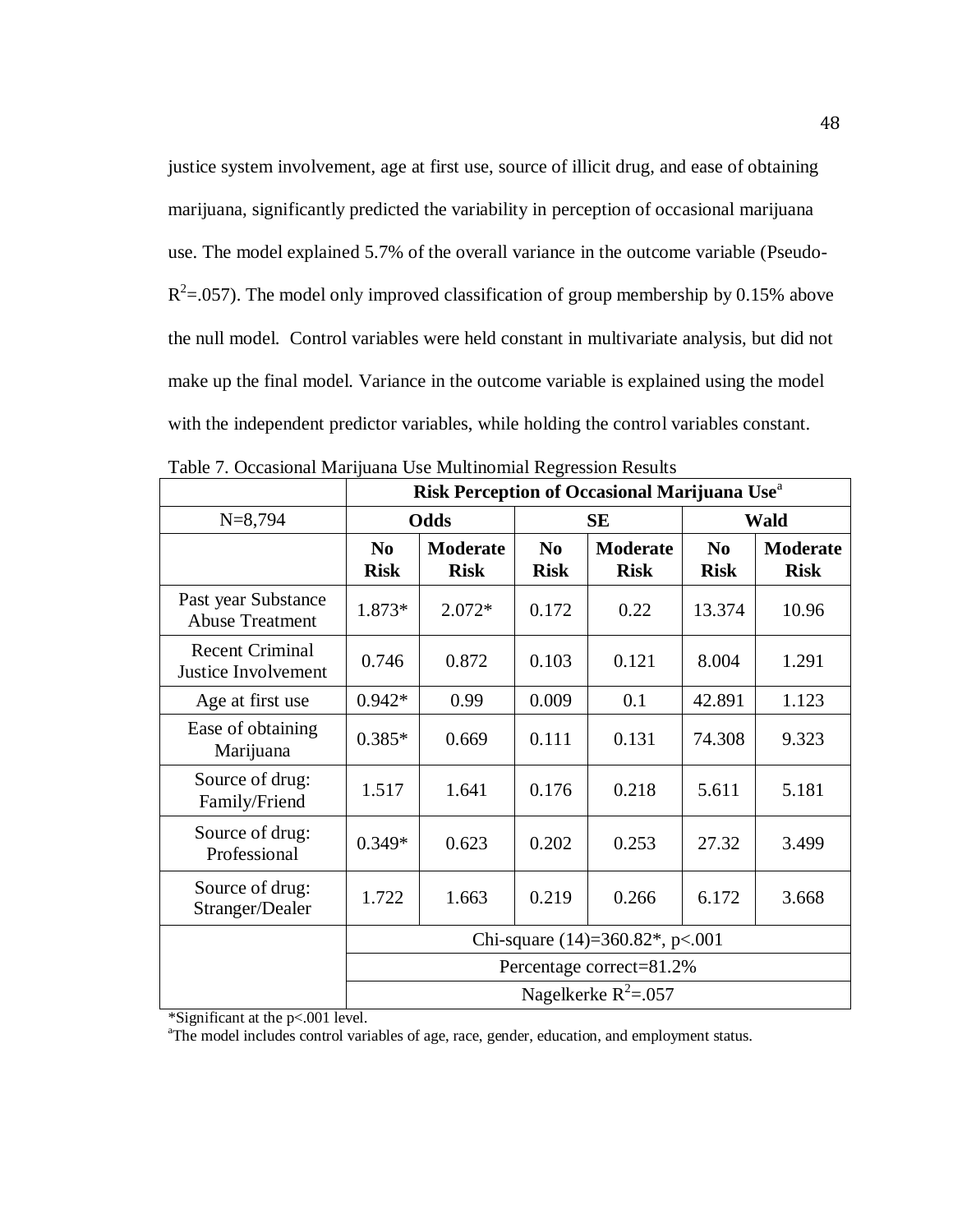justice system involvement, age at first use, source of illicit drug, and ease of obtaining marijuana, significantly predicted the variability in perception of occasional marijuana use. The model explained 5.7% of the overall variance in the outcome variable (Pseudo- $R^2$ =.057). The model only improved classification of group membership by 0.15% above the null model. Control variables were held constant in multivariate analysis, but did not make up the final model. Variance in the outcome variable is explained using the model with the independent predictor variables, while holding the control variables constant.

|                                               | Risk Perception of Occasional Marijuana Use <sup>a</sup> |                                |                               |                                |                         |                                |
|-----------------------------------------------|----------------------------------------------------------|--------------------------------|-------------------------------|--------------------------------|-------------------------|--------------------------------|
| $N=8,794$                                     |                                                          | Odds                           | <b>SE</b>                     |                                | <b>Wald</b>             |                                |
|                                               | N <sub>0</sub><br><b>Risk</b>                            | <b>Moderate</b><br><b>Risk</b> | N <sub>0</sub><br><b>Risk</b> | <b>Moderate</b><br><b>Risk</b> | $\bf No$<br><b>Risk</b> | <b>Moderate</b><br><b>Risk</b> |
| Past year Substance<br><b>Abuse Treatment</b> | 1.873*                                                   | $2.072*$                       | 0.172                         | 0.22                           | 13.374                  | 10.96                          |
| <b>Recent Criminal</b><br>Justice Involvement | 0.746                                                    | 0.872                          | 0.103                         | 0.121                          | 8.004                   | 1.291                          |
| Age at first use                              | $0.942*$                                                 | 0.99                           | 0.009                         | 0.1                            | 42.891                  | 1.123                          |
| Ease of obtaining<br>Marijuana                | $0.385*$                                                 | 0.669                          | 0.111                         | 0.131                          | 74.308                  | 9.323                          |
| Source of drug:<br>Family/Friend              | 1.517                                                    | 1.641                          | 0.176                         | 0.218                          | 5.611                   | 5.181                          |
| Source of drug:<br>Professional               | $0.349*$                                                 | 0.623                          | 0.202                         | 0.253                          | 27.32                   | 3.499                          |
| Source of drug:<br>Stranger/Dealer            | 1.722                                                    | 1.663                          | 0.219                         | 0.266                          | 6.172                   | 3.668                          |
|                                               | Chi-square $(14)=360.82^*$ , p<.001                      |                                |                               |                                |                         |                                |
|                                               |                                                          |                                |                               | Percentage correct=81.2%       |                         |                                |
|                                               |                                                          |                                |                               | Nagelkerke $R^2$ =.057         |                         |                                |

Table 7. Occasional Marijuana Use Multinomial Regression Results

\*Significant at the p<.001 level.

<sup>a</sup>The model includes control variables of age, race, gender, education, and employment status.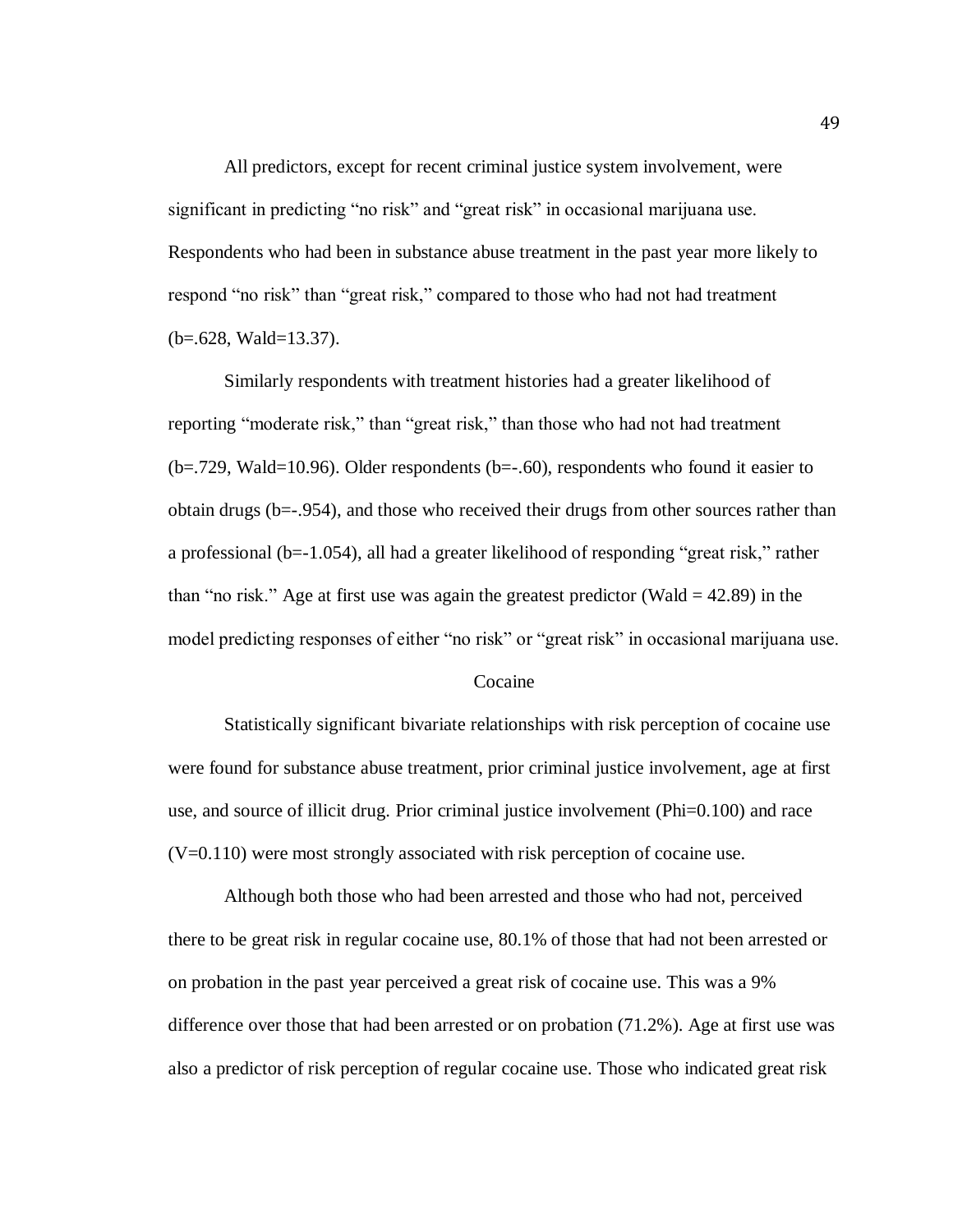All predictors, except for recent criminal justice system involvement, were significant in predicting "no risk" and "great risk" in occasional marijuana use. Respondents who had been in substance abuse treatment in the past year more likely to respond "no risk" than "great risk," compared to those who had not had treatment (b=.628, Wald=13.37).

Similarly respondents with treatment histories had a greater likelihood of reporting "moderate risk," than "great risk," than those who had not had treatment  $(b=.729, Wald=10.96)$ . Older respondents  $(b=.60)$ , respondents who found it easier to obtain drugs (b=-.954), and those who received their drugs from other sources rather than a professional (b=-1.054), all had a greater likelihood of responding "great risk," rather than "no risk." Age at first use was again the greatest predictor (Wald  $=$  42.89) in the model predicting responses of either "no risk" or "great risk" in occasional marijuana use.

#### Cocaine

Statistically significant bivariate relationships with risk perception of cocaine use were found for substance abuse treatment, prior criminal justice involvement, age at first use, and source of illicit drug. Prior criminal justice involvement (Phi=0.100) and race  $(V=0.110)$  were most strongly associated with risk perception of cocaine use.

Although both those who had been arrested and those who had not, perceived there to be great risk in regular cocaine use, 80.1% of those that had not been arrested or on probation in the past year perceived a great risk of cocaine use. This was a 9% difference over those that had been arrested or on probation (71.2%). Age at first use was also a predictor of risk perception of regular cocaine use. Those who indicated great risk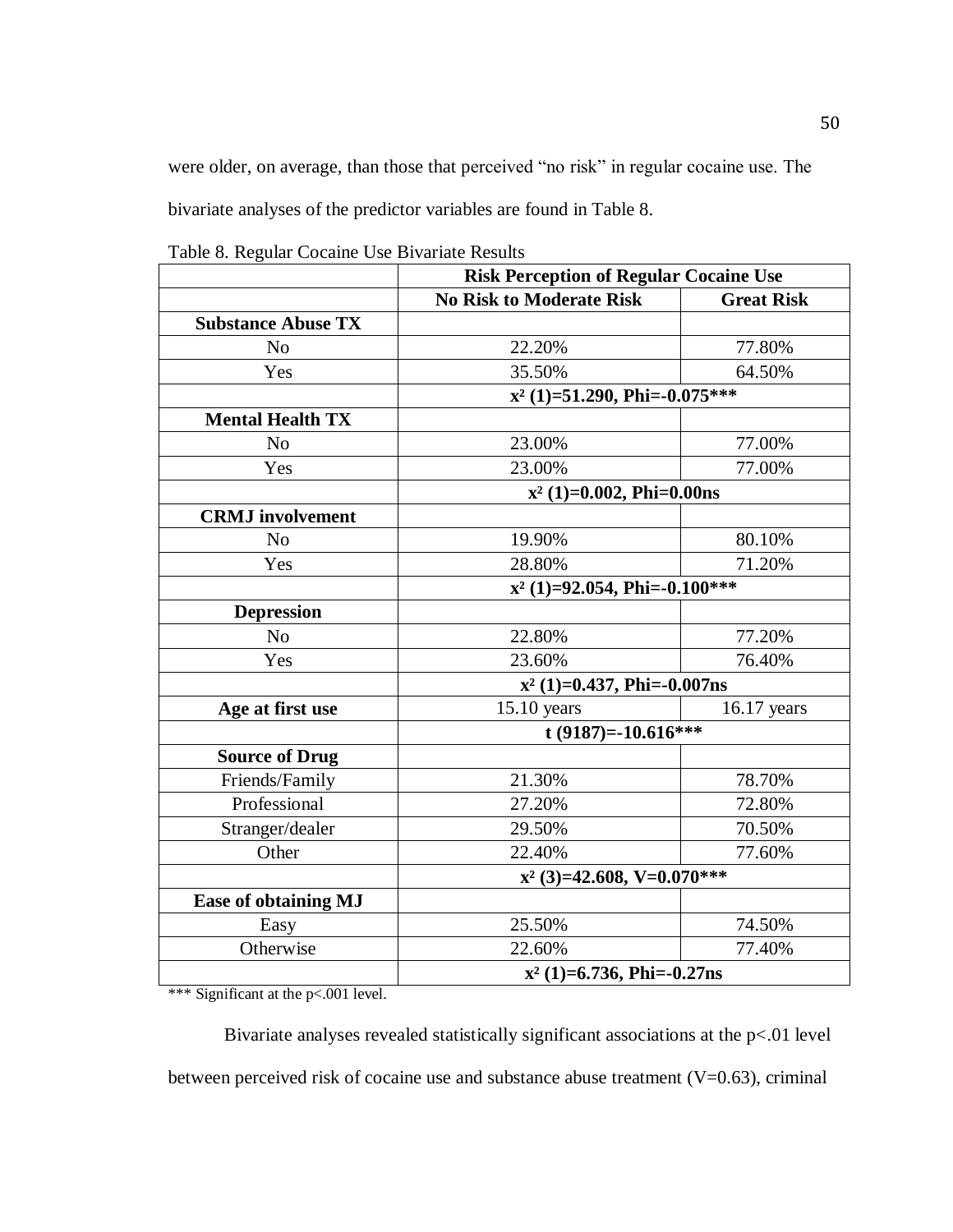were older, on average, than those that perceived "no risk" in regular cocaine use. The bivariate analyses of the predictor variables are found in Table 8.

|  |  |  |  | Table 8. Regular Cocaine Use Bivariate Results |  |
|--|--|--|--|------------------------------------------------|--|
|--|--|--|--|------------------------------------------------|--|

|                             | <b>Risk Perception of Regular Cocaine Use</b> |                   |  |  |
|-----------------------------|-----------------------------------------------|-------------------|--|--|
|                             | <b>No Risk to Moderate Risk</b>               | <b>Great Risk</b> |  |  |
| <b>Substance Abuse TX</b>   |                                               |                   |  |  |
| N <sub>o</sub>              | 22.20%                                        | 77.80%            |  |  |
| Yes                         | 35.50%                                        | 64.50%            |  |  |
|                             | $x^2$ (1)=51.290, Phi=-0.075***               |                   |  |  |
| <b>Mental Health TX</b>     |                                               |                   |  |  |
| N <sub>o</sub>              | 23.00%                                        | 77.00%            |  |  |
| Yes                         | 23.00%                                        | 77.00%            |  |  |
|                             | $x^2$ (1)=0.002, Phi=0.00ns                   |                   |  |  |
| <b>CRMJ</b> involvement     |                                               |                   |  |  |
| N <sub>o</sub>              | 19.90%                                        | 80.10%            |  |  |
| Yes                         | 28.80%                                        | 71.20%            |  |  |
|                             | $x^2$ (1)=92.054, Phi=-0.100***               |                   |  |  |
| <b>Depression</b>           |                                               |                   |  |  |
| N <sub>o</sub>              | 22.80%                                        | 77.20%            |  |  |
| Yes                         | 23.60%                                        | 76.40%            |  |  |
|                             | $x^2$ (1)=0.437, Phi=-0.007ns                 |                   |  |  |
| Age at first use            | $15.10$ years                                 | 16.17 years       |  |  |
|                             | t (9187)=-10.616***                           |                   |  |  |
| <b>Source of Drug</b>       |                                               |                   |  |  |
| Friends/Family              | 21.30%                                        | 78.70%            |  |  |
| Professional                | 27.20%                                        | 72.80%            |  |  |
| Stranger/dealer             | 29.50%                                        | 70.50%            |  |  |
| Other                       | 22.40%                                        | 77.60%            |  |  |
|                             | $x^2$ (3)=42.608, V=0.070***                  |                   |  |  |
| <b>Ease of obtaining MJ</b> |                                               |                   |  |  |
| Easy                        | 25.50%                                        | 74.50%            |  |  |
| Otherwise                   | 22.60%                                        | 77.40%            |  |  |
|                             | $x^2$ (1)=6.736, Phi=-0.27ns                  |                   |  |  |

\*\*\* Significant at the p<.001 level.

Bivariate analyses revealed statistically significant associations at the p<.01 level between perceived risk of cocaine use and substance abuse treatment  $(V=0.63)$ , criminal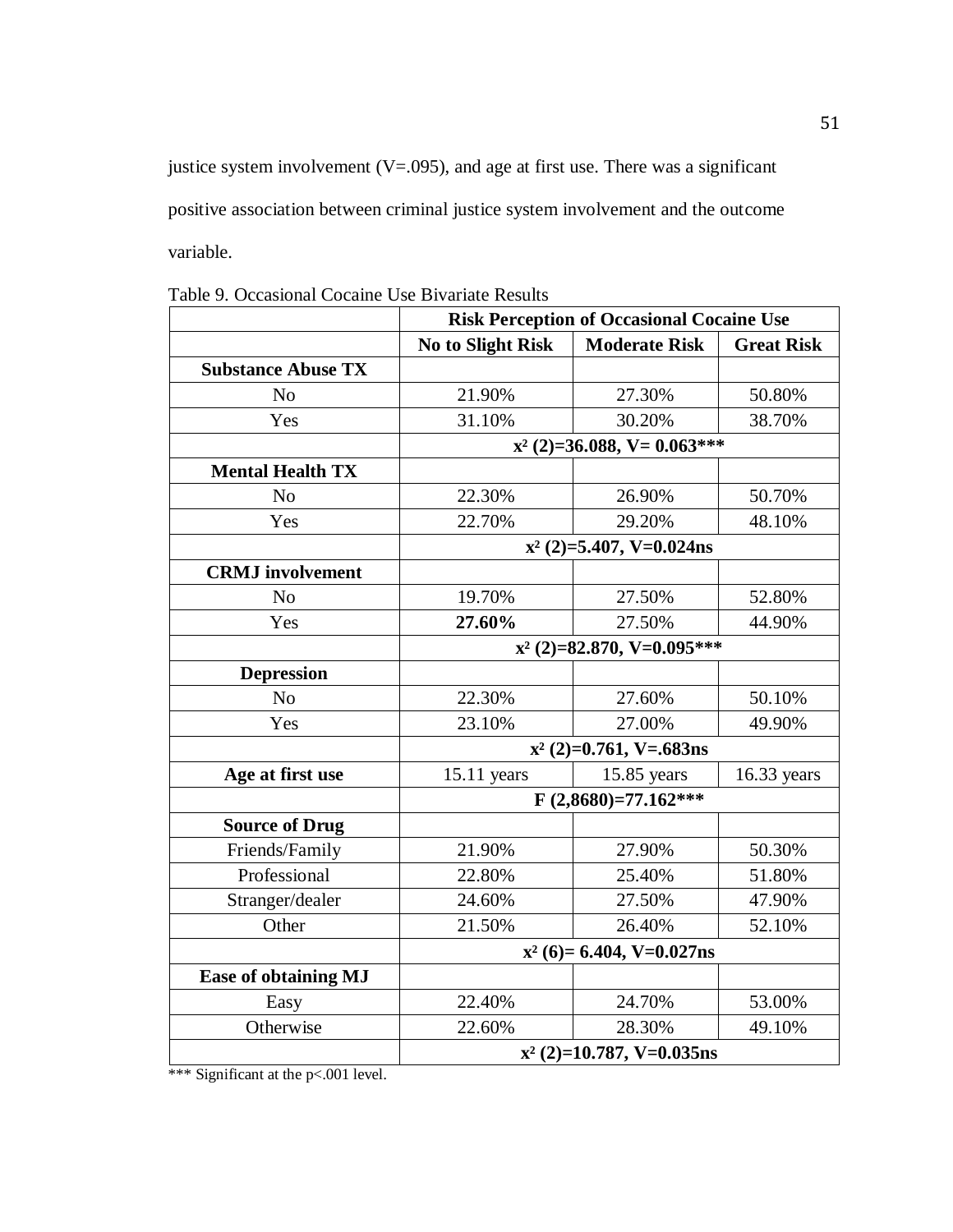justice system involvement  $(V=.095)$ , and age at first use. There was a significant positive association between criminal justice system involvement and the outcome variable.

|                             | <b>Risk Perception of Occasional Cocaine Use</b> |                               |                   |  |
|-----------------------------|--------------------------------------------------|-------------------------------|-------------------|--|
|                             | No to Slight Risk                                | <b>Moderate Risk</b>          | <b>Great Risk</b> |  |
| <b>Substance Abuse TX</b>   |                                                  |                               |                   |  |
| N <sub>o</sub>              | 21.90%                                           | 27.30%                        | 50.80%            |  |
| Yes                         | 31.10%                                           | 30.20%                        | 38.70%            |  |
|                             |                                                  | $x^2$ (2)=36.088, V= 0.063*** |                   |  |
| <b>Mental Health TX</b>     |                                                  |                               |                   |  |
| N <sub>o</sub>              | 22.30%                                           | 26.90%                        | 50.70%            |  |
| Yes                         | 22.70%                                           | 29.20%                        | 48.10%            |  |
|                             |                                                  | $x^2$ (2)=5.407, V=0.024ns    |                   |  |
| <b>CRMJ</b> involvement     |                                                  |                               |                   |  |
| No                          | 19.70%                                           | 27.50%                        | 52.80%            |  |
| Yes                         | 27.60%                                           | 27.50%                        | 44.90%            |  |
|                             |                                                  | $x^2$ (2)=82.870, V=0.095***  |                   |  |
| <b>Depression</b>           |                                                  |                               |                   |  |
| N <sub>o</sub>              | 22.30%                                           | 27.60%                        | 50.10%            |  |
| Yes                         | 23.10%                                           | 27.00%                        | 49.90%            |  |
|                             |                                                  | $x^2$ (2)=0.761, V=.683ns     |                   |  |
| Age at first use            | $15.11$ years                                    | 15.85 years                   | $16.33$ years     |  |
|                             |                                                  | $F(2,8680)=77.162***$         |                   |  |
| <b>Source of Drug</b>       |                                                  |                               |                   |  |
| Friends/Family              | 21.90%                                           | 27.90%                        | 50.30%            |  |
| Professional                | 22.80%                                           | 25.40%                        | 51.80%            |  |
| Stranger/dealer             | 24.60%                                           | 27.50%                        | 47.90%            |  |
| Other                       | 21.50%                                           | 26.40%                        | 52.10%            |  |
|                             | $x^2$ (6)= 6.404, V=0.027ns                      |                               |                   |  |
| <b>Ease of obtaining MJ</b> |                                                  |                               |                   |  |
| Easy                        | 22.40%                                           | 24.70%                        | 53.00%            |  |
| Otherwise                   | 22.60%                                           | 28.30%                        | 49.10%            |  |
|                             |                                                  | $x^2$ (2)=10.787, V=0.035ns   |                   |  |

Table 9. Occasional Cocaine Use Bivariate Results

\*\*\* Significant at the p<.001 level.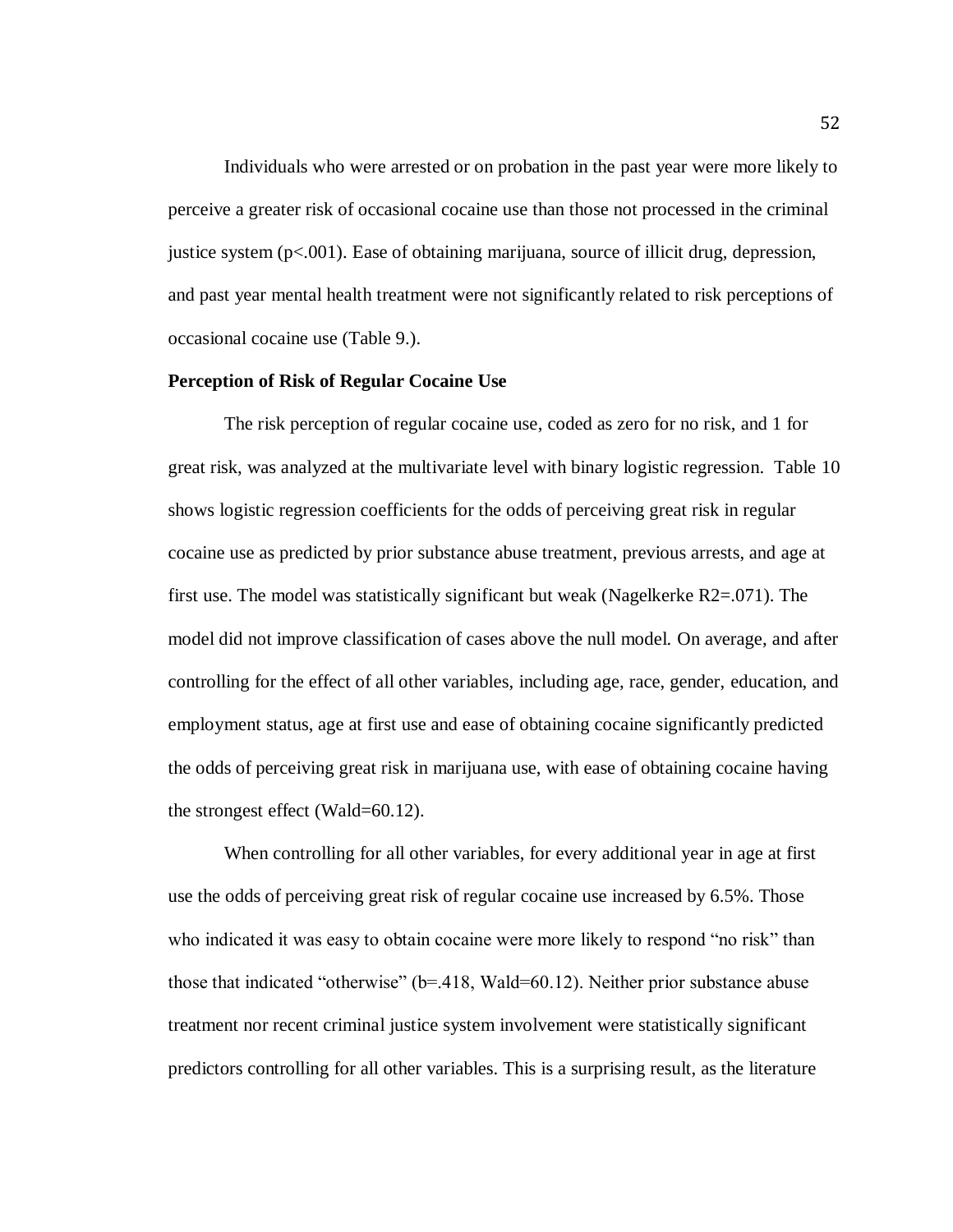Individuals who were arrested or on probation in the past year were more likely to perceive a greater risk of occasional cocaine use than those not processed in the criminal justice system (p<.001). Ease of obtaining marijuana, source of illicit drug, depression, and past year mental health treatment were not significantly related to risk perceptions of occasional cocaine use (Table 9.).

#### **Perception of Risk of Regular Cocaine Use**

The risk perception of regular cocaine use, coded as zero for no risk, and 1 for great risk, was analyzed at the multivariate level with binary logistic regression. Table 10 shows logistic regression coefficients for the odds of perceiving great risk in regular cocaine use as predicted by prior substance abuse treatment, previous arrests, and age at first use. The model was statistically significant but weak (Nagelkerke R2=.071). The model did not improve classification of cases above the null model. On average, and after controlling for the effect of all other variables, including age, race, gender, education, and employment status, age at first use and ease of obtaining cocaine significantly predicted the odds of perceiving great risk in marijuana use, with ease of obtaining cocaine having the strongest effect (Wald=60.12).

When controlling for all other variables, for every additional year in age at first use the odds of perceiving great risk of regular cocaine use increased by 6.5%. Those who indicated it was easy to obtain cocaine were more likely to respond "no risk" than those that indicated "otherwise" (b=.418, Wald=60.12). Neither prior substance abuse treatment nor recent criminal justice system involvement were statistically significant predictors controlling for all other variables. This is a surprising result, as the literature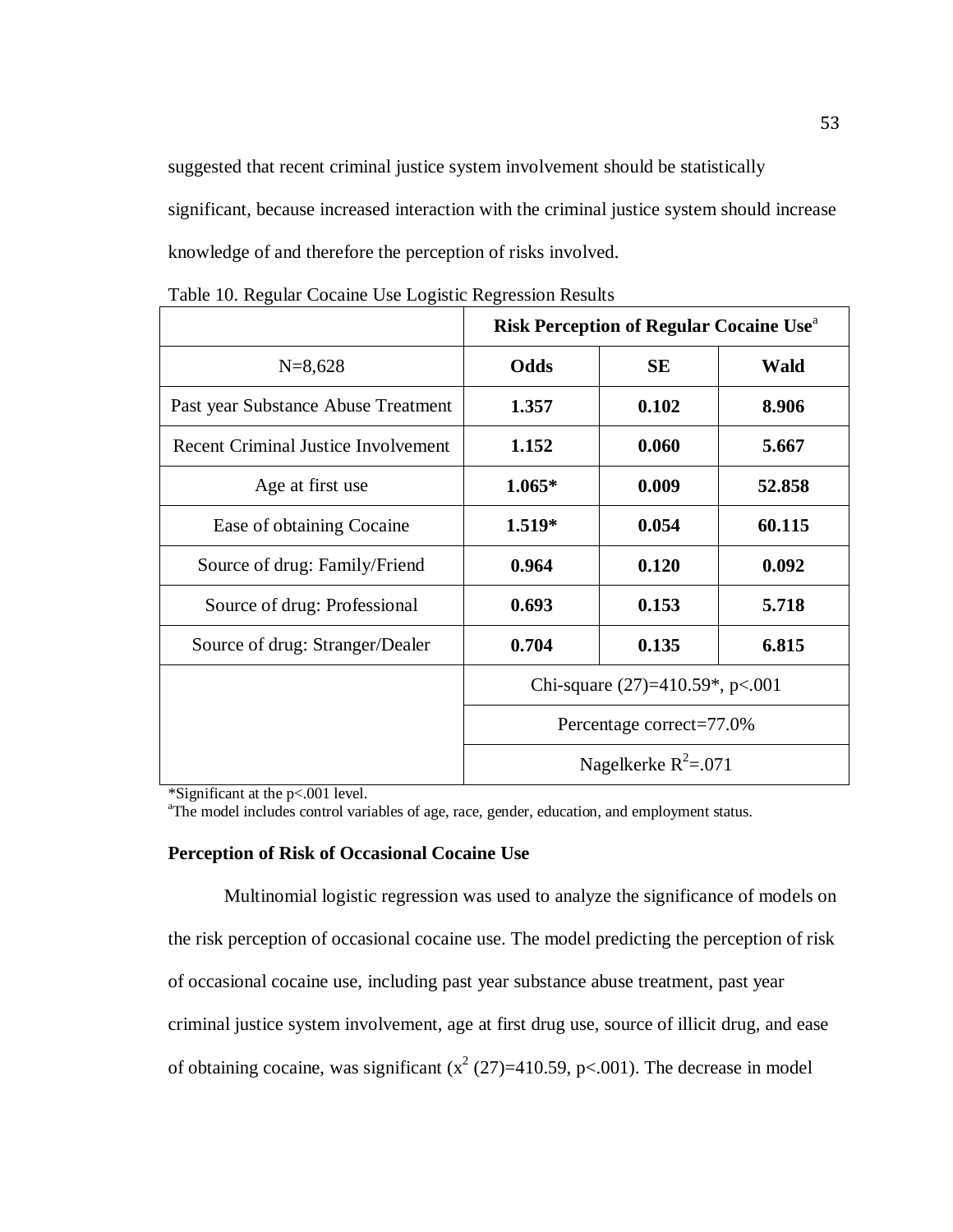suggested that recent criminal justice system involvement should be statistically significant, because increased interaction with the criminal justice system should increase knowledge of and therefore the perception of risks involved.

|                                            | <b>Risk Perception of Regular Cocaine Use</b> <sup>a</sup> |                          |             |  |  |  |
|--------------------------------------------|------------------------------------------------------------|--------------------------|-------------|--|--|--|
| $N=8,628$                                  | Odds                                                       | <b>SE</b>                | <b>Wald</b> |  |  |  |
| Past year Substance Abuse Treatment        | 1.357                                                      | 0.102                    | 8.906       |  |  |  |
| <b>Recent Criminal Justice Involvement</b> | 1.152                                                      | 0.060                    | 5.667       |  |  |  |
| Age at first use                           | $1.065*$                                                   | 0.009                    | 52.858      |  |  |  |
| Ease of obtaining Cocaine                  | $1.519*$                                                   | 0.054                    | 60.115      |  |  |  |
| Source of drug: Family/Friend              | 0.964                                                      | 0.120                    | 0.092       |  |  |  |
| Source of drug: Professional               | 0.693                                                      | 0.153                    | 5.718       |  |  |  |
| Source of drug: Stranger/Dealer            | 0.704                                                      | 0.135                    | 6.815       |  |  |  |
|                                            | Chi-square $(27)=410.59^*$ , p<.001                        |                          |             |  |  |  |
|                                            | Percentage correct=77.0%                                   |                          |             |  |  |  |
|                                            |                                                            | Nagelkerke $R^2 = 0.071$ |             |  |  |  |

Table 10. Regular Cocaine Use Logistic Regression Results

\*Significant at the p<.001 level.

<sup>a</sup>The model includes control variables of age, race, gender, education, and employment status.

### **Perception of Risk of Occasional Cocaine Use**

Multinomial logistic regression was used to analyze the significance of models on the risk perception of occasional cocaine use. The model predicting the perception of risk of occasional cocaine use, including past year substance abuse treatment, past year criminal justice system involvement, age at first drug use, source of illicit drug, and ease of obtaining cocaine, was significant  $(x^2 (27)=410.59, p<.001)$ . The decrease in model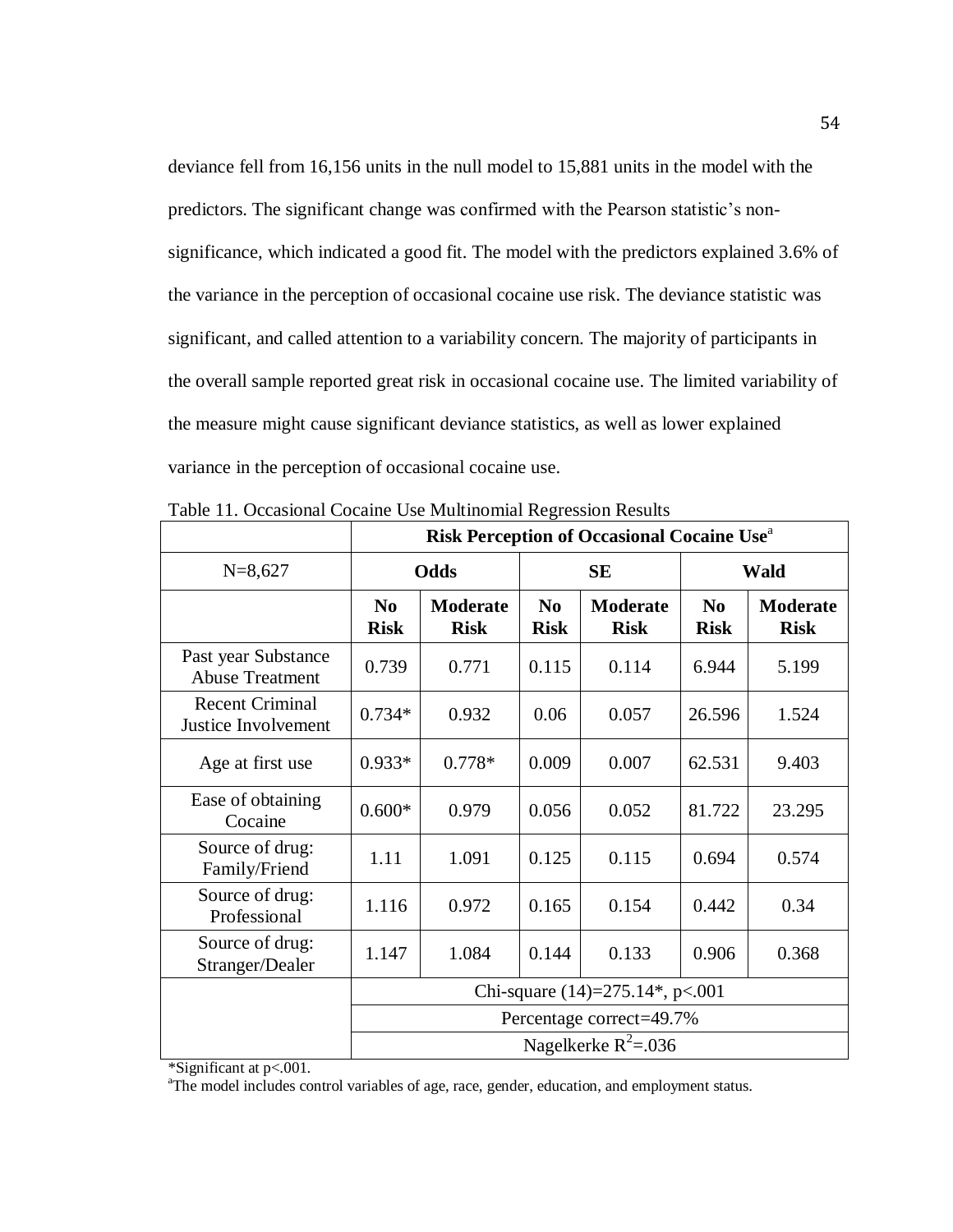deviance fell from 16,156 units in the null model to 15,881 units in the model with the predictors. The significant change was confirmed with the Pearson statistic's nonsignificance, which indicated a good fit. The model with the predictors explained 3.6% of the variance in the perception of occasional cocaine use risk. The deviance statistic was significant, and called attention to a variability concern. The majority of participants in the overall sample reported great risk in occasional cocaine use. The limited variability of the measure might cause significant deviance statistics, as well as lower explained variance in the perception of occasional cocaine use.

|                                               | <b>Risk Perception of Occasional Cocaine Use</b> <sup>a</sup> |                                |                               |                                |                               |                         |
|-----------------------------------------------|---------------------------------------------------------------|--------------------------------|-------------------------------|--------------------------------|-------------------------------|-------------------------|
| $N=8,627$                                     |                                                               | Odds                           |                               | <b>SE</b>                      | <b>Wald</b>                   |                         |
|                                               | N <sub>0</sub><br><b>Risk</b>                                 | <b>Moderate</b><br><b>Risk</b> | N <sub>0</sub><br><b>Risk</b> | <b>Moderate</b><br><b>Risk</b> | N <sub>0</sub><br><b>Risk</b> | Moderate<br><b>Risk</b> |
| Past year Substance<br><b>Abuse Treatment</b> | 0.739                                                         | 0.771                          | 0.115                         | 0.114                          | 6.944                         | 5.199                   |
| <b>Recent Criminal</b><br>Justice Involvement | $0.734*$                                                      | 0.932                          | 0.06                          | 0.057                          | 26.596                        | 1.524                   |
| Age at first use                              | $0.933*$                                                      | $0.778*$                       | 0.009                         | 0.007                          | 62.531                        | 9.403                   |
| Ease of obtaining<br>Cocaine                  | $0.600*$                                                      | 0.979                          | 0.056                         | 0.052                          | 81.722                        | 23.295                  |
| Source of drug:<br>Family/Friend              | 1.11                                                          | 1.091                          | 0.125                         | 0.115                          | 0.694                         | 0.574                   |
| Source of drug:<br>Professional               | 1.116                                                         | 0.972                          | 0.165                         | 0.154                          | 0.442                         | 0.34                    |
| Source of drug:<br>Stranger/Dealer            | 1.147                                                         | 1.084                          | 0.144                         | 0.133                          | 0.906                         | 0.368                   |
|                                               | Chi-square $(14)=275.14$ <sup>*</sup> , p<.001                |                                |                               |                                |                               |                         |
|                                               |                                                               |                                |                               | Percentage correct=49.7%       |                               |                         |
|                                               |                                                               |                                |                               | Nagelkerke $R^2$ =.036         |                               |                         |

| Table 11. Occasional Cocaine Use Multinomial Regression Results |  |  |  |  |
|-----------------------------------------------------------------|--|--|--|--|
|-----------------------------------------------------------------|--|--|--|--|

\*Significant at p<.001.

<sup>a</sup>The model includes control variables of age, race, gender, education, and employment status.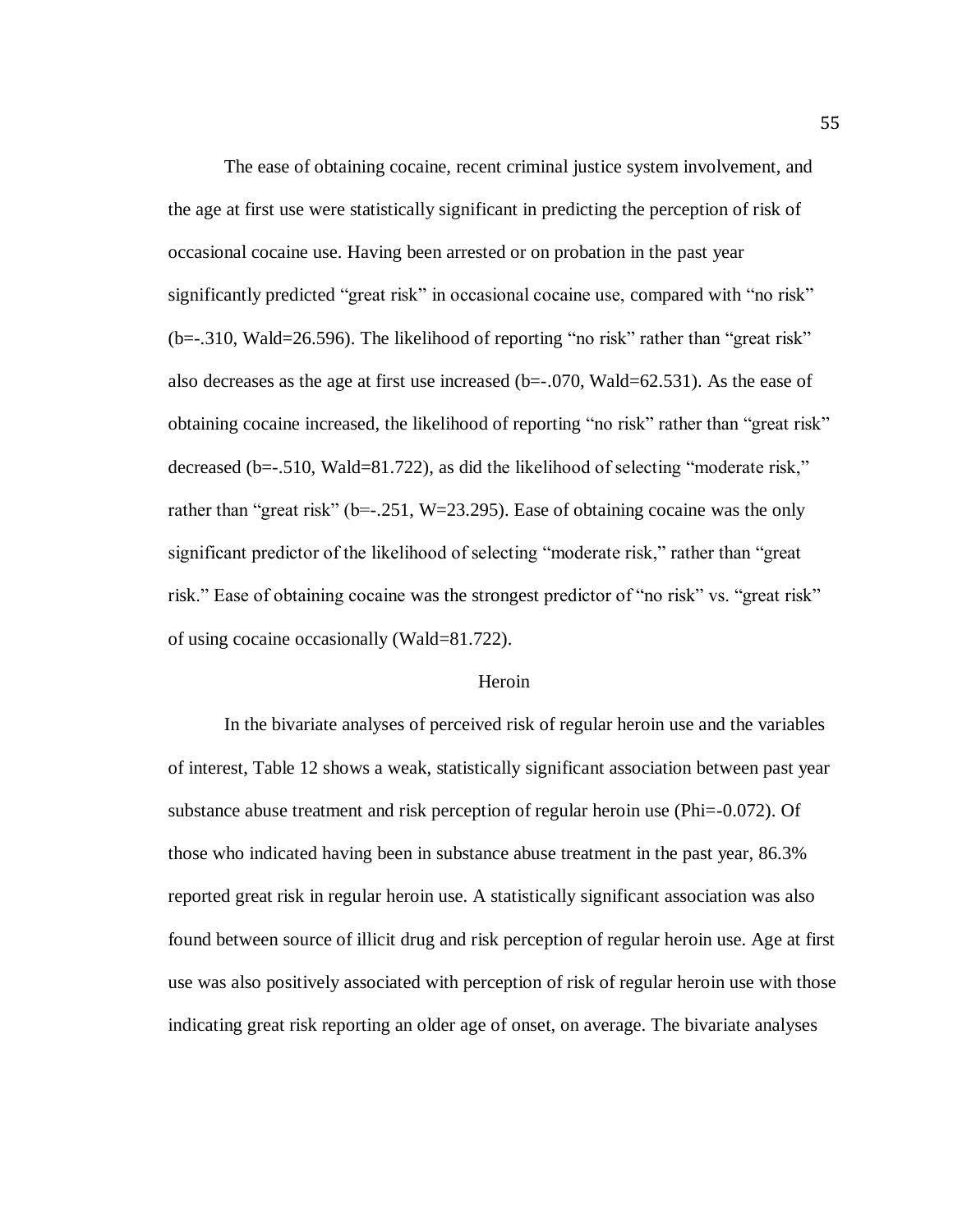The ease of obtaining cocaine, recent criminal justice system involvement, and the age at first use were statistically significant in predicting the perception of risk of occasional cocaine use. Having been arrested or on probation in the past year significantly predicted "great risk" in occasional cocaine use, compared with "no risk" (b=-.310, Wald=26.596). The likelihood of reporting "no risk" rather than "great risk" also decreases as the age at first use increased  $(b=-.070, Wald=62.531)$ . As the ease of obtaining cocaine increased, the likelihood of reporting "no risk" rather than "great risk" decreased (b=-.510, Wald=81.722), as did the likelihood of selecting "moderate risk," rather than "great risk" ( $b = -251$ , W=23.295). Ease of obtaining cocaine was the only significant predictor of the likelihood of selecting "moderate risk," rather than "great risk." Ease of obtaining cocaine was the strongest predictor of "no risk" vs. "great risk" of using cocaine occasionally (Wald=81.722).

#### Heroin

In the bivariate analyses of perceived risk of regular heroin use and the variables of interest, Table 12 shows a weak, statistically significant association between past year substance abuse treatment and risk perception of regular heroin use (Phi=-0.072). Of those who indicated having been in substance abuse treatment in the past year, 86.3% reported great risk in regular heroin use. A statistically significant association was also found between source of illicit drug and risk perception of regular heroin use. Age at first use was also positively associated with perception of risk of regular heroin use with those indicating great risk reporting an older age of onset, on average. The bivariate analyses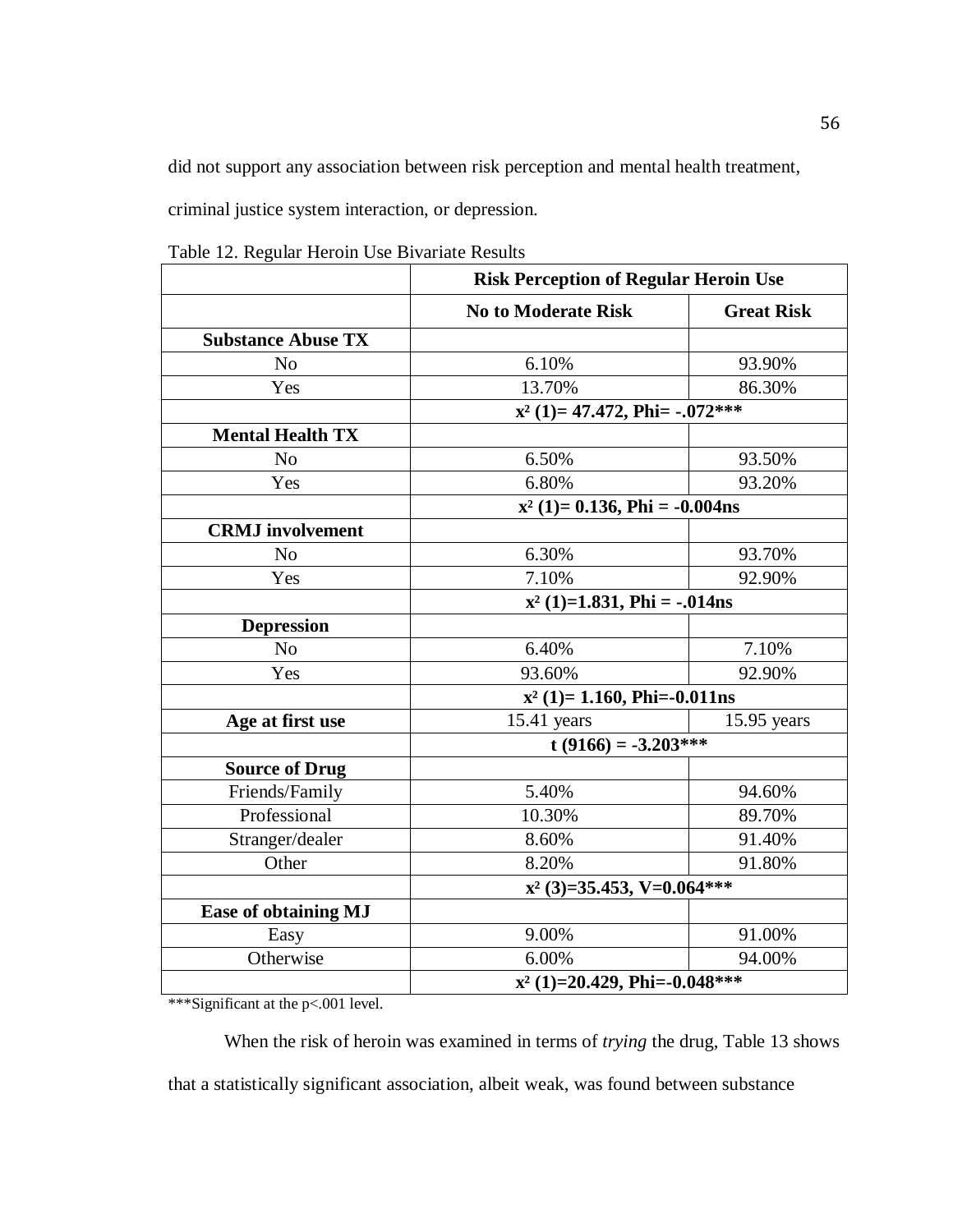did not support any association between risk perception and mental health treatment,

criminal justice system interaction, or depression.

Table 12. Regular Heroin Use Bivariate Results

|                             | <b>Risk Perception of Regular Heroin Use</b> |                   |  |
|-----------------------------|----------------------------------------------|-------------------|--|
|                             | <b>No to Moderate Risk</b>                   | <b>Great Risk</b> |  |
| <b>Substance Abuse TX</b>   |                                              |                   |  |
| N <sub>o</sub>              | 6.10%                                        | 93.90%            |  |
| Yes                         | 13.70%                                       | 86.30%            |  |
|                             | $x^2$ (1)= 47.472, Phi= -.072***             |                   |  |
| <b>Mental Health TX</b>     |                                              |                   |  |
| N <sub>o</sub>              | 6.50%                                        | 93.50%            |  |
| Yes                         | 6.80%                                        | 93.20%            |  |
|                             | $x^2$ (1)= 0.136, Phi = -0.004ns             |                   |  |
| <b>CRMJ</b> involvement     |                                              |                   |  |
| N <sub>o</sub>              | 6.30%                                        | 93.70%            |  |
| Yes                         | 7.10%                                        | 92.90%            |  |
|                             | $x^2$ (1)=1.831, Phi = -.014ns               |                   |  |
| <b>Depression</b>           |                                              |                   |  |
| N <sub>o</sub>              | 6.40%                                        | 7.10%             |  |
| Yes                         | 93.60%                                       | 92.90%            |  |
|                             | $x^2$ (1)= 1.160, Phi=-0.011ns               |                   |  |
| Age at first use            | $15.41$ years                                | $15.95$ years     |  |
|                             | $t(9166) = -3.203***$                        |                   |  |
| <b>Source of Drug</b>       |                                              |                   |  |
| Friends/Family              | 5.40%                                        | 94.60%            |  |
| Professional                | 10.30%                                       | 89.70%            |  |
| Stranger/dealer             | 8.60%                                        | 91.40%            |  |
| Other                       | 8.20%                                        | 91.80%            |  |
|                             | $x^2$ (3)=35.453, V=0.064***                 |                   |  |
| <b>Ease of obtaining MJ</b> |                                              |                   |  |
| Easy                        | 9.00%                                        | 91.00%            |  |
| Otherwise                   | 6.00%                                        | 94.00%            |  |
|                             | $x^2$ (1)=20.429, Phi=-0.048***              |                   |  |

\*\*\*Significant at the p<.001 level.

When the risk of heroin was examined in terms of *trying* the drug, Table 13 shows that a statistically significant association, albeit weak, was found between substance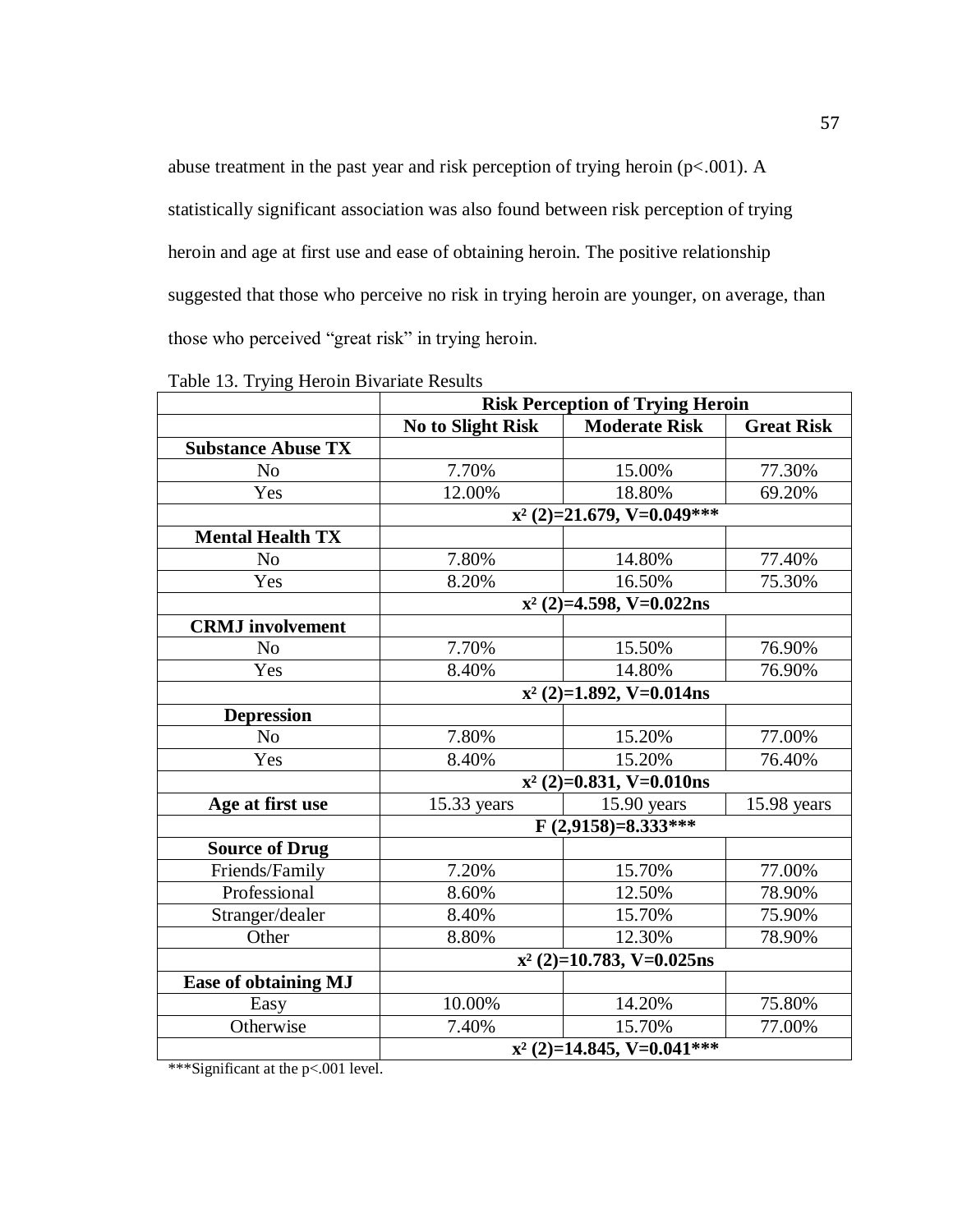abuse treatment in the past year and risk perception of trying heroin (p<.001). A statistically significant association was also found between risk perception of trying heroin and age at first use and ease of obtaining heroin. The positive relationship suggested that those who perceive no risk in trying heroin are younger, on average, than those who perceived "great risk" in trying heroin.

|                             | <b>Risk Perception of Trying Heroin</b> |                              |                   |  |  |
|-----------------------------|-----------------------------------------|------------------------------|-------------------|--|--|
|                             | No to Slight Risk                       | <b>Moderate Risk</b>         | <b>Great Risk</b> |  |  |
| <b>Substance Abuse TX</b>   |                                         |                              |                   |  |  |
| N <sub>o</sub>              | 7.70%                                   | 15.00%                       | 77.30%            |  |  |
| Yes                         | 12.00%                                  | 18.80%                       | 69.20%            |  |  |
|                             |                                         | $x^2$ (2)=21.679, V=0.049*** |                   |  |  |
| <b>Mental Health TX</b>     |                                         |                              |                   |  |  |
| N <sub>0</sub>              | 7.80%                                   | 14.80%                       | 77.40%            |  |  |
| Yes                         | 8.20%                                   | 16.50%                       | 75.30%            |  |  |
|                             |                                         | $x^2$ (2)=4.598, V=0.022ns   |                   |  |  |
| <b>CRMJ</b> involvement     |                                         |                              |                   |  |  |
| N <sub>0</sub>              | 7.70%                                   | 15.50%                       | 76.90%            |  |  |
| Yes                         | 8.40%                                   | 14.80%                       | 76.90%            |  |  |
|                             | $x^2$ (2)=1.892, V=0.014ns              |                              |                   |  |  |
| <b>Depression</b>           |                                         |                              |                   |  |  |
| N <sub>0</sub>              | 7.80%                                   | 15.20%                       | 77.00%            |  |  |
| Yes                         | 8.40%                                   | 15.20%                       | 76.40%            |  |  |
|                             |                                         | $x^2$ (2)=0.831, V=0.010ns   |                   |  |  |
| Age at first use            | 15.33 years                             | $15.90$ years                | 15.98 years       |  |  |
|                             |                                         | $F(2,9158)=8.333***$         |                   |  |  |
| <b>Source of Drug</b>       |                                         |                              |                   |  |  |
| Friends/Family              | 7.20%                                   | 15.70%                       | 77.00%            |  |  |
| Professional                | 8.60%                                   | 12.50%                       | 78.90%            |  |  |
| Stranger/dealer             | 8.40%                                   | 15.70%                       | 75.90%            |  |  |
| Other                       | 8.80%                                   | 12.30%                       | 78.90%            |  |  |
|                             | $x^2$ (2)=10.783, V=0.025ns             |                              |                   |  |  |
| <b>Ease of obtaining MJ</b> |                                         |                              |                   |  |  |
| Easy                        | 10.00%                                  | 14.20%                       | 75.80%            |  |  |
| Otherwise                   | 7.40%                                   | 15.70%                       | 77.00%            |  |  |
|                             | $x^2$ (2)=14.845, V=0.041***            |                              |                   |  |  |

Table 13. Trying Heroin Bivariate Results

\*\*\*Significant at the p<.001 level.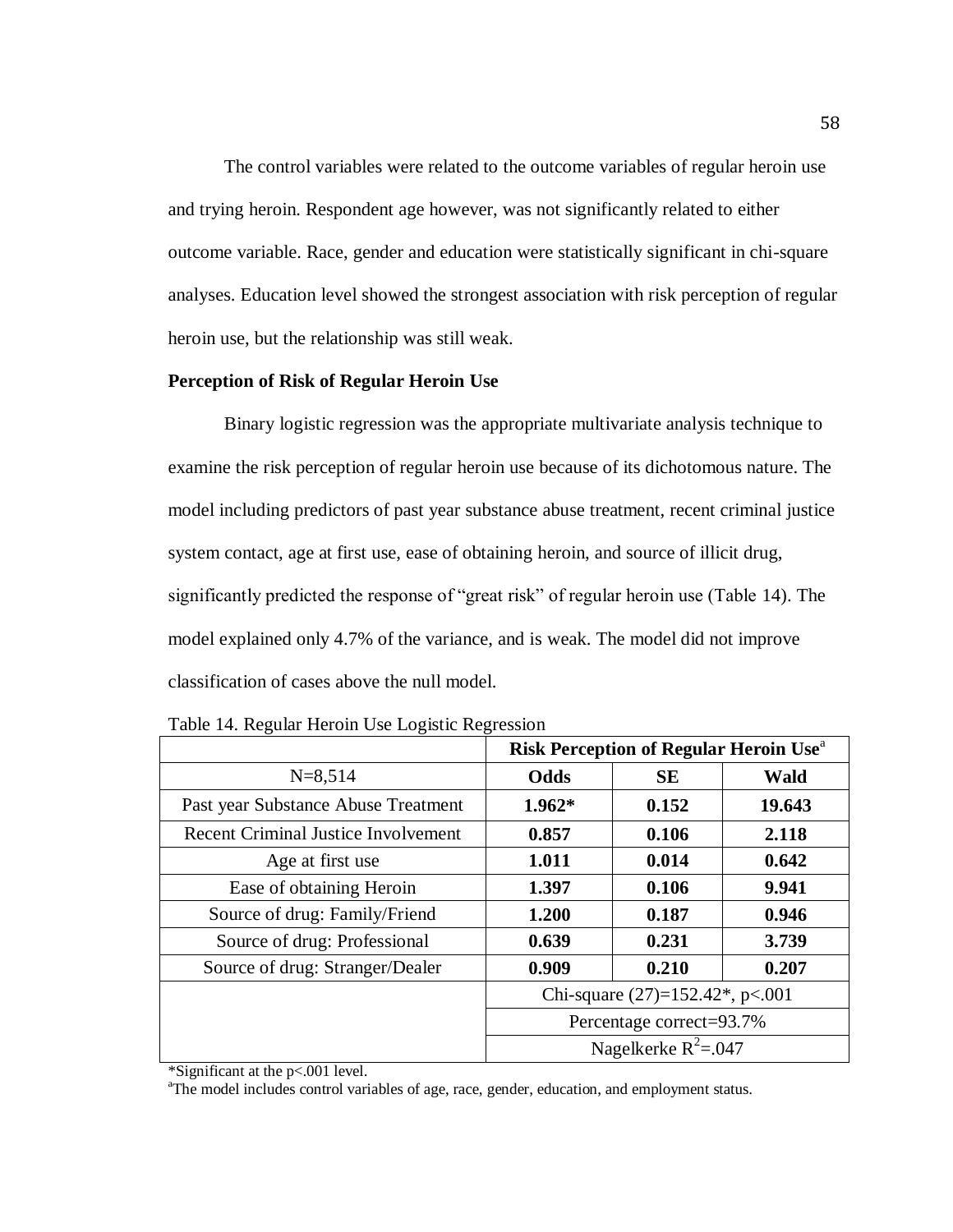The control variables were related to the outcome variables of regular heroin use and trying heroin. Respondent age however, was not significantly related to either outcome variable. Race, gender and education were statistically significant in chi-square analyses. Education level showed the strongest association with risk perception of regular heroin use, but the relationship was still weak.

#### **Perception of Risk of Regular Heroin Use**

Binary logistic regression was the appropriate multivariate analysis technique to examine the risk perception of regular heroin use because of its dichotomous nature. The model including predictors of past year substance abuse treatment, recent criminal justice system contact, age at first use, ease of obtaining heroin, and source of illicit drug, significantly predicted the response of "great risk" of regular heroin use (Table 14). The model explained only 4.7% of the variance, and is weak. The model did not improve classification of cases above the null model.

|                                            | Risk Perception of Regular Heroin Use <sup>a</sup> |           |        |
|--------------------------------------------|----------------------------------------------------|-----------|--------|
| $N = 8,514$                                | <b>Odds</b>                                        | <b>SE</b> | Wald   |
| Past year Substance Abuse Treatment        | $1.962*$                                           | 0.152     | 19.643 |
| <b>Recent Criminal Justice Involvement</b> | 0.857                                              | 0.106     | 2.118  |
| Age at first use                           | 1.011                                              | 0.014     | 0.642  |
| Ease of obtaining Heroin                   | 1.397                                              | 0.106     | 9.941  |
| Source of drug: Family/Friend              | 1.200                                              | 0.187     | 0.946  |
| Source of drug: Professional               | 0.639                                              | 0.231     | 3.739  |
| Source of drug: Stranger/Dealer            | 0.909                                              | 0.210     | 0.207  |
|                                            | Chi-square $(27)=152.42^*$ , p<.001                |           |        |
|                                            | Percentage correct=93.7%                           |           |        |
|                                            | Nagelkerke $R^2 = 0.047$                           |           |        |

Table 14. Regular Heroin Use Logistic Regression

\*Significant at the p<.001 level.

<sup>a</sup>The model includes control variables of age, race, gender, education, and employment status.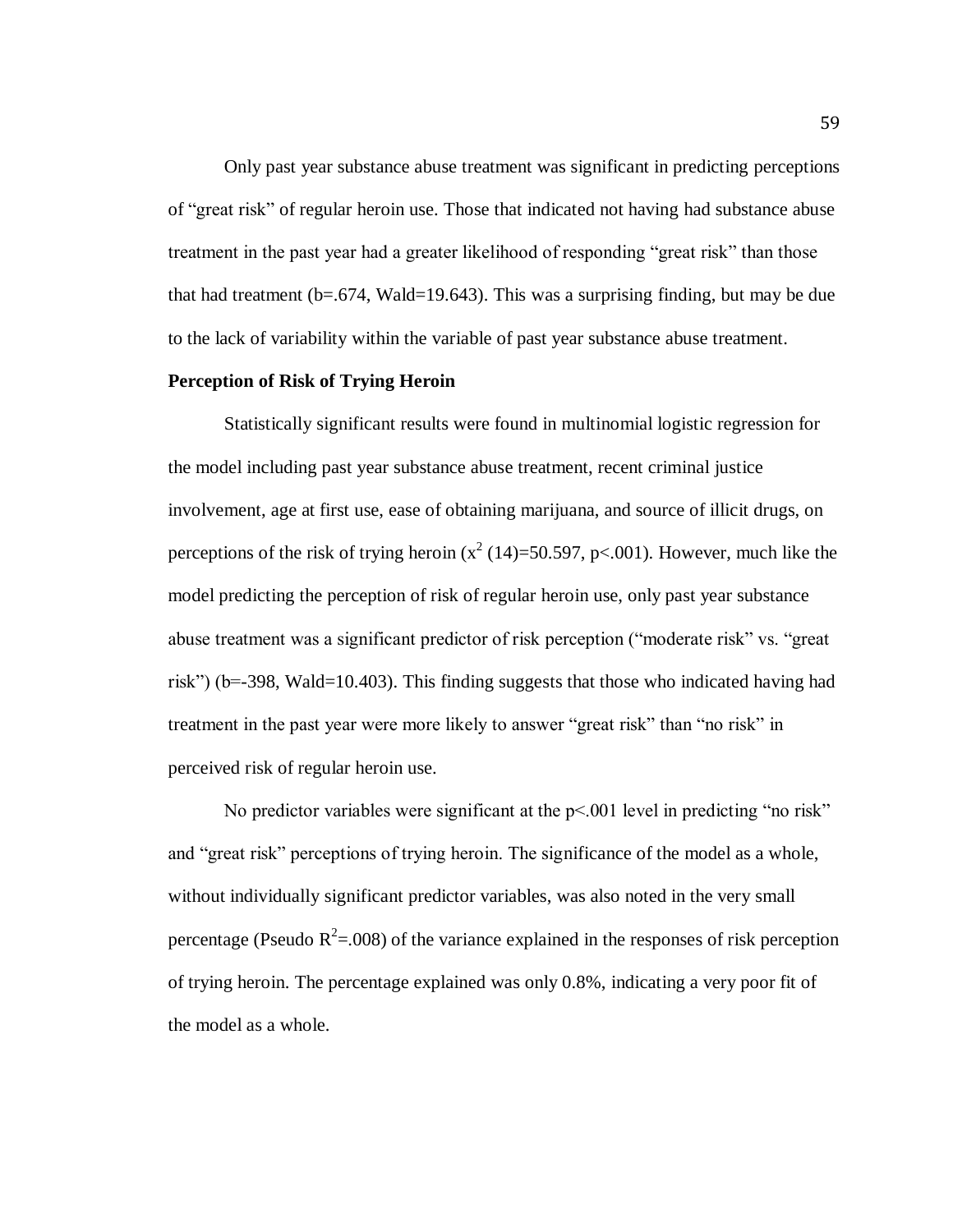Only past year substance abuse treatment was significant in predicting perceptions of "great risk" of regular heroin use. Those that indicated not having had substance abuse treatment in the past year had a greater likelihood of responding "great risk" than those that had treatment  $(b=.674, Wald=19.643)$ . This was a surprising finding, but may be due to the lack of variability within the variable of past year substance abuse treatment.

### **Perception of Risk of Trying Heroin**

Statistically significant results were found in multinomial logistic regression for the model including past year substance abuse treatment, recent criminal justice involvement, age at first use, ease of obtaining marijuana, and source of illicit drugs, on perceptions of the risk of trying heroin ( $x^2$  (14)=50.597, p<.001). However, much like the model predicting the perception of risk of regular heroin use, only past year substance abuse treatment was a significant predictor of risk perception ("moderate risk" vs. "great risk") (b=-398, Wald=10.403). This finding suggests that those who indicated having had treatment in the past year were more likely to answer "great risk" than "no risk" in perceived risk of regular heroin use.

No predictor variables were significant at the  $p<001$  level in predicting "no risk" and "great risk" perceptions of trying heroin. The significance of the model as a whole, without individually significant predictor variables, was also noted in the very small percentage (Pseudo  $R^2 = .008$ ) of the variance explained in the responses of risk perception of trying heroin. The percentage explained was only 0.8%, indicating a very poor fit of the model as a whole.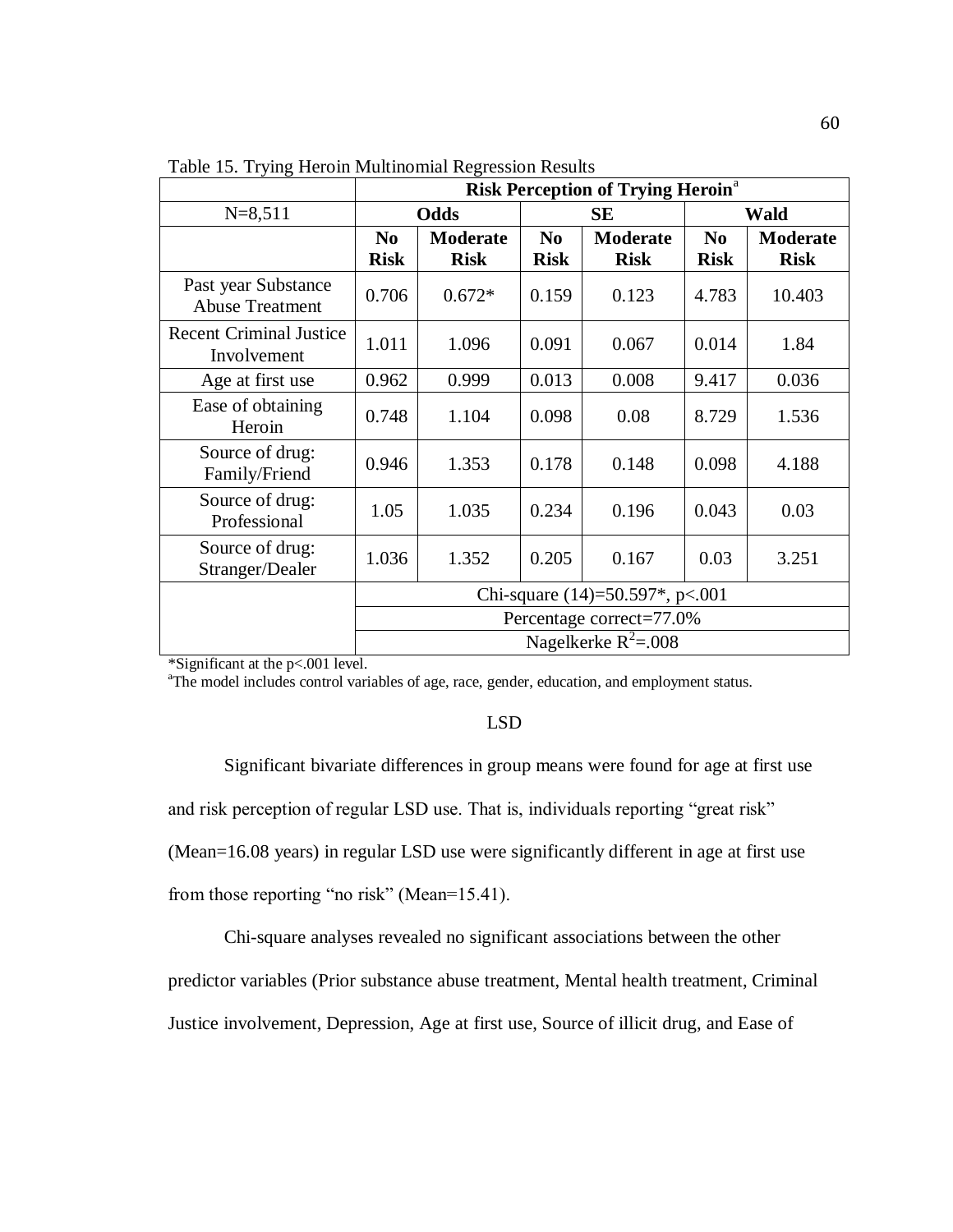|                                               | <b>Risk Perception of Trying Heroin<sup>a</sup></b> |                                |                               |                                |                               |                                |
|-----------------------------------------------|-----------------------------------------------------|--------------------------------|-------------------------------|--------------------------------|-------------------------------|--------------------------------|
| $N = 8,511$                                   | Odds                                                |                                | SЕ                            |                                | <b>Wald</b>                   |                                |
|                                               | N <sub>0</sub><br><b>Risk</b>                       | <b>Moderate</b><br><b>Risk</b> | N <sub>0</sub><br><b>Risk</b> | <b>Moderate</b><br><b>Risk</b> | N <sub>0</sub><br><b>Risk</b> | <b>Moderate</b><br><b>Risk</b> |
| Past year Substance<br><b>Abuse Treatment</b> | 0.706                                               | $0.672*$                       | 0.159                         | 0.123                          | 4.783                         | 10.403                         |
| <b>Recent Criminal Justice</b><br>Involvement | 1.011                                               | 1.096                          | 0.091                         | 0.067                          | 0.014                         | 1.84                           |
| Age at first use                              | 0.962                                               | 0.999                          | 0.013                         | 0.008                          | 9.417                         | 0.036                          |
| Ease of obtaining<br>Heroin                   | 0.748                                               | 1.104                          | 0.098                         | 0.08                           | 8.729                         | 1.536                          |
| Source of drug:<br>Family/Friend              | 0.946                                               | 1.353                          | 0.178                         | 0.148                          | 0.098                         | 4.188                          |
| Source of drug:<br>Professional               | 1.05                                                | 1.035                          | 0.234                         | 0.196                          | 0.043                         | 0.03                           |
| Source of drug:<br>Stranger/Dealer            | 1.036                                               | 1.352                          | 0.205                         | 0.167                          | 0.03                          | 3.251                          |
|                                               | Chi-square $(14)=50.597^*$ , p<.001                 |                                |                               |                                |                               |                                |
|                                               | Percentage correct=77.0%                            |                                |                               |                                |                               |                                |
|                                               | Nagelkerke $R^2 = .008$                             |                                |                               |                                |                               |                                |

Table 15. Trying Heroin Multinomial Regression Results

\*Significant at the p<.001 level.

<sup>a</sup>The model includes control variables of age, race, gender, education, and employment status.

### LSD

Significant bivariate differences in group means were found for age at first use and risk perception of regular LSD use. That is, individuals reporting "great risk" (Mean=16.08 years) in regular LSD use were significantly different in age at first use from those reporting "no risk" (Mean=15.41).

Chi-square analyses revealed no significant associations between the other predictor variables (Prior substance abuse treatment, Mental health treatment, Criminal Justice involvement, Depression, Age at first use, Source of illicit drug, and Ease of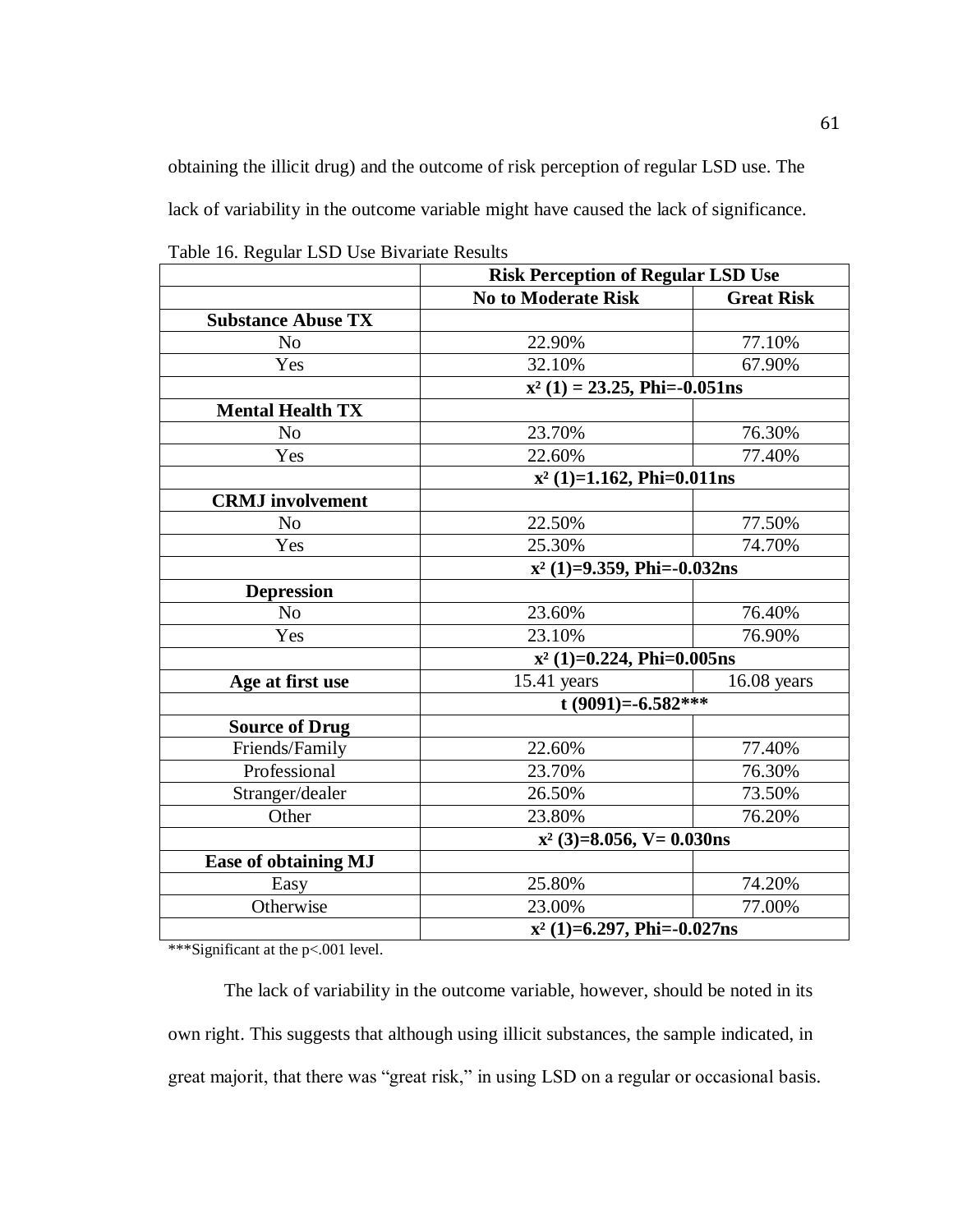obtaining the illicit drug) and the outcome of risk perception of regular LSD use. The lack of variability in the outcome variable might have caused the lack of significance.

|                             | <b>Risk Perception of Regular LSD Use</b> |                   |  |
|-----------------------------|-------------------------------------------|-------------------|--|
|                             | <b>No to Moderate Risk</b>                | <b>Great Risk</b> |  |
| <b>Substance Abuse TX</b>   |                                           |                   |  |
| N <sub>o</sub>              | 22.90%                                    | 77.10%            |  |
| Yes                         | 32.10%                                    | 67.90%            |  |
|                             | $x^2$ (1) = 23.25, Phi=-0.051ns           |                   |  |
| <b>Mental Health TX</b>     |                                           |                   |  |
| N <sub>0</sub>              | 23.70%                                    | 76.30%            |  |
| Yes                         | 22.60%                                    | 77.40%            |  |
|                             | $x^2$ (1)=1.162, Phi=0.011ns              |                   |  |
| <b>CRMJ</b> involvement     |                                           |                   |  |
| N <sub>o</sub>              | 22.50%                                    | 77.50%            |  |
| Yes                         | 25.30%                                    | 74.70%            |  |
|                             | $x^2$ (1)=9.359, Phi=-0.032ns             |                   |  |
| <b>Depression</b>           |                                           |                   |  |
| N <sub>0</sub>              | 23.60%                                    | 76.40%            |  |
| Yes                         | 23.10%                                    | 76.90%            |  |
|                             | $x^2$ (1)=0.224, Phi=0.005ns              |                   |  |
| Age at first use            | $15.41$ years                             | $16.08$ years     |  |
|                             | t (9091)=-6.582***                        |                   |  |
| <b>Source of Drug</b>       |                                           |                   |  |
| Friends/Family              | 22.60%                                    | 77.40%            |  |
| Professional                | 23.70%                                    | 76.30%            |  |
| Stranger/dealer             | 26.50%                                    | 73.50%            |  |
| Other                       | 23.80%                                    | 76.20%            |  |
|                             | $x^2$ (3)=8.056, V= 0.030ns               |                   |  |
| <b>Ease of obtaining MJ</b> |                                           |                   |  |
| Easy                        | 25.80%                                    | 74.20%            |  |
| Otherwise                   | 23.00%                                    | 77.00%            |  |
|                             | $x^2$ (1)=6.297, Phi=-0.027ns             |                   |  |

Table 16. Regular LSD Use Bivariate Results

\*\*\*Significant at the p<.001 level.

The lack of variability in the outcome variable, however, should be noted in its own right. This suggests that although using illicit substances, the sample indicated, in great majorit, that there was "great risk," in using LSD on a regular or occasional basis.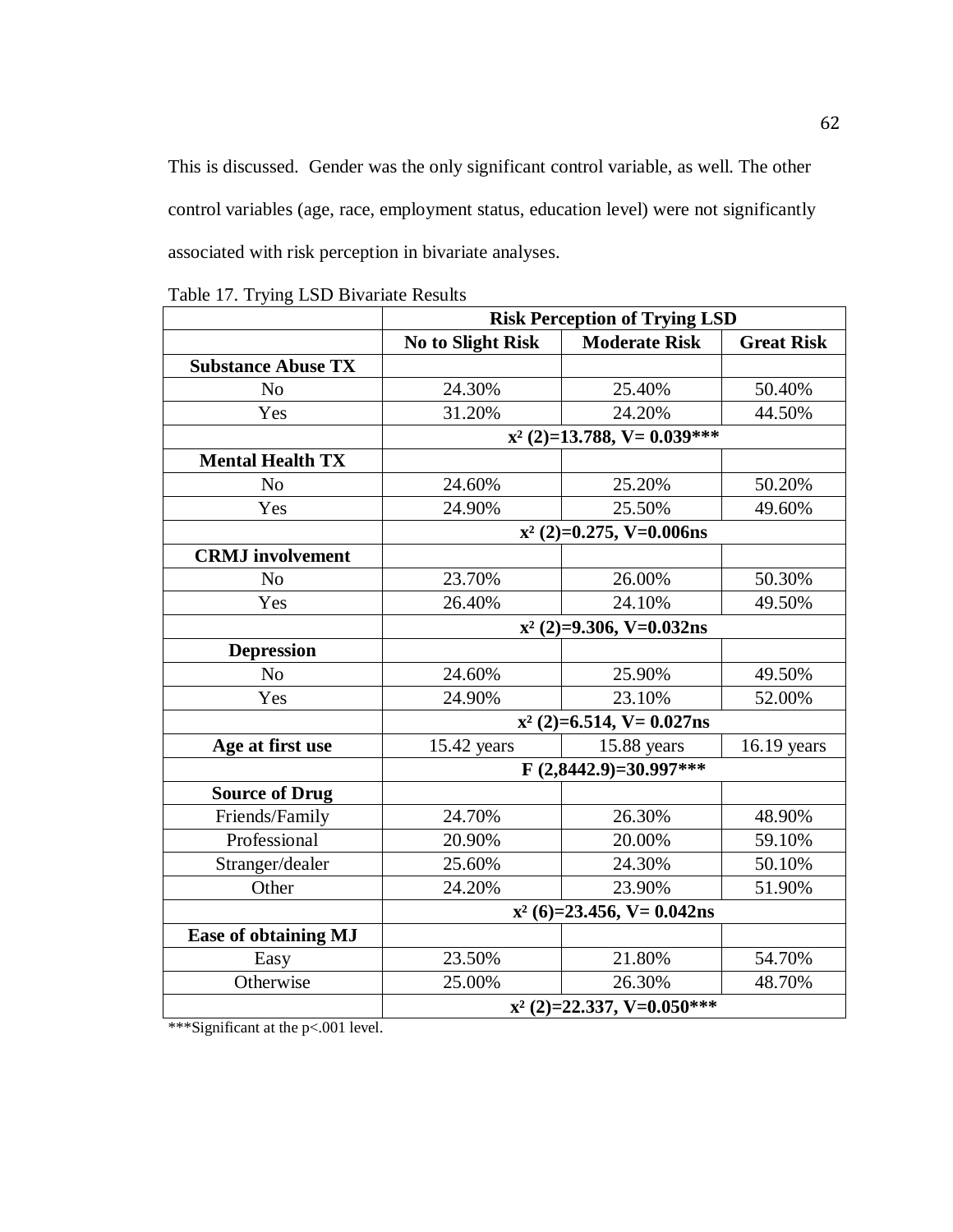This is discussed. Gender was the only significant control variable, as well. The other control variables (age, race, employment status, education level) were not significantly associated with risk perception in bivariate analyses.

|                           | <b>Risk Perception of Trying LSD</b> |                               |                   |  |
|---------------------------|--------------------------------------|-------------------------------|-------------------|--|
|                           | <b>No to Slight Risk</b>             | <b>Moderate Risk</b>          | <b>Great Risk</b> |  |
| <b>Substance Abuse TX</b> |                                      |                               |                   |  |
| No                        | 24.30%                               | 25.40%                        | 50.40%            |  |
| Yes                       | 31.20%                               | 24.20%                        | 44.50%            |  |
|                           |                                      | $x^2$ (2)=13.788, V= 0.039*** |                   |  |
| <b>Mental Health TX</b>   |                                      |                               |                   |  |
| N <sub>o</sub>            | 24.60%                               | 25.20%                        | 50.20%            |  |
| Yes                       | 24.90%                               | 25.50%                        | 49.60%            |  |
|                           |                                      | $x^2$ (2)=0.275, V=0.006ns    |                   |  |
| <b>CRMJ</b> involvement   |                                      |                               |                   |  |
| N <sub>o</sub>            | 23.70%                               | 26.00%                        | 50.30%            |  |
| Yes                       | 26.40%                               | 24.10%                        | 49.50%            |  |
|                           | $x^2$ (2)=9.306, V=0.032ns           |                               |                   |  |
| <b>Depression</b>         |                                      |                               |                   |  |
| No                        | 24.60%                               | 25.90%                        | 49.50%            |  |
| Yes                       | 24.90%                               | 23.10%                        | 52.00%            |  |
|                           | $x^2$ (2)=6.514, V= 0.027ns          |                               |                   |  |
| Age at first use          | 15.42 years                          | 15.88 years                   | $16.19$ years     |  |
|                           | $F(2,8442.9)=30.997***$              |                               |                   |  |
| <b>Source of Drug</b>     |                                      |                               |                   |  |
| Friends/Family            | 24.70%                               | 26.30%                        | 48.90%            |  |
| Professional              | 20.90%                               | 20.00%                        | 59.10%            |  |
| Stranger/dealer           | 25.60%                               | 24.30%                        | 50.10%            |  |
| Other                     | 24.20%                               | 23.90%                        | 51.90%            |  |
|                           | $x^2$ (6)=23.456, V= 0.042ns         |                               |                   |  |
| Ease of obtaining MJ      |                                      |                               |                   |  |
| Easy                      | 23.50%                               | 21.80%                        | 54.70%            |  |
| Otherwise                 | 25.00%                               | 26.30%                        | 48.70%            |  |
|                           | $x^2$ (2)=22.337, V=0.050***         |                               |                   |  |

Table 17. Trying LSD Bivariate Results

\*\*\*Significant at the p<.001 level.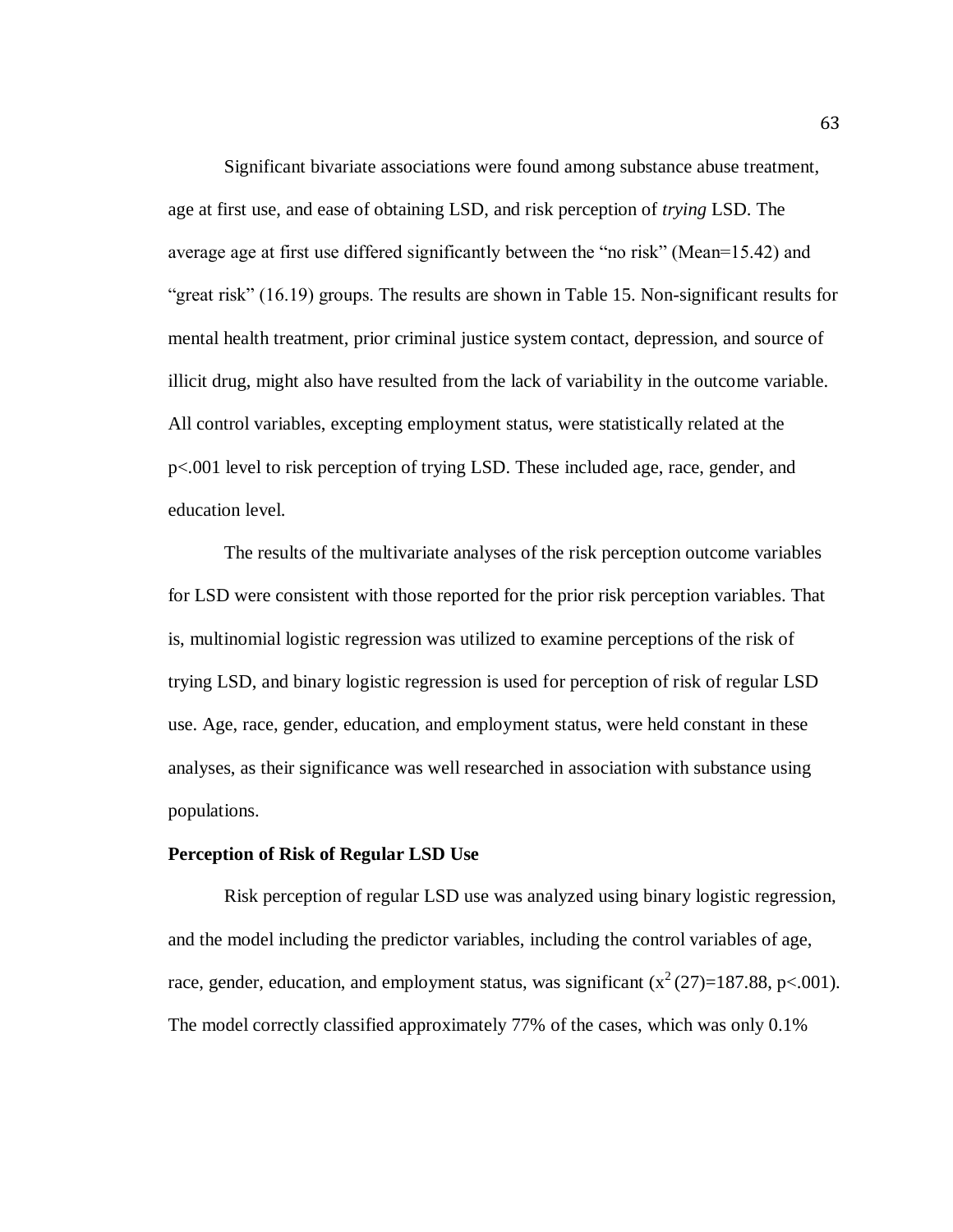Significant bivariate associations were found among substance abuse treatment, age at first use, and ease of obtaining LSD, and risk perception of *trying* LSD. The average age at first use differed significantly between the "no risk" (Mean=15.42) and "great risk" (16.19) groups. The results are shown in Table 15. Non-significant results for mental health treatment, prior criminal justice system contact, depression, and source of illicit drug, might also have resulted from the lack of variability in the outcome variable. All control variables, excepting employment status, were statistically related at the p<.001 level to risk perception of trying LSD. These included age, race, gender, and education level.

The results of the multivariate analyses of the risk perception outcome variables for LSD were consistent with those reported for the prior risk perception variables. That is, multinomial logistic regression was utilized to examine perceptions of the risk of trying LSD, and binary logistic regression is used for perception of risk of regular LSD use. Age, race, gender, education, and employment status, were held constant in these analyses, as their significance was well researched in association with substance using populations.

#### **Perception of Risk of Regular LSD Use**

Risk perception of regular LSD use was analyzed using binary logistic regression, and the model including the predictor variables, including the control variables of age, race, gender, education, and employment status, was significant  $(x^2(27)=187.88, p<.001)$ . The model correctly classified approximately 77% of the cases, which was only 0.1%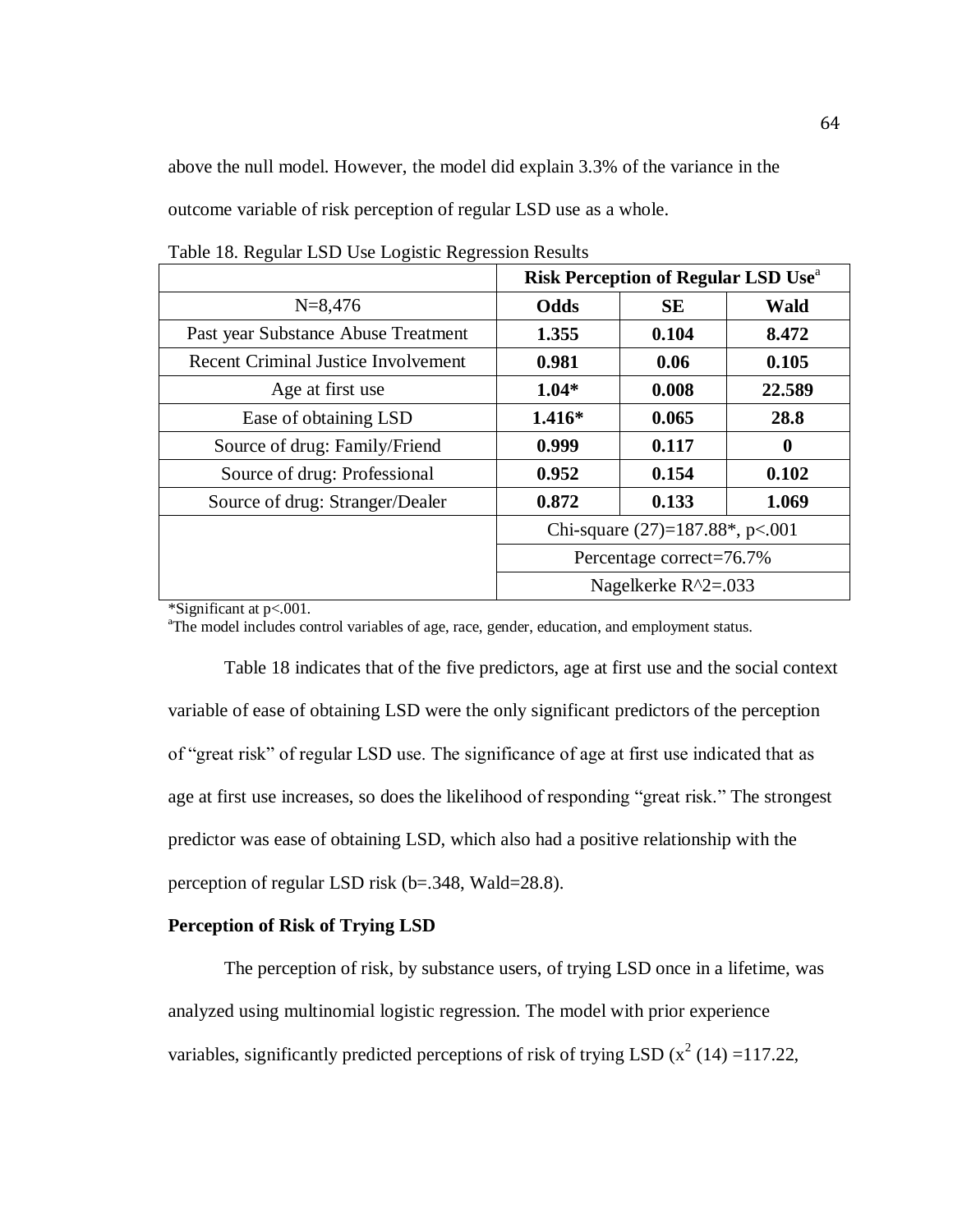above the null model. However, the model did explain 3.3% of the variance in the outcome variable of risk perception of regular LSD use as a whole.

|                                            | <b>Risk Perception of Regular LSD Use</b> <sup>a</sup> |           |                  |
|--------------------------------------------|--------------------------------------------------------|-----------|------------------|
| $N = 8,476$                                | Odds                                                   | <b>SE</b> | <b>Wald</b>      |
| Past year Substance Abuse Treatment        | 1.355                                                  | 0.104     | 8.472            |
| <b>Recent Criminal Justice Involvement</b> | 0.981                                                  | 0.06      | 0.105            |
| Age at first use                           | $1.04*$                                                | 0.008     | 22.589           |
| Ease of obtaining LSD                      | $1.416*$                                               | 0.065     | 28.8             |
| Source of drug: Family/Friend              | 0.999                                                  | 0.117     | $\boldsymbol{0}$ |
| Source of drug: Professional               | 0.952                                                  | 0.154     | 0.102            |
| Source of drug: Stranger/Dealer            | 0.872                                                  | 0.133     | 1.069            |
|                                            | Chi-square $(27)=187.88^*$ , p<.001                    |           |                  |
|                                            | Percentage correct=76.7%                               |           |                  |
|                                            | Nagelkerke $R^2 = 0.033$                               |           |                  |

Table 18. Regular LSD Use Logistic Regression Results

\*Significant at p<.001.

<sup>a</sup>The model includes control variables of age, race, gender, education, and employment status.

Table 18 indicates that of the five predictors, age at first use and the social context variable of ease of obtaining LSD were the only significant predictors of the perception of "great risk" of regular LSD use. The significance of age at first use indicated that as age at first use increases, so does the likelihood of responding "great risk." The strongest predictor was ease of obtaining LSD, which also had a positive relationship with the perception of regular LSD risk (b=.348, Wald=28.8).

# **Perception of Risk of Trying LSD**

The perception of risk, by substance users, of trying LSD once in a lifetime, was analyzed using multinomial logistic regression. The model with prior experience variables, significantly predicted perceptions of risk of trying LSD  $(x^2(14) = 117.22$ ,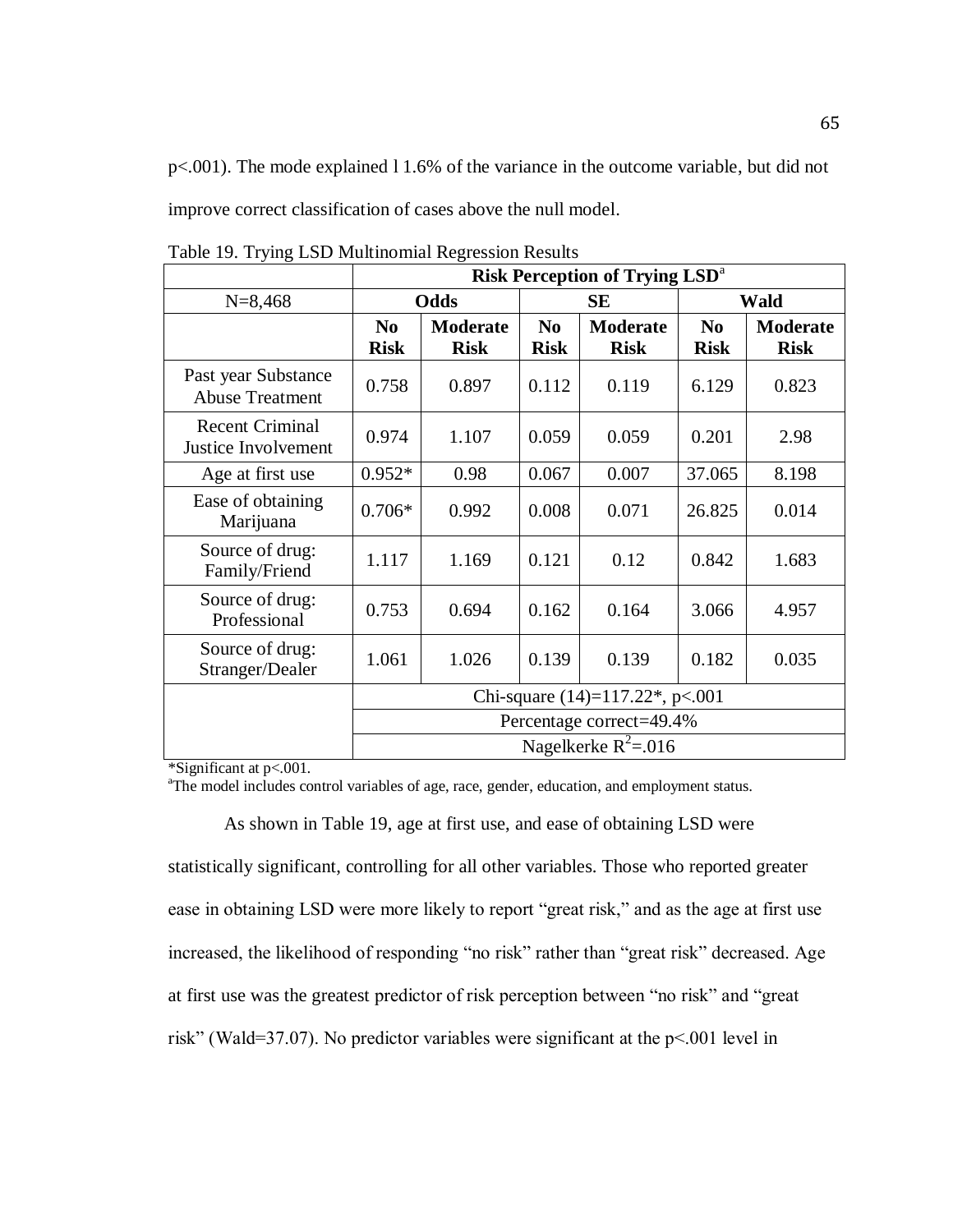p<.001). The mode explained l 1.6% of the variance in the outcome variable, but did not improve correct classification of cases above the null model.

|                                               | <b>Risk Perception of Trying LSD<sup>a</sup></b> |             |                |                 |                |                 |
|-----------------------------------------------|--------------------------------------------------|-------------|----------------|-----------------|----------------|-----------------|
| $N = 8,468$                                   | Odds                                             |             | <b>SE</b>      |                 | Wald           |                 |
|                                               | N <sub>0</sub>                                   | Moderate    | N <sub>0</sub> | <b>Moderate</b> | N <sub>0</sub> | <b>Moderate</b> |
|                                               | <b>Risk</b>                                      | <b>Risk</b> | <b>Risk</b>    | <b>Risk</b>     | <b>Risk</b>    | <b>Risk</b>     |
| Past year Substance<br><b>Abuse Treatment</b> | 0.758                                            | 0.897       | 0.112          | 0.119           | 6.129          | 0.823           |
| <b>Recent Criminal</b><br>Justice Involvement | 0.974                                            | 1.107       | 0.059          | 0.059           | 0.201          | 2.98            |
| Age at first use                              | $0.952*$                                         | 0.98        | 0.067          | 0.007           | 37.065         | 8.198           |
| Ease of obtaining<br>Marijuana                | $0.706*$                                         | 0.992       | 0.008          | 0.071           | 26.825         | 0.014           |
| Source of drug:<br>Family/Friend              | 1.117                                            | 1.169       | 0.121          | 0.12            | 0.842          | 1.683           |
| Source of drug:<br>Professional               | 0.753                                            | 0.694       | 0.162          | 0.164           | 3.066          | 4.957           |
| Source of drug:<br>Stranger/Dealer            | 1.061                                            | 1.026       | 0.139          | 0.139           | 0.182          | 0.035           |
|                                               | Chi-square $(14)=117.22$ <sup>*</sup> , p<.001   |             |                |                 |                |                 |
|                                               | Percentage correct=49.4%                         |             |                |                 |                |                 |
|                                               | Nagelkerke $R^2$ =.016                           |             |                |                 |                |                 |

Table 19. Trying LSD Multinomial Regression Results

\*Significant at p<.001.

<sup>a</sup>The model includes control variables of age, race, gender, education, and employment status.

As shown in Table 19, age at first use, and ease of obtaining LSD were

statistically significant, controlling for all other variables. Those who reported greater ease in obtaining LSD were more likely to report "great risk," and as the age at first use increased, the likelihood of responding "no risk" rather than "great risk" decreased. Age at first use was the greatest predictor of risk perception between "no risk" and "great risk" (Wald=37.07). No predictor variables were significant at the p<.001 level in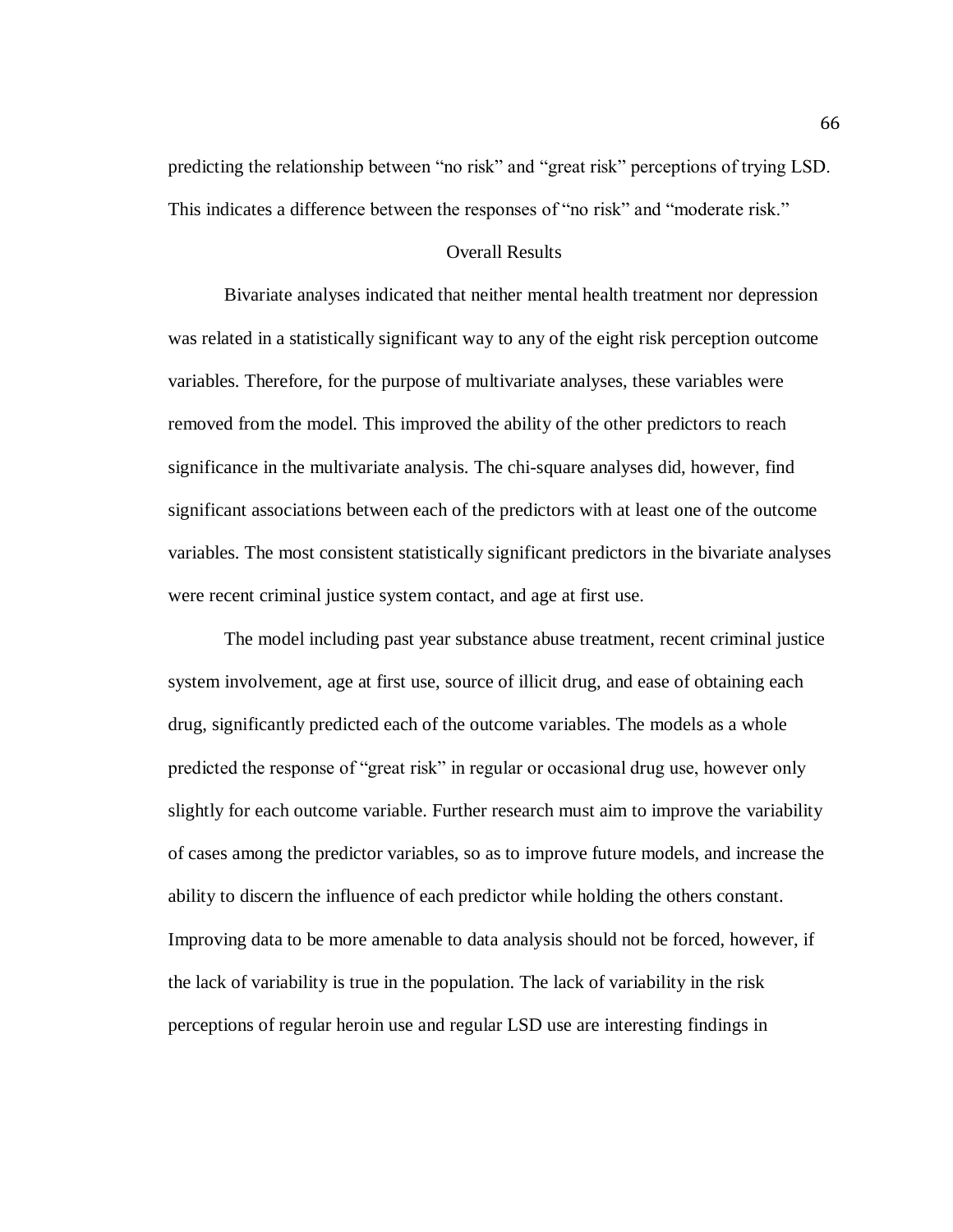predicting the relationship between "no risk" and "great risk" perceptions of trying LSD. This indicates a difference between the responses of "no risk" and "moderate risk."

### Overall Results

Bivariate analyses indicated that neither mental health treatment nor depression was related in a statistically significant way to any of the eight risk perception outcome variables. Therefore, for the purpose of multivariate analyses, these variables were removed from the model. This improved the ability of the other predictors to reach significance in the multivariate analysis. The chi-square analyses did, however, find significant associations between each of the predictors with at least one of the outcome variables. The most consistent statistically significant predictors in the bivariate analyses were recent criminal justice system contact, and age at first use.

The model including past year substance abuse treatment, recent criminal justice system involvement, age at first use, source of illicit drug, and ease of obtaining each drug, significantly predicted each of the outcome variables. The models as a whole predicted the response of "great risk" in regular or occasional drug use, however only slightly for each outcome variable. Further research must aim to improve the variability of cases among the predictor variables, so as to improve future models, and increase the ability to discern the influence of each predictor while holding the others constant. Improving data to be more amenable to data analysis should not be forced, however, if the lack of variability is true in the population. The lack of variability in the risk perceptions of regular heroin use and regular LSD use are interesting findings in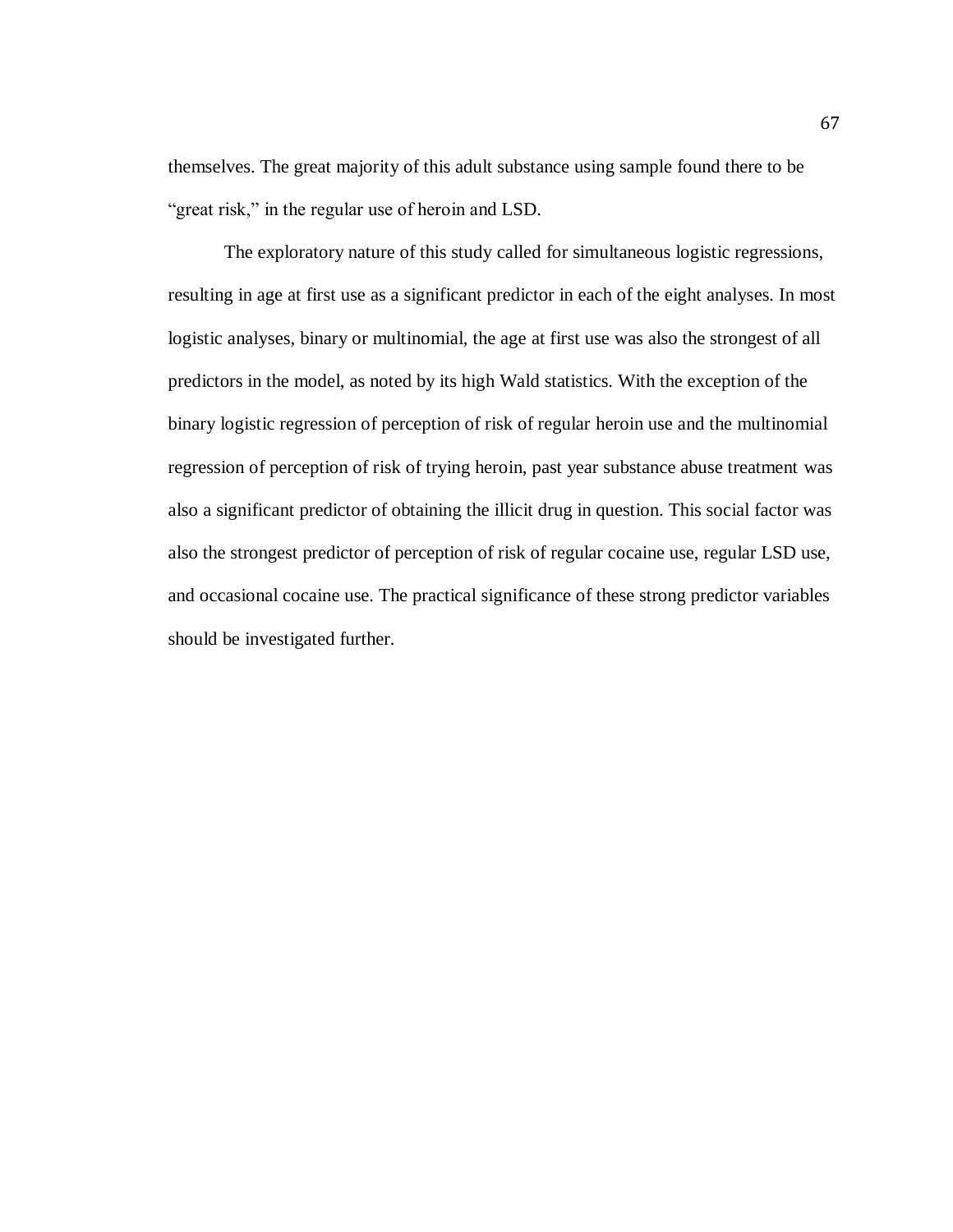themselves. The great majority of this adult substance using sample found there to be "great risk," in the regular use of heroin and LSD.

The exploratory nature of this study called for simultaneous logistic regressions, resulting in age at first use as a significant predictor in each of the eight analyses. In most logistic analyses, binary or multinomial, the age at first use was also the strongest of all predictors in the model, as noted by its high Wald statistics. With the exception of the binary logistic regression of perception of risk of regular heroin use and the multinomial regression of perception of risk of trying heroin, past year substance abuse treatment was also a significant predictor of obtaining the illicit drug in question. This social factor was also the strongest predictor of perception of risk of regular cocaine use, regular LSD use, and occasional cocaine use. The practical significance of these strong predictor variables should be investigated further.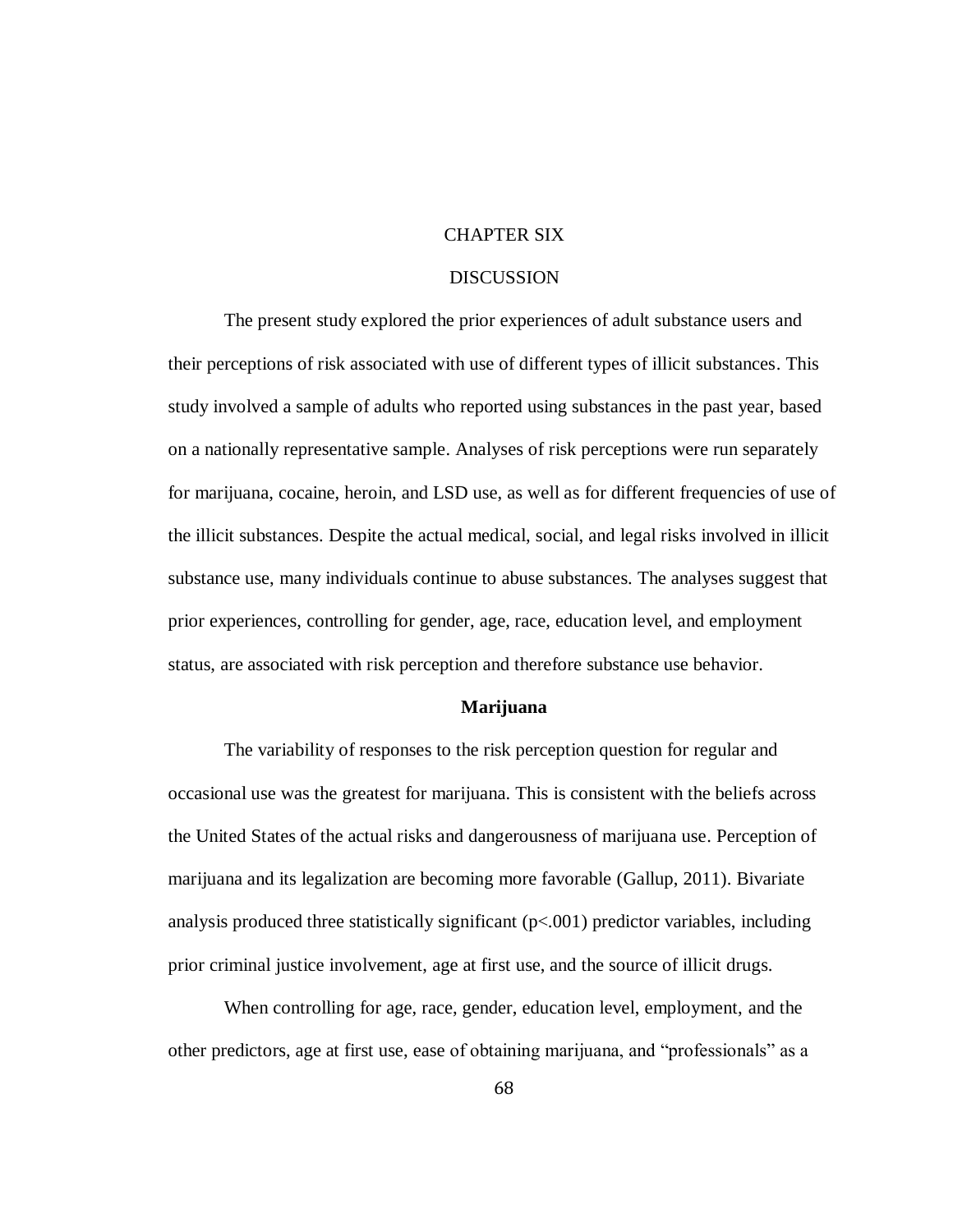# CHAPTER SIX

## DISCUSSION

The present study explored the prior experiences of adult substance users and their perceptions of risk associated with use of different types of illicit substances. This study involved a sample of adults who reported using substances in the past year, based on a nationally representative sample. Analyses of risk perceptions were run separately for marijuana, cocaine, heroin, and LSD use, as well as for different frequencies of use of the illicit substances. Despite the actual medical, social, and legal risks involved in illicit substance use, many individuals continue to abuse substances. The analyses suggest that prior experiences, controlling for gender, age, race, education level, and employment status, are associated with risk perception and therefore substance use behavior.

### **Marijuana**

The variability of responses to the risk perception question for regular and occasional use was the greatest for marijuana. This is consistent with the beliefs across the United States of the actual risks and dangerousness of marijuana use. Perception of marijuana and its legalization are becoming more favorable (Gallup, 2011). Bivariate analysis produced three statistically significant  $(p<0.01)$  predictor variables, including prior criminal justice involvement, age at first use, and the source of illicit drugs.

When controlling for age, race, gender, education level, employment, and the other predictors, age at first use, ease of obtaining marijuana, and "professionals" as a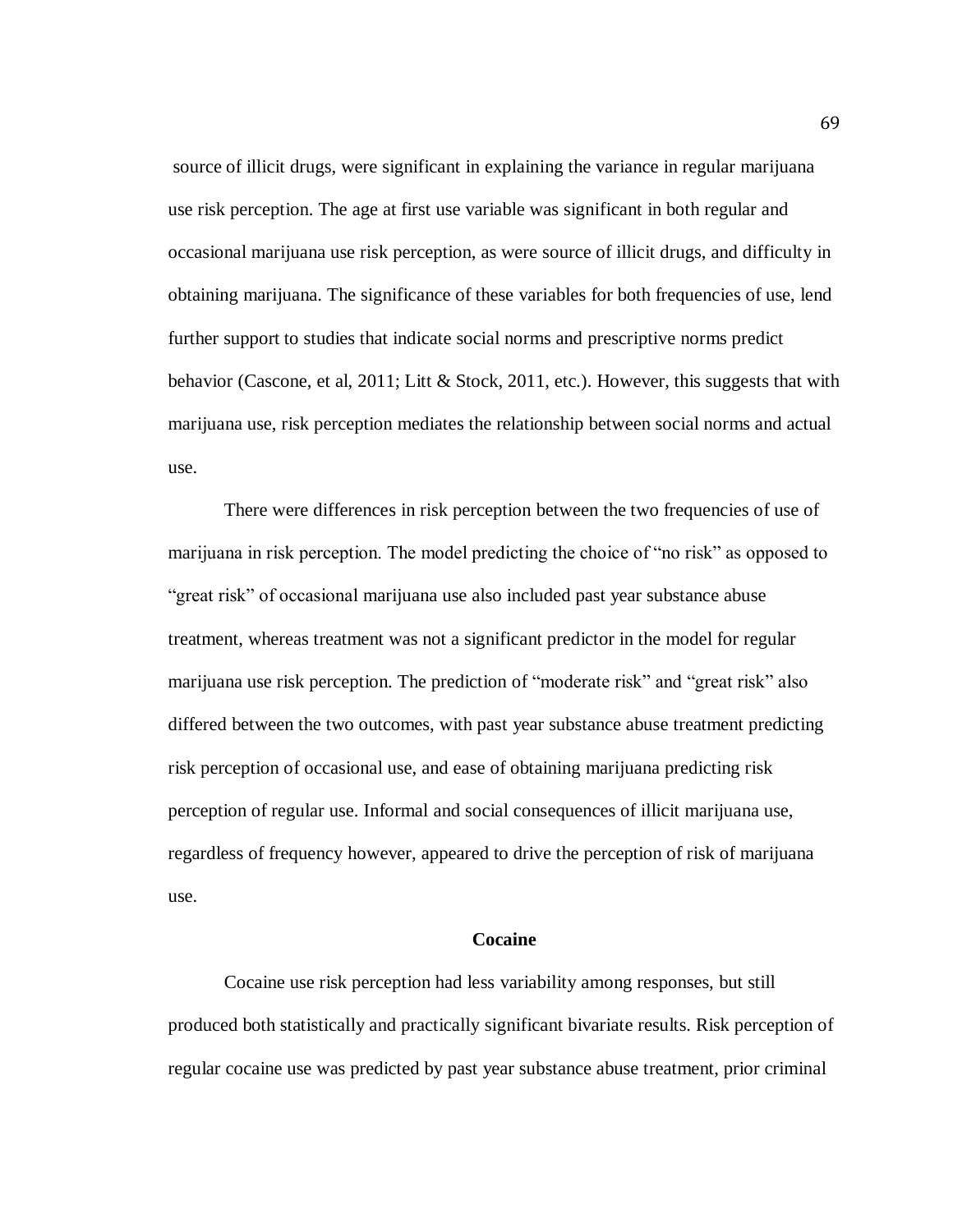source of illicit drugs, were significant in explaining the variance in regular marijuana use risk perception. The age at first use variable was significant in both regular and occasional marijuana use risk perception, as were source of illicit drugs, and difficulty in obtaining marijuana. The significance of these variables for both frequencies of use, lend further support to studies that indicate social norms and prescriptive norms predict behavior (Cascone, et al, 2011; Litt & Stock, 2011, etc.). However, this suggests that with marijuana use, risk perception mediates the relationship between social norms and actual use.

There were differences in risk perception between the two frequencies of use of marijuana in risk perception. The model predicting the choice of "no risk" as opposed to "great risk" of occasional marijuana use also included past year substance abuse treatment, whereas treatment was not a significant predictor in the model for regular marijuana use risk perception. The prediction of "moderate risk" and "great risk" also differed between the two outcomes, with past year substance abuse treatment predicting risk perception of occasional use, and ease of obtaining marijuana predicting risk perception of regular use. Informal and social consequences of illicit marijuana use, regardless of frequency however, appeared to drive the perception of risk of marijuana use.

### **Cocaine**

Cocaine use risk perception had less variability among responses, but still produced both statistically and practically significant bivariate results. Risk perception of regular cocaine use was predicted by past year substance abuse treatment, prior criminal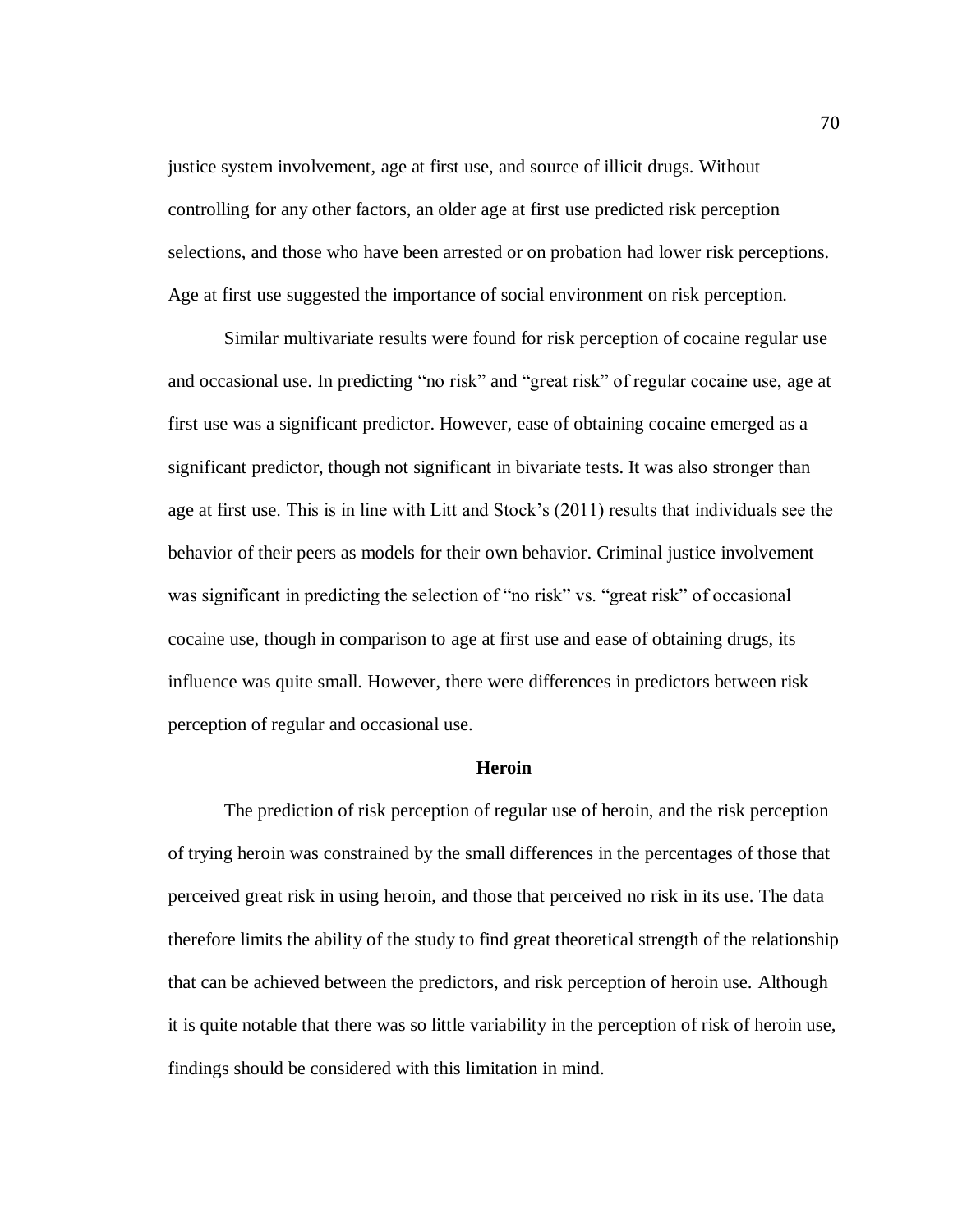justice system involvement, age at first use, and source of illicit drugs. Without controlling for any other factors, an older age at first use predicted risk perception selections, and those who have been arrested or on probation had lower risk perceptions. Age at first use suggested the importance of social environment on risk perception.

Similar multivariate results were found for risk perception of cocaine regular use and occasional use. In predicting "no risk" and "great risk" of regular cocaine use, age at first use was a significant predictor. However, ease of obtaining cocaine emerged as a significant predictor, though not significant in bivariate tests. It was also stronger than age at first use. This is in line with Litt and Stock's (2011) results that individuals see the behavior of their peers as models for their own behavior. Criminal justice involvement was significant in predicting the selection of "no risk" vs. "great risk" of occasional cocaine use, though in comparison to age at first use and ease of obtaining drugs, its influence was quite small. However, there were differences in predictors between risk perception of regular and occasional use.

#### **Heroin**

The prediction of risk perception of regular use of heroin, and the risk perception of trying heroin was constrained by the small differences in the percentages of those that perceived great risk in using heroin, and those that perceived no risk in its use. The data therefore limits the ability of the study to find great theoretical strength of the relationship that can be achieved between the predictors, and risk perception of heroin use. Although it is quite notable that there was so little variability in the perception of risk of heroin use, findings should be considered with this limitation in mind.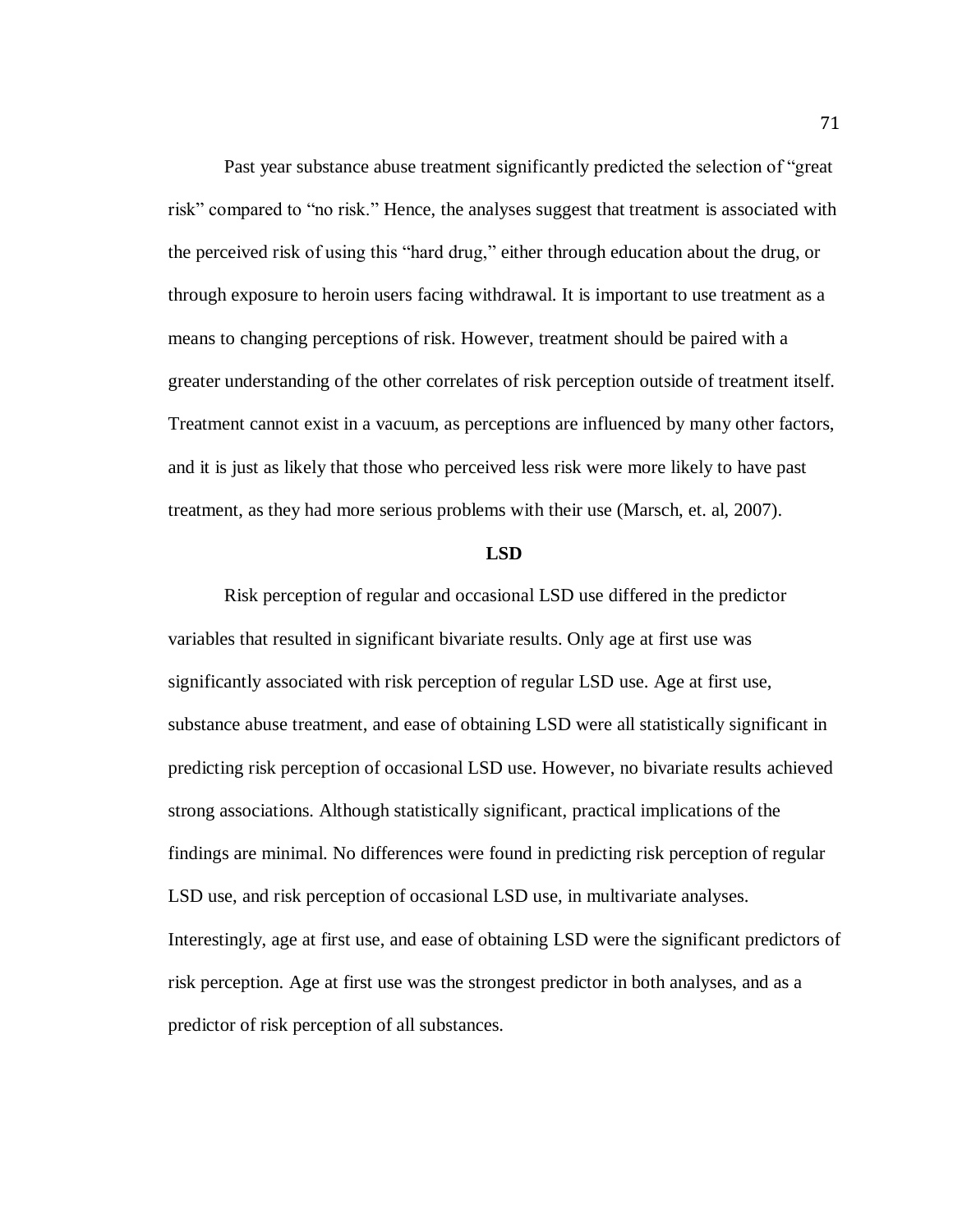Past year substance abuse treatment significantly predicted the selection of "great risk" compared to "no risk." Hence, the analyses suggest that treatment is associated with the perceived risk of using this "hard drug," either through education about the drug, or through exposure to heroin users facing withdrawal. It is important to use treatment as a means to changing perceptions of risk. However, treatment should be paired with a greater understanding of the other correlates of risk perception outside of treatment itself. Treatment cannot exist in a vacuum, as perceptions are influenced by many other factors, and it is just as likely that those who perceived less risk were more likely to have past treatment, as they had more serious problems with their use (Marsch, et. al, 2007).

#### **LSD**

Risk perception of regular and occasional LSD use differed in the predictor variables that resulted in significant bivariate results. Only age at first use was significantly associated with risk perception of regular LSD use. Age at first use, substance abuse treatment, and ease of obtaining LSD were all statistically significant in predicting risk perception of occasional LSD use. However, no bivariate results achieved strong associations. Although statistically significant, practical implications of the findings are minimal. No differences were found in predicting risk perception of regular LSD use, and risk perception of occasional LSD use, in multivariate analyses. Interestingly, age at first use, and ease of obtaining LSD were the significant predictors of risk perception. Age at first use was the strongest predictor in both analyses, and as a predictor of risk perception of all substances.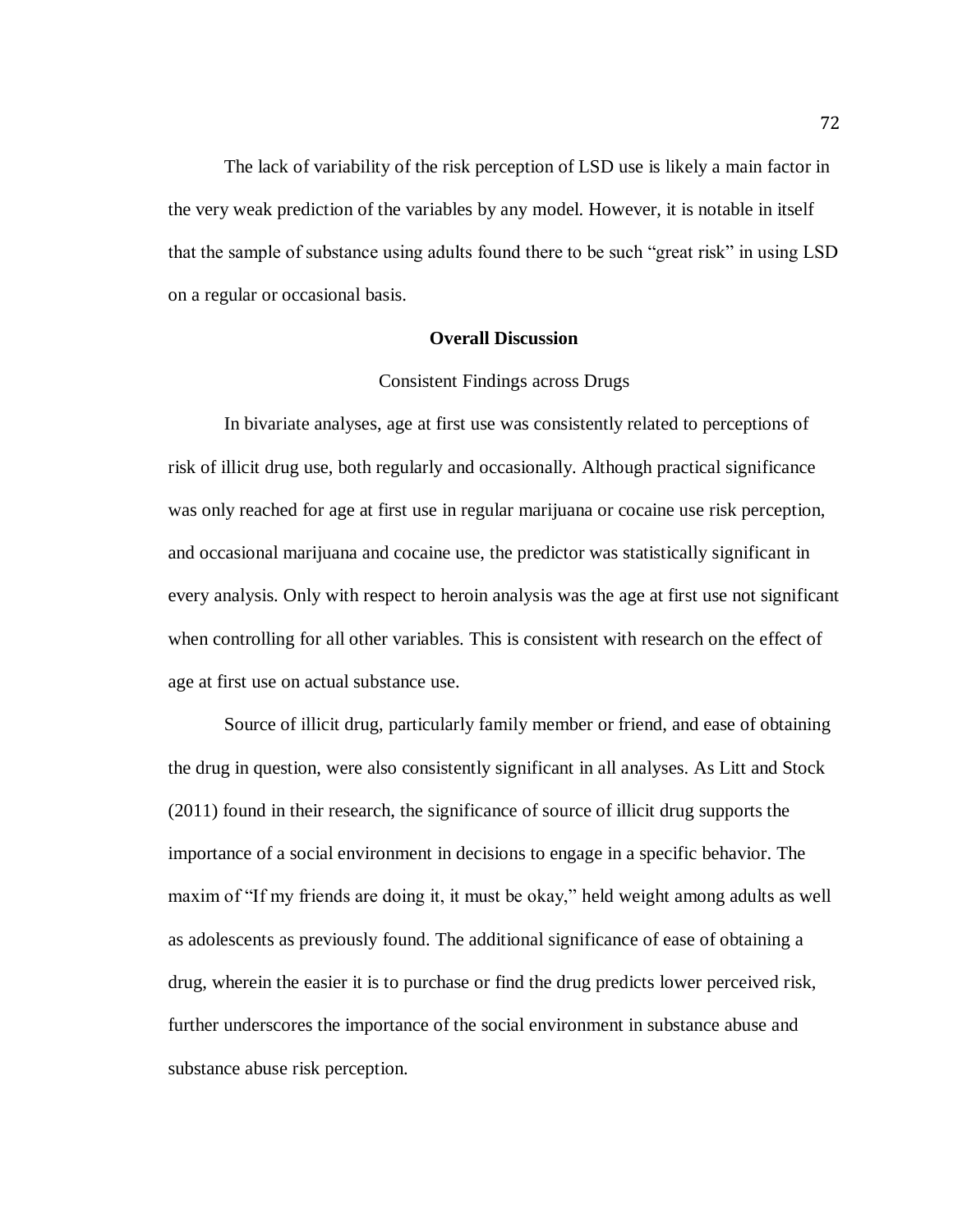The lack of variability of the risk perception of LSD use is likely a main factor in the very weak prediction of the variables by any model. However, it is notable in itself that the sample of substance using adults found there to be such "great risk" in using LSD on a regular or occasional basis.

### **Overall Discussion**

#### Consistent Findings across Drugs

In bivariate analyses, age at first use was consistently related to perceptions of risk of illicit drug use, both regularly and occasionally. Although practical significance was only reached for age at first use in regular marijuana or cocaine use risk perception, and occasional marijuana and cocaine use, the predictor was statistically significant in every analysis. Only with respect to heroin analysis was the age at first use not significant when controlling for all other variables. This is consistent with research on the effect of age at first use on actual substance use.

Source of illicit drug, particularly family member or friend, and ease of obtaining the drug in question, were also consistently significant in all analyses. As Litt and Stock (2011) found in their research, the significance of source of illicit drug supports the importance of a social environment in decisions to engage in a specific behavior. The maxim of "If my friends are doing it, it must be okay," held weight among adults as well as adolescents as previously found. The additional significance of ease of obtaining a drug, wherein the easier it is to purchase or find the drug predicts lower perceived risk, further underscores the importance of the social environment in substance abuse and substance abuse risk perception.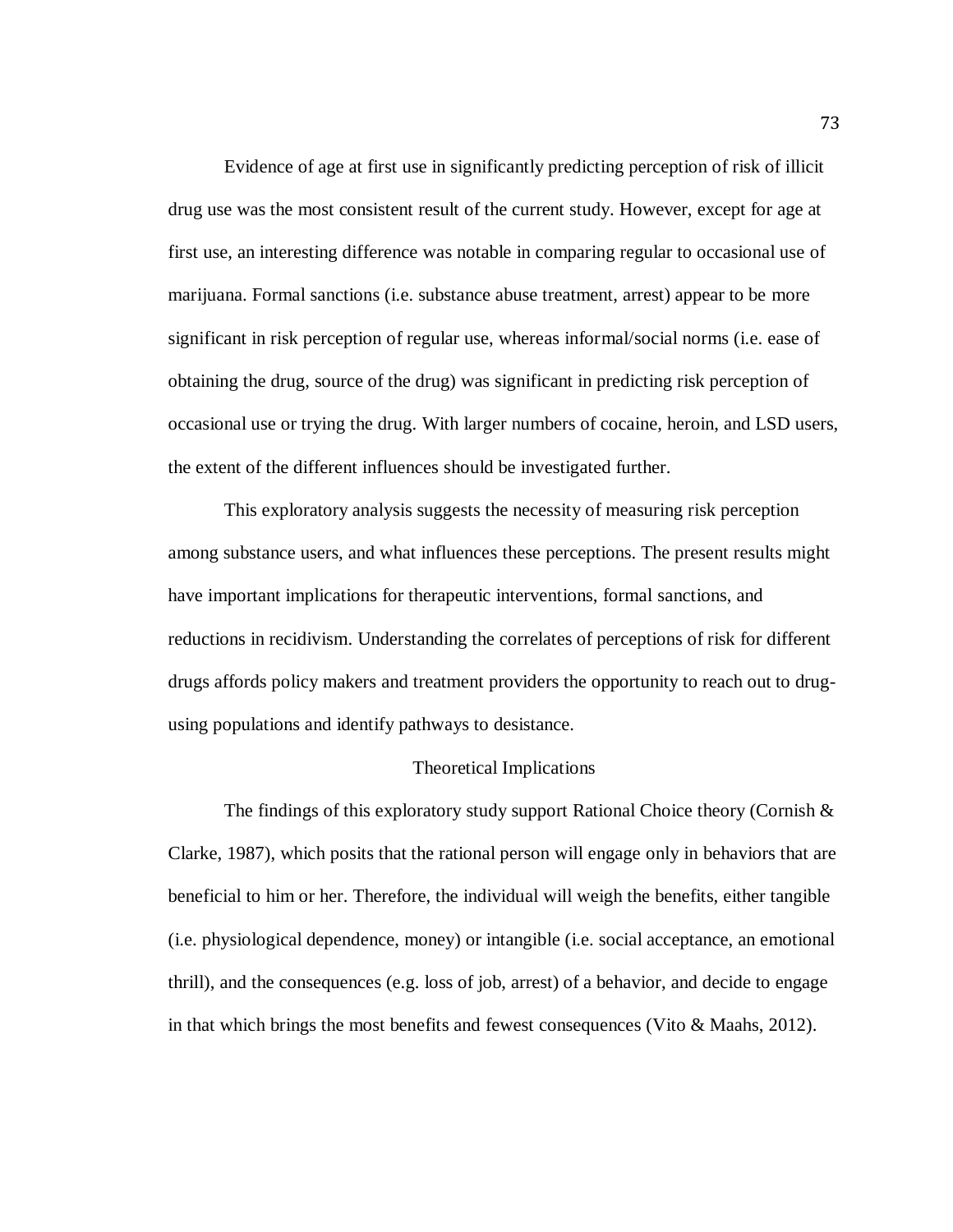Evidence of age at first use in significantly predicting perception of risk of illicit drug use was the most consistent result of the current study. However, except for age at first use, an interesting difference was notable in comparing regular to occasional use of marijuana. Formal sanctions (i.e. substance abuse treatment, arrest) appear to be more significant in risk perception of regular use, whereas informal/social norms (i.e. ease of obtaining the drug, source of the drug) was significant in predicting risk perception of occasional use or trying the drug. With larger numbers of cocaine, heroin, and LSD users, the extent of the different influences should be investigated further.

This exploratory analysis suggests the necessity of measuring risk perception among substance users, and what influences these perceptions. The present results might have important implications for therapeutic interventions, formal sanctions, and reductions in recidivism. Understanding the correlates of perceptions of risk for different drugs affords policy makers and treatment providers the opportunity to reach out to drugusing populations and identify pathways to desistance.

#### Theoretical Implications

The findings of this exploratory study support Rational Choice theory (Cornish  $\&$ Clarke, 1987), which posits that the rational person will engage only in behaviors that are beneficial to him or her. Therefore, the individual will weigh the benefits, either tangible (i.e. physiological dependence, money) or intangible (i.e. social acceptance, an emotional thrill), and the consequences (e.g. loss of job, arrest) of a behavior, and decide to engage in that which brings the most benefits and fewest consequences (Vito & Maahs, 2012).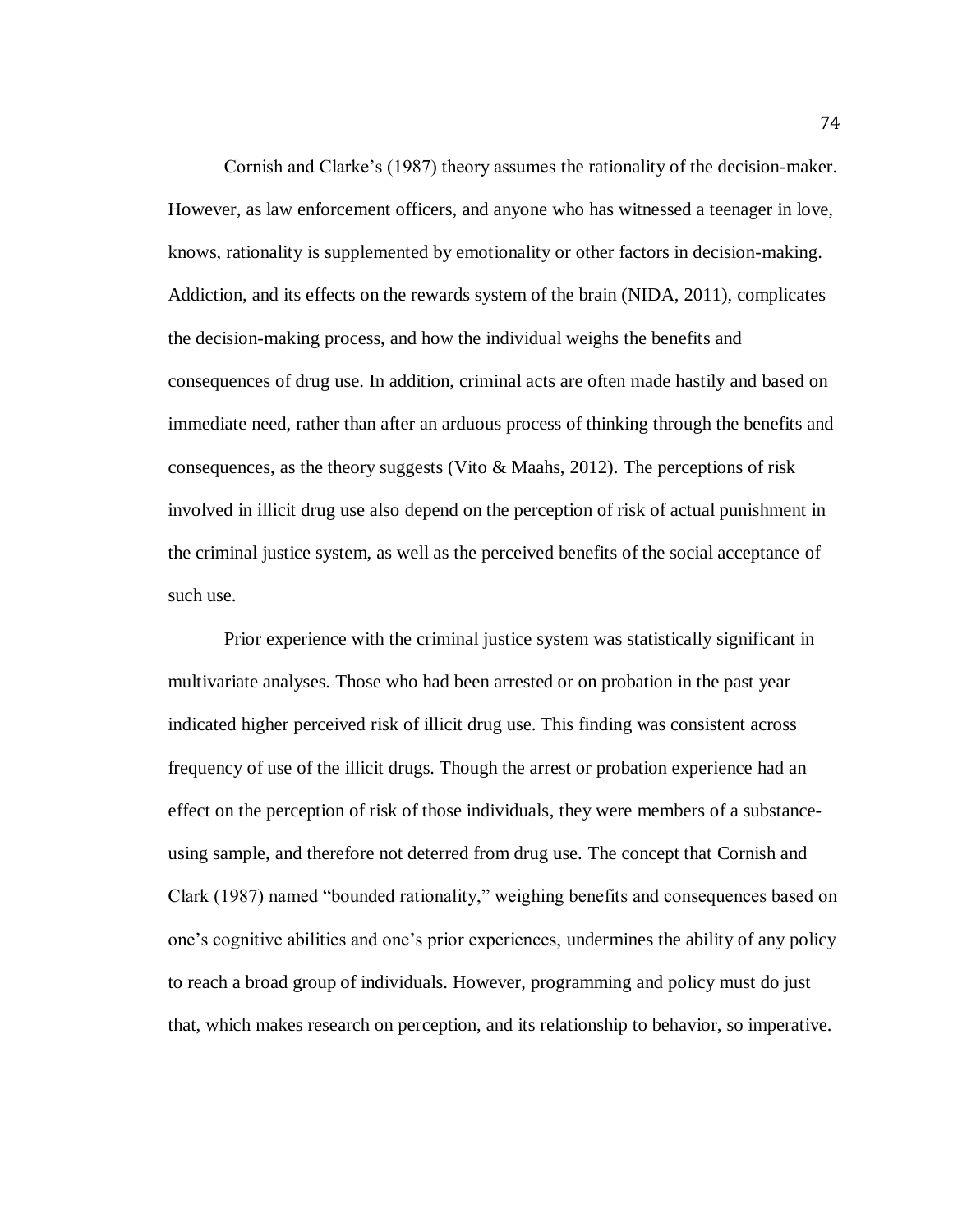Cornish and Clarke's (1987) theory assumes the rationality of the decision-maker. However, as law enforcement officers, and anyone who has witnessed a teenager in love, knows, rationality is supplemented by emotionality or other factors in decision-making. Addiction, and its effects on the rewards system of the brain (NIDA, 2011), complicates the decision-making process, and how the individual weighs the benefits and consequences of drug use. In addition, criminal acts are often made hastily and based on immediate need, rather than after an arduous process of thinking through the benefits and consequences, as the theory suggests (Vito  $\&$  Maahs, 2012). The perceptions of risk involved in illicit drug use also depend on the perception of risk of actual punishment in the criminal justice system, as well as the perceived benefits of the social acceptance of such use.

Prior experience with the criminal justice system was statistically significant in multivariate analyses. Those who had been arrested or on probation in the past year indicated higher perceived risk of illicit drug use. This finding was consistent across frequency of use of the illicit drugs. Though the arrest or probation experience had an effect on the perception of risk of those individuals, they were members of a substanceusing sample, and therefore not deterred from drug use. The concept that Cornish and Clark (1987) named "bounded rationality," weighing benefits and consequences based on one's cognitive abilities and one's prior experiences, undermines the ability of any policy to reach a broad group of individuals. However, programming and policy must do just that, which makes research on perception, and its relationship to behavior, so imperative.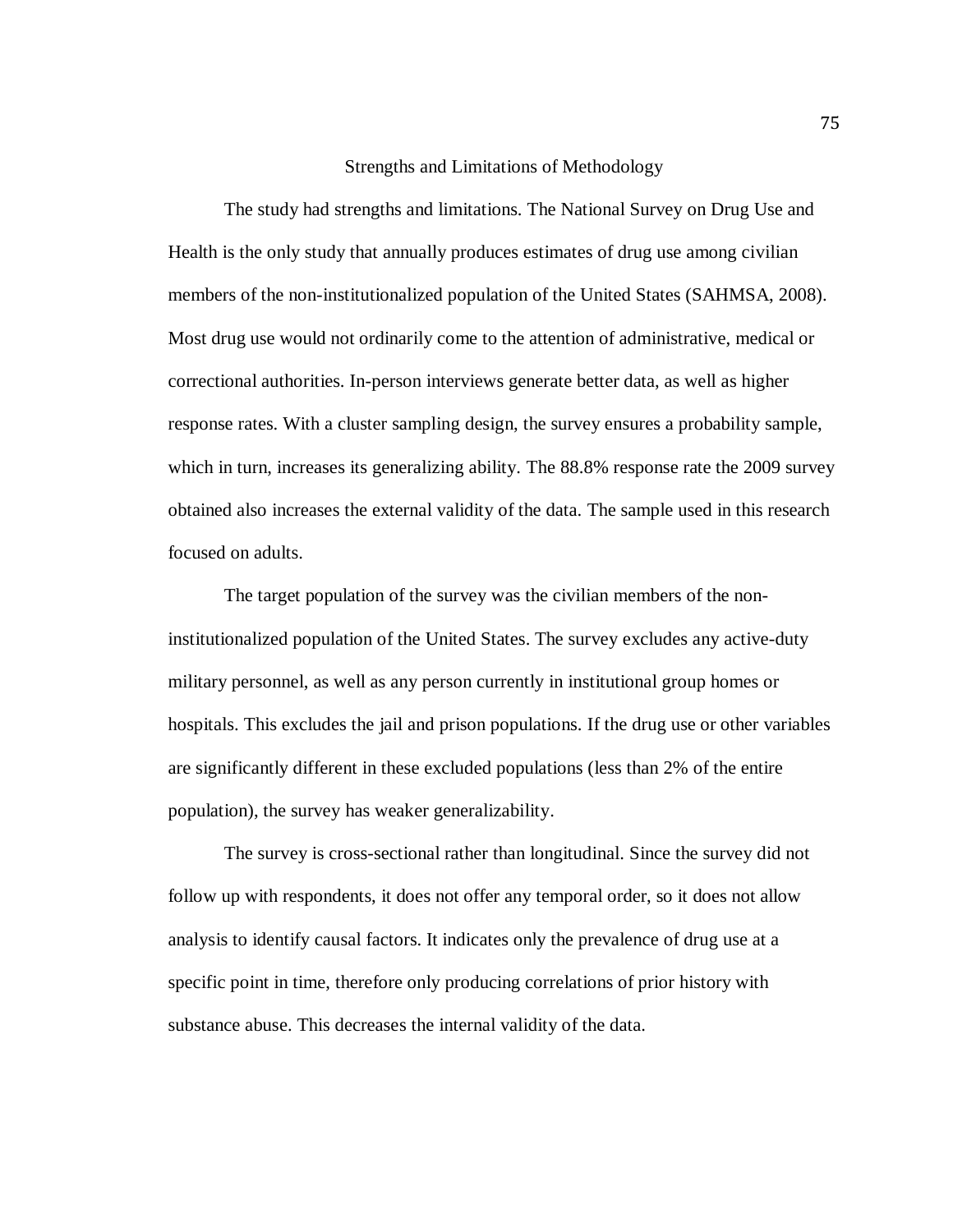# Strengths and Limitations of Methodology

The study had strengths and limitations. The National Survey on Drug Use and Health is the only study that annually produces estimates of drug use among civilian members of the non-institutionalized population of the United States (SAHMSA, 2008). Most drug use would not ordinarily come to the attention of administrative, medical or correctional authorities. In-person interviews generate better data, as well as higher response rates. With a cluster sampling design, the survey ensures a probability sample, which in turn, increases its generalizing ability. The 88.8% response rate the 2009 survey obtained also increases the external validity of the data. The sample used in this research focused on adults.

The target population of the survey was the civilian members of the noninstitutionalized population of the United States. The survey excludes any active-duty military personnel, as well as any person currently in institutional group homes or hospitals. This excludes the jail and prison populations. If the drug use or other variables are significantly different in these excluded populations (less than 2% of the entire population), the survey has weaker generalizability.

The survey is cross-sectional rather than longitudinal. Since the survey did not follow up with respondents, it does not offer any temporal order, so it does not allow analysis to identify causal factors. It indicates only the prevalence of drug use at a specific point in time, therefore only producing correlations of prior history with substance abuse. This decreases the internal validity of the data.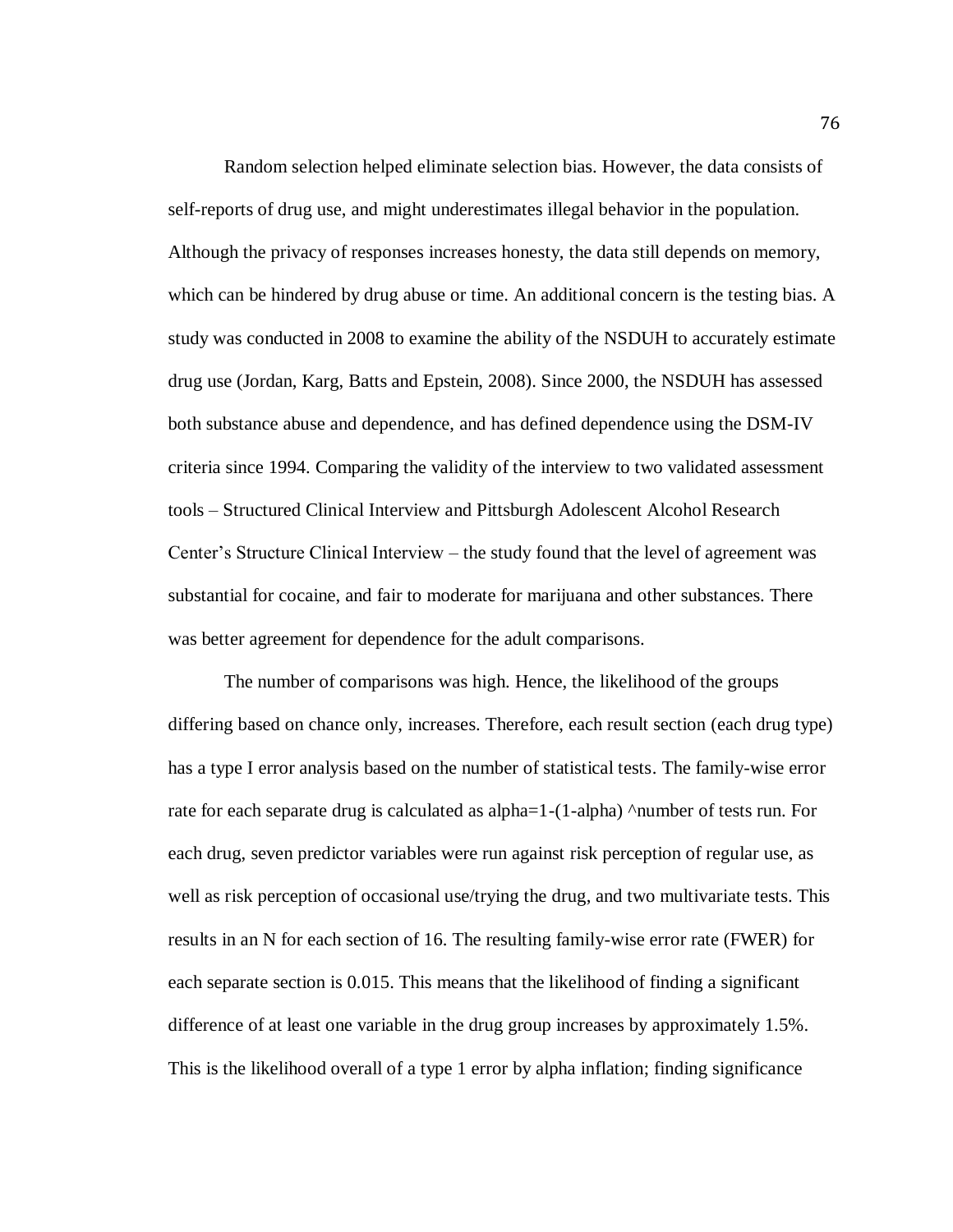Random selection helped eliminate selection bias. However, the data consists of self-reports of drug use, and might underestimates illegal behavior in the population. Although the privacy of responses increases honesty, the data still depends on memory, which can be hindered by drug abuse or time. An additional concern is the testing bias. A study was conducted in 2008 to examine the ability of the NSDUH to accurately estimate drug use (Jordan, Karg, Batts and Epstein, 2008). Since 2000, the NSDUH has assessed both substance abuse and dependence, and has defined dependence using the DSM-IV criteria since 1994. Comparing the validity of the interview to two validated assessment tools – Structured Clinical Interview and Pittsburgh Adolescent Alcohol Research Center's Structure Clinical Interview – the study found that the level of agreement was substantial for cocaine, and fair to moderate for marijuana and other substances. There was better agreement for dependence for the adult comparisons.

The number of comparisons was high. Hence, the likelihood of the groups differing based on chance only, increases. Therefore, each result section (each drug type) has a type I error analysis based on the number of statistical tests. The family-wise error rate for each separate drug is calculated as alpha=1-(1-alpha)  $\land$ number of tests run. For each drug, seven predictor variables were run against risk perception of regular use, as well as risk perception of occasional use/trying the drug, and two multivariate tests. This results in an N for each section of 16. The resulting family-wise error rate (FWER) for each separate section is 0.015. This means that the likelihood of finding a significant difference of at least one variable in the drug group increases by approximately 1.5%. This is the likelihood overall of a type 1 error by alpha inflation; finding significance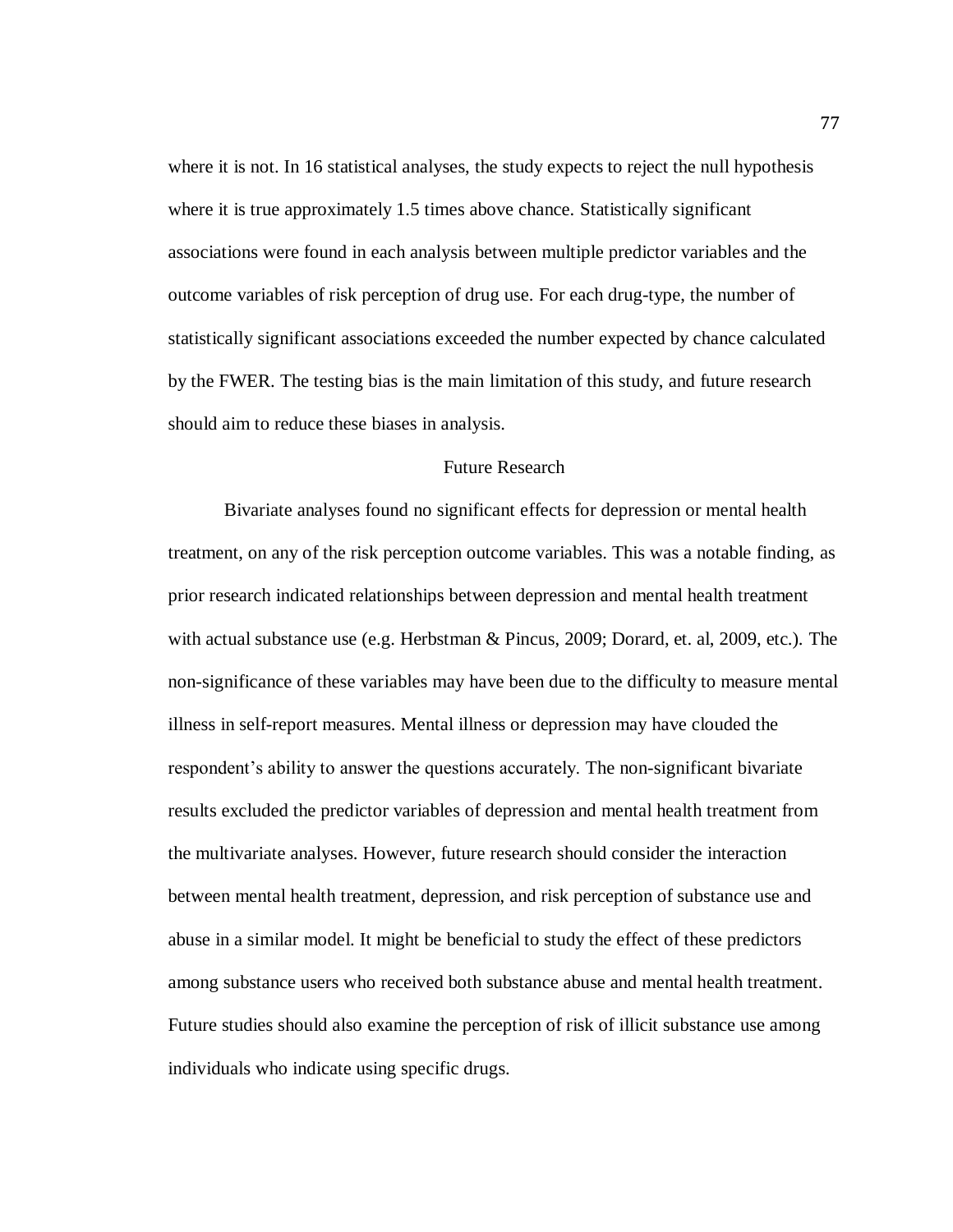where it is not. In 16 statistical analyses, the study expects to reject the null hypothesis where it is true approximately 1.5 times above chance. Statistically significant associations were found in each analysis between multiple predictor variables and the outcome variables of risk perception of drug use. For each drug-type, the number of statistically significant associations exceeded the number expected by chance calculated by the FWER. The testing bias is the main limitation of this study, and future research should aim to reduce these biases in analysis.

#### Future Research

Bivariate analyses found no significant effects for depression or mental health treatment, on any of the risk perception outcome variables. This was a notable finding, as prior research indicated relationships between depression and mental health treatment with actual substance use (e.g. Herbstman & Pincus, 2009; Dorard, et. al, 2009, etc.). The non-significance of these variables may have been due to the difficulty to measure mental illness in self-report measures. Mental illness or depression may have clouded the respondent's ability to answer the questions accurately. The non-significant bivariate results excluded the predictor variables of depression and mental health treatment from the multivariate analyses. However, future research should consider the interaction between mental health treatment, depression, and risk perception of substance use and abuse in a similar model. It might be beneficial to study the effect of these predictors among substance users who received both substance abuse and mental health treatment. Future studies should also examine the perception of risk of illicit substance use among individuals who indicate using specific drugs.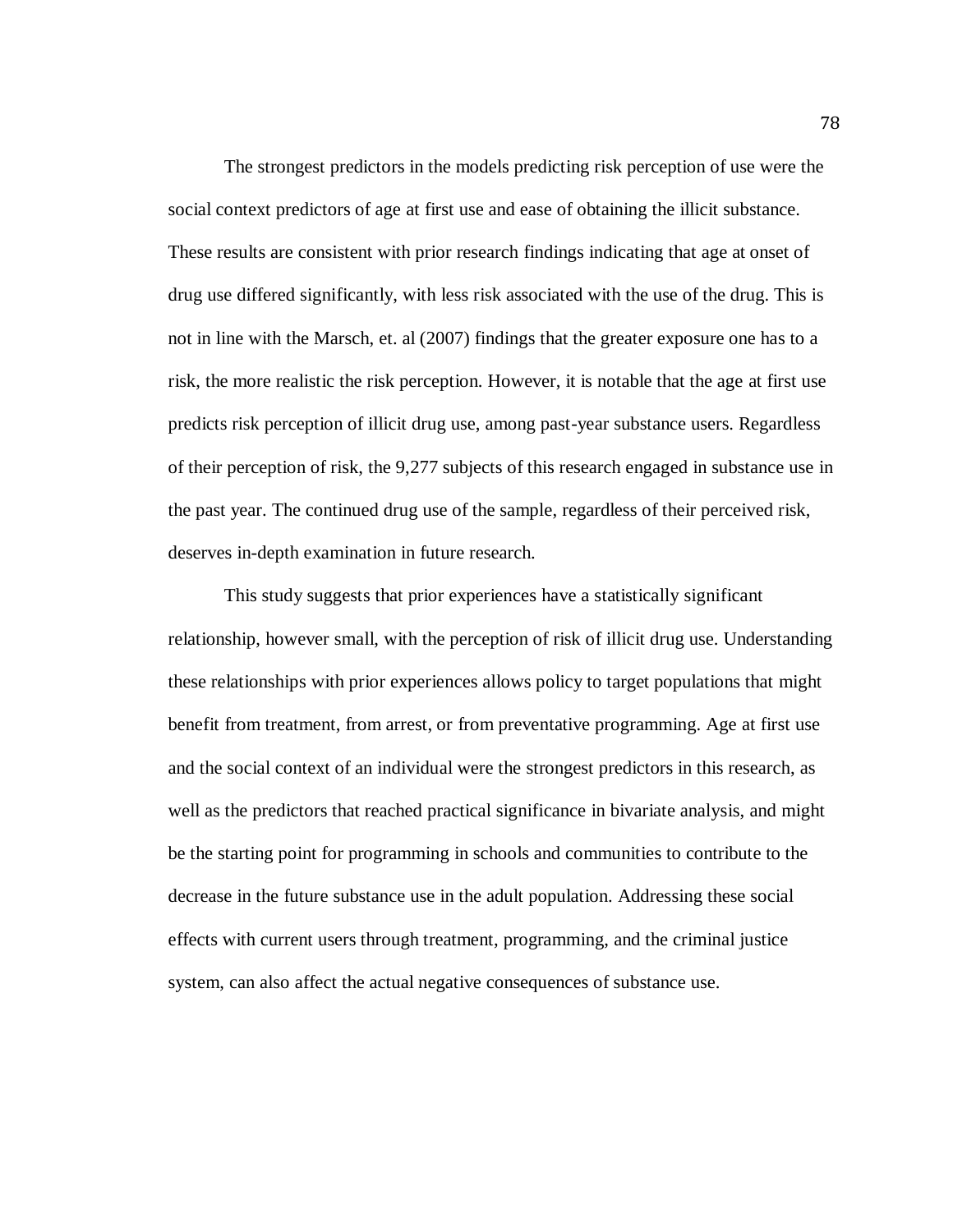The strongest predictors in the models predicting risk perception of use were the social context predictors of age at first use and ease of obtaining the illicit substance. These results are consistent with prior research findings indicating that age at onset of drug use differed significantly, with less risk associated with the use of the drug. This is not in line with the Marsch, et. al (2007) findings that the greater exposure one has to a risk, the more realistic the risk perception. However, it is notable that the age at first use predicts risk perception of illicit drug use, among past-year substance users. Regardless of their perception of risk, the 9,277 subjects of this research engaged in substance use in the past year. The continued drug use of the sample, regardless of their perceived risk, deserves in-depth examination in future research.

This study suggests that prior experiences have a statistically significant relationship, however small, with the perception of risk of illicit drug use. Understanding these relationships with prior experiences allows policy to target populations that might benefit from treatment, from arrest, or from preventative programming. Age at first use and the social context of an individual were the strongest predictors in this research, as well as the predictors that reached practical significance in bivariate analysis, and might be the starting point for programming in schools and communities to contribute to the decrease in the future substance use in the adult population. Addressing these social effects with current users through treatment, programming, and the criminal justice system, can also affect the actual negative consequences of substance use.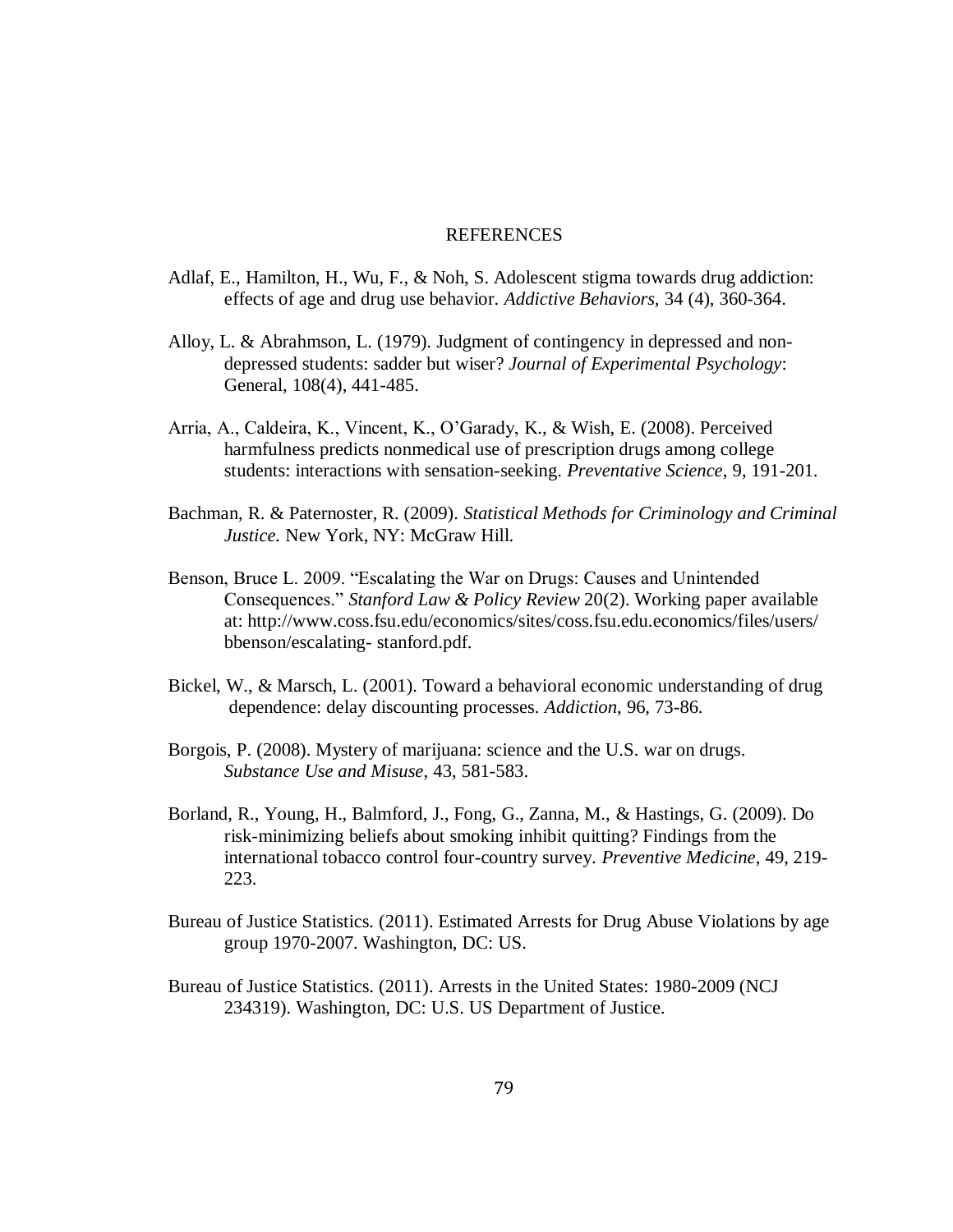### REFERENCES

- Adlaf, E., Hamilton, H., Wu, F., & Noh, S. Adolescent stigma towards drug addiction: effects of age and drug use behavior. *Addictive Behaviors,* 34 (4), 360-364.
- Alloy, L. & Abrahmson, L. (1979). Judgment of contingency in depressed and nondepressed students: sadder but wiser? *Journal of Experimental Psychology*: General, 108(4), 441-485.
- Arria, A., Caldeira, K., Vincent, K., O'Garady, K., & Wish, E. (2008). Perceived harmfulness predicts nonmedical use of prescription drugs among college students: interactions with sensation-seeking. *Preventative Science*, 9, 191-201.
- Bachman, R. & Paternoster, R. (2009). *Statistical Methods for Criminology and Criminal Justice.* New York, NY: McGraw Hill.
- Benson, Bruce L. 2009. "Escalating the War on Drugs: Causes and Unintended Consequences." *Stanford Law & Policy Review* 20(2). Working paper available at: http://www.coss.fsu.edu/economics/sites/coss.fsu.edu.economics/files/users/ bbenson/escalating- stanford.pdf.
- Bickel, W., & Marsch, L. (2001). Toward a behavioral economic understanding of drug dependence: delay discounting processes. *Addiction*, 96, 73-86.
- Borgois, P. (2008). Mystery of marijuana: science and the U.S. war on drugs. *Substance Use and Misuse*, 43, 581-583.
- Borland, R., Young, H., Balmford, J., Fong, G., Zanna, M., & Hastings, G. (2009). Do risk-minimizing beliefs about smoking inhibit quitting? Findings from the international tobacco control four-country survey. *Preventive Medicine*, 49, 219- 223.
- Bureau of Justice Statistics. (2011). Estimated Arrests for Drug Abuse Violations by age group 1970-2007. Washington, DC: US.
- Bureau of Justice Statistics. (2011). Arrests in the United States: 1980-2009 (NCJ 234319). Washington, DC: U.S. US Department of Justice.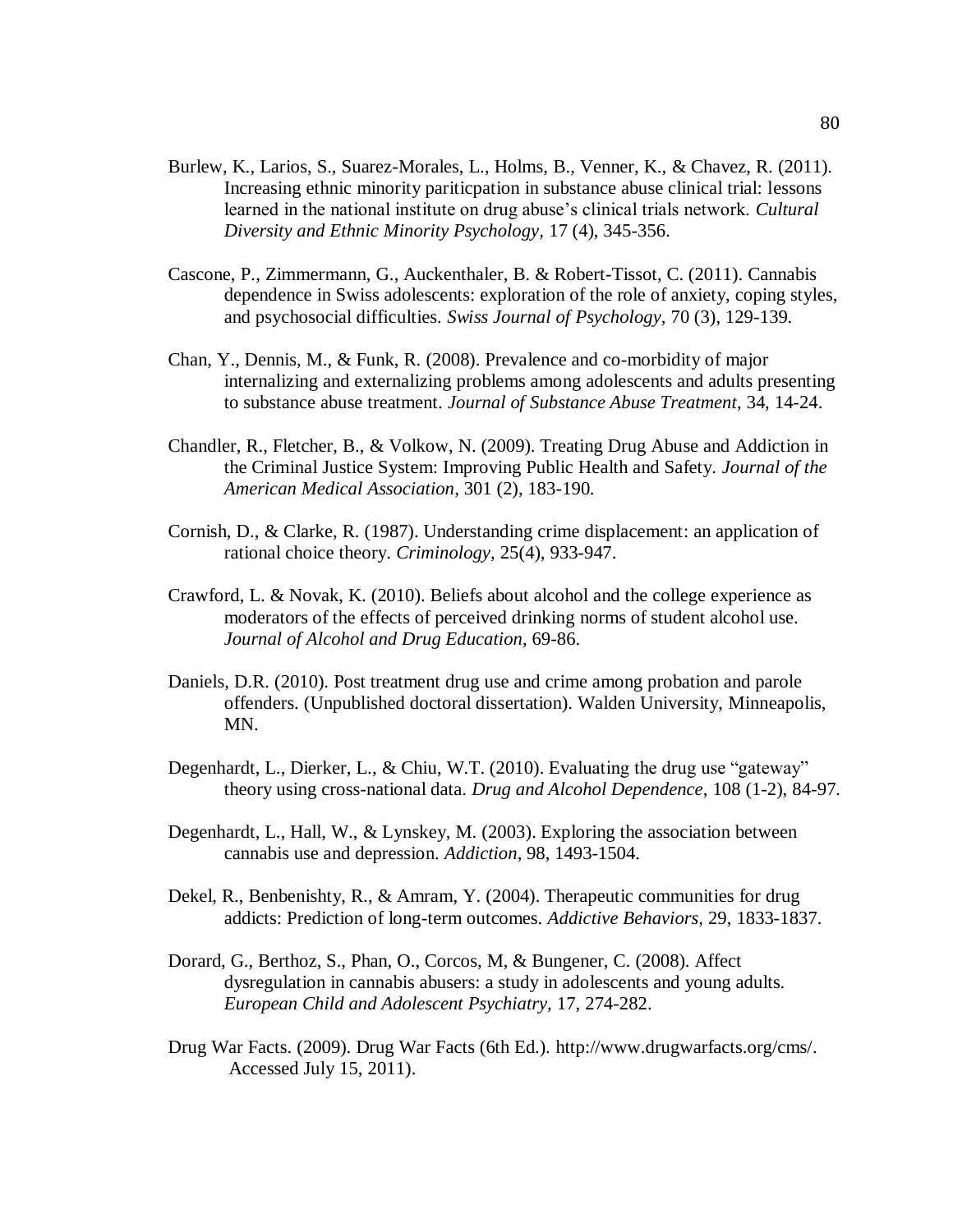- Burlew, K., Larios, S., Suarez-Morales, L., Holms, B., Venner, K., & Chavez, R. (2011). Increasing ethnic minority pariticpation in substance abuse clinical trial: lessons learned in the national institute on drug abuse's clinical trials network. *Cultural Diversity and Ethnic Minority Psychology,* 17 (4), 345-356.
- Cascone, P., Zimmermann, G., Auckenthaler, B. & Robert-Tissot, C. (2011). Cannabis dependence in Swiss adolescents: exploration of the role of anxiety, coping styles, and psychosocial difficulties. *Swiss Journal of Psychology,* 70 (3), 129-139.
- Chan, Y., Dennis, M., & Funk, R. (2008). Prevalence and co-morbidity of major internalizing and externalizing problems among adolescents and adults presenting to substance abuse treatment. *Journal of Substance Abuse Treatment*, 34, 14-24.
- Chandler, R., Fletcher, B., & Volkow, N. (2009). Treating Drug Abuse and Addiction in the Criminal Justice System: Improving Public Health and Safety. *Journal of the American Medical Association*, 301 (2), 183-190.
- Cornish, D., & Clarke, R. (1987). Understanding crime displacement: an application of rational choice theory. *Criminology*, 25(4), 933-947.
- Crawford, L. & Novak, K. (2010). Beliefs about alcohol and the college experience as moderators of the effects of perceived drinking norms of student alcohol use. *Journal of Alcohol and Drug Education*, 69-86.
- Daniels, D.R. (2010). Post treatment drug use and crime among probation and parole offenders. (Unpublished doctoral dissertation). Walden University, Minneapolis, MN.
- Degenhardt, L., Dierker, L., & Chiu, W.T. (2010). Evaluating the drug use "gateway" theory using cross-national data. *Drug and Alcohol Dependence*, 108 (1-2), 84-97.
- Degenhardt, L., Hall, W., & Lynskey, M. (2003). Exploring the association between cannabis use and depression. *Addiction*, 98, 1493-1504.
- Dekel, R., Benbenishty, R., & Amram, Y. (2004). Therapeutic communities for drug addicts: Prediction of long-term outcomes. *Addictive Behaviors*, 29, 1833-1837.
- Dorard, G., Berthoz, S., Phan, O., Corcos, M, & Bungener, C. (2008). Affect dysregulation in cannabis abusers: a study in adolescents and young adults. *European Child and Adolescent Psychiatry,* 17, 274-282.
- Drug War Facts. (2009). Drug War Facts (6th Ed.). http://www.drugwarfacts.org/cms/. Accessed July 15, 2011).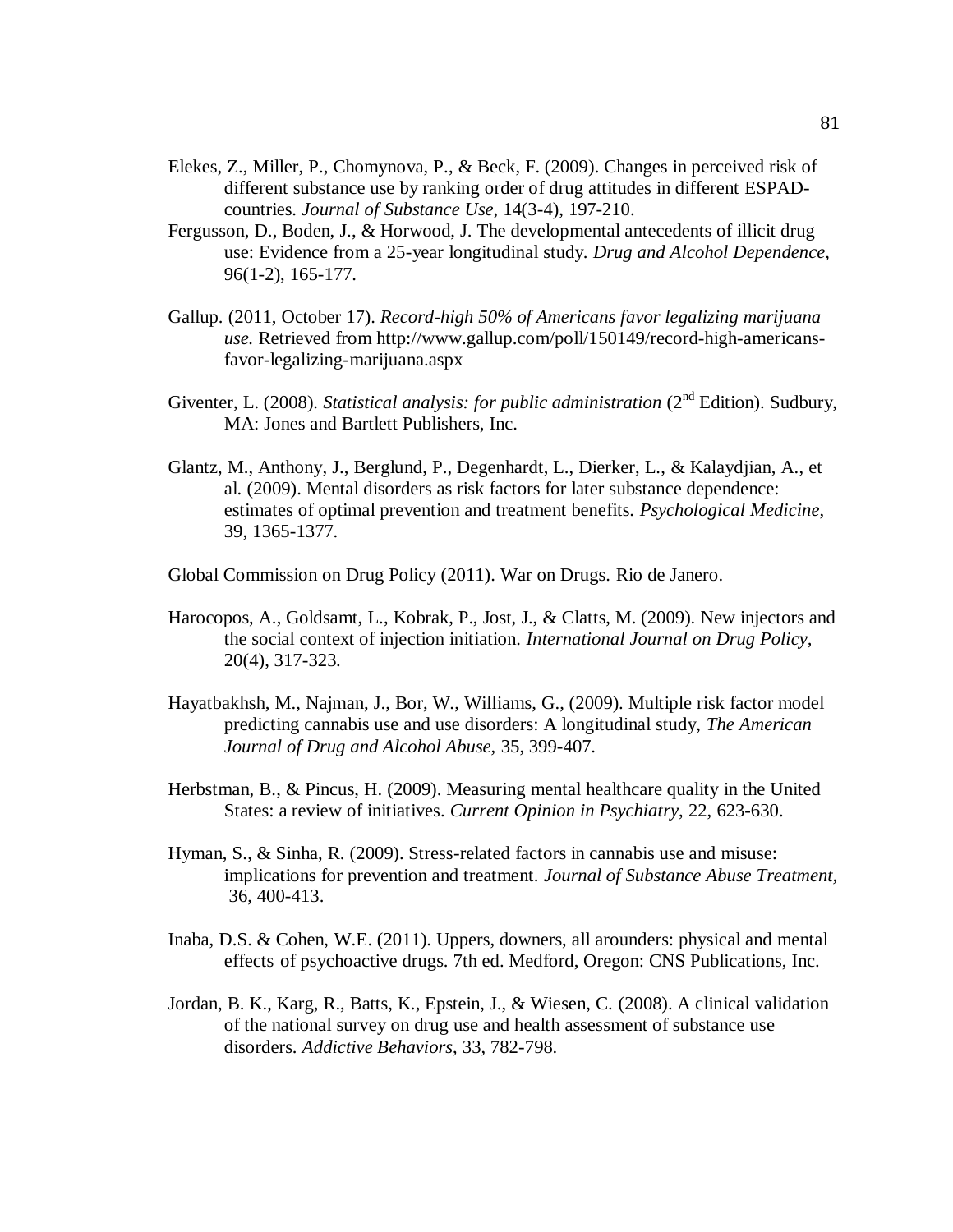- Elekes, Z., Miller, P., Chomynova, P., & Beck, F. (2009). Changes in perceived risk of different substance use by ranking order of drug attitudes in different ESPADcountries. *Journal of Substance Use*, 14(3-4), 197-210.
- Fergusson, D., Boden, J., & Horwood, J. The developmental antecedents of illicit drug use: Evidence from a 25-year longitudinal study. *Drug and Alcohol Dependence,*  96(1-2), 165-177.
- Gallup. (2011, October 17). *Record-high 50% of Americans favor legalizing marijuana use.* Retrieved from http://www.gallup.com/poll/150149/record-high-americansfavor-legalizing-marijuana.aspx
- Giventer, L. (2008). *Statistical analysis: for public administration* (2<sup>nd</sup> Edition). Sudbury. MA: Jones and Bartlett Publishers, Inc.
- Glantz, M., Anthony, J., Berglund, P., Degenhardt, L., Dierker, L., & Kalaydjian, A., et al. (2009). Mental disorders as risk factors for later substance dependence: estimates of optimal prevention and treatment benefits. *Psychological Medicine*, 39, 1365-1377.
- Global Commission on Drug Policy (2011). War on Drugs. Rio de Janero.
- Harocopos, A., Goldsamt, L., Kobrak, P., Jost, J., & Clatts, M. (2009). New injectors and the social context of injection initiation. *International Journal on Drug Policy,*  20(4), 317-323.
- Hayatbakhsh, M., Najman, J., Bor, W., Williams, G., (2009). Multiple risk factor model predicting cannabis use and use disorders: A longitudinal study, *The American Journal of Drug and Alcohol Abuse,* 35, 399-407.
- Herbstman, B., & Pincus, H. (2009). Measuring mental healthcare quality in the United States: a review of initiatives. *Current Opinion in Psychiatry*, 22, 623-630.
- Hyman, S., & Sinha, R. (2009). Stress-related factors in cannabis use and misuse: implications for prevention and treatment. *Journal of Substance Abuse Treatment,* 36, 400-413.
- Inaba, D.S. & Cohen, W.E. (2011). Uppers, downers, all arounders: physical and mental effects of psychoactive drugs. 7th ed. Medford, Oregon: CNS Publications, Inc.
- Jordan, B. K., Karg, R., Batts, K., Epstein, J., & Wiesen, C. (2008). A clinical validation of the national survey on drug use and health assessment of substance use disorders. *Addictive Behaviors*, 33, 782-798.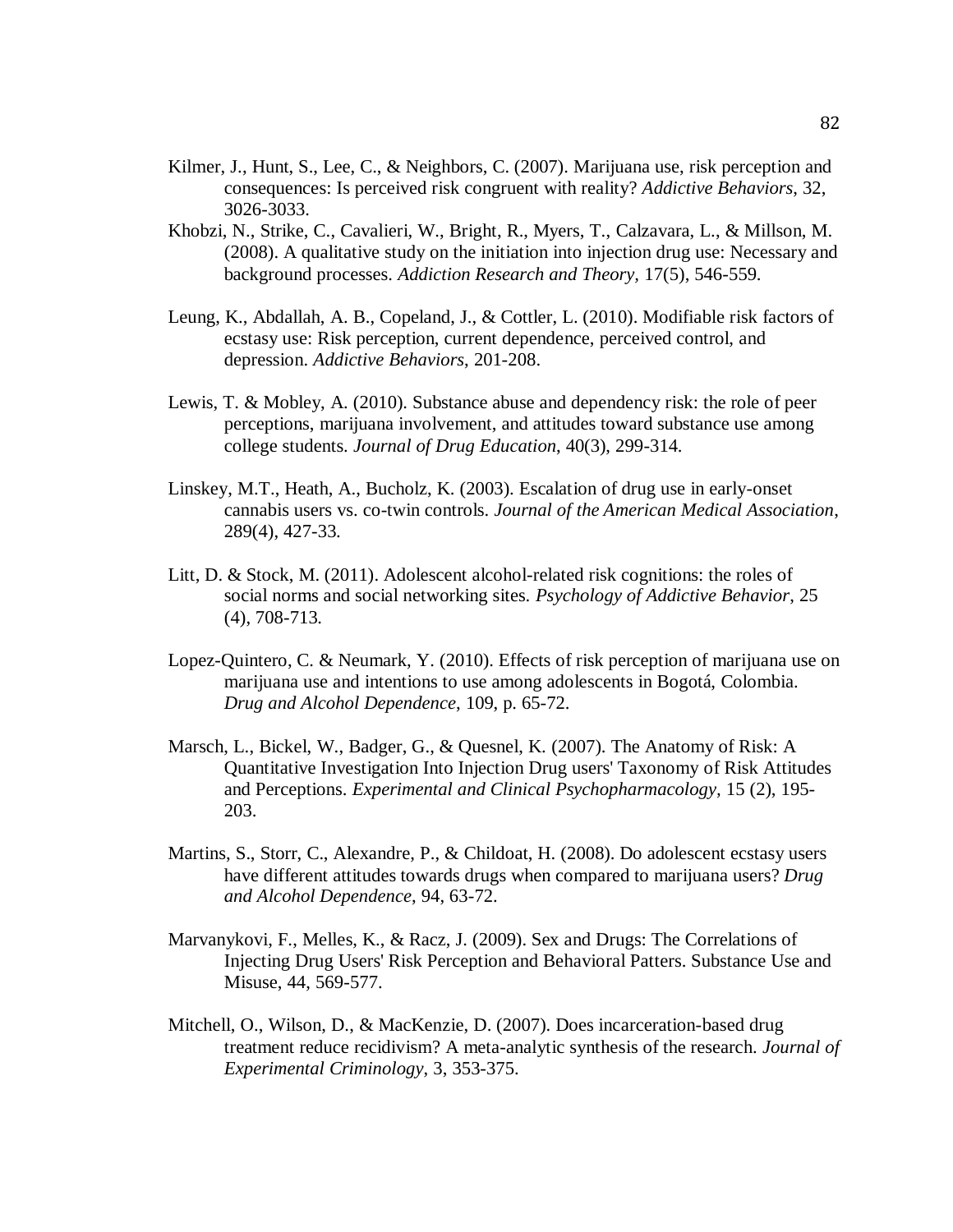- Kilmer, J., Hunt, S., Lee, C., & Neighbors, C. (2007). Marijuana use, risk perception and consequences: Is perceived risk congruent with reality? *Addictive Behaviors*, 32, 3026-3033.
- Khobzi, N., Strike, C., Cavalieri, W., Bright, R., Myers, T., Calzavara, L., & Millson, M. (2008). A qualitative study on the initiation into injection drug use: Necessary and background processes. *Addiction Research and Theory,* 17(5), 546-559.
- Leung, K., Abdallah, A. B., Copeland, J., & Cottler, L. (2010). Modifiable risk factors of ecstasy use: Risk perception, current dependence, perceived control, and depression. *Addictive Behaviors*, 201-208.
- Lewis, T. & Mobley, A. (2010). Substance abuse and dependency risk: the role of peer perceptions, marijuana involvement, and attitudes toward substance use among college students. *Journal of Drug Education*, 40(3), 299-314.
- Linskey, M.T., Heath, A., Bucholz, K. (2003). Escalation of drug use in early-onset cannabis users vs. co-twin controls. *Journal of the American Medical Association*, 289(4), 427-33.
- Litt, D. & Stock, M. (2011). Adolescent alcohol-related risk cognitions: the roles of social norms and social networking sites. *Psychology of Addictive Behavior*, 25 (4), 708-713.
- Lopez-Quintero, C. & Neumark, Y. (2010). Effects of risk perception of marijuana use on marijuana use and intentions to use among adolescents in Bogotá, Colombia. *Drug and Alcohol Dependence*, 109, p. 65-72.
- Marsch, L., Bickel, W., Badger, G., & Quesnel, K. (2007). The Anatomy of Risk: A Quantitative Investigation Into Injection Drug users' Taxonomy of Risk Attitudes and Perceptions. *Experimental and Clinical Psychopharmacology,* 15 (2), 195- 203.
- Martins, S., Storr, C., Alexandre, P., & Childoat, H. (2008). Do adolescent ecstasy users have different attitudes towards drugs when compared to marijuana users? *Drug and Alcohol Dependence*, 94, 63-72.
- Marvanykovi, F., Melles, K., & Racz, J. (2009). Sex and Drugs: The Correlations of Injecting Drug Users' Risk Perception and Behavioral Patters. Substance Use and Misuse, 44, 569-577.
- Mitchell, O., Wilson, D., & MacKenzie, D. (2007). Does incarceration-based drug treatment reduce recidivism? A meta-analytic synthesis of the research. *Journal of Experimental Criminology*, 3, 353-375.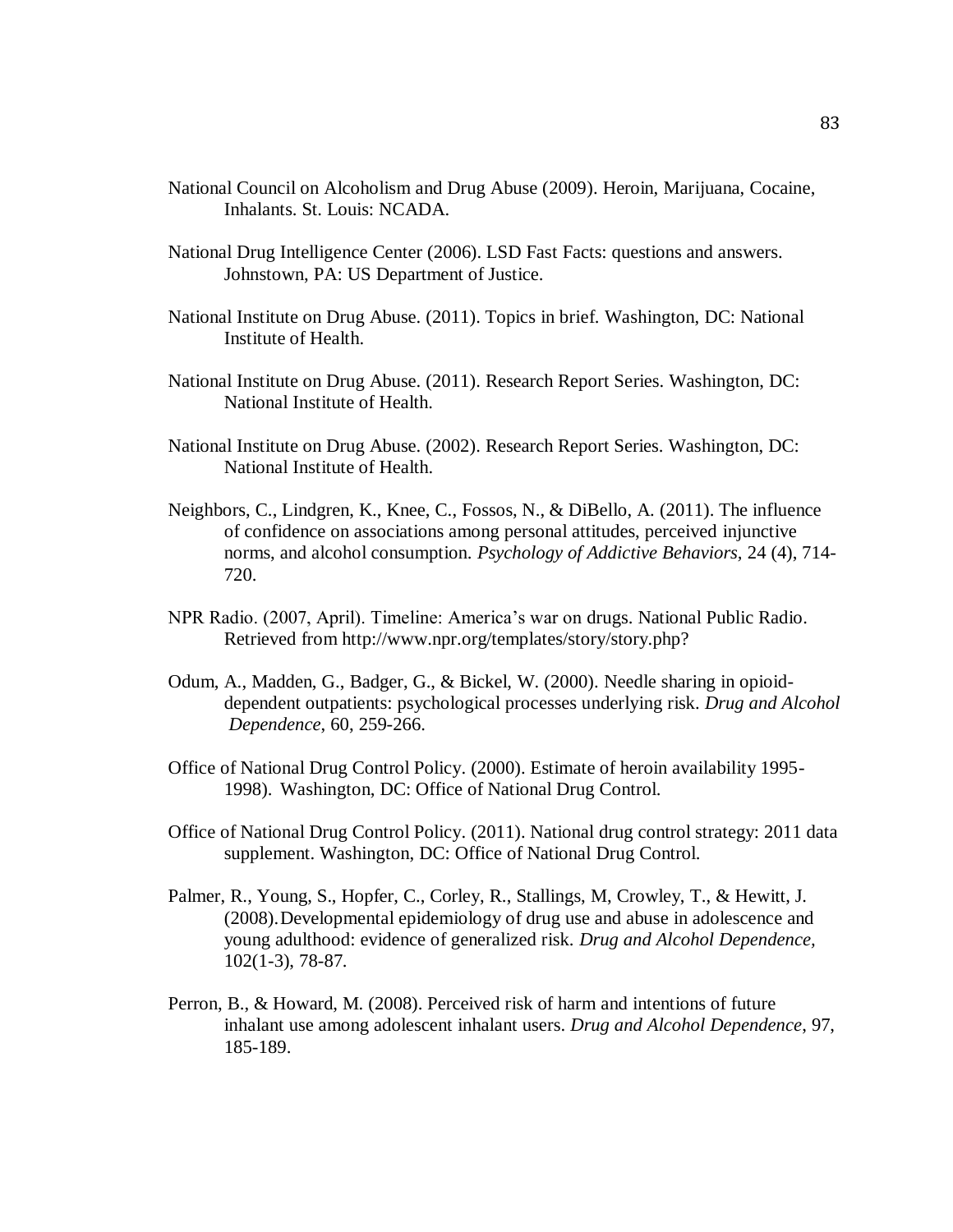- National Council on Alcoholism and Drug Abuse (2009). Heroin, Marijuana, Cocaine, Inhalants. St. Louis: NCADA.
- National Drug Intelligence Center (2006). LSD Fast Facts: questions and answers. Johnstown, PA: US Department of Justice.
- National Institute on Drug Abuse. (2011). Topics in brief. Washington, DC: National Institute of Health.
- National Institute on Drug Abuse. (2011). Research Report Series. Washington, DC: National Institute of Health.
- National Institute on Drug Abuse. (2002). Research Report Series. Washington, DC: National Institute of Health.
- Neighbors, C., Lindgren, K., Knee, C., Fossos, N., & DiBello, A. (2011). The influence of confidence on associations among personal attitudes, perceived injunctive norms, and alcohol consumption. *Psychology of Addictive Behaviors,* 24 (4), 714- 720.
- NPR Radio. (2007, April). Timeline: America's war on drugs. National Public Radio. Retrieved from http://www.npr.org/templates/story/story.php?
- Odum, A., Madden, G., Badger, G., & Bickel, W. (2000). Needle sharing in opioiddependent outpatients: psychological processes underlying risk. *Drug and Alcohol Dependence*, 60, 259-266.
- Office of National Drug Control Policy. (2000). Estimate of heroin availability 1995- 1998). Washington, DC: Office of National Drug Control.
- Office of National Drug Control Policy. (2011). National drug control strategy: 2011 data supplement. Washington, DC: Office of National Drug Control.
- Palmer, R., Young, S., Hopfer, C., Corley, R., Stallings, M, Crowley, T., & Hewitt, J. (2008).Developmental epidemiology of drug use and abuse in adolescence and young adulthood: evidence of generalized risk. *Drug and Alcohol Dependence,*  102(1-3), 78-87.
- Perron, B., & Howard, M. (2008). Perceived risk of harm and intentions of future inhalant use among adolescent inhalant users. *Drug and Alcohol Dependence*, 97, 185-189.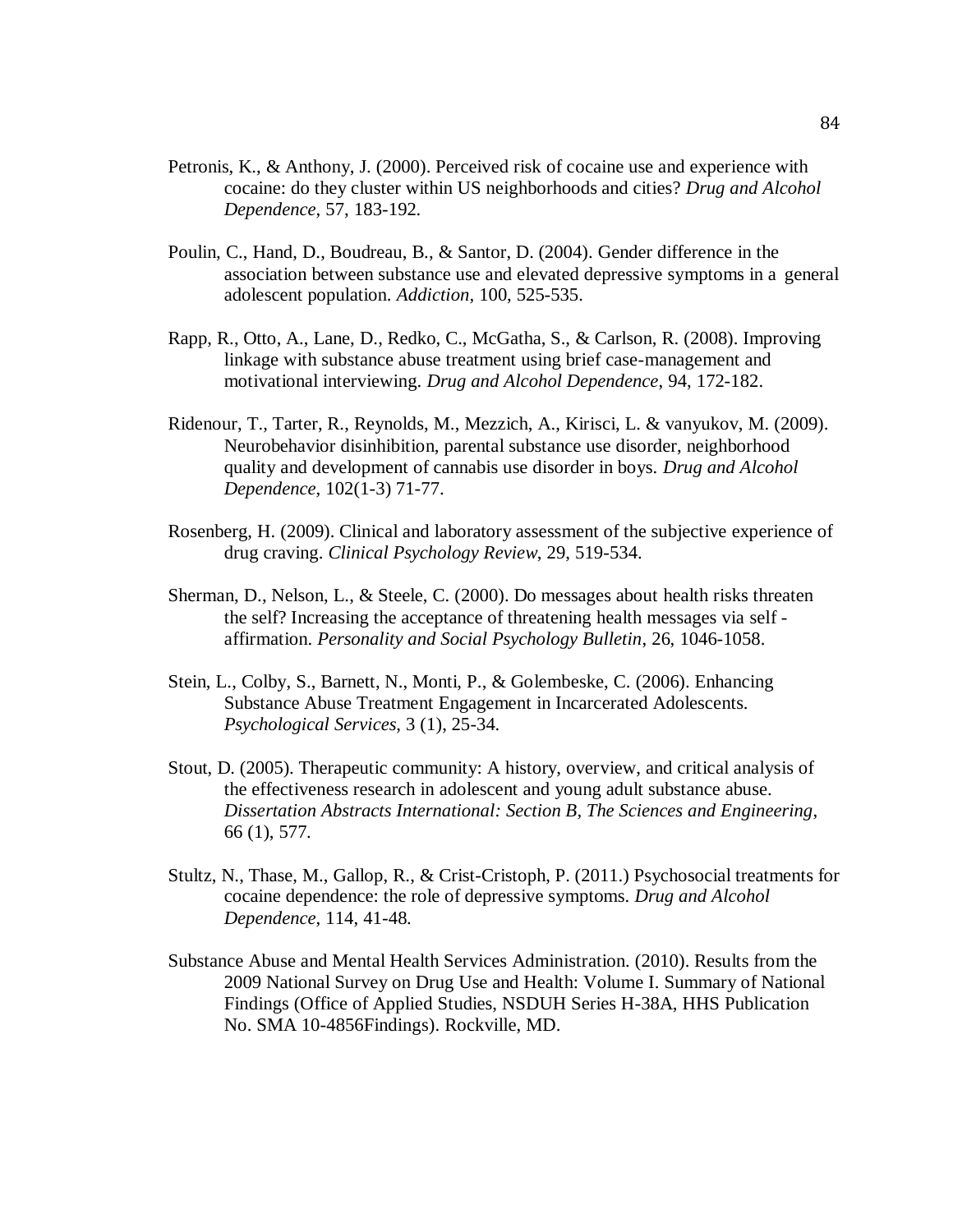- Petronis, K., & Anthony, J. (2000). Perceived risk of cocaine use and experience with cocaine: do they cluster within US neighborhoods and cities? *Drug and Alcohol Dependence*, 57, 183-192.
- Poulin, C., Hand, D., Boudreau, B., & Santor, D. (2004). Gender difference in the association between substance use and elevated depressive symptoms in a general adolescent population. *Addiction*, 100, 525-535.
- Rapp, R., Otto, A., Lane, D., Redko, C., McGatha, S., & Carlson, R. (2008). Improving linkage with substance abuse treatment using brief case-management and motivational interviewing. *Drug and Alcohol Dependence*, 94, 172-182.
- Ridenour, T., Tarter, R., Reynolds, M., Mezzich, A., Kirisci, L. & vanyukov, M. (2009). Neurobehavior disinhibition, parental substance use disorder, neighborhood quality and development of cannabis use disorder in boys. *Drug and Alcohol Dependence,* 102(1-3) 71-77.
- Rosenberg, H. (2009). Clinical and laboratory assessment of the subjective experience of drug craving. *Clinical Psychology Review*, 29, 519-534.
- Sherman, D., Nelson, L., & Steele, C. (2000). Do messages about health risks threaten the self? Increasing the acceptance of threatening health messages via self affirmation. *Personality and Social Psychology Bulletin*, 26, 1046-1058.
- Stein, L., Colby, S., Barnett, N., Monti, P., & Golembeske, C. (2006). Enhancing Substance Abuse Treatment Engagement in Incarcerated Adolescents. *Psychological Services*, 3 (1), 25-34.
- Stout, D. (2005). Therapeutic community: A history, overview, and critical analysis of the effectiveness research in adolescent and young adult substance abuse. *Dissertation Abstracts International: Section B, The Sciences and Engineering*, 66 (1), 577.
- Stultz, N., Thase, M., Gallop, R., & Crist-Cristoph, P. (2011.) Psychosocial treatments for cocaine dependence: the role of depressive symptoms. *Drug and Alcohol Dependence*, 114, 41-48.
- Substance Abuse and Mental Health Services Administration. (2010). Results from the 2009 National Survey on Drug Use and Health: Volume I. Summary of National Findings (Office of Applied Studies, NSDUH Series H-38A, HHS Publication No. SMA 10-4856Findings). Rockville, MD.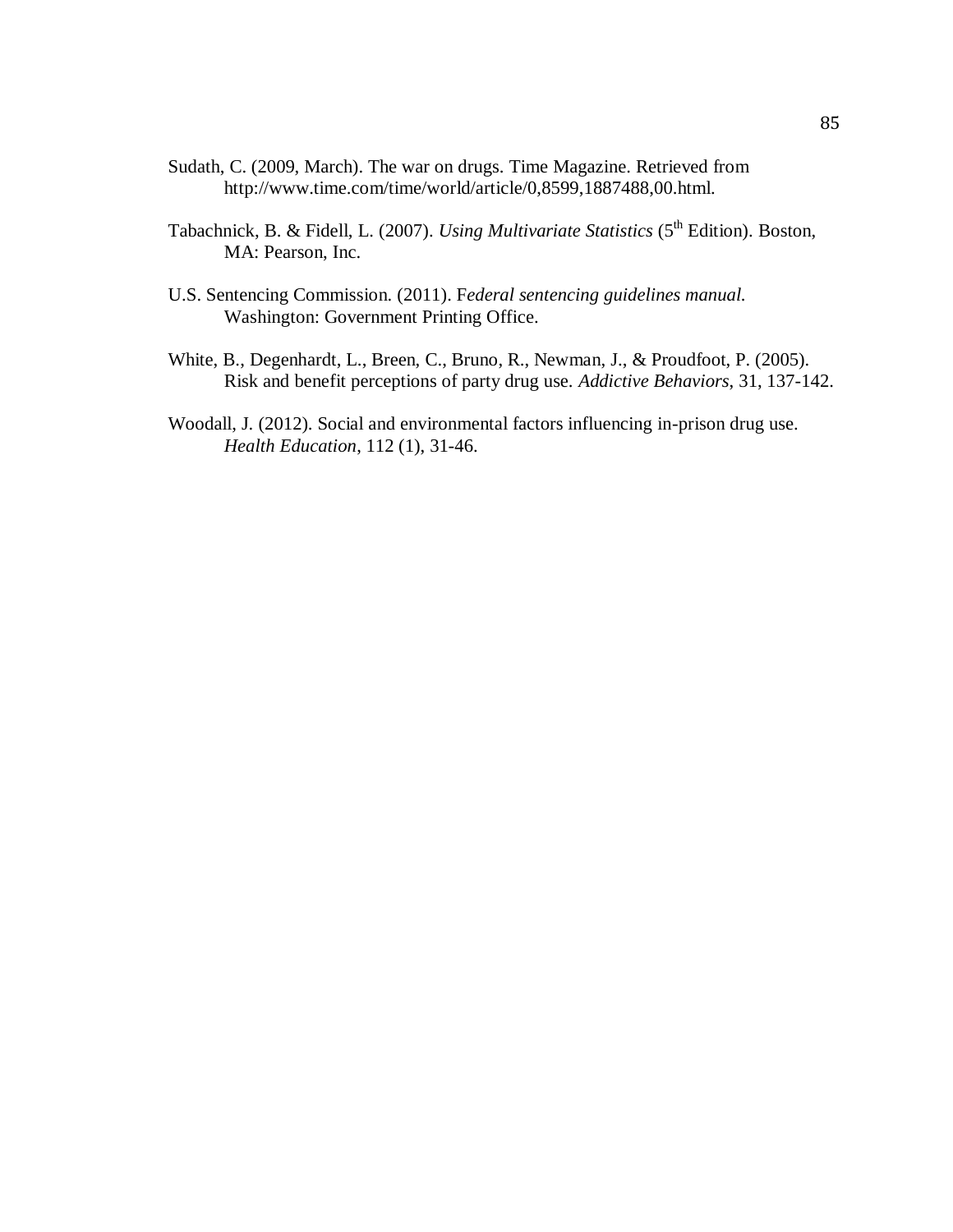- Sudath, C. (2009, March). The war on drugs. Time Magazine. Retrieved from http://www.time.com/time/world/article/0,8599,1887488,00.html.
- Tabachnick, B. & Fidell, L. (2007). *Using Multivariate Statistics* (5<sup>th</sup> Edition). Boston, MA: Pearson, Inc.
- U.S. Sentencing Commission. (2011). F*ederal sentencing guidelines manual.* Washington: Government Printing Office.
- White, B., Degenhardt, L., Breen, C., Bruno, R., Newman, J., & Proudfoot, P. (2005). Risk and benefit perceptions of party drug use. *Addictive Behaviors*, 31, 137-142.
- Woodall, J. (2012). Social and environmental factors influencing in-prison drug use. *Health Education*, 112 (1), 31-46.